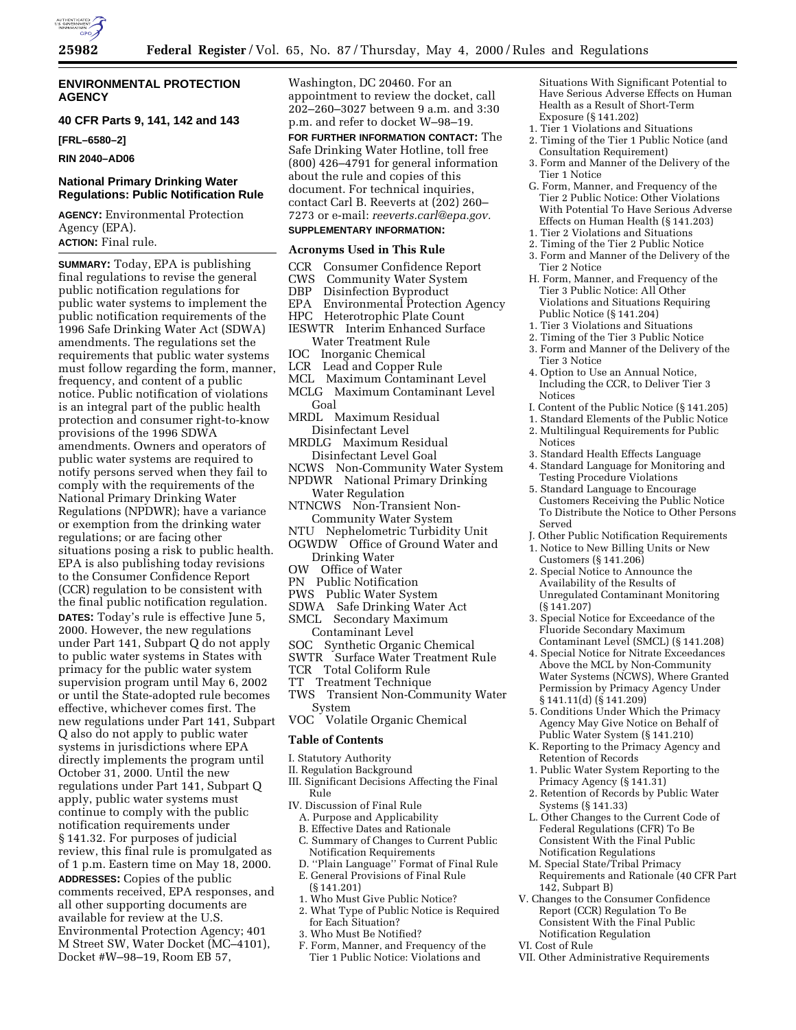

## **ENVIRONMENTAL PROTECTION AGENCY**

**40 CFR Parts 9, 141, 142 and 143**

**[FRL–6580–2]**

**RIN 2040–AD06**

# **National Primary Drinking Water Regulations: Public Notification Rule**

**AGENCY:** Environmental Protection Agency (EPA).

**ACTION:** Final rule.

**SUMMARY:** Today, EPA is publishing final regulations to revise the general public notification regulations for public water systems to implement the public notification requirements of the 1996 Safe Drinking Water Act (SDWA) amendments. The regulations set the requirements that public water systems must follow regarding the form, manner, frequency, and content of a public notice. Public notification of violations is an integral part of the public health protection and consumer right-to-know provisions of the 1996 SDWA amendments. Owners and operators of public water systems are required to notify persons served when they fail to comply with the requirements of the National Primary Drinking Water Regulations (NPDWR); have a variance or exemption from the drinking water regulations; or are facing other situations posing a risk to public health. EPA is also publishing today revisions to the Consumer Confidence Report (CCR) regulation to be consistent with the final public notification regulation. **DATES:** Today's rule is effective June 5, 2000. However, the new regulations under Part 141, Subpart Q do not apply to public water systems in States with primacy for the public water system supervision program until May 6, 2002 or until the State-adopted rule becomes effective, whichever comes first. The new regulations under Part 141, Subpart Q also do not apply to public water systems in jurisdictions where EPA directly implements the program until October 31, 2000. Until the new regulations under Part 141, Subpart Q apply, public water systems must continue to comply with the public notification requirements under § 141.32. For purposes of judicial review, this final rule is promulgated as of 1 p.m. Eastern time on May 18, 2000. **ADDRESSES:** Copies of the public comments received, EPA responses, and all other supporting documents are available for review at the U.S. Environmental Protection Agency; 401 M Street SW, Water Docket (MC–4101), Docket #W–98–19, Room EB 57,

Washington, DC 20460. For an appointment to review the docket, call 202–260–3027 between 9 a.m. and 3:30 p.m. and refer to docket W–98–19.

**FOR FURTHER INFORMATION CONTACT:** The Safe Drinking Water Hotline, toll free (800) 426–4791 for general information about the rule and copies of this document. For technical inquiries, contact Carl B. Reeverts at (202) 260– 7273 or e-mail: *reeverts.carl@epa.gov.* **SUPPLEMENTARY INFORMATION:**

# **Acronyms Used in This Rule**

- CCR Consumer Confidence Report
- 
- **CWS** Community Water System<br> **DBP** Disinfection Byproduct Disinfection Byproduct
- 
- EPA Environmental Protection Agency Heterotrophic Plate Count
- IESWTR Interim Enhanced Surface
- Water Treatment Rule
- IOC Inorganic Chemical
- LCR Lead and Copper Rule
- MCL Maximum Contaminant Level
- MCLG Maximum Contaminant Level Goal
- MRDL Maximum Residual Disinfectant Level
- MRDLG Maximum Residual Disinfectant Level Goal
- NCWS Non-Community Water System NPDWR National Primary Drinking
- Water Regulation NTNCWS Non-Transient Non-
- Community Water System
- NTU Nephelometric Turbidity Unit OGWDW Office of Ground Water and Drinking Water
- OW Office of Water
- PN Public Notification
- PWS Public Water System
- SDWA Safe Drinking Water Act
- SMCL Secondary Maximum
- 
- Contaminant Level<br>SOC Synthetic Organi Synthetic Organic Chemical
- SWTR Surface Water Treatment Rule
- TCR Total Coliform Rule
- TT Treatment Technique
- TWS Transient Non-Community Water System
- VOC Volatile Organic Chemical

#### **Table of Contents**

- I. Statutory Authority
- II. Regulation Background
- III. Significant Decisions Affecting the Final Rule
- IV. Discussion of Final Rule
- A. Purpose and Applicability
- B. Effective Dates and Rationale
- C. Summary of Changes to Current Public Notification Requirements
- D. ''Plain Language'' Format of Final Rule
	- E. General Provisions of Final Rule (§ 141.201)
	- 1. Who Must Give Public Notice?
	- 2. What Type of Public Notice is Required for Each Situation?
	- 3. Who Must Be Notified?
	- F. Form, Manner, and Frequency of the Tier 1 Public Notice: Violations and

Situations With Significant Potential to Have Serious Adverse Effects on Human Health as a Result of Short-Term Exposure (§ 141.202)

- 1. Tier 1 Violations and Situations
- 2. Timing of the Tier 1 Public Notice (and
- Consultation Requirement) 3. Form and Manner of the Delivery of the Tier 1 Notice
- G. Form, Manner, and Frequency of the Tier 2 Public Notice: Other Violations With Potential To Have Serious Adverse Effects on Human Health (§ 141.203)
- 1. Tier 2 Violations and Situations
- 2. Timing of the Tier 2 Public Notice
- 3. Form and Manner of the Delivery of the Tier 2 Notice
- H. Form, Manner, and Frequency of the Tier 3 Public Notice: All Other Violations and Situations Requiring Public Notice (§ 141.204)
- 1. Tier 3 Violations and Situations
- 2. Timing of the Tier 3 Public Notice 3. Form and Manner of the Delivery of the
- Tier 3 Notice
- 4. Option to Use an Annual Notice, Including the CCR, to Deliver Tier 3 Notices
- I. Content of the Public Notice (§ 141.205)
- 1. Standard Elements of the Public Notice 2. Multilingual Requirements for Public Notices
- 3. Standard Health Effects Language
- 4. Standard Language for Monitoring and Testing Procedure Violations
- 5. Standard Language to Encourage Customers Receiving the Public Notice To Distribute the Notice to Other Persons Served
- J. Other Public Notification Requirements 1. Notice to New Billing Units or New
- Customers (§ 141.206)
- 2. Special Notice to Announce the Availability of the Results of Unregulated Contaminant Monitoring (§ 141.207)
- 3. Special Notice for Exceedance of the Fluoride Secondary Maximum Contaminant Level (SMCL) (§ 141.208)
- 4. Special Notice for Nitrate Exceedances Above the MCL by Non-Community Water Systems (NCWS), Where Granted Permission by Primacy Agency Under § 141.11(d) (§ 141.209)
- 5. Conditions Under Which the Primacy Agency May Give Notice on Behalf of Public Water System (§ 141.210)
- K. Reporting to the Primacy Agency and Retention of Records
- 1. Public Water System Reporting to the Primacy Agency (§ 141.31)
- 2. Retention of Records by Public Water Systems (§ 141.33)
- L. Other Changes to the Current Code of Federal Regulations (CFR) To Be Consistent With the Final Public Notification Regulations
- M. Special State/Tribal Primacy Requirements and Rationale (40 CFR Part 142, Subpart B)
- V. Changes to the Consumer Confidence Report (CCR) Regulation To Be Consistent With the Final Public Notification Regulation
- VI. Cost of Rule
- VII. Other Administrative Requirements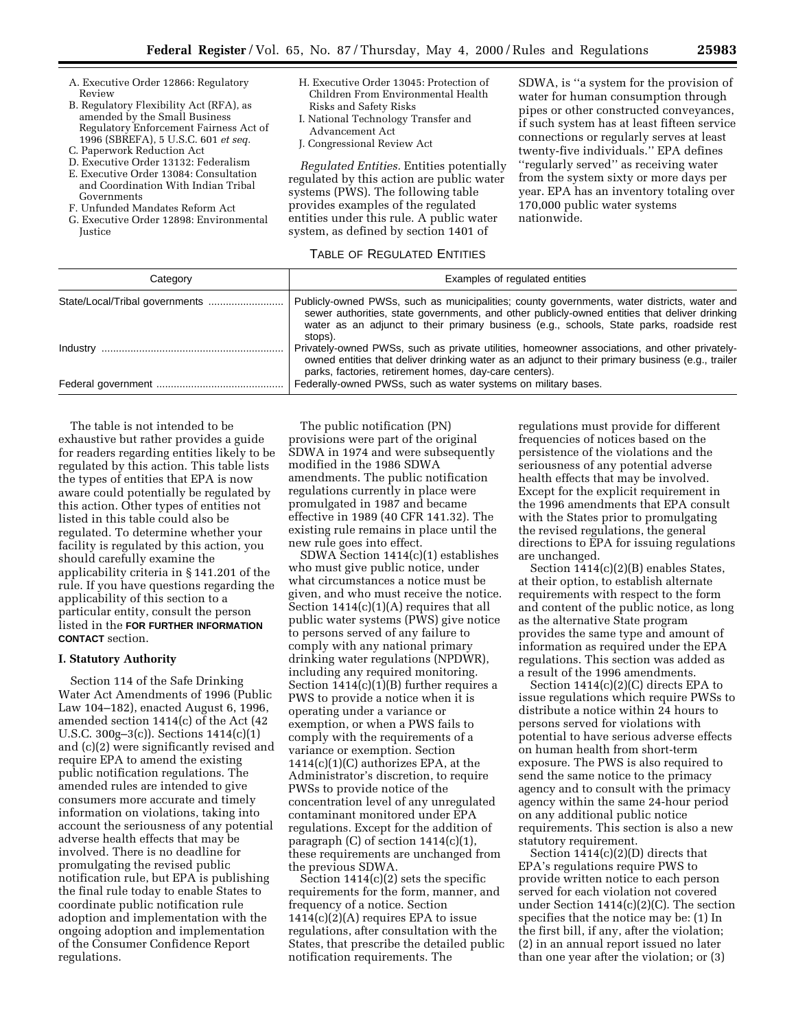- A. Executive Order 12866: Regulatory Review
- B. Regulatory Flexibility Act (RFA), as amended by the Small Business Regulatory Enforcement Fairness Act of 1996 (SBREFA), 5 U.S.C. 601 *et seq.*
- C. Paperwork Reduction Act
- D. Executive Order 13132: Federalism
- E. Executive Order 13084: Consultation and Coordination With Indian Tribal Governments
- F. Unfunded Mandates Reform Act
- G. Executive Order 12898: Environmental Justice
- H. Executive Order 13045: Protection of Children From Environmental Health Risks and Safety Risks
- I. National Technology Transfer and Advancement Act
- J. Congressional Review Act

*Regulated Entities.* Entities potentially regulated by this action are public water systems (PWS). The following table provides examples of the regulated entities under this rule. A public water system, as defined by section 1401 of

SDWA, is ''a system for the provision of water for human consumption through pipes or other constructed conveyances, if such system has at least fifteen service connections or regularly serves at least twenty-five individuals.'' EPA defines ''regularly served'' as receiving water from the system sixty or more days per year. EPA has an inventory totaling over 170,000 public water systems nationwide.

#### TABLE OF REGULATED ENTITIES

| Category           | Examples of regulated entities                                                                                                                                                                                                                                                           |
|--------------------|------------------------------------------------------------------------------------------------------------------------------------------------------------------------------------------------------------------------------------------------------------------------------------------|
|                    | Publicly-owned PWSs, such as municipalities; county governments, water districts, water and<br>sewer authorities, state governments, and other publicly-owned entities that deliver drinking<br>water as an adjunct to their primary business (e.g., schools, State parks, roadside rest |
|                    | stops).<br>Privately-owned PWSs, such as private utilities, homeowner associations, and other privately-<br>owned entities that deliver drinking water as an adjunct to their primary business (e.g., trailer                                                                            |
| Federal government | parks, factories, retirement homes, day-care centers).<br>Federally-owned PWSs, such as water systems on military bases.                                                                                                                                                                 |

The table is not intended to be exhaustive but rather provides a guide for readers regarding entities likely to be regulated by this action. This table lists the types of entities that EPA is now aware could potentially be regulated by this action. Other types of entities not listed in this table could also be regulated. To determine whether your facility is regulated by this action, you should carefully examine the applicability criteria in § 141.201 of the rule. If you have questions regarding the applicability of this section to a particular entity, consult the person listed in the **FOR FURTHER INFORMATION CONTACT** section.

## **I. Statutory Authority**

Section 114 of the Safe Drinking Water Act Amendments of 1996 (Public Law 104–182), enacted August 6, 1996, amended section 1414(c) of the Act (42 U.S.C. 300g–3(c)). Sections 1414(c)(1) and (c)(2) were significantly revised and require EPA to amend the existing public notification regulations. The amended rules are intended to give consumers more accurate and timely information on violations, taking into account the seriousness of any potential adverse health effects that may be involved. There is no deadline for promulgating the revised public notification rule, but EPA is publishing the final rule today to enable States to coordinate public notification rule adoption and implementation with the ongoing adoption and implementation of the Consumer Confidence Report regulations.

The public notification (PN) provisions were part of the original SDWA in 1974 and were subsequently modified in the 1986 SDWA amendments. The public notification regulations currently in place were promulgated in 1987 and became effective in 1989 (40 CFR 141.32). The existing rule remains in place until the new rule goes into effect.

SDWA Section 1414(c)(1) establishes who must give public notice, under what circumstances a notice must be given, and who must receive the notice. Section 1414(c)(1)(A) requires that all public water systems (PWS) give notice to persons served of any failure to comply with any national primary drinking water regulations (NPDWR), including any required monitoring. Section 1414(c)(1)(B) further requires a PWS to provide a notice when it is operating under a variance or exemption, or when a PWS fails to comply with the requirements of a variance or exemption. Section 1414(c)(1)(C) authorizes EPA, at the Administrator's discretion, to require PWSs to provide notice of the concentration level of any unregulated contaminant monitored under EPA regulations. Except for the addition of paragraph  $(C)$  of section 1414 $(c)(1)$ , these requirements are unchanged from the previous SDWA.

Section  $1414(c)(2)$  sets the specific requirements for the form, manner, and frequency of a notice. Section 1414(c)(2)(A) requires EPA to issue regulations, after consultation with the States, that prescribe the detailed public notification requirements. The

regulations must provide for different frequencies of notices based on the persistence of the violations and the seriousness of any potential adverse health effects that may be involved. Except for the explicit requirement in the 1996 amendments that EPA consult with the States prior to promulgating the revised regulations, the general directions to EPA for issuing regulations are unchanged.

Section 1414(c)(2)(B) enables States, at their option, to establish alternate requirements with respect to the form and content of the public notice, as long as the alternative State program provides the same type and amount of information as required under the EPA regulations. This section was added as a result of the 1996 amendments.

Section 1414(c)(2)(C) directs EPA to issue regulations which require PWSs to distribute a notice within 24 hours to persons served for violations with potential to have serious adverse effects on human health from short-term exposure. The PWS is also required to send the same notice to the primacy agency and to consult with the primacy agency within the same 24-hour period on any additional public notice requirements. This section is also a new statutory requirement.

Section 1414(c)(2)(D) directs that EPA's regulations require PWS to provide written notice to each person served for each violation not covered under Section 1414(c)(2)(C). The section specifies that the notice may be: (1) In the first bill, if any, after the violation; (2) in an annual report issued no later than one year after the violation; or (3)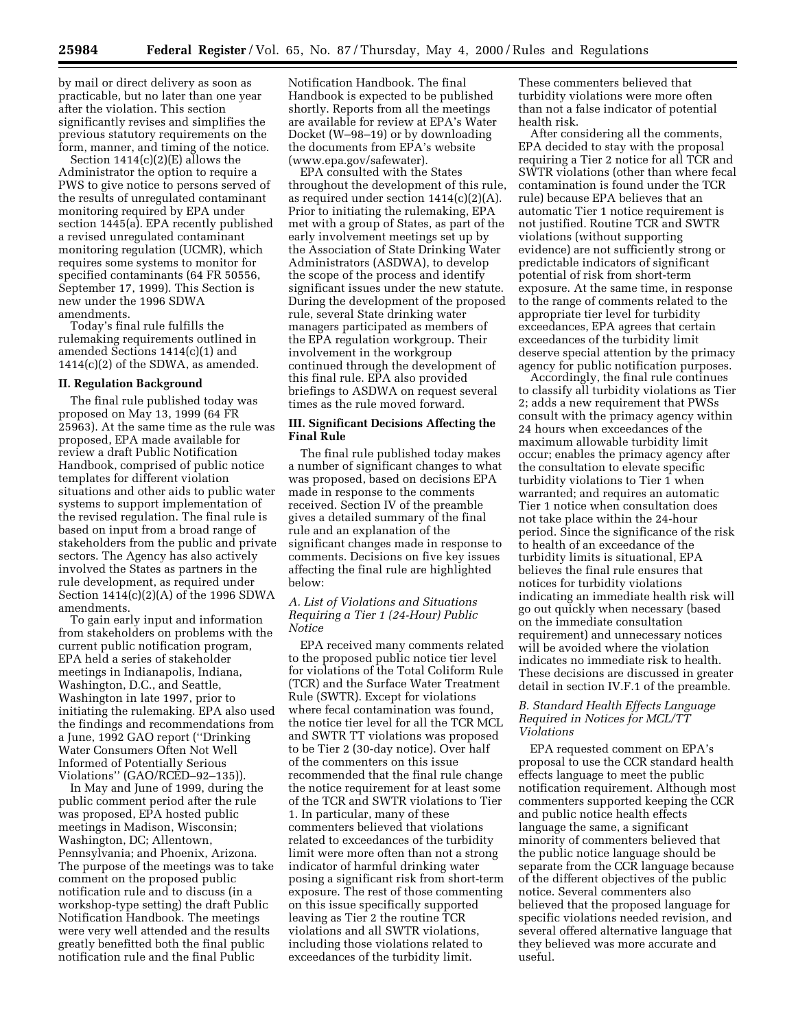by mail or direct delivery as soon as practicable, but no later than one year after the violation. This section significantly revises and simplifies the previous statutory requirements on the form, manner, and timing of the notice.

Section 1414(c)(2)(E) allows the Administrator the option to require a PWS to give notice to persons served of the results of unregulated contaminant monitoring required by EPA under section 1445(a). EPA recently published a revised unregulated contaminant monitoring regulation (UCMR), which requires some systems to monitor for specified contaminants (64 FR 50556, September 17, 1999). This Section is new under the 1996 SDWA amendments.

Today's final rule fulfills the rulemaking requirements outlined in amended Sections 1414(c)(1) and 1414(c)(2) of the SDWA, as amended.

#### **II. Regulation Background**

The final rule published today was proposed on May 13, 1999 (64 FR 25963). At the same time as the rule was proposed, EPA made available for review a draft Public Notification Handbook, comprised of public notice templates for different violation situations and other aids to public water systems to support implementation of the revised regulation. The final rule is based on input from a broad range of stakeholders from the public and private sectors. The Agency has also actively involved the States as partners in the rule development, as required under Section 1414(c)(2)(A) of the 1996 SDWA amendments.

To gain early input and information from stakeholders on problems with the current public notification program, EPA held a series of stakeholder meetings in Indianapolis, Indiana, Washington, D.C., and Seattle, Washington in late 1997, prior to initiating the rulemaking. EPA also used the findings and recommendations from a June, 1992 GAO report (''Drinking Water Consumers Often Not Well Informed of Potentially Serious Violations'' (GAO/RCED–92–135)).

In May and June of 1999, during the public comment period after the rule was proposed, EPA hosted public meetings in Madison, Wisconsin; Washington, DC; Allentown, Pennsylvania; and Phoenix, Arizona. The purpose of the meetings was to take comment on the proposed public notification rule and to discuss (in a workshop-type setting) the draft Public Notification Handbook. The meetings were very well attended and the results greatly benefitted both the final public notification rule and the final Public

Notification Handbook. The final Handbook is expected to be published shortly. Reports from all the meetings are available for review at EPA's Water Docket (W–98–19) or by downloading the documents from EPA's website (www.epa.gov/safewater).

EPA consulted with the States throughout the development of this rule, as required under section 1414(c)(2)(A). Prior to initiating the rulemaking, EPA met with a group of States, as part of the early involvement meetings set up by the Association of State Drinking Water Administrators (ASDWA), to develop the scope of the process and identify significant issues under the new statute. During the development of the proposed rule, several State drinking water managers participated as members of the EPA regulation workgroup. Their involvement in the workgroup continued through the development of this final rule. EPA also provided briefings to ASDWA on request several times as the rule moved forward.

# **III. Significant Decisions Affecting the Final Rule**

The final rule published today makes a number of significant changes to what was proposed, based on decisions EPA made in response to the comments received. Section IV of the preamble gives a detailed summary of the final rule and an explanation of the significant changes made in response to comments. Decisions on five key issues affecting the final rule are highlighted below:

# *A. List of Violations and Situations Requiring a Tier 1 (24-Hour) Public Notice*

EPA received many comments related to the proposed public notice tier level for violations of the Total Coliform Rule (TCR) and the Surface Water Treatment Rule (SWTR). Except for violations where fecal contamination was found, the notice tier level for all the TCR MCL and SWTR TT violations was proposed to be Tier 2 (30-day notice). Over half of the commenters on this issue recommended that the final rule change the notice requirement for at least some of the TCR and SWTR violations to Tier 1. In particular, many of these commenters believed that violations related to exceedances of the turbidity limit were more often than not a strong indicator of harmful drinking water posing a significant risk from short-term exposure. The rest of those commenting on this issue specifically supported leaving as Tier 2 the routine TCR violations and all SWTR violations, including those violations related to exceedances of the turbidity limit.

These commenters believed that turbidity violations were more often than not a false indicator of potential health risk.

After considering all the comments, EPA decided to stay with the proposal requiring a Tier 2 notice for all TCR and SWTR violations (other than where fecal contamination is found under the TCR rule) because EPA believes that an automatic Tier 1 notice requirement is not justified. Routine TCR and SWTR violations (without supporting evidence) are not sufficiently strong or predictable indicators of significant potential of risk from short-term exposure. At the same time, in response to the range of comments related to the appropriate tier level for turbidity exceedances, EPA agrees that certain exceedances of the turbidity limit deserve special attention by the primacy agency for public notification purposes.

Accordingly, the final rule continues to classify all turbidity violations as Tier 2; adds a new requirement that PWSs consult with the primacy agency within 24 hours when exceedances of the maximum allowable turbidity limit occur; enables the primacy agency after the consultation to elevate specific turbidity violations to Tier 1 when warranted; and requires an automatic Tier 1 notice when consultation does not take place within the 24-hour period. Since the significance of the risk to health of an exceedance of the turbidity limits is situational, EPA believes the final rule ensures that notices for turbidity violations indicating an immediate health risk will go out quickly when necessary (based on the immediate consultation requirement) and unnecessary notices will be avoided where the violation indicates no immediate risk to health. These decisions are discussed in greater detail in section IV.F.1 of the preamble.

## *B. Standard Health Effects Language Required in Notices for MCL/TT Violations*

EPA requested comment on EPA's proposal to use the CCR standard health effects language to meet the public notification requirement. Although most commenters supported keeping the CCR and public notice health effects language the same, a significant minority of commenters believed that the public notice language should be separate from the CCR language because of the different objectives of the public notice. Several commenters also believed that the proposed language for specific violations needed revision, and several offered alternative language that they believed was more accurate and useful.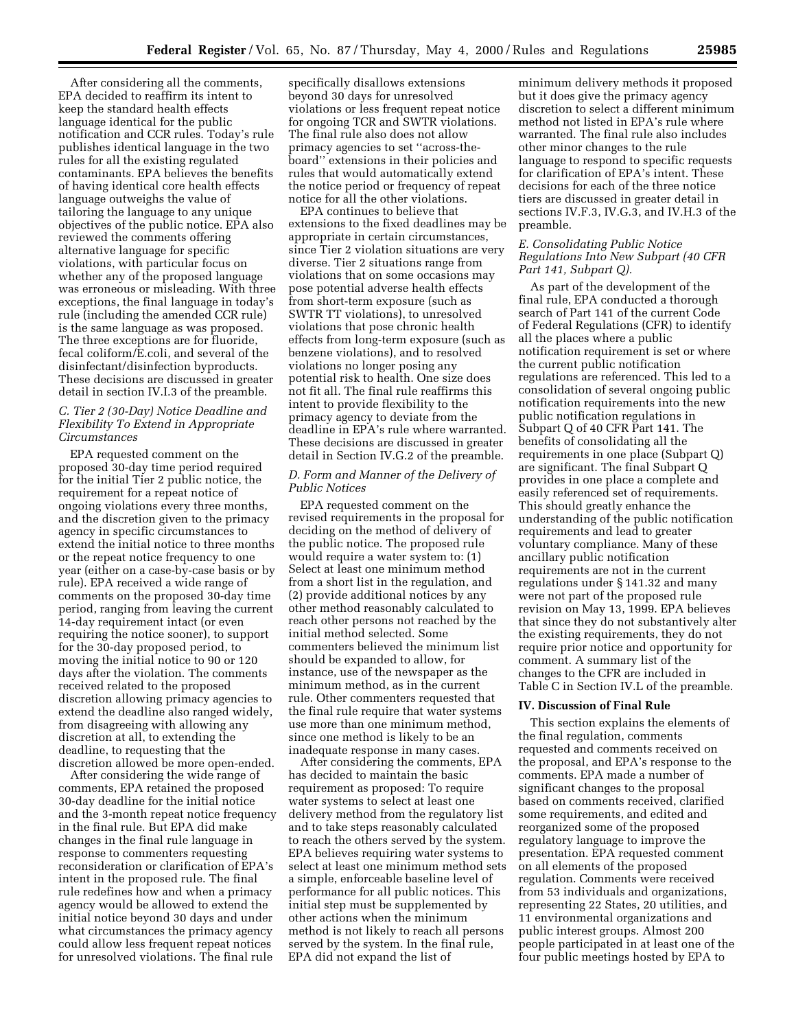After considering all the comments, EPA decided to reaffirm its intent to keep the standard health effects language identical for the public notification and CCR rules. Today's rule publishes identical language in the two rules for all the existing regulated contaminants. EPA believes the benefits of having identical core health effects language outweighs the value of tailoring the language to any unique objectives of the public notice. EPA also reviewed the comments offering alternative language for specific violations, with particular focus on whether any of the proposed language was erroneous or misleading. With three exceptions, the final language in today's rule (including the amended CCR rule) is the same language as was proposed. The three exceptions are for fluoride, fecal coliform/E.coli, and several of the disinfectant/disinfection byproducts. These decisions are discussed in greater detail in section IV.I.3 of the preamble.

# *C. Tier 2 (30-Day) Notice Deadline and Flexibility To Extend in Appropriate Circumstances*

EPA requested comment on the proposed 30-day time period required for the initial Tier 2 public notice, the requirement for a repeat notice of ongoing violations every three months, and the discretion given to the primacy agency in specific circumstances to extend the initial notice to three months or the repeat notice frequency to one year (either on a case-by-case basis or by rule). EPA received a wide range of comments on the proposed 30-day time period, ranging from leaving the current 14-day requirement intact (or even requiring the notice sooner), to support for the 30-day proposed period, to moving the initial notice to 90 or 120 days after the violation. The comments received related to the proposed discretion allowing primacy agencies to extend the deadline also ranged widely, from disagreeing with allowing any discretion at all, to extending the deadline, to requesting that the discretion allowed be more open-ended.

After considering the wide range of comments, EPA retained the proposed 30-day deadline for the initial notice and the 3-month repeat notice frequency in the final rule. But EPA did make changes in the final rule language in response to commenters requesting reconsideration or clarification of EPA's intent in the proposed rule. The final rule redefines how and when a primacy agency would be allowed to extend the initial notice beyond 30 days and under what circumstances the primacy agency could allow less frequent repeat notices for unresolved violations. The final rule

specifically disallows extensions beyond 30 days for unresolved violations or less frequent repeat notice for ongoing TCR and SWTR violations. The final rule also does not allow primacy agencies to set ''across-theboard'' extensions in their policies and rules that would automatically extend the notice period or frequency of repeat notice for all the other violations.

EPA continues to believe that extensions to the fixed deadlines may be appropriate in certain circumstances, since Tier 2 violation situations are very diverse. Tier 2 situations range from violations that on some occasions may pose potential adverse health effects from short-term exposure (such as SWTR TT violations), to unresolved violations that pose chronic health effects from long-term exposure (such as benzene violations), and to resolved violations no longer posing any potential risk to health. One size does not fit all. The final rule reaffirms this intent to provide flexibility to the primacy agency to deviate from the deadline in EPA's rule where warranted. These decisions are discussed in greater detail in Section IV.G.2 of the preamble.

# *D. Form and Manner of the Delivery of Public Notices*

EPA requested comment on the revised requirements in the proposal for deciding on the method of delivery of the public notice. The proposed rule would require a water system to: (1) Select at least one minimum method from a short list in the regulation, and (2) provide additional notices by any other method reasonably calculated to reach other persons not reached by the initial method selected. Some commenters believed the minimum list should be expanded to allow, for instance, use of the newspaper as the minimum method, as in the current rule. Other commenters requested that the final rule require that water systems use more than one minimum method, since one method is likely to be an inadequate response in many cases.

After considering the comments, EPA has decided to maintain the basic requirement as proposed: To require water systems to select at least one delivery method from the regulatory list and to take steps reasonably calculated to reach the others served by the system. EPA believes requiring water systems to select at least one minimum method sets a simple, enforceable baseline level of performance for all public notices. This initial step must be supplemented by other actions when the minimum method is not likely to reach all persons served by the system. In the final rule, EPA did not expand the list of

minimum delivery methods it proposed but it does give the primacy agency discretion to select a different minimum method not listed in EPA's rule where warranted. The final rule also includes other minor changes to the rule language to respond to specific requests for clarification of EPA's intent. These decisions for each of the three notice tiers are discussed in greater detail in sections IV.F.3, IV.G.3, and IV.H.3 of the preamble.

# *E. Consolidating Public Notice Regulations Into New Subpart (40 CFR Part 141, Subpart Q).*

As part of the development of the final rule, EPA conducted a thorough search of Part 141 of the current Code of Federal Regulations (CFR) to identify all the places where a public notification requirement is set or where the current public notification regulations are referenced. This led to a consolidation of several ongoing public notification requirements into the new public notification regulations in Subpart Q of 40 CFR Part 141. The benefits of consolidating all the requirements in one place (Subpart Q) are significant. The final Subpart Q provides in one place a complete and easily referenced set of requirements. This should greatly enhance the understanding of the public notification requirements and lead to greater voluntary compliance. Many of these ancillary public notification requirements are not in the current regulations under § 141.32 and many were not part of the proposed rule revision on May 13, 1999. EPA believes that since they do not substantively alter the existing requirements, they do not require prior notice and opportunity for comment. A summary list of the changes to the CFR are included in Table C in Section IV.L of the preamble.

# **IV. Discussion of Final Rule**

This section explains the elements of the final regulation, comments requested and comments received on the proposal, and EPA's response to the comments. EPA made a number of significant changes to the proposal based on comments received, clarified some requirements, and edited and reorganized some of the proposed regulatory language to improve the presentation. EPA requested comment on all elements of the proposed regulation. Comments were received from 53 individuals and organizations, representing 22 States, 20 utilities, and 11 environmental organizations and public interest groups. Almost 200 people participated in at least one of the four public meetings hosted by EPA to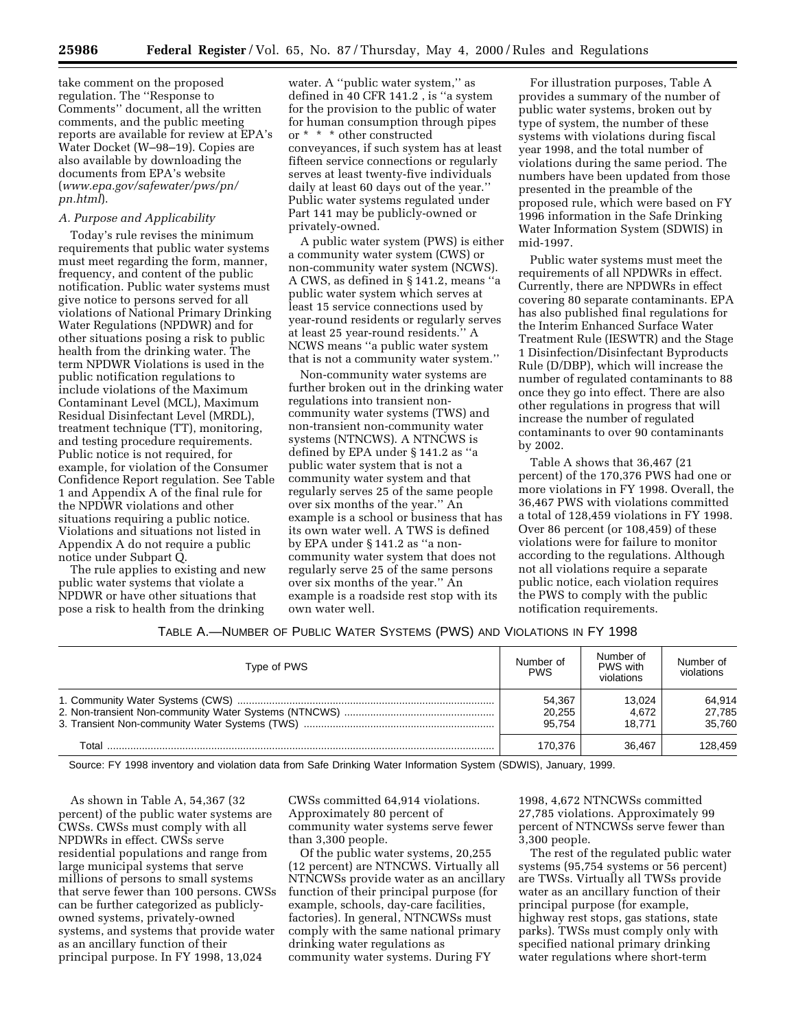take comment on the proposed regulation. The ''Response to Comments'' document, all the written comments, and the public meeting reports are available for review at EPA's Water Docket (W–98–19). Copies are also available by downloading the documents from EPA's website (*www.epa.gov/safewater/pws/pn/ pn.html*).

# *A. Purpose and Applicability*

Today's rule revises the minimum requirements that public water systems must meet regarding the form, manner, frequency, and content of the public notification. Public water systems must give notice to persons served for all violations of National Primary Drinking Water Regulations (NPDWR) and for other situations posing a risk to public health from the drinking water. The term NPDWR Violations is used in the public notification regulations to include violations of the Maximum Contaminant Level (MCL), Maximum Residual Disinfectant Level (MRDL), treatment technique (TT), monitoring, and testing procedure requirements. Public notice is not required, for example, for violation of the Consumer Confidence Report regulation. See Table 1 and Appendix A of the final rule for the NPDWR violations and other situations requiring a public notice. Violations and situations not listed in Appendix A do not require a public notice under Subpart Q.

The rule applies to existing and new public water systems that violate a NPDWR or have other situations that pose a risk to health from the drinking

water. A "public water system," as defined in 40 CFR 141.2 , is ''a system for the provision to the public of water for human consumption through pipes or \* \* \* other constructed conveyances, if such system has at least fifteen service connections or regularly serves at least twenty-five individuals daily at least 60 days out of the year.'' Public water systems regulated under Part 141 may be publicly-owned or privately-owned.

A public water system (PWS) is either a community water system (CWS) or non-community water system (NCWS). A CWS, as defined in § 141.2, means ''a public water system which serves at least 15 service connections used by year-round residents or regularly serves at least 25 year-round residents.'' A NCWS means ''a public water system that is not a community water system.''

Non-community water systems are further broken out in the drinking water regulations into transient noncommunity water systems (TWS) and non-transient non-community water systems (NTNCWS). A NTNCWS is defined by EPA under § 141.2 as ''a public water system that is not a community water system and that regularly serves 25 of the same people over six months of the year.'' An example is a school or business that has its own water well. A TWS is defined by EPA under § 141.2 as ''a noncommunity water system that does not regularly serve 25 of the same persons over six months of the year.'' An example is a roadside rest stop with its own water well.

For illustration purposes, Table A provides a summary of the number of public water systems, broken out by type of system, the number of these systems with violations during fiscal year 1998, and the total number of violations during the same period. The numbers have been updated from those presented in the preamble of the proposed rule, which were based on FY 1996 information in the Safe Drinking Water Information System (SDWIS) in mid-1997.

Public water systems must meet the requirements of all NPDWRs in effect. Currently, there are NPDWRs in effect covering 80 separate contaminants. EPA has also published final regulations for the Interim Enhanced Surface Water Treatment Rule (IESWTR) and the Stage 1 Disinfection/Disinfectant Byproducts Rule (D/DBP), which will increase the number of regulated contaminants to 88 once they go into effect. There are also other regulations in progress that will increase the number of regulated contaminants to over 90 contaminants by 2002.

Table A shows that 36,467 (21 percent) of the 170,376 PWS had one or more violations in FY 1998. Overall, the 36,467 PWS with violations committed a total of 128,459 violations in FY 1998. Over 86 percent (or 108,459) of these violations were for failure to monitor according to the regulations. Although not all violations require a separate public notice, each violation requires the PWS to comply with the public notification requirements.

# TABLE A.—NUMBER OF PUBLIC WATER SYSTEMS (PWS) AND VIOLATIONS IN FY 1998

| Type of PWS | Number of<br><b>PWS</b>    | Number of<br>PWS with<br>violations | Number of<br>violations    |
|-------------|----------------------------|-------------------------------------|----------------------------|
|             | 54,367<br>20.255<br>95.754 | 13.024<br>4.672<br>18.771           | 64,914<br>27,785<br>35.760 |
| Total       | 170.376                    | 36.467                              | 128.459                    |

Source: FY 1998 inventory and violation data from Safe Drinking Water Information System (SDWIS), January, 1999.

As shown in Table A, 54,367 (32 percent) of the public water systems are CWSs. CWSs must comply with all NPDWRs in effect. CWSs serve residential populations and range from large municipal systems that serve millions of persons to small systems that serve fewer than 100 persons. CWSs can be further categorized as publiclyowned systems, privately-owned systems, and systems that provide water as an ancillary function of their principal purpose. In FY 1998, 13,024

CWSs committed 64,914 violations. Approximately 80 percent of community water systems serve fewer than 3,300 people.

Of the public water systems, 20,255 (12 percent) are NTNCWS. Virtually all NTNCWSs provide water as an ancillary function of their principal purpose (for example, schools, day-care facilities, factories). In general, NTNCWSs must comply with the same national primary drinking water regulations as community water systems. During FY

1998, 4,672 NTNCWSs committed 27,785 violations. Approximately 99 percent of NTNCWSs serve fewer than 3,300 people.

The rest of the regulated public water systems (95,754 systems or 56 percent) are TWSs. Virtually all TWSs provide water as an ancillary function of their principal purpose (for example, highway rest stops, gas stations, state parks). TWSs must comply only with specified national primary drinking water regulations where short-term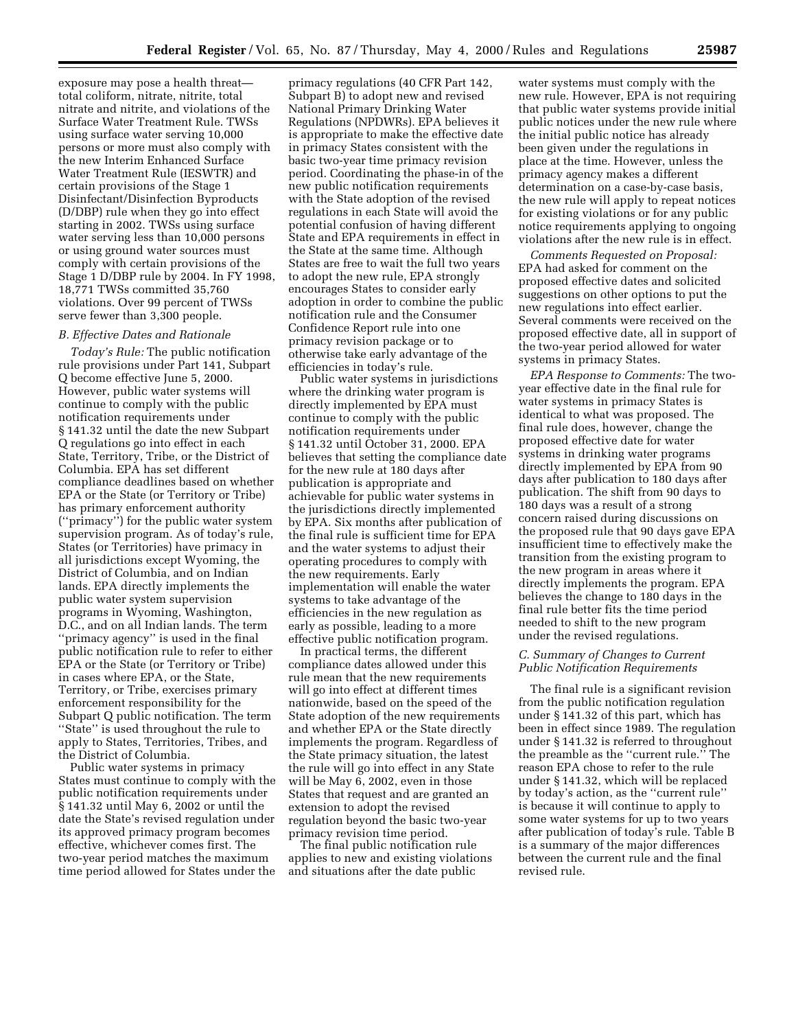exposure may pose a health threat total coliform, nitrate, nitrite, total nitrate and nitrite, and violations of the Surface Water Treatment Rule. TWSs using surface water serving 10,000 persons or more must also comply with the new Interim Enhanced Surface Water Treatment Rule (IESWTR) and certain provisions of the Stage 1 Disinfectant/Disinfection Byproducts (D/DBP) rule when they go into effect starting in 2002. TWSs using surface water serving less than 10,000 persons or using ground water sources must comply with certain provisions of the Stage 1 D/DBP rule by 2004. In FY 1998, 18,771 TWSs committed 35,760 violations. Over 99 percent of TWSs serve fewer than 3,300 people.

#### *B. Effective Dates and Rationale*

*Today's Rule:* The public notification rule provisions under Part 141, Subpart Q become effective June 5, 2000. However, public water systems will continue to comply with the public notification requirements under § 141.32 until the date the new Subpart Q regulations go into effect in each State, Territory, Tribe, or the District of Columbia. EPA has set different compliance deadlines based on whether EPA or the State (or Territory or Tribe) has primary enforcement authority (''primacy'') for the public water system supervision program. As of today's rule, States (or Territories) have primacy in all jurisdictions except Wyoming, the District of Columbia, and on Indian lands. EPA directly implements the public water system supervision programs in Wyoming, Washington, D.C., and on all Indian lands. The term ''primacy agency'' is used in the final public notification rule to refer to either EPA or the State (or Territory or Tribe) in cases where EPA, or the State, Territory, or Tribe, exercises primary enforcement responsibility for the Subpart Q public notification. The term "State" is used throughout the rule to apply to States, Territories, Tribes, and the District of Columbia.

Public water systems in primacy States must continue to comply with the public notification requirements under § 141.32 until May 6, 2002 or until the date the State's revised regulation under its approved primacy program becomes effective, whichever comes first. The two-year period matches the maximum time period allowed for States under the

primacy regulations (40 CFR Part 142, Subpart B) to adopt new and revised National Primary Drinking Water Regulations (NPDWRs). EPA believes it is appropriate to make the effective date in primacy States consistent with the basic two-year time primacy revision period. Coordinating the phase-in of the new public notification requirements with the State adoption of the revised regulations in each State will avoid the potential confusion of having different State and EPA requirements in effect in the State at the same time. Although States are free to wait the full two years to adopt the new rule, EPA strongly encourages States to consider early adoption in order to combine the public notification rule and the Consumer Confidence Report rule into one primacy revision package or to otherwise take early advantage of the efficiencies in today's rule.

Public water systems in jurisdictions where the drinking water program is directly implemented by EPA must continue to comply with the public notification requirements under § 141.32 until October 31, 2000. EPA believes that setting the compliance date for the new rule at 180 days after publication is appropriate and achievable for public water systems in the jurisdictions directly implemented by EPA. Six months after publication of the final rule is sufficient time for EPA and the water systems to adjust their operating procedures to comply with the new requirements. Early implementation will enable the water systems to take advantage of the efficiencies in the new regulation as early as possible, leading to a more effective public notification program.

In practical terms, the different compliance dates allowed under this rule mean that the new requirements will go into effect at different times nationwide, based on the speed of the State adoption of the new requirements and whether EPA or the State directly implements the program. Regardless of the State primacy situation, the latest the rule will go into effect in any State will be May 6, 2002, even in those States that request and are granted an extension to adopt the revised regulation beyond the basic two-year primacy revision time period.

The final public notification rule applies to new and existing violations and situations after the date public

water systems must comply with the new rule. However, EPA is not requiring that public water systems provide initial public notices under the new rule where the initial public notice has already been given under the regulations in place at the time. However, unless the primacy agency makes a different determination on a case-by-case basis, the new rule will apply to repeat notices for existing violations or for any public notice requirements applying to ongoing violations after the new rule is in effect.

*Comments Requested on Proposal:* EPA had asked for comment on the proposed effective dates and solicited suggestions on other options to put the new regulations into effect earlier. Several comments were received on the proposed effective date, all in support of the two-year period allowed for water systems in primacy States.

*EPA Response to Comments:* The twoyear effective date in the final rule for water systems in primacy States is identical to what was proposed. The final rule does, however, change the proposed effective date for water systems in drinking water programs directly implemented by EPA from 90 days after publication to 180 days after publication. The shift from 90 days to 180 days was a result of a strong concern raised during discussions on the proposed rule that 90 days gave EPA insufficient time to effectively make the transition from the existing program to the new program in areas where it directly implements the program. EPA believes the change to 180 days in the final rule better fits the time period needed to shift to the new program under the revised regulations.

## *C. Summary of Changes to Current Public Notification Requirements*

The final rule is a significant revision from the public notification regulation under § 141.32 of this part, which has been in effect since 1989. The regulation under § 141.32 is referred to throughout the preamble as the "current rule." The reason EPA chose to refer to the rule under § 141.32, which will be replaced by today's action, as the ''current rule'' is because it will continue to apply to some water systems for up to two years after publication of today's rule. Table B is a summary of the major differences between the current rule and the final revised rule.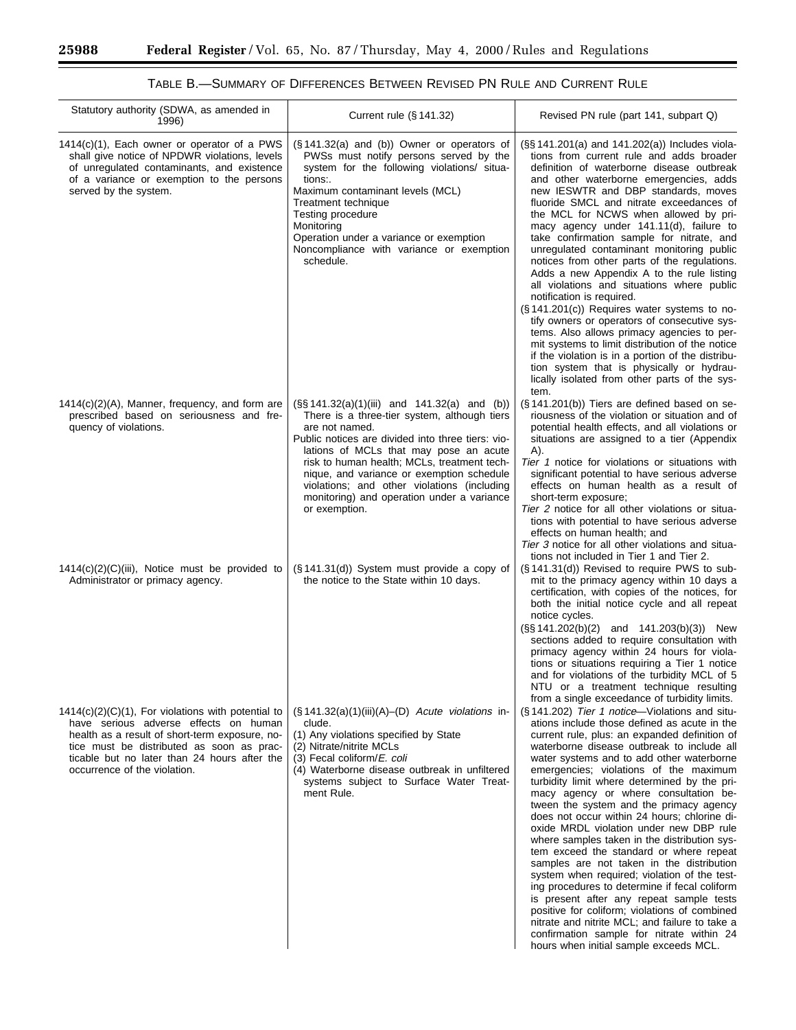-

| Statutory authority (SDWA, as amended in<br>1996)                                                                                                                                                                                                                             | Current rule $(\S 141.32)$                                                                                                                                                                                                                                                                                                                                                                                                     | Revised PN rule (part 141, subpart Q)                                                                                                                                                                                                                                                                                                                                                                                                                                                                                                                                                                                                                                                                                                                                                                                                                                                                                                                                                             |
|-------------------------------------------------------------------------------------------------------------------------------------------------------------------------------------------------------------------------------------------------------------------------------|--------------------------------------------------------------------------------------------------------------------------------------------------------------------------------------------------------------------------------------------------------------------------------------------------------------------------------------------------------------------------------------------------------------------------------|---------------------------------------------------------------------------------------------------------------------------------------------------------------------------------------------------------------------------------------------------------------------------------------------------------------------------------------------------------------------------------------------------------------------------------------------------------------------------------------------------------------------------------------------------------------------------------------------------------------------------------------------------------------------------------------------------------------------------------------------------------------------------------------------------------------------------------------------------------------------------------------------------------------------------------------------------------------------------------------------------|
| $1414(c)(1)$ , Each owner or operator of a PWS<br>shall give notice of NPDWR violations, levels<br>of unregulated contaminants, and existence<br>of a variance or exemption to the persons<br>served by the system.                                                           | $(\S 141.32(a)$ and (b)) Owner or operators of<br>PWSs must notify persons served by the<br>system for the following violations/ situa-<br>tions:.<br>Maximum contaminant levels (MCL)<br>Treatment technique<br>Testing procedure<br>Monitoring<br>Operation under a variance or exemption<br>Noncompliance with variance or exemption<br>schedule.                                                                           | (§§ 141.201(a) and 141.202(a)) Includes viola-<br>tions from current rule and adds broader<br>definition of waterborne disease outbreak<br>and other waterborne emergencies, adds<br>new IESWTR and DBP standards, moves<br>fluoride SMCL and nitrate exceedances of<br>the MCL for NCWS when allowed by pri-<br>macy agency under 141.11(d), failure to<br>take confirmation sample for nitrate, and<br>unregulated contaminant monitoring public<br>notices from other parts of the regulations.<br>Adds a new Appendix A to the rule listing<br>all violations and situations where public<br>notification is required.<br>$(\S 141.201(c))$ Requires water systems to no-<br>tify owners or operators of consecutive sys-<br>tems. Also allows primacy agencies to per-<br>mit systems to limit distribution of the notice<br>if the violation is in a portion of the distribu-<br>tion system that is physically or hydrau-<br>lically isolated from other parts of the sys-<br>tem.         |
| $1414(c)(2)(A)$ , Manner, frequency, and form are<br>prescribed based on seriousness and fre-<br>quency of violations.                                                                                                                                                        | $(S\ S\ 141.32(a)(1)(iii)$ and $141.32(a)$ and (b))<br>There is a three-tier system, although tiers<br>are not named.<br>Public notices are divided into three tiers: vio-<br>lations of MCLs that may pose an acute<br>risk to human health; MCLs, treatment tech-<br>nique, and variance or exemption schedule<br>violations; and other violations (including<br>monitoring) and operation under a variance<br>or exemption. | (§141.201(b)) Tiers are defined based on se-<br>riousness of the violation or situation and of<br>potential health effects, and all violations or<br>situations are assigned to a tier (Appendix<br>A).<br>Tier 1 notice for violations or situations with<br>significant potential to have serious adverse<br>effects on human health as a result of<br>short-term exposure;<br>Tier 2 notice for all other violations or situa-<br>tions with potential to have serious adverse<br>effects on human health; and<br>Tier 3 notice for all other violations and situa-<br>tions not included in Tier 1 and Tier 2.                                                                                                                                                                                                                                                                                                                                                                                |
| $1414(c)(2)(C)(iii)$ , Notice must be provided to<br>Administrator or primacy agency.                                                                                                                                                                                         | $(\S 141.31(d))$ System must provide a copy of<br>the notice to the State within 10 days.                                                                                                                                                                                                                                                                                                                                      | (§141.31(d)) Revised to require PWS to sub-<br>mit to the primacy agency within 10 days a<br>certification, with copies of the notices, for<br>both the initial notice cycle and all repeat<br>notice cycles.<br>$(S\$ 141.202(b)(2) and 141.203(b)(3)) New<br>sections added to require consultation with<br>primacy agency within 24 hours for viola-<br>tions or situations requiring a Tier 1 notice<br>and for violations of the turbidity MCL of 5<br>NTU or a treatment technique resulting<br>from a single exceedance of turbidity limits.                                                                                                                                                                                                                                                                                                                                                                                                                                               |
| $1414(c)(2)(C)(1)$ , For violations with potential to<br>have serious adverse effects on human<br>health as a result of short-term exposure, no-<br>tice must be distributed as soon as prac-<br>ticable but no later than 24 hours after the<br>occurrence of the violation. | $(\S 141.32(a)(1)(iii)(A)$ –(D) Acute violations in-<br>clude.<br>(1) Any violations specified by State<br>(2) Nitrate/nitrite MCLs<br>(3) Fecal coliform/E. coli<br>(4) Waterborne disease outbreak in unfiltered<br>systems subject to Surface Water Treat-<br>ment Rule.                                                                                                                                                    | (§141.202) Tier 1 notice—Violations and situ-<br>ations include those defined as acute in the<br>current rule, plus: an expanded definition of<br>waterborne disease outbreak to include all<br>water systems and to add other waterborne<br>emergencies; violations of the maximum<br>turbidity limit where determined by the pri-<br>macy agency or where consultation be-<br>tween the system and the primacy agency<br>does not occur within 24 hours; chlorine di-<br>oxide MRDL violation under new DBP rule<br>where samples taken in the distribution sys-<br>tem exceed the standard or where repeat<br>samples are not taken in the distribution<br>system when required; violation of the test-<br>ing procedures to determine if fecal coliform<br>is present after any repeat sample tests<br>positive for coliform; violations of combined<br>nitrate and nitrite MCL; and failure to take a<br>confirmation sample for nitrate within 24<br>hours when initial sample exceeds MCL. |

TABLE B.—SUMMARY OF DIFFERENCES BETWEEN REVISED PN RULE AND CURRENT RULE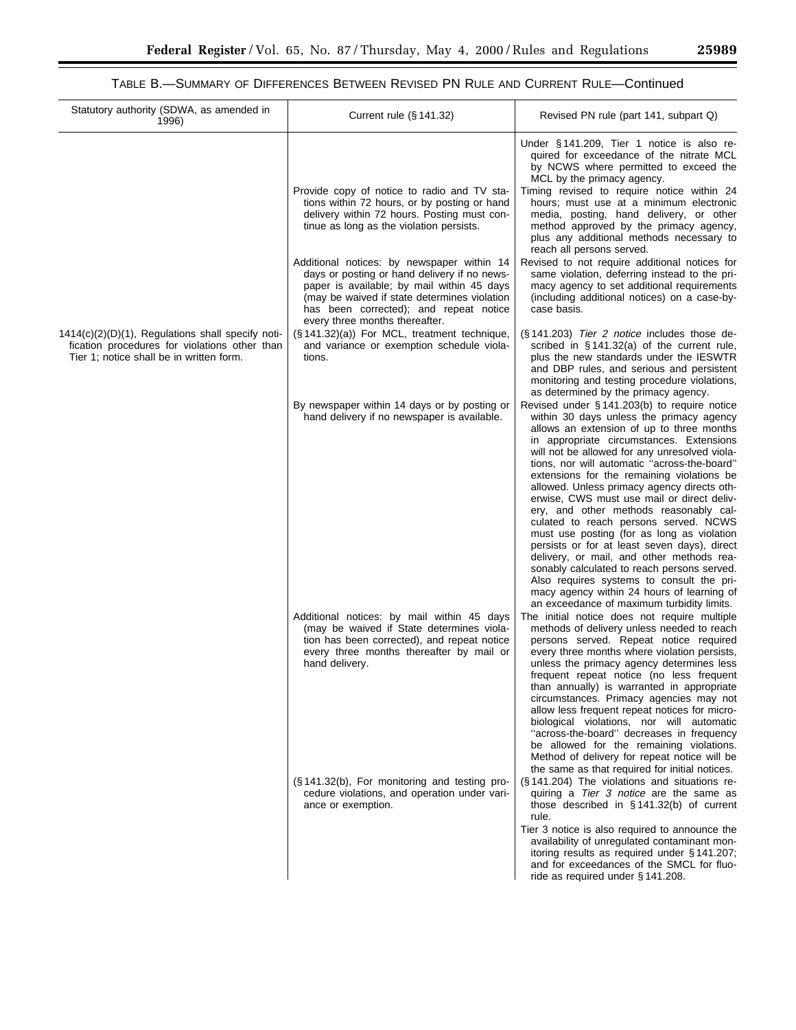# TABLE B.—SUMMARY OF DIFFERENCES BETWEEN REVISED PN RULE AND CURRENT RULE—Continued

| Statutory authority (SDWA, as amended in<br>1996)                                                                                                 | Current rule $(\S 141.32)$                                                                                                                                                                                                           | Revised PN rule (part 141, subpart Q)                                                                                                                                                                                                                                                                                                                                                                                                                                                                                                                                                                                                                                                                                                                                                                                                              |
|---------------------------------------------------------------------------------------------------------------------------------------------------|--------------------------------------------------------------------------------------------------------------------------------------------------------------------------------------------------------------------------------------|----------------------------------------------------------------------------------------------------------------------------------------------------------------------------------------------------------------------------------------------------------------------------------------------------------------------------------------------------------------------------------------------------------------------------------------------------------------------------------------------------------------------------------------------------------------------------------------------------------------------------------------------------------------------------------------------------------------------------------------------------------------------------------------------------------------------------------------------------|
|                                                                                                                                                   | Provide copy of notice to radio and TV sta-<br>tions within 72 hours, or by posting or hand<br>delivery within 72 hours. Posting must con-<br>tinue as long as the violation persists.<br>Additional notices: by newspaper within 14 | Under §141.209, Tier 1 notice is also re-<br>quired for exceedance of the nitrate MCL<br>by NCWS where permitted to exceed the<br>MCL by the primacy agency.<br>Timing revised to require notice within 24<br>hours; must use at a minimum electronic<br>media, posting, hand delivery, or other<br>method approved by the primacy agency,<br>plus any additional methods necessary to<br>reach all persons served.<br>Revised to not require additional notices for                                                                                                                                                                                                                                                                                                                                                                               |
|                                                                                                                                                   | days or posting or hand delivery if no news-<br>paper is available; by mail within 45 days<br>(may be waived if state determines violation<br>has been corrected); and repeat notice<br>every three months thereafter.               | same violation, deferring instead to the pri-<br>macy agency to set additional requirements<br>(including additional notices) on a case-by-<br>case basis.                                                                                                                                                                                                                                                                                                                                                                                                                                                                                                                                                                                                                                                                                         |
| $1414(c)(2)(D)(1)$ , Regulations shall specify noti-<br>fication procedures for violations other than<br>Tier 1; notice shall be in written form. | (§ 141.32)(a)) For MCL, treatment technique,<br>and variance or exemption schedule viola-<br>tions.                                                                                                                                  | (§141.203) Tier 2 notice includes those de-<br>scribed in $\S$ 141.32(a) of the current rule,<br>plus the new standards under the IESWTR<br>and DBP rules, and serious and persistent<br>monitoring and testing procedure violations,<br>as determined by the primacy agency.                                                                                                                                                                                                                                                                                                                                                                                                                                                                                                                                                                      |
|                                                                                                                                                   | By newspaper within 14 days or by posting or<br>hand delivery if no newspaper is available.                                                                                                                                          | Revised under §141.203(b) to require notice<br>within 30 days unless the primacy agency<br>allows an extension of up to three months<br>in appropriate circumstances. Extensions<br>will not be allowed for any unresolved viola-<br>tions, nor will automatic "across-the-board"<br>extensions for the remaining violations be<br>allowed. Unless primacy agency directs oth-<br>erwise, CWS must use mail or direct deliv-<br>ery, and other methods reasonably cal-<br>culated to reach persons served. NCWS<br>must use posting (for as long as violation<br>persists or for at least seven days), direct<br>delivery, or mail, and other methods rea-<br>sonably calculated to reach persons served.<br>Also requires systems to consult the pri-<br>macy agency within 24 hours of learning of<br>an exceedance of maximum turbidity limits. |
|                                                                                                                                                   | Additional notices: by mail within 45 days<br>(may be waived if State determines viola-<br>tion has been corrected), and repeat notice<br>every three months thereafter by mail or<br>hand delivery.                                 | The initial notice does not require multiple<br>methods of delivery unless needed to reach<br>persons served. Repeat notice required<br>every three months where violation persists,<br>unless the primacy agency determines less<br>frequent repeat notice (no less frequent<br>than annually) is warranted in appropriate<br>circumstances. Primacy agencies may not<br>allow less frequent repeat notices for micro-<br>biological violations, nor will automatic<br>"across-the-board" decreases in frequency<br>be allowed for the remaining violations.<br>Method of delivery for repeat notice will be                                                                                                                                                                                                                                      |
|                                                                                                                                                   | (§141.32(b), For monitoring and testing pro-<br>cedure violations, and operation under vari-<br>ance or exemption.                                                                                                                   | the same as that required for initial notices.<br>(§141.204) The violations and situations re-<br>quiring a Tier 3 notice are the same as<br>those described in $\S 141.32(b)$ of current<br>rule.<br>Tier 3 notice is also required to announce the<br>availability of unregulated contaminant mon-<br>itoring results as required under §141.207;<br>and for exceedances of the SMCL for fluo-<br>ride as required under § 141.208.                                                                                                                                                                                                                                                                                                                                                                                                              |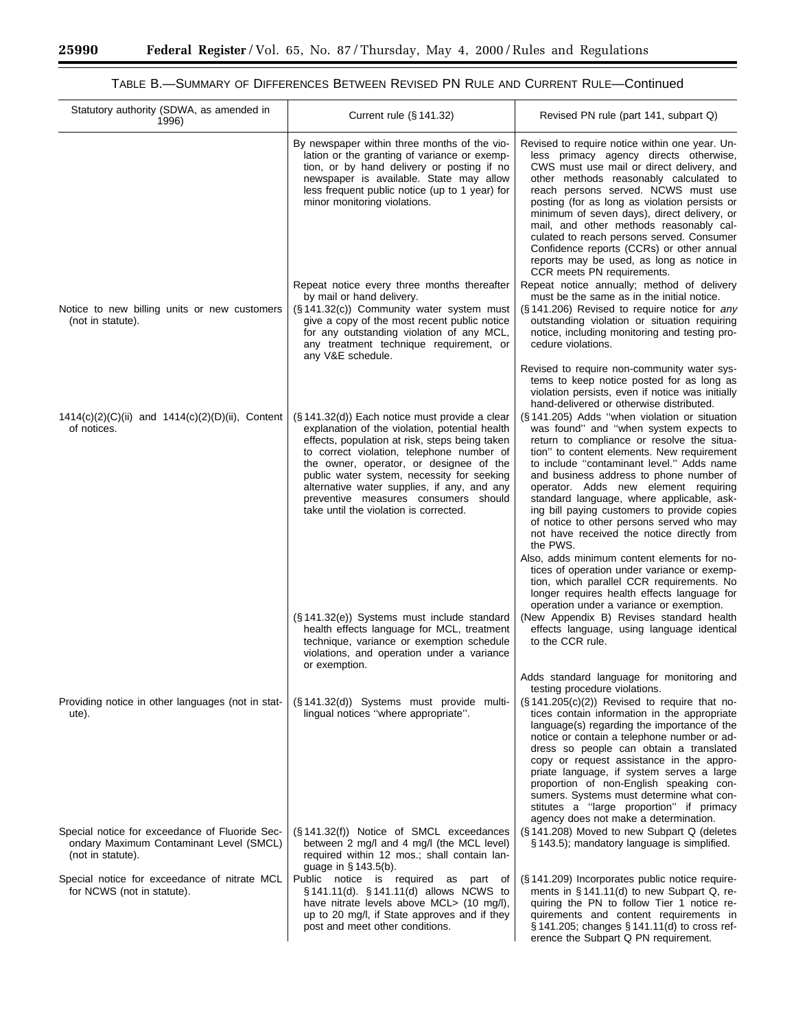п

# TABLE B.—SUMMARY OF DIFFERENCES BETWEEN REVISED PN RULE AND CURRENT RULE—Continued

| Statutory authority (SDWA, as amended in<br>1996)                                                              | Current rule (§ 141.32)                                                                                                                                                                                                                                                                                                                                                                                                                                                                                                                                                                                              | Revised PN rule (part 141, subpart Q)                                                                                                                                                                                                                                                                                                                                                                                                                                                                                                                                                                                                                                                                                                                                                                                                                                                                                                                                                                                                                                 |
|----------------------------------------------------------------------------------------------------------------|----------------------------------------------------------------------------------------------------------------------------------------------------------------------------------------------------------------------------------------------------------------------------------------------------------------------------------------------------------------------------------------------------------------------------------------------------------------------------------------------------------------------------------------------------------------------------------------------------------------------|-----------------------------------------------------------------------------------------------------------------------------------------------------------------------------------------------------------------------------------------------------------------------------------------------------------------------------------------------------------------------------------------------------------------------------------------------------------------------------------------------------------------------------------------------------------------------------------------------------------------------------------------------------------------------------------------------------------------------------------------------------------------------------------------------------------------------------------------------------------------------------------------------------------------------------------------------------------------------------------------------------------------------------------------------------------------------|
|                                                                                                                | By newspaper within three months of the vio-<br>lation or the granting of variance or exemp-<br>tion, or by hand delivery or posting if no<br>newspaper is available. State may allow<br>less frequent public notice (up to 1 year) for<br>minor monitoring violations.                                                                                                                                                                                                                                                                                                                                              | Revised to require notice within one year. Un-<br>less primacy agency directs otherwise,<br>CWS must use mail or direct delivery, and<br>other methods reasonably calculated to<br>reach persons served. NCWS must use<br>posting (for as long as violation persists or<br>minimum of seven days), direct delivery, or<br>mail, and other methods reasonably cal-<br>culated to reach persons served. Consumer<br>Confidence reports (CCRs) or other annual<br>reports may be used, as long as notice in<br>CCR meets PN requirements.                                                                                                                                                                                                                                                                                                                                                                                                                                                                                                                                |
|                                                                                                                | Repeat notice every three months thereafter<br>by mail or hand delivery.                                                                                                                                                                                                                                                                                                                                                                                                                                                                                                                                             | Repeat notice annually; method of delivery<br>must be the same as in the initial notice.                                                                                                                                                                                                                                                                                                                                                                                                                                                                                                                                                                                                                                                                                                                                                                                                                                                                                                                                                                              |
| Notice to new billing units or new customers<br>(not in statute).                                              | (§ 141.32(c)) Community water system must<br>give a copy of the most recent public notice<br>for any outstanding violation of any MCL,<br>any treatment technique requirement, or<br>any V&E schedule.                                                                                                                                                                                                                                                                                                                                                                                                               | (§141.206) Revised to require notice for any<br>outstanding violation or situation requiring<br>notice, including monitoring and testing pro-<br>cedure violations.                                                                                                                                                                                                                                                                                                                                                                                                                                                                                                                                                                                                                                                                                                                                                                                                                                                                                                   |
| $1414(c)(2)(C)(ii)$ and $1414(c)(2)(D)(ii)$ , Content<br>of notices.                                           | $(\S 141.32(d))$ Each notice must provide a clear<br>explanation of the violation, potential health<br>effects, population at risk, steps being taken<br>to correct violation, telephone number of<br>the owner, operator, or designee of the<br>public water system, necessity for seeking<br>alternative water supplies, if any, and any<br>preventive measures consumers should<br>take until the violation is corrected.<br>(§ 141.32(e)) Systems must include standard<br>health effects language for MCL, treatment<br>technique, variance or exemption schedule<br>violations, and operation under a variance | Revised to require non-community water sys-<br>tems to keep notice posted for as long as<br>violation persists, even if notice was initially<br>hand-delivered or otherwise distributed.<br>(§141.205) Adds "when violation or situation<br>was found" and "when system expects to<br>return to compliance or resolve the situa-<br>tion" to content elements. New requirement<br>to include "contaminant level." Adds name<br>and business address to phone number of<br>operator. Adds new element requiring<br>standard language, where applicable, ask-<br>ing bill paying customers to provide copies<br>of notice to other persons served who may<br>not have received the notice directly from<br>the PWS.<br>Also, adds minimum content elements for no-<br>tices of operation under variance or exemp-<br>tion, which parallel CCR requirements. No<br>longer requires health effects language for<br>operation under a variance or exemption.<br>(New Appendix B) Revises standard health<br>effects language, using language identical<br>to the CCR rule. |
| Providing notice in other languages (not in stat-<br>ute).                                                     | or exemption.<br>(§ 141.32(d)) Systems must provide multi-<br>lingual notices "where appropriate".                                                                                                                                                                                                                                                                                                                                                                                                                                                                                                                   | Adds standard language for monitoring and<br>testing procedure violations.<br>$(\S 141.205(c)(2))$ Revised to require that no-<br>tices contain information in the appropriate<br>language(s) regarding the importance of the<br>notice or contain a telephone number or ad-<br>dress so people can obtain a translated<br>copy or request assistance in the appro-<br>priate language, if system serves a large<br>proportion of non-English speaking con-<br>sumers. Systems must determine what con-<br>stitutes a "large proportion" if primacy                                                                                                                                                                                                                                                                                                                                                                                                                                                                                                                   |
| Special notice for exceedance of Fluoride Sec-<br>ondary Maximum Contaminant Level (SMCL)<br>(not in statute). | (§ 141.32(f)) Notice of SMCL exceedances<br>between 2 mg/l and 4 mg/l (the MCL level)<br>required within 12 mos.; shall contain lan-<br>guage in § 143.5(b).                                                                                                                                                                                                                                                                                                                                                                                                                                                         | agency does not make a determination.<br>(§141.208) Moved to new Subpart Q (deletes<br>§ 143.5); mandatory language is simplified.                                                                                                                                                                                                                                                                                                                                                                                                                                                                                                                                                                                                                                                                                                                                                                                                                                                                                                                                    |
| Special notice for exceedance of nitrate MCL<br>for NCWS (not in statute).                                     | Public notice is required as part of<br>§ 141.11(d). § 141.11(d) allows NCWS to<br>have nitrate levels above MCL> (10 mg/l),<br>up to 20 mg/l, if State approves and if they<br>post and meet other conditions.                                                                                                                                                                                                                                                                                                                                                                                                      | (§ 141.209) Incorporates public notice require-<br>ments in §141.11(d) to new Subpart Q, re-<br>quiring the PN to follow Tier 1 notice re-<br>quirements and content requirements in<br>§ 141.205; changes § 141.11(d) to cross ref-<br>erence the Subpart Q PN requirement.                                                                                                                                                                                                                                                                                                                                                                                                                                                                                                                                                                                                                                                                                                                                                                                          |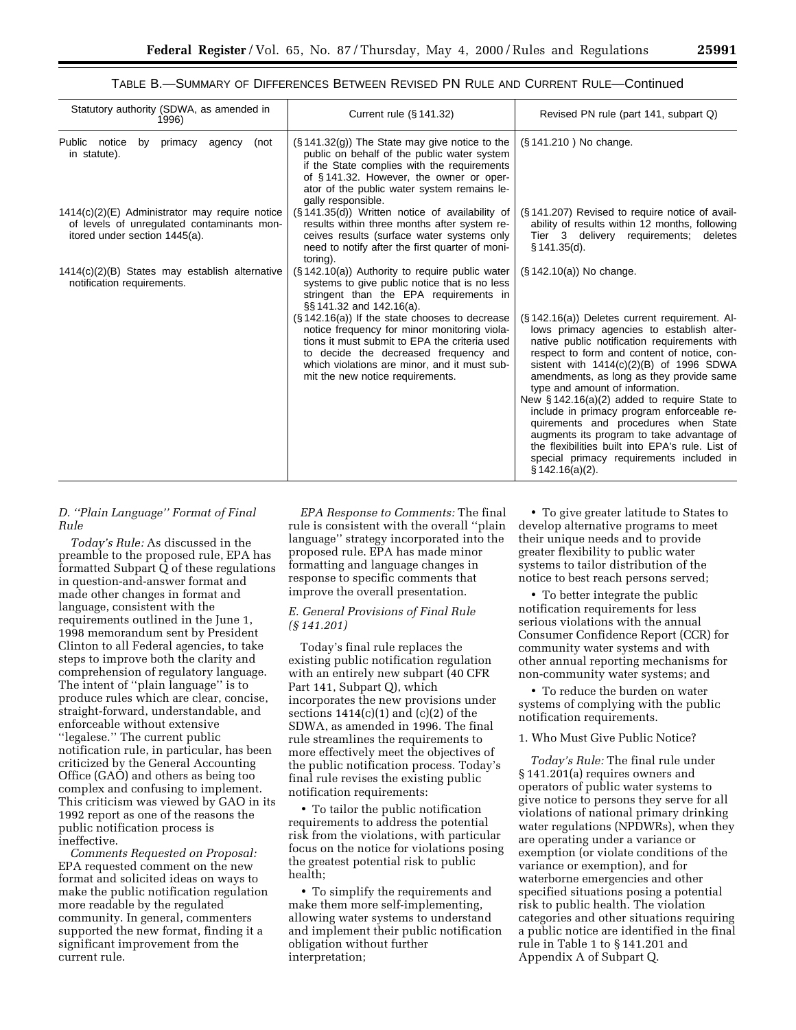# TABLE B.—SUMMARY OF DIFFERENCES BETWEEN REVISED PN RULE AND CURRENT RULE—Continued

| Statutory authority (SDWA, as amended in<br>1996)                                                                               | Current rule $(\S 141.32)$                                                                                                                                                                                                                                                                                                                                                                                                                               | Revised PN rule (part 141, subpart Q)                                                                                                                                                                                                                                                                                                                                                                                                                                                                                                                                                                                                                          |
|---------------------------------------------------------------------------------------------------------------------------------|----------------------------------------------------------------------------------------------------------------------------------------------------------------------------------------------------------------------------------------------------------------------------------------------------------------------------------------------------------------------------------------------------------------------------------------------------------|----------------------------------------------------------------------------------------------------------------------------------------------------------------------------------------------------------------------------------------------------------------------------------------------------------------------------------------------------------------------------------------------------------------------------------------------------------------------------------------------------------------------------------------------------------------------------------------------------------------------------------------------------------------|
| Public notice<br>by primacy<br>(not<br>agency<br>in statute).                                                                   | $(\S 141.32(g))$ The State may give notice to the<br>public on behalf of the public water system<br>if the State complies with the requirements<br>of §141.32. However, the owner or oper-<br>ator of the public water system remains le-<br>gally responsible.                                                                                                                                                                                          | (§141.210) No change.                                                                                                                                                                                                                                                                                                                                                                                                                                                                                                                                                                                                                                          |
| $1414(c)(2)(E)$ Administrator may require notice<br>of levels of unregulated contaminants mon-<br>itored under section 1445(a). | (§141.35(d)) Written notice of availability of<br>results within three months after system re-<br>ceives results (surface water systems only<br>need to notify after the first quarter of moni-<br>toring).                                                                                                                                                                                                                                              | (§141.207) Revised to require notice of avail-<br>ability of results within 12 months, following<br>Tier 3 delivery requirements;<br>deletes<br>§ 141.35(d).                                                                                                                                                                                                                                                                                                                                                                                                                                                                                                   |
| 1414(c)(2)(B) States may establish alternative<br>notification requirements.                                                    | $(\S 142.10(a))$ Authority to require public water<br>systems to give public notice that is no less<br>stringent than the EPA requirements in<br>§§141.32 and 142.16(a).<br>(§ 142.16(a)) If the state chooses to decrease<br>notice frequency for minor monitoring viola-<br>tions it must submit to EPA the criteria used<br>to decide the decreased frequency and<br>which violations are minor, and it must sub-<br>mit the new notice requirements. | $(S. 142.10(a))$ No change.<br>(§ 142.16(a)) Deletes current requirement. Al-<br>lows primacy agencies to establish alter-<br>native public notification requirements with<br>respect to form and content of notice, con-<br>sistent with $1414(c)(2)(B)$ of 1996 SDWA<br>amendments, as long as they provide same<br>type and amount of information.<br>New $\S$ 142.16(a)(2) added to require State to<br>include in primacy program enforceable re-<br>quirements and procedures when State<br>augments its program to take advantage of<br>the flexibilities built into EPA's rule. List of<br>special primacy requirements included in<br>§ 142.16(a)(2). |

## *D. ''Plain Language'' Format of Final Rule*

*Today's Rule:* As discussed in the preamble to the proposed rule, EPA has formatted Subpart Q of these regulations in question-and-answer format and made other changes in format and language, consistent with the requirements outlined in the June 1, 1998 memorandum sent by President Clinton to all Federal agencies, to take steps to improve both the clarity and comprehension of regulatory language. The intent of ''plain language'' is to produce rules which are clear, concise, straight-forward, understandable, and enforceable without extensive ''legalese.'' The current public notification rule, in particular, has been criticized by the General Accounting Office (GAO) and others as being too complex and confusing to implement. This criticism was viewed by GAO in its 1992 report as one of the reasons the public notification process is ineffective.

*Comments Requested on Proposal:* EPA requested comment on the new format and solicited ideas on ways to make the public notification regulation more readable by the regulated community. In general, commenters supported the new format, finding it a significant improvement from the current rule.

*EPA Response to Comments:* The final rule is consistent with the overall ''plain language'' strategy incorporated into the proposed rule. EPA has made minor formatting and language changes in response to specific comments that improve the overall presentation.

# *E. General Provisions of Final Rule (§ 141.201)*

Today's final rule replaces the existing public notification regulation with an entirely new subpart (40 CFR Part 141, Subpart Q), which incorporates the new provisions under sections  $1414(c)(1)$  and  $(c)(2)$  of the SDWA, as amended in 1996. The final rule streamlines the requirements to more effectively meet the objectives of the public notification process. Today's final rule revises the existing public notification requirements:

• To tailor the public notification requirements to address the potential risk from the violations, with particular focus on the notice for violations posing the greatest potential risk to public health;

• To simplify the requirements and make them more self-implementing, allowing water systems to understand and implement their public notification obligation without further interpretation;

• To give greater latitude to States to develop alternative programs to meet their unique needs and to provide greater flexibility to public water systems to tailor distribution of the notice to best reach persons served;

• To better integrate the public notification requirements for less serious violations with the annual Consumer Confidence Report (CCR) for community water systems and with other annual reporting mechanisms for non-community water systems; and

• To reduce the burden on water systems of complying with the public notification requirements.

1. Who Must Give Public Notice?

*Today's Rule:* The final rule under § 141.201(a) requires owners and operators of public water systems to give notice to persons they serve for all violations of national primary drinking water regulations (NPDWRs), when they are operating under a variance or exemption (or violate conditions of the variance or exemption), and for waterborne emergencies and other specified situations posing a potential risk to public health. The violation categories and other situations requiring a public notice are identified in the final rule in Table 1 to § 141.201 and Appendix A of Subpart Q.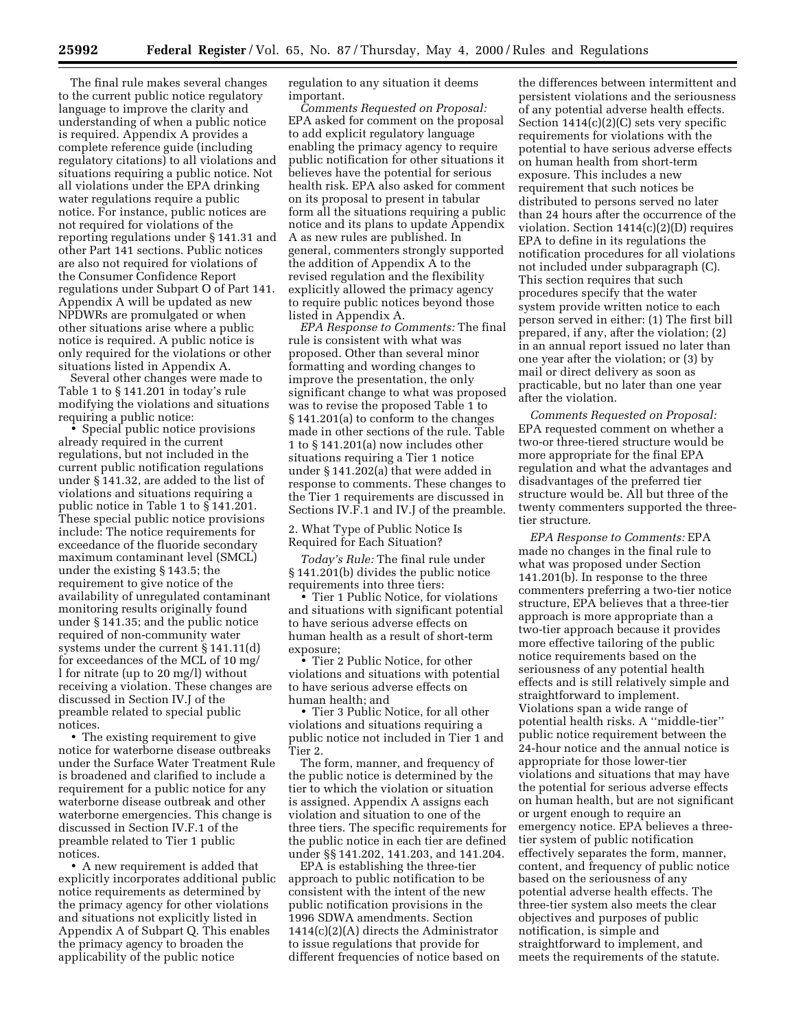The final rule makes several changes to the current public notice regulatory language to improve the clarity and understanding of when a public notice is required. Appendix A provides a complete reference guide (including regulatory citations) to all violations and situations requiring a public notice. Not all violations under the EPA drinking water regulations require a public notice. For instance, public notices are not required for violations of the reporting regulations under § 141.31 and other Part 141 sections. Public notices are also not required for violations of the Consumer Confidence Report regulations under Subpart O of Part 141. Appendix A will be updated as new NPDWRs are promulgated or when other situations arise where a public notice is required. A public notice is only required for the violations or other situations listed in Appendix A.

Several other changes were made to Table 1 to § 141.201 in today's rule modifying the violations and situations requiring a public notice:

• Special public notice provisions already required in the current regulations, but not included in the current public notification regulations under § 141.32, are added to the list of violations and situations requiring a public notice in Table 1 to § 141.201. These special public notice provisions include: The notice requirements for exceedance of the fluoride secondary maximum contaminant level (SMCL) under the existing § 143.5; the requirement to give notice of the availability of unregulated contaminant monitoring results originally found under § 141.35; and the public notice required of non-community water systems under the current § 141.11(d) for exceedances of the MCL of 10 mg/ l for nitrate (up to 20 mg/l) without receiving a violation. These changes are discussed in Section IV.J of the preamble related to special public notices.

• The existing requirement to give notice for waterborne disease outbreaks under the Surface Water Treatment Rule is broadened and clarified to include a requirement for a public notice for any waterborne disease outbreak and other waterborne emergencies. This change is discussed in Section IV.F.1 of the preamble related to Tier 1 public notices.

• A new requirement is added that explicitly incorporates additional public notice requirements as determined by the primacy agency for other violations and situations not explicitly listed in Appendix A of Subpart Q. This enables the primacy agency to broaden the applicability of the public notice

regulation to any situation it deems important.

*Comments Requested on Proposal:* EPA asked for comment on the proposal to add explicit regulatory language enabling the primacy agency to require public notification for other situations it believes have the potential for serious health risk. EPA also asked for comment on its proposal to present in tabular form all the situations requiring a public notice and its plans to update Appendix A as new rules are published. In general, commenters strongly supported the addition of Appendix A to the revised regulation and the flexibility explicitly allowed the primacy agency to require public notices beyond those listed in Appendix A.

*EPA Response to Comments:* The final rule is consistent with what was proposed. Other than several minor formatting and wording changes to improve the presentation, the only significant change to what was proposed was to revise the proposed Table 1 to § 141.201(a) to conform to the changes made in other sections of the rule. Table 1 to § 141.201(a) now includes other situations requiring a Tier 1 notice under § 141.202(a) that were added in response to comments. These changes to the Tier 1 requirements are discussed in Sections IV.F.1 and IV.J of the preamble.

2. What Type of Public Notice Is Required for Each Situation?

*Today's Rule:* The final rule under § 141.201(b) divides the public notice requirements into three tiers:

• Tier 1 Public Notice, for violations and situations with significant potential to have serious adverse effects on human health as a result of short-term exposure;

• Tier 2 Public Notice, for other violations and situations with potential to have serious adverse effects on human health; and

• Tier 3 Public Notice, for all other violations and situations requiring a public notice not included in Tier 1 and Tier 2.

The form, manner, and frequency of the public notice is determined by the tier to which the violation or situation is assigned. Appendix A assigns each violation and situation to one of the three tiers. The specific requirements for the public notice in each tier are defined under §§ 141.202, 141.203, and 141.204.

EPA is establishing the three-tier approach to public notification to be consistent with the intent of the new public notification provisions in the 1996 SDWA amendments. Section 1414(c)(2)(A) directs the Administrator to issue regulations that provide for different frequencies of notice based on

the differences between intermittent and persistent violations and the seriousness of any potential adverse health effects. Section 1414(c)(2)(C) sets very specific requirements for violations with the potential to have serious adverse effects on human health from short-term exposure. This includes a new requirement that such notices be distributed to persons served no later than 24 hours after the occurrence of the violation. Section 1414(c)(2)(D) requires EPA to define in its regulations the notification procedures for all violations not included under subparagraph (C). This section requires that such procedures specify that the water system provide written notice to each person served in either: (1) The first bill prepared, if any, after the violation; (2) in an annual report issued no later than one year after the violation; or (3) by mail or direct delivery as soon as practicable, but no later than one year after the violation.

*Comments Requested on Proposal:* EPA requested comment on whether a two-or three-tiered structure would be more appropriate for the final EPA regulation and what the advantages and disadvantages of the preferred tier structure would be. All but three of the twenty commenters supported the threetier structure.

*EPA Response to Comments:* EPA made no changes in the final rule to what was proposed under Section 141.201(b). In response to the three commenters preferring a two-tier notice structure, EPA believes that a three-tier approach is more appropriate than a two-tier approach because it provides more effective tailoring of the public notice requirements based on the seriousness of any potential health effects and is still relatively simple and straightforward to implement. Violations span a wide range of potential health risks. A ''middle-tier'' public notice requirement between the 24-hour notice and the annual notice is appropriate for those lower-tier violations and situations that may have the potential for serious adverse effects on human health, but are not significant or urgent enough to require an emergency notice. EPA believes a threetier system of public notification effectively separates the form, manner, content, and frequency of public notice based on the seriousness of any potential adverse health effects. The three-tier system also meets the clear objectives and purposes of public notification, is simple and straightforward to implement, and meets the requirements of the statute.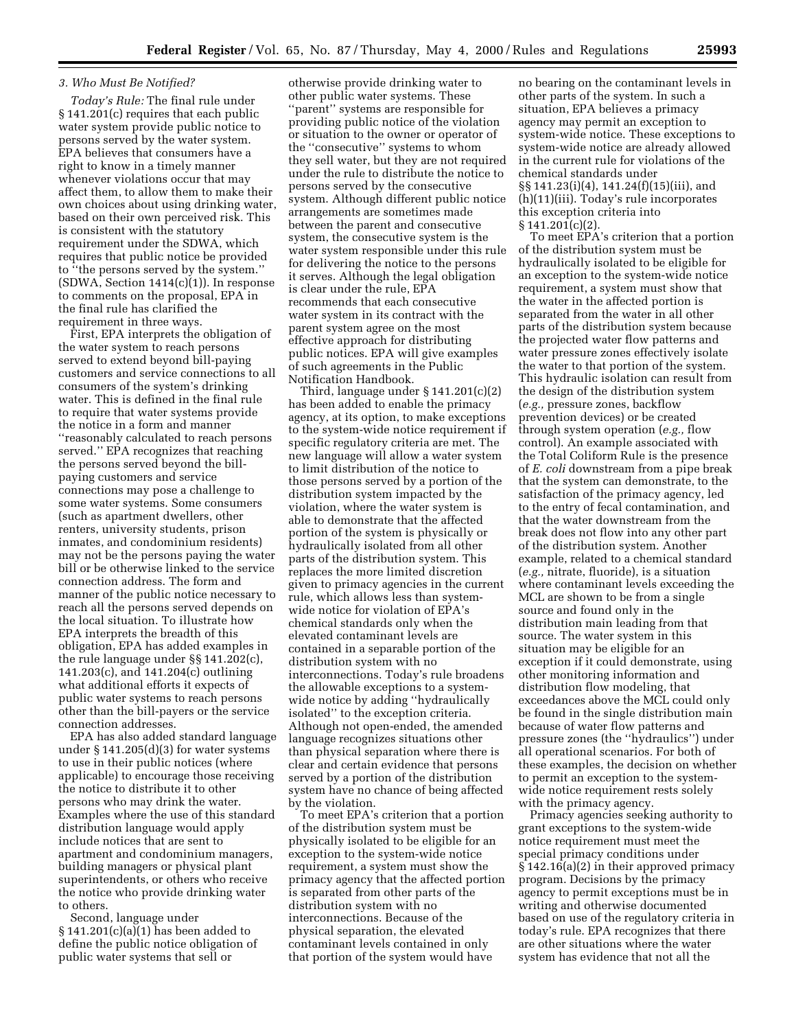## *3. Who Must Be Notified?*

*Today's Rule:* The final rule under § 141.201(c) requires that each public water system provide public notice to persons served by the water system. EPA believes that consumers have a right to know in a timely manner whenever violations occur that may affect them, to allow them to make their own choices about using drinking water, based on their own perceived risk. This is consistent with the statutory requirement under the SDWA, which requires that public notice be provided to ''the persons served by the system.''  $(SDWA, Section 1414(c)(1))$ . In response to comments on the proposal, EPA in the final rule has clarified the requirement in three ways.

First, EPA interprets the obligation of the water system to reach persons served to extend beyond bill-paying customers and service connections to all consumers of the system's drinking water. This is defined in the final rule to require that water systems provide the notice in a form and manner ''reasonably calculated to reach persons served.'' EPA recognizes that reaching the persons served beyond the billpaying customers and service connections may pose a challenge to some water systems. Some consumers (such as apartment dwellers, other renters, university students, prison inmates, and condominium residents) may not be the persons paying the water bill or be otherwise linked to the service connection address. The form and manner of the public notice necessary to reach all the persons served depends on the local situation. To illustrate how EPA interprets the breadth of this obligation, EPA has added examples in the rule language under §§ 141.202(c), 141.203(c), and 141.204(c) outlining what additional efforts it expects of public water systems to reach persons other than the bill-payers or the service connection addresses.

EPA has also added standard language under § 141.205(d)(3) for water systems to use in their public notices (where applicable) to encourage those receiving the notice to distribute it to other persons who may drink the water. Examples where the use of this standard distribution language would apply include notices that are sent to apartment and condominium managers, building managers or physical plant superintendents, or others who receive the notice who provide drinking water to others.

Second, language under § 141.201(c)(a)(1) has been added to define the public notice obligation of public water systems that sell or

otherwise provide drinking water to other public water systems. These ''parent'' systems are responsible for providing public notice of the violation or situation to the owner or operator of the ''consecutive'' systems to whom they sell water, but they are not required under the rule to distribute the notice to persons served by the consecutive system. Although different public notice arrangements are sometimes made between the parent and consecutive system, the consecutive system is the water system responsible under this rule for delivering the notice to the persons it serves. Although the legal obligation is clear under the rule, EPA recommends that each consecutive water system in its contract with the parent system agree on the most effective approach for distributing public notices. EPA will give examples of such agreements in the Public Notification Handbook.

Third, language under § 141.201(c)(2) has been added to enable the primacy agency, at its option, to make exceptions to the system-wide notice requirement if specific regulatory criteria are met. The new language will allow a water system to limit distribution of the notice to those persons served by a portion of the distribution system impacted by the violation, where the water system is able to demonstrate that the affected portion of the system is physically or hydraulically isolated from all other parts of the distribution system. This replaces the more limited discretion given to primacy agencies in the current rule, which allows less than systemwide notice for violation of EPA's chemical standards only when the elevated contaminant levels are contained in a separable portion of the distribution system with no interconnections. Today's rule broadens the allowable exceptions to a systemwide notice by adding ''hydraulically isolated'' to the exception criteria. Although not open-ended, the amended language recognizes situations other than physical separation where there is clear and certain evidence that persons served by a portion of the distribution system have no chance of being affected by the violation.

To meet EPA's criterion that a portion of the distribution system must be physically isolated to be eligible for an exception to the system-wide notice requirement, a system must show the primacy agency that the affected portion is separated from other parts of the distribution system with no interconnections. Because of the physical separation, the elevated contaminant levels contained in only that portion of the system would have

no bearing on the contaminant levels in other parts of the system. In such a situation, EPA believes a primacy agency may permit an exception to system-wide notice. These exceptions to system-wide notice are already allowed in the current rule for violations of the chemical standards under §§ 141.23(i)(4), 141.24(f)(15)(iii), and (h)(11)(iii). Today's rule incorporates this exception criteria into § 141.201(c)(2).

To meet EPA's criterion that a portion of the distribution system must be hydraulically isolated to be eligible for an exception to the system-wide notice requirement, a system must show that the water in the affected portion is separated from the water in all other parts of the distribution system because the projected water flow patterns and water pressure zones effectively isolate the water to that portion of the system. This hydraulic isolation can result from the design of the distribution system (*e.g.,* pressure zones, backflow prevention devices) or be created through system operation (*e.g.,* flow control). An example associated with the Total Coliform Rule is the presence of *E. coli* downstream from a pipe break that the system can demonstrate, to the satisfaction of the primacy agency, led to the entry of fecal contamination, and that the water downstream from the break does not flow into any other part of the distribution system. Another example, related to a chemical standard (*e.g.,* nitrate, fluoride), is a situation where contaminant levels exceeding the MCL are shown to be from a single source and found only in the distribution main leading from that source. The water system in this situation may be eligible for an exception if it could demonstrate, using other monitoring information and distribution flow modeling, that exceedances above the MCL could only be found in the single distribution main because of water flow patterns and pressure zones (the ''hydraulics'') under all operational scenarios. For both of these examples, the decision on whether to permit an exception to the systemwide notice requirement rests solely with the primacy agency.

Primacy agencies seeking authority to grant exceptions to the system-wide notice requirement must meet the special primacy conditions under § 142.16(a)(2) in their approved primacy program. Decisions by the primacy agency to permit exceptions must be in writing and otherwise documented based on use of the regulatory criteria in today's rule. EPA recognizes that there are other situations where the water system has evidence that not all the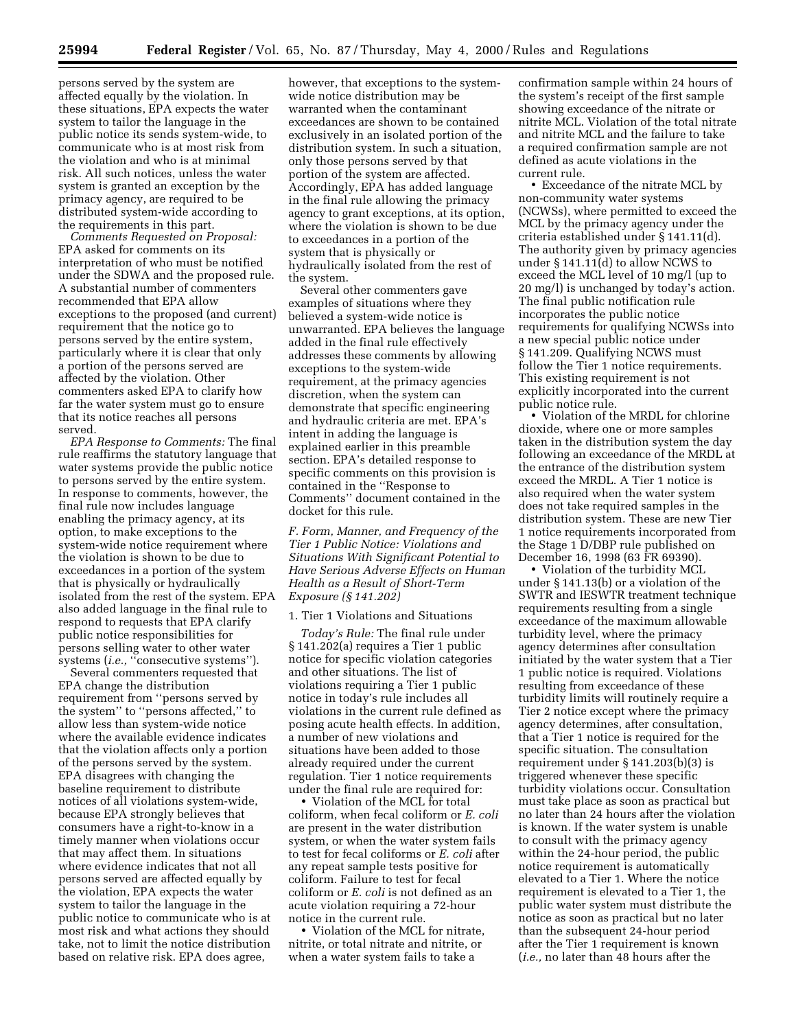persons served by the system are affected equally by the violation. In these situations, EPA expects the water system to tailor the language in the public notice its sends system-wide, to communicate who is at most risk from the violation and who is at minimal risk. All such notices, unless the water system is granted an exception by the primacy agency, are required to be distributed system-wide according to the requirements in this part.

*Comments Requested on Proposal:* EPA asked for comments on its interpretation of who must be notified under the SDWA and the proposed rule. A substantial number of commenters recommended that EPA allow exceptions to the proposed (and current) requirement that the notice go to persons served by the entire system, particularly where it is clear that only a portion of the persons served are affected by the violation. Other commenters asked EPA to clarify how far the water system must go to ensure that its notice reaches all persons served.

*EPA Response to Comments:* The final rule reaffirms the statutory language that water systems provide the public notice to persons served by the entire system. In response to comments, however, the final rule now includes language enabling the primacy agency, at its option, to make exceptions to the system-wide notice requirement where the violation is shown to be due to exceedances in a portion of the system that is physically or hydraulically isolated from the rest of the system. EPA also added language in the final rule to respond to requests that EPA clarify public notice responsibilities for persons selling water to other water systems (*i.e.*, "consecutive systems").

Several commenters requested that EPA change the distribution requirement from ''persons served by the system'' to ''persons affected,'' to allow less than system-wide notice where the available evidence indicates that the violation affects only a portion of the persons served by the system. EPA disagrees with changing the baseline requirement to distribute notices of all violations system-wide, because EPA strongly believes that consumers have a right-to-know in a timely manner when violations occur that may affect them. In situations where evidence indicates that not all persons served are affected equally by the violation, EPA expects the water system to tailor the language in the public notice to communicate who is at most risk and what actions they should take, not to limit the notice distribution based on relative risk. EPA does agree,

however, that exceptions to the systemwide notice distribution may be warranted when the contaminant exceedances are shown to be contained exclusively in an isolated portion of the distribution system. In such a situation, only those persons served by that portion of the system are affected. Accordingly, EPA has added language in the final rule allowing the primacy agency to grant exceptions, at its option, where the violation is shown to be due to exceedances in a portion of the system that is physically or hydraulically isolated from the rest of the system.

Several other commenters gave examples of situations where they believed a system-wide notice is unwarranted. EPA believes the language added in the final rule effectively addresses these comments by allowing exceptions to the system-wide requirement, at the primacy agencies discretion, when the system can demonstrate that specific engineering and hydraulic criteria are met. EPA's intent in adding the language is explained earlier in this preamble section. EPA's detailed response to specific comments on this provision is contained in the ''Response to Comments'' document contained in the docket for this rule.

*F. Form, Manner, and Frequency of the Tier 1 Public Notice: Violations and Situations With Significant Potential to Have Serious Adverse Effects on Human Health as a Result of Short-Term Exposure (§ 141.202)*

#### 1. Tier 1 Violations and Situations

*Today's Rule:* The final rule under § 141.202(a) requires a Tier 1 public notice for specific violation categories and other situations. The list of violations requiring a Tier 1 public notice in today's rule includes all violations in the current rule defined as posing acute health effects. In addition, a number of new violations and situations have been added to those already required under the current regulation. Tier 1 notice requirements under the final rule are required for:

• Violation of the MCL for total coliform, when fecal coliform or *E. coli* are present in the water distribution system, or when the water system fails to test for fecal coliforms or *E. coli* after any repeat sample tests positive for coliform. Failure to test for fecal coliform or *E. coli* is not defined as an acute violation requiring a 72-hour notice in the current rule.

• Violation of the MCL for nitrate, nitrite, or total nitrate and nitrite, or when a water system fails to take a

confirmation sample within 24 hours of the system's receipt of the first sample showing exceedance of the nitrate or nitrite MCL. Violation of the total nitrate and nitrite MCL and the failure to take a required confirmation sample are not defined as acute violations in the current rule.

• Exceedance of the nitrate MCL by non-community water systems (NCWSs), where permitted to exceed the MCL by the primacy agency under the criteria established under § 141.11(d). The authority given by primacy agencies under § 141.11(d) to allow NCWS to exceed the MCL level of 10 mg/l (up to 20 mg/l) is unchanged by today's action. The final public notification rule incorporates the public notice requirements for qualifying NCWSs into a new special public notice under § 141.209. Qualifying NCWS must follow the Tier 1 notice requirements. This existing requirement is not explicitly incorporated into the current public notice rule.

• Violation of the MRDL for chlorine dioxide, where one or more samples taken in the distribution system the day following an exceedance of the MRDL at the entrance of the distribution system exceed the MRDL. A Tier 1 notice is also required when the water system does not take required samples in the distribution system. These are new Tier 1 notice requirements incorporated from the Stage 1 D/DBP rule published on December 16, 1998 (63 FR 69390).

• Violation of the turbidity MCL under § 141.13(b) or a violation of the SWTR and IESWTR treatment technique requirements resulting from a single exceedance of the maximum allowable turbidity level, where the primacy agency determines after consultation initiated by the water system that a Tier 1 public notice is required. Violations resulting from exceedance of these turbidity limits will routinely require a Tier 2 notice except where the primacy agency determines, after consultation, that a Tier 1 notice is required for the specific situation. The consultation requirement under § 141.203(b)(3) is triggered whenever these specific turbidity violations occur. Consultation must take place as soon as practical but no later than 24 hours after the violation is known. If the water system is unable to consult with the primacy agency within the 24-hour period, the public notice requirement is automatically elevated to a Tier 1. Where the notice requirement is elevated to a Tier 1, the public water system must distribute the notice as soon as practical but no later than the subsequent 24-hour period after the Tier 1 requirement is known (*i.e.,* no later than 48 hours after the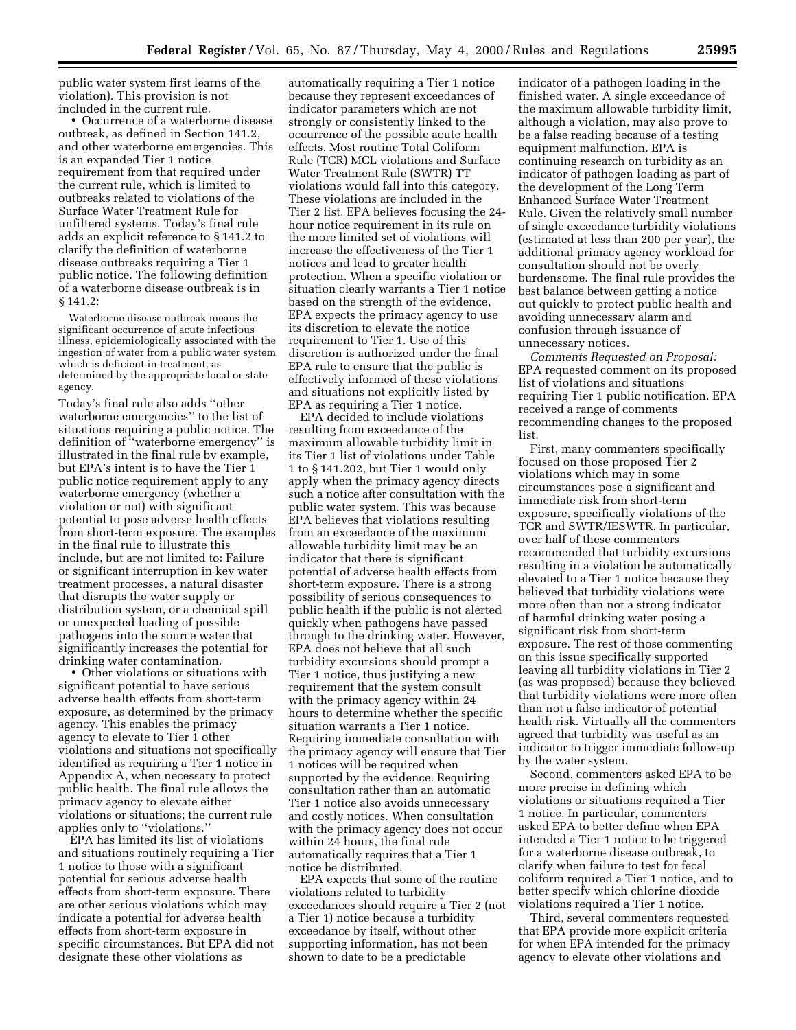public water system first learns of the violation). This provision is not included in the current rule.

• Occurrence of a waterborne disease outbreak, as defined in Section 141.2, and other waterborne emergencies. This is an expanded Tier 1 notice requirement from that required under the current rule, which is limited to outbreaks related to violations of the Surface Water Treatment Rule for unfiltered systems. Today's final rule adds an explicit reference to § 141.2 to clarify the definition of waterborne disease outbreaks requiring a Tier 1 public notice. The following definition of a waterborne disease outbreak is in § 141.2:

Waterborne disease outbreak means the significant occurrence of acute infectious illness, epidemiologically associated with the ingestion of water from a public water system which is deficient in treatment, as determined by the appropriate local or state agency.

Today's final rule also adds ''other waterborne emergencies'' to the list of situations requiring a public notice. The definition of ''waterborne emergency'' is illustrated in the final rule by example, but EPA's intent is to have the Tier 1 public notice requirement apply to any waterborne emergency (whether a violation or not) with significant potential to pose adverse health effects from short-term exposure. The examples in the final rule to illustrate this include, but are not limited to: Failure or significant interruption in key water treatment processes, a natural disaster that disrupts the water supply or distribution system, or a chemical spill or unexpected loading of possible pathogens into the source water that significantly increases the potential for drinking water contamination.

• Other violations or situations with significant potential to have serious adverse health effects from short-term exposure, as determined by the primacy agency. This enables the primacy agency to elevate to Tier 1 other violations and situations not specifically identified as requiring a Tier 1 notice in Appendix A, when necessary to protect public health. The final rule allows the primacy agency to elevate either violations or situations; the current rule applies only to ''violations.''

EPA has limited its list of violations and situations routinely requiring a Tier 1 notice to those with a significant potential for serious adverse health effects from short-term exposure. There are other serious violations which may indicate a potential for adverse health effects from short-term exposure in specific circumstances. But EPA did not designate these other violations as

automatically requiring a Tier 1 notice because they represent exceedances of indicator parameters which are not strongly or consistently linked to the occurrence of the possible acute health effects. Most routine Total Coliform Rule (TCR) MCL violations and Surface Water Treatment Rule (SWTR) TT violations would fall into this category. These violations are included in the Tier 2 list. EPA believes focusing the 24 hour notice requirement in its rule on the more limited set of violations will increase the effectiveness of the Tier 1 notices and lead to greater health protection. When a specific violation or situation clearly warrants a Tier 1 notice based on the strength of the evidence, EPA expects the primacy agency to use its discretion to elevate the notice requirement to Tier 1. Use of this discretion is authorized under the final EPA rule to ensure that the public is effectively informed of these violations and situations not explicitly listed by EPA as requiring a Tier 1 notice.

EPA decided to include violations resulting from exceedance of the maximum allowable turbidity limit in its Tier 1 list of violations under Table 1 to § 141.202, but Tier 1 would only apply when the primacy agency directs such a notice after consultation with the public water system. This was because EPA believes that violations resulting from an exceedance of the maximum allowable turbidity limit may be an indicator that there is significant potential of adverse health effects from short-term exposure. There is a strong possibility of serious consequences to public health if the public is not alerted quickly when pathogens have passed through to the drinking water. However, EPA does not believe that all such turbidity excursions should prompt a Tier 1 notice, thus justifying a new requirement that the system consult with the primacy agency within 24 hours to determine whether the specific situation warrants a Tier 1 notice. Requiring immediate consultation with the primacy agency will ensure that Tier 1 notices will be required when supported by the evidence. Requiring consultation rather than an automatic Tier 1 notice also avoids unnecessary and costly notices. When consultation with the primacy agency does not occur within 24 hours, the final rule automatically requires that a Tier 1 notice be distributed.

EPA expects that some of the routine violations related to turbidity exceedances should require a Tier 2 (not a Tier 1) notice because a turbidity exceedance by itself, without other supporting information, has not been shown to date to be a predictable

indicator of a pathogen loading in the finished water. A single exceedance of the maximum allowable turbidity limit, although a violation, may also prove to be a false reading because of a testing equipment malfunction. EPA is continuing research on turbidity as an indicator of pathogen loading as part of the development of the Long Term Enhanced Surface Water Treatment Rule. Given the relatively small number of single exceedance turbidity violations (estimated at less than 200 per year), the additional primacy agency workload for consultation should not be overly burdensome. The final rule provides the best balance between getting a notice out quickly to protect public health and avoiding unnecessary alarm and confusion through issuance of unnecessary notices.

*Comments Requested on Proposal:* EPA requested comment on its proposed list of violations and situations requiring Tier 1 public notification. EPA received a range of comments recommending changes to the proposed list.

First, many commenters specifically focused on those proposed Tier 2 violations which may in some circumstances pose a significant and immediate risk from short-term exposure, specifically violations of the TCR and SWTR/IESWTR. In particular, over half of these commenters recommended that turbidity excursions resulting in a violation be automatically elevated to a Tier 1 notice because they believed that turbidity violations were more often than not a strong indicator of harmful drinking water posing a significant risk from short-term exposure. The rest of those commenting on this issue specifically supported leaving all turbidity violations in Tier 2 (as was proposed) because they believed that turbidity violations were more often than not a false indicator of potential health risk. Virtually all the commenters agreed that turbidity was useful as an indicator to trigger immediate follow-up by the water system.

Second, commenters asked EPA to be more precise in defining which violations or situations required a Tier 1 notice. In particular, commenters asked EPA to better define when EPA intended a Tier 1 notice to be triggered for a waterborne disease outbreak, to clarify when failure to test for fecal coliform required a Tier 1 notice, and to better specify which chlorine dioxide violations required a Tier 1 notice.

Third, several commenters requested that EPA provide more explicit criteria for when EPA intended for the primacy agency to elevate other violations and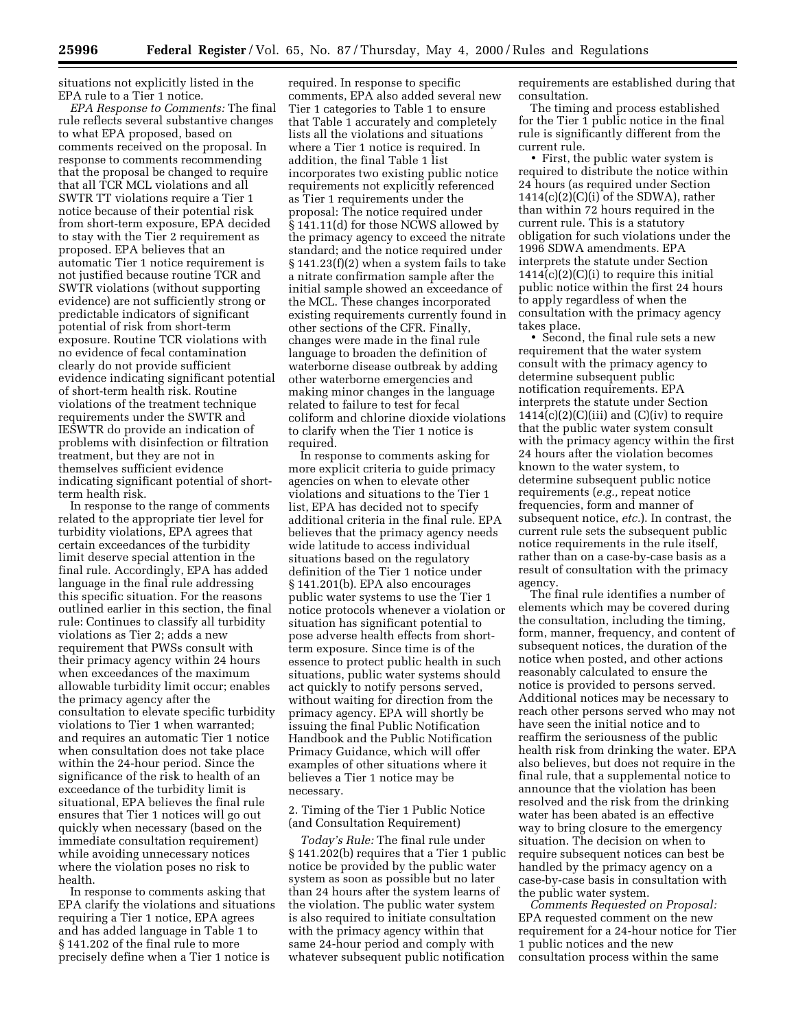situations not explicitly listed in the EPA rule to a Tier 1 notice.

*EPA Response to Comments:* The final rule reflects several substantive changes to what EPA proposed, based on comments received on the proposal. In response to comments recommending that the proposal be changed to require that all TCR MCL violations and all SWTR TT violations require a Tier 1 notice because of their potential risk from short-term exposure, EPA decided to stay with the Tier 2 requirement as proposed. EPA believes that an automatic Tier 1 notice requirement is not justified because routine TCR and SWTR violations (without supporting evidence) are not sufficiently strong or predictable indicators of significant potential of risk from short-term exposure. Routine TCR violations with no evidence of fecal contamination clearly do not provide sufficient evidence indicating significant potential of short-term health risk. Routine violations of the treatment technique requirements under the SWTR and IESWTR do provide an indication of problems with disinfection or filtration treatment, but they are not in themselves sufficient evidence indicating significant potential of shortterm health risk.

In response to the range of comments related to the appropriate tier level for turbidity violations, EPA agrees that certain exceedances of the turbidity limit deserve special attention in the final rule. Accordingly, EPA has added language in the final rule addressing this specific situation. For the reasons outlined earlier in this section, the final rule: Continues to classify all turbidity violations as Tier 2; adds a new requirement that PWSs consult with their primacy agency within 24 hours when exceedances of the maximum allowable turbidity limit occur; enables the primacy agency after the consultation to elevate specific turbidity violations to Tier 1 when warranted; and requires an automatic Tier 1 notice when consultation does not take place within the 24-hour period. Since the significance of the risk to health of an exceedance of the turbidity limit is situational, EPA believes the final rule ensures that Tier 1 notices will go out quickly when necessary (based on the immediate consultation requirement) while avoiding unnecessary notices where the violation poses no risk to health.

In response to comments asking that EPA clarify the violations and situations requiring a Tier 1 notice, EPA agrees and has added language in Table 1 to § 141.202 of the final rule to more precisely define when a Tier 1 notice is

required. In response to specific comments, EPA also added several new Tier 1 categories to Table 1 to ensure that Table 1 accurately and completely lists all the violations and situations where a Tier 1 notice is required. In addition, the final Table 1 list incorporates two existing public notice requirements not explicitly referenced as Tier 1 requirements under the proposal: The notice required under § 141.11(d) for those NCWS allowed by the primacy agency to exceed the nitrate standard; and the notice required under § 141.23(f)(2) when a system fails to take a nitrate confirmation sample after the initial sample showed an exceedance of the MCL. These changes incorporated existing requirements currently found in other sections of the CFR. Finally, changes were made in the final rule language to broaden the definition of waterborne disease outbreak by adding other waterborne emergencies and making minor changes in the language related to failure to test for fecal coliform and chlorine dioxide violations to clarify when the Tier 1 notice is required.

In response to comments asking for more explicit criteria to guide primacy agencies on when to elevate other violations and situations to the Tier 1 list, EPA has decided not to specify additional criteria in the final rule. EPA believes that the primacy agency needs wide latitude to access individual situations based on the regulatory definition of the Tier 1 notice under § 141.201(b). EPA also encourages public water systems to use the Tier 1 notice protocols whenever a violation or situation has significant potential to pose adverse health effects from shortterm exposure. Since time is of the essence to protect public health in such situations, public water systems should act quickly to notify persons served, without waiting for direction from the primacy agency. EPA will shortly be issuing the final Public Notification Handbook and the Public Notification Primacy Guidance, which will offer examples of other situations where it believes a Tier 1 notice may be necessary.

2. Timing of the Tier 1 Public Notice (and Consultation Requirement)

*Today's Rule:* The final rule under § 141.202(b) requires that a Tier 1 public notice be provided by the public water system as soon as possible but no later than 24 hours after the system learns of the violation. The public water system is also required to initiate consultation with the primacy agency within that same 24-hour period and comply with whatever subsequent public notification

requirements are established during that consultation.

The timing and process established for the Tier 1 public notice in the final rule is significantly different from the current rule.

• First, the public water system is required to distribute the notice within 24 hours (as required under Section  $1414(c)(2)(C)(i)$  of the SDWA), rather than within 72 hours required in the current rule. This is a statutory obligation for such violations under the 1996 SDWA amendments. EPA interprets the statute under Section  $1414(c)(2)(C)(i)$  to require this initial public notice within the first 24 hours to apply regardless of when the consultation with the primacy agency takes place.

• Second, the final rule sets a new requirement that the water system consult with the primacy agency to determine subsequent public notification requirements. EPA interprets the statute under Section  $1414(c)(2)(C)(iii)$  and  $(C)(iv)$  to require that the public water system consult with the primacy agency within the first 24 hours after the violation becomes known to the water system, to determine subsequent public notice requirements (*e.g.,* repeat notice frequencies, form and manner of subsequent notice, *etc.*). In contrast, the current rule sets the subsequent public notice requirements in the rule itself, rather than on a case-by-case basis as a result of consultation with the primacy agency.

The final rule identifies a number of elements which may be covered during the consultation, including the timing, form, manner, frequency, and content of subsequent notices, the duration of the notice when posted, and other actions reasonably calculated to ensure the notice is provided to persons served. Additional notices may be necessary to reach other persons served who may not have seen the initial notice and to reaffirm the seriousness of the public health risk from drinking the water. EPA also believes, but does not require in the final rule, that a supplemental notice to announce that the violation has been resolved and the risk from the drinking water has been abated is an effective way to bring closure to the emergency situation. The decision on when to require subsequent notices can best be handled by the primacy agency on a case-by-case basis in consultation with the public water system.

*Comments Requested on Proposal:* EPA requested comment on the new requirement for a 24-hour notice for Tier 1 public notices and the new consultation process within the same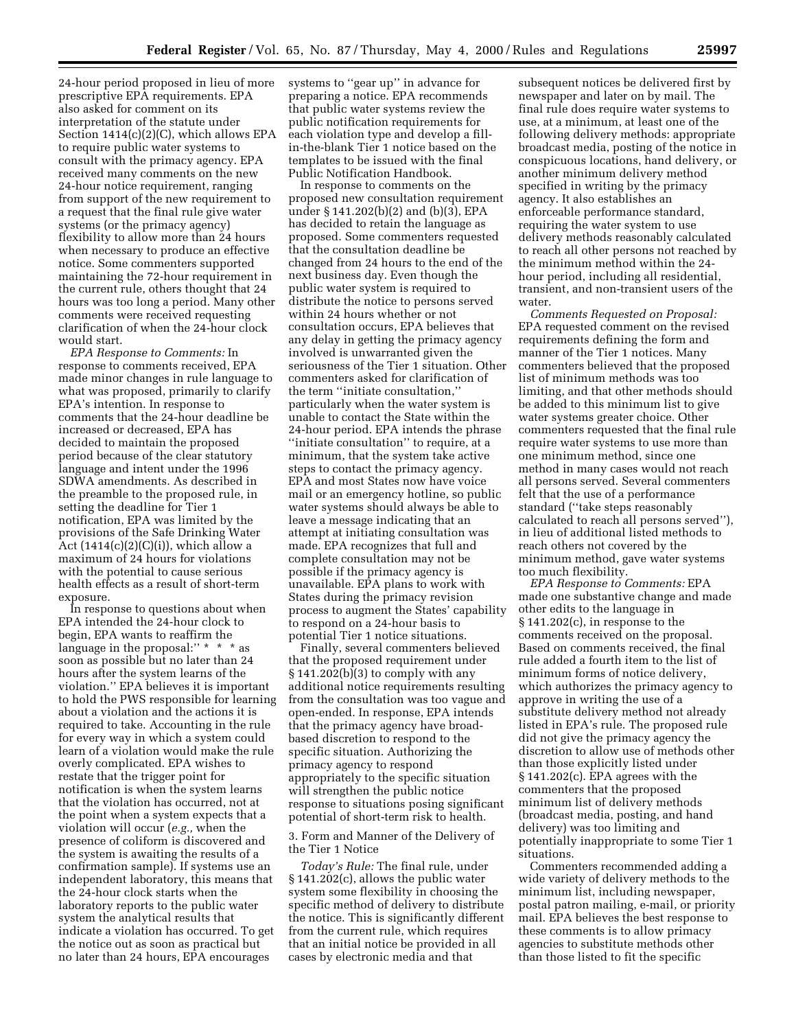24-hour period proposed in lieu of more prescriptive EPA requirements. EPA also asked for comment on its interpretation of the statute under Section 1414(c)(2)(C), which allows EPA to require public water systems to consult with the primacy agency. EPA received many comments on the new 24-hour notice requirement, ranging from support of the new requirement to a request that the final rule give water systems (or the primacy agency) flexibility to allow more than 24 hours when necessary to produce an effective notice. Some commenters supported maintaining the 72-hour requirement in the current rule, others thought that 24 hours was too long a period. Many other comments were received requesting clarification of when the 24-hour clock would start.

*EPA Response to Comments:* In response to comments received, EPA made minor changes in rule language to what was proposed, primarily to clarify EPA's intention. In response to comments that the 24-hour deadline be increased or decreased, EPA has decided to maintain the proposed period because of the clear statutory language and intent under the 1996 SDWA amendments. As described in the preamble to the proposed rule, in setting the deadline for Tier 1 notification, EPA was limited by the provisions of the Safe Drinking Water Act  $(1414(c)(2)(C)(i))$ , which allow a maximum of 24 hours for violations with the potential to cause serious health effects as a result of short-term exposure.

In response to questions about when EPA intended the 24-hour clock to begin, EPA wants to reaffirm the language in the proposal:" \* \* \* as soon as possible but no later than 24 hours after the system learns of the violation.'' EPA believes it is important to hold the PWS responsible for learning about a violation and the actions it is required to take. Accounting in the rule for every way in which a system could learn of a violation would make the rule overly complicated. EPA wishes to restate that the trigger point for notification is when the system learns that the violation has occurred, not at the point when a system expects that a violation will occur (*e.g.,* when the presence of coliform is discovered and the system is awaiting the results of a confirmation sample). If systems use an independent laboratory, this means that the 24-hour clock starts when the laboratory reports to the public water system the analytical results that indicate a violation has occurred. To get the notice out as soon as practical but no later than 24 hours, EPA encourages

systems to ''gear up'' in advance for preparing a notice. EPA recommends that public water systems review the public notification requirements for each violation type and develop a fillin-the-blank Tier 1 notice based on the templates to be issued with the final Public Notification Handbook.

In response to comments on the proposed new consultation requirement under § 141.202(b)(2) and (b)(3), EPA has decided to retain the language as proposed. Some commenters requested that the consultation deadline be changed from 24 hours to the end of the next business day. Even though the public water system is required to distribute the notice to persons served within 24 hours whether or not consultation occurs, EPA believes that any delay in getting the primacy agency involved is unwarranted given the seriousness of the Tier 1 situation. Other commenters asked for clarification of the term ''initiate consultation,'' particularly when the water system is unable to contact the State within the 24-hour period. EPA intends the phrase ''initiate consultation'' to require, at a minimum, that the system take active steps to contact the primacy agency. EPA and most States now have voice mail or an emergency hotline, so public water systems should always be able to leave a message indicating that an attempt at initiating consultation was made. EPA recognizes that full and complete consultation may not be possible if the primacy agency is unavailable. EPA plans to work with States during the primacy revision process to augment the States' capability to respond on a 24-hour basis to potential Tier 1 notice situations.

Finally, several commenters believed that the proposed requirement under § 141.202(b)(3) to comply with any additional notice requirements resulting from the consultation was too vague and open-ended. In response, EPA intends that the primacy agency have broadbased discretion to respond to the specific situation. Authorizing the primacy agency to respond appropriately to the specific situation will strengthen the public notice response to situations posing significant potential of short-term risk to health.

3. Form and Manner of the Delivery of the Tier 1 Notice

*Today's Rule:* The final rule, under § 141.202(c), allows the public water system some flexibility in choosing the specific method of delivery to distribute the notice. This is significantly different from the current rule, which requires that an initial notice be provided in all cases by electronic media and that

subsequent notices be delivered first by newspaper and later on by mail. The final rule does require water systems to use, at a minimum, at least one of the following delivery methods: appropriate broadcast media, posting of the notice in conspicuous locations, hand delivery, or another minimum delivery method specified in writing by the primacy agency. It also establishes an enforceable performance standard, requiring the water system to use delivery methods reasonably calculated to reach all other persons not reached by the minimum method within the 24 hour period, including all residential, transient, and non-transient users of the water.

*Comments Requested on Proposal:* EPA requested comment on the revised requirements defining the form and manner of the Tier 1 notices. Many commenters believed that the proposed list of minimum methods was too limiting, and that other methods should be added to this minimum list to give water systems greater choice. Other commenters requested that the final rule require water systems to use more than one minimum method, since one method in many cases would not reach all persons served. Several commenters felt that the use of a performance standard (''take steps reasonably calculated to reach all persons served''), in lieu of additional listed methods to reach others not covered by the minimum method, gave water systems too much flexibility.

*EPA Response to Comments:* EPA made one substantive change and made other edits to the language in § 141.202(c), in response to the comments received on the proposal. Based on comments received, the final rule added a fourth item to the list of minimum forms of notice delivery, which authorizes the primacy agency to approve in writing the use of a substitute delivery method not already listed in EPA's rule. The proposed rule did not give the primacy agency the discretion to allow use of methods other than those explicitly listed under § 141.202(c). EPA agrees with the commenters that the proposed minimum list of delivery methods (broadcast media, posting, and hand delivery) was too limiting and potentially inappropriate to some Tier 1 situations.

Commenters recommended adding a wide variety of delivery methods to the minimum list, including newspaper, postal patron mailing, e-mail, or priority mail. EPA believes the best response to these comments is to allow primacy agencies to substitute methods other than those listed to fit the specific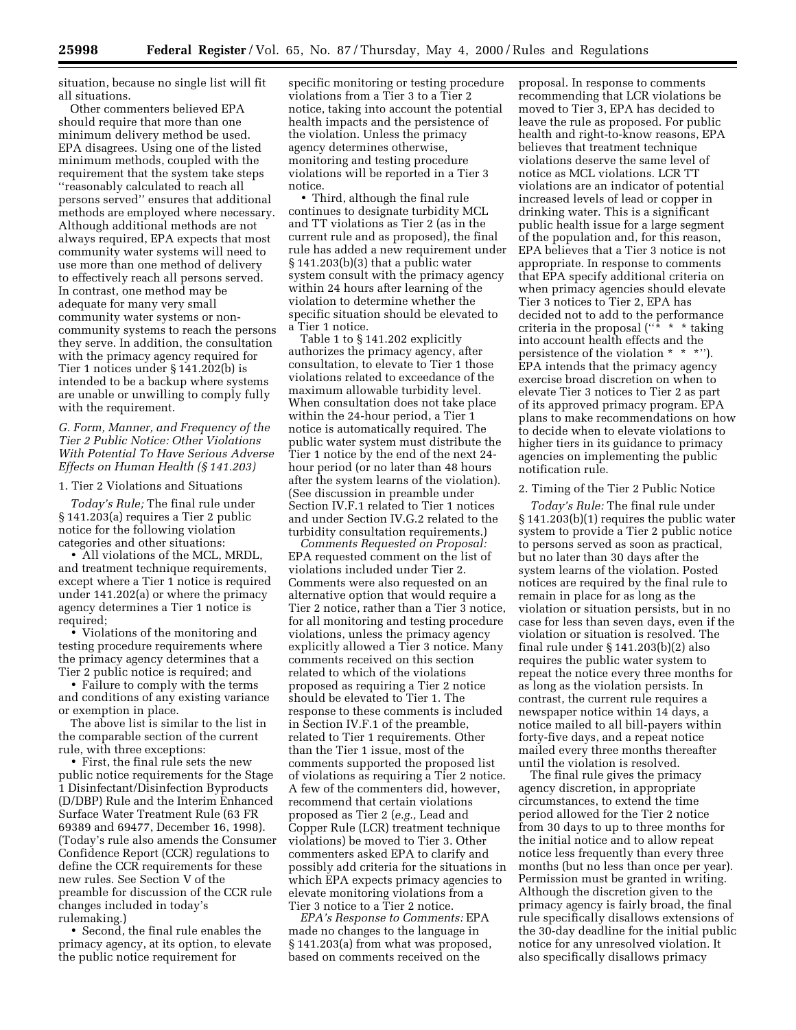situation, because no single list will fit all situations.

Other commenters believed EPA should require that more than one minimum delivery method be used. EPA disagrees. Using one of the listed minimum methods, coupled with the requirement that the system take steps ''reasonably calculated to reach all persons served'' ensures that additional methods are employed where necessary. Although additional methods are not always required, EPA expects that most community water systems will need to use more than one method of delivery to effectively reach all persons served. In contrast, one method may be adequate for many very small community water systems or noncommunity systems to reach the persons they serve. In addition, the consultation with the primacy agency required for Tier 1 notices under § 141.202(b) is intended to be a backup where systems are unable or unwilling to comply fully with the requirement.

## *G. Form, Manner, and Frequency of the Tier 2 Public Notice: Other Violations With Potential To Have Serious Adverse Effects on Human Health (§ 141.203)*

#### 1. Tier 2 Violations and Situations

*Today's Rule;* The final rule under § 141.203(a) requires a Tier 2 public notice for the following violation categories and other situations:

• All violations of the MCL, MRDL, and treatment technique requirements, except where a Tier 1 notice is required under 141.202(a) or where the primacy agency determines a Tier 1 notice is required;

• Violations of the monitoring and testing procedure requirements where the primacy agency determines that a Tier 2 public notice is required; and

• Failure to comply with the terms and conditions of any existing variance or exemption in place.

The above list is similar to the list in the comparable section of the current rule, with three exceptions:

• First, the final rule sets the new public notice requirements for the Stage 1 Disinfectant/Disinfection Byproducts (D/DBP) Rule and the Interim Enhanced Surface Water Treatment Rule (63 FR 69389 and 69477, December 16, 1998). (Today's rule also amends the Consumer Confidence Report (CCR) regulations to define the CCR requirements for these new rules. See Section V of the preamble for discussion of the CCR rule changes included in today's rulemaking.)

• Second, the final rule enables the primacy agency, at its option, to elevate the public notice requirement for

specific monitoring or testing procedure violations from a Tier 3 to a Tier 2 notice, taking into account the potential health impacts and the persistence of the violation. Unless the primacy agency determines otherwise, monitoring and testing procedure violations will be reported in a Tier 3 notice.

• Third, although the final rule continues to designate turbidity MCL and TT violations as Tier 2 (as in the current rule and as proposed), the final rule has added a new requirement under § 141.203(b)(3) that a public water system consult with the primacy agency within 24 hours after learning of the violation to determine whether the specific situation should be elevated to a Tier 1 notice.

Table 1 to § 141.202 explicitly authorizes the primacy agency, after consultation, to elevate to Tier 1 those violations related to exceedance of the maximum allowable turbidity level. When consultation does not take place within the 24-hour period, a Tier 1 notice is automatically required. The public water system must distribute the Tier 1 notice by the end of the next 24 hour period (or no later than 48 hours after the system learns of the violation). (See discussion in preamble under Section IV.F.1 related to Tier 1 notices and under Section IV.G.2 related to the turbidity consultation requirements.)

*Comments Requested on Proposal:* EPA requested comment on the list of violations included under Tier 2. Comments were also requested on an alternative option that would require a Tier 2 notice, rather than a Tier 3 notice, for all monitoring and testing procedure violations, unless the primacy agency explicitly allowed a Tier 3 notice. Many comments received on this section related to which of the violations proposed as requiring a Tier 2 notice should be elevated to Tier 1. The response to these comments is included in Section IV.F.1 of the preamble, related to Tier 1 requirements. Other than the Tier 1 issue, most of the comments supported the proposed list of violations as requiring a Tier 2 notice. A few of the commenters did, however, recommend that certain violations proposed as Tier 2 (*e.g.,* Lead and Copper Rule (LCR) treatment technique violations) be moved to Tier 3. Other commenters asked EPA to clarify and possibly add criteria for the situations in which EPA expects primacy agencies to elevate monitoring violations from a Tier 3 notice to a Tier 2 notice.

*EPA's Response to Comments:* EPA made no changes to the language in § 141.203(a) from what was proposed, based on comments received on the

proposal. In response to comments recommending that LCR violations be moved to Tier 3, EPA has decided to leave the rule as proposed. For public health and right-to-know reasons, EPA believes that treatment technique violations deserve the same level of notice as MCL violations. LCR TT violations are an indicator of potential increased levels of lead or copper in drinking water. This is a significant public health issue for a large segment of the population and, for this reason, EPA believes that a Tier 3 notice is not appropriate. In response to comments that EPA specify additional criteria on when primacy agencies should elevate Tier 3 notices to Tier 2, EPA has decided not to add to the performance criteria in the proposal  $($ "\* \* \* taking into account health effects and the persistence of the violation \* \* \*''). EPA intends that the primacy agency exercise broad discretion on when to elevate Tier 3 notices to Tier 2 as part of its approved primacy program. EPA plans to make recommendations on how to decide when to elevate violations to higher tiers in its guidance to primacy agencies on implementing the public notification rule.

#### 2. Timing of the Tier 2 Public Notice

*Today's Rule:* The final rule under § 141.203(b)(1) requires the public water system to provide a Tier 2 public notice to persons served as soon as practical, but no later than 30 days after the system learns of the violation. Posted notices are required by the final rule to remain in place for as long as the violation or situation persists, but in no case for less than seven days, even if the violation or situation is resolved. The final rule under § 141.203(b)(2) also requires the public water system to repeat the notice every three months for as long as the violation persists. In contrast, the current rule requires a newspaper notice within 14 days, a notice mailed to all bill-payers within forty-five days, and a repeat notice mailed every three months thereafter until the violation is resolved.

The final rule gives the primacy agency discretion, in appropriate circumstances, to extend the time period allowed for the Tier 2 notice from 30 days to up to three months for the initial notice and to allow repeat notice less frequently than every three months (but no less than once per year). Permission must be granted in writing. Although the discretion given to the primacy agency is fairly broad, the final rule specifically disallows extensions of the 30-day deadline for the initial public notice for any unresolved violation. It also specifically disallows primacy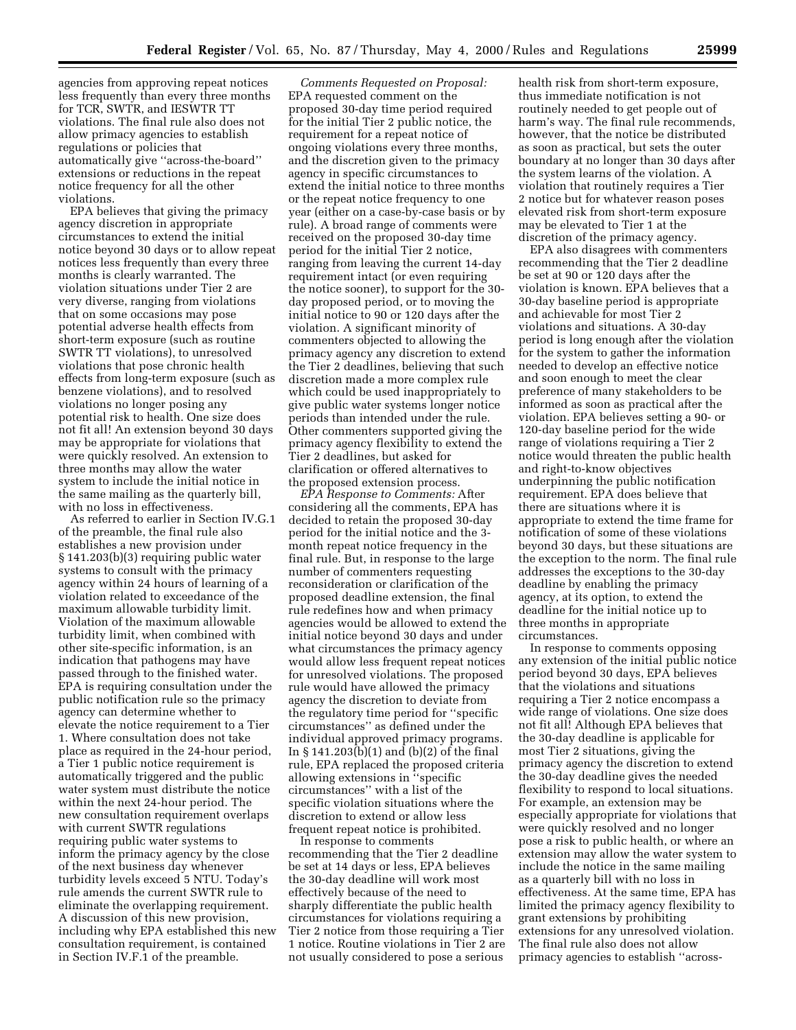agencies from approving repeat notices less frequently than every three months for TCR, SWTR, and IESWTR TT violations. The final rule also does not allow primacy agencies to establish regulations or policies that automatically give ''across-the-board'' extensions or reductions in the repeat notice frequency for all the other violations.

EPA believes that giving the primacy agency discretion in appropriate circumstances to extend the initial notice beyond 30 days or to allow repeat notices less frequently than every three months is clearly warranted. The violation situations under Tier 2 are very diverse, ranging from violations that on some occasions may pose potential adverse health effects from short-term exposure (such as routine SWTR TT violations), to unresolved violations that pose chronic health effects from long-term exposure (such as benzene violations), and to resolved violations no longer posing any potential risk to health. One size does not fit all! An extension beyond 30 days may be appropriate for violations that were quickly resolved. An extension to three months may allow the water system to include the initial notice in the same mailing as the quarterly bill, with no loss in effectiveness.

As referred to earlier in Section IV.G.1 of the preamble, the final rule also establishes a new provision under § 141.203(b)(3) requiring public water systems to consult with the primacy agency within 24 hours of learning of a violation related to exceedance of the maximum allowable turbidity limit. Violation of the maximum allowable turbidity limit, when combined with other site-specific information, is an indication that pathogens may have passed through to the finished water. EPA is requiring consultation under the public notification rule so the primacy agency can determine whether to elevate the notice requirement to a Tier 1. Where consultation does not take place as required in the 24-hour period, a Tier 1 public notice requirement is automatically triggered and the public water system must distribute the notice within the next 24-hour period. The new consultation requirement overlaps with current SWTR regulations requiring public water systems to inform the primacy agency by the close of the next business day whenever turbidity levels exceed 5 NTU. Today's rule amends the current SWTR rule to eliminate the overlapping requirement. A discussion of this new provision, including why EPA established this new consultation requirement, is contained in Section IV.F.1 of the preamble.

*Comments Requested on Proposal:* EPA requested comment on the proposed 30-day time period required for the initial Tier 2 public notice, the requirement for a repeat notice of ongoing violations every three months, and the discretion given to the primacy agency in specific circumstances to extend the initial notice to three months or the repeat notice frequency to one year (either on a case-by-case basis or by rule). A broad range of comments were received on the proposed 30-day time period for the initial Tier 2 notice, ranging from leaving the current 14-day requirement intact (or even requiring the notice sooner), to support for the 30 day proposed period, or to moving the initial notice to 90 or 120 days after the violation. A significant minority of commenters objected to allowing the primacy agency any discretion to extend the Tier 2 deadlines, believing that such discretion made a more complex rule which could be used inappropriately to give public water systems longer notice periods than intended under the rule. Other commenters supported giving the primacy agency flexibility to extend the Tier 2 deadlines, but asked for clarification or offered alternatives to the proposed extension process.

*EPA Response to Comments:* After considering all the comments, EPA has decided to retain the proposed 30-day period for the initial notice and the 3 month repeat notice frequency in the final rule. But, in response to the large number of commenters requesting reconsideration or clarification of the proposed deadline extension, the final rule redefines how and when primacy agencies would be allowed to extend the initial notice beyond 30 days and under what circumstances the primacy agency would allow less frequent repeat notices for unresolved violations. The proposed rule would have allowed the primacy agency the discretion to deviate from the regulatory time period for ''specific circumstances'' as defined under the individual approved primacy programs. In § 141.203(b)(1) and (b)(2) of the final rule, EPA replaced the proposed criteria allowing extensions in ''specific circumstances'' with a list of the specific violation situations where the discretion to extend or allow less frequent repeat notice is prohibited.

In response to comments recommending that the Tier 2 deadline be set at 14 days or less, EPA believes the 30-day deadline will work most effectively because of the need to sharply differentiate the public health circumstances for violations requiring a Tier 2 notice from those requiring a Tier 1 notice. Routine violations in Tier 2 are not usually considered to pose a serious

health risk from short-term exposure, thus immediate notification is not routinely needed to get people out of harm's way. The final rule recommends, however, that the notice be distributed as soon as practical, but sets the outer boundary at no longer than 30 days after the system learns of the violation. A violation that routinely requires a Tier 2 notice but for whatever reason poses elevated risk from short-term exposure may be elevated to Tier 1 at the discretion of the primacy agency.

EPA also disagrees with commenters recommending that the Tier 2 deadline be set at 90 or 120 days after the violation is known. EPA believes that a 30-day baseline period is appropriate and achievable for most Tier 2 violations and situations. A 30-day period is long enough after the violation for the system to gather the information needed to develop an effective notice and soon enough to meet the clear preference of many stakeholders to be informed as soon as practical after the violation. EPA believes setting a 90- or 120-day baseline period for the wide range of violations requiring a Tier 2 notice would threaten the public health and right-to-know objectives underpinning the public notification requirement. EPA does believe that there are situations where it is appropriate to extend the time frame for notification of some of these violations beyond 30 days, but these situations are the exception to the norm. The final rule addresses the exceptions to the 30-day deadline by enabling the primacy agency, at its option, to extend the deadline for the initial notice up to three months in appropriate circumstances.

In response to comments opposing any extension of the initial public notice period beyond 30 days, EPA believes that the violations and situations requiring a Tier 2 notice encompass a wide range of violations. One size does not fit all! Although EPA believes that the 30-day deadline is applicable for most Tier 2 situations, giving the primacy agency the discretion to extend the 30-day deadline gives the needed flexibility to respond to local situations. For example, an extension may be especially appropriate for violations that were quickly resolved and no longer pose a risk to public health, or where an extension may allow the water system to include the notice in the same mailing as a quarterly bill with no loss in effectiveness. At the same time, EPA has limited the primacy agency flexibility to grant extensions by prohibiting extensions for any unresolved violation. The final rule also does not allow primacy agencies to establish ''across-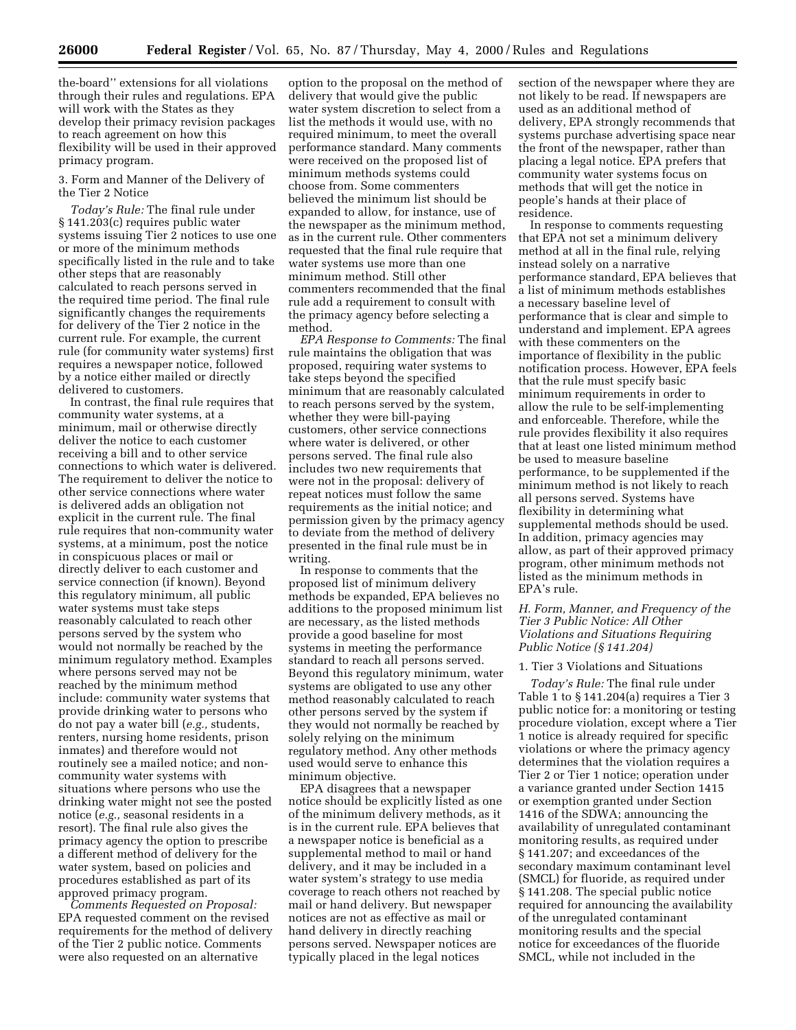the-board'' extensions for all violations through their rules and regulations. EPA will work with the States as they develop their primacy revision packages to reach agreement on how this flexibility will be used in their approved primacy program.

3. Form and Manner of the Delivery of the Tier 2 Notice

*Today's Rule:* The final rule under § 141.203(c) requires public water systems issuing Tier 2 notices to use one or more of the minimum methods specifically listed in the rule and to take other steps that are reasonably calculated to reach persons served in the required time period. The final rule significantly changes the requirements for delivery of the Tier 2 notice in the current rule. For example, the current rule (for community water systems) first requires a newspaper notice, followed by a notice either mailed or directly delivered to customers.

In contrast, the final rule requires that community water systems, at a minimum, mail or otherwise directly deliver the notice to each customer receiving a bill and to other service connections to which water is delivered. The requirement to deliver the notice to other service connections where water is delivered adds an obligation not explicit in the current rule. The final rule requires that non-community water systems, at a minimum, post the notice in conspicuous places or mail or directly deliver to each customer and service connection (if known). Beyond this regulatory minimum, all public water systems must take steps reasonably calculated to reach other persons served by the system who would not normally be reached by the minimum regulatory method. Examples where persons served may not be reached by the minimum method include: community water systems that provide drinking water to persons who do not pay a water bill (*e.g.,* students, renters, nursing home residents, prison inmates) and therefore would not routinely see a mailed notice; and noncommunity water systems with situations where persons who use the drinking water might not see the posted notice (*e.g.,* seasonal residents in a resort). The final rule also gives the primacy agency the option to prescribe a different method of delivery for the water system, based on policies and procedures established as part of its approved primacy program.

*Comments Requested on Proposal:* EPA requested comment on the revised requirements for the method of delivery of the Tier 2 public notice. Comments were also requested on an alternative

option to the proposal on the method of delivery that would give the public water system discretion to select from a list the methods it would use, with no required minimum, to meet the overall performance standard. Many comments were received on the proposed list of minimum methods systems could choose from. Some commenters believed the minimum list should be expanded to allow, for instance, use of the newspaper as the minimum method, as in the current rule. Other commenters requested that the final rule require that water systems use more than one minimum method. Still other commenters recommended that the final rule add a requirement to consult with the primacy agency before selecting a method.

*EPA Response to Comments:* The final rule maintains the obligation that was proposed, requiring water systems to take steps beyond the specified minimum that are reasonably calculated to reach persons served by the system, whether they were bill-paying customers, other service connections where water is delivered, or other persons served. The final rule also includes two new requirements that were not in the proposal: delivery of repeat notices must follow the same requirements as the initial notice; and permission given by the primacy agency to deviate from the method of delivery presented in the final rule must be in writing.

In response to comments that the proposed list of minimum delivery methods be expanded, EPA believes no additions to the proposed minimum list are necessary, as the listed methods provide a good baseline for most systems in meeting the performance standard to reach all persons served. Beyond this regulatory minimum, water systems are obligated to use any other method reasonably calculated to reach other persons served by the system if they would not normally be reached by solely relying on the minimum regulatory method. Any other methods used would serve to enhance this minimum objective.

EPA disagrees that a newspaper notice should be explicitly listed as one of the minimum delivery methods, as it is in the current rule. EPA believes that a newspaper notice is beneficial as a supplemental method to mail or hand delivery, and it may be included in a water system's strategy to use media coverage to reach others not reached by mail or hand delivery. But newspaper notices are not as effective as mail or hand delivery in directly reaching persons served. Newspaper notices are typically placed in the legal notices

section of the newspaper where they are not likely to be read. If newspapers are used as an additional method of delivery, EPA strongly recommends that systems purchase advertising space near the front of the newspaper, rather than placing a legal notice. EPA prefers that community water systems focus on methods that will get the notice in people's hands at their place of residence.

In response to comments requesting that EPA not set a minimum delivery method at all in the final rule, relying instead solely on a narrative performance standard, EPA believes that a list of minimum methods establishes a necessary baseline level of performance that is clear and simple to understand and implement. EPA agrees with these commenters on the importance of flexibility in the public notification process. However, EPA feels that the rule must specify basic minimum requirements in order to allow the rule to be self-implementing and enforceable. Therefore, while the rule provides flexibility it also requires that at least one listed minimum method be used to measure baseline performance, to be supplemented if the minimum method is not likely to reach all persons served. Systems have flexibility in determining what supplemental methods should be used. In addition, primacy agencies may allow, as part of their approved primacy program, other minimum methods not listed as the minimum methods in EPA's rule.

# *H. Form, Manner, and Frequency of the Tier 3 Public Notice: All Other Violations and Situations Requiring Public Notice (§ 141.204)*

## 1. Tier 3 Violations and Situations

*Today's Rule:* The final rule under Table 1 to § 141.204(a) requires a Tier 3 public notice for: a monitoring or testing procedure violation, except where a Tier 1 notice is already required for specific violations or where the primacy agency determines that the violation requires a Tier 2 or Tier 1 notice; operation under a variance granted under Section 1415 or exemption granted under Section 1416 of the SDWA; announcing the availability of unregulated contaminant monitoring results, as required under § 141.207; and exceedances of the secondary maximum contaminant level (SMCL) for fluoride, as required under § 141.208. The special public notice required for announcing the availability of the unregulated contaminant monitoring results and the special notice for exceedances of the fluoride SMCL, while not included in the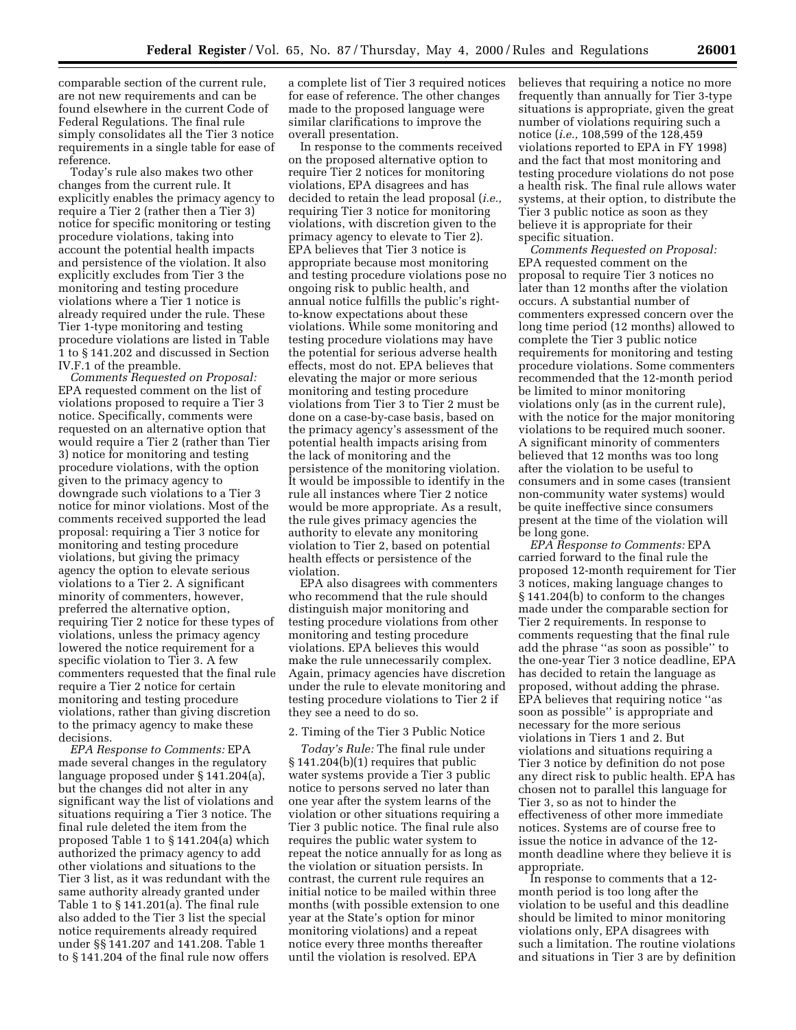comparable section of the current rule, are not new requirements and can be found elsewhere in the current Code of Federal Regulations. The final rule simply consolidates all the Tier 3 notice requirements in a single table for ease of reference.

Today's rule also makes two other changes from the current rule. It explicitly enables the primacy agency to require a Tier 2 (rather then a Tier 3) notice for specific monitoring or testing procedure violations, taking into account the potential health impacts and persistence of the violation. It also explicitly excludes from Tier 3 the monitoring and testing procedure violations where a Tier 1 notice is already required under the rule. These Tier 1-type monitoring and testing procedure violations are listed in Table 1 to § 141.202 and discussed in Section IV.F.1 of the preamble.

*Comments Requested on Proposal:* EPA requested comment on the list of violations proposed to require a Tier 3 notice. Specifically, comments were requested on an alternative option that would require a Tier 2 (rather than Tier 3) notice for monitoring and testing procedure violations, with the option given to the primacy agency to downgrade such violations to a Tier 3 notice for minor violations. Most of the comments received supported the lead proposal: requiring a Tier 3 notice for monitoring and testing procedure violations, but giving the primacy agency the option to elevate serious violations to a Tier 2. A significant minority of commenters, however, preferred the alternative option, requiring Tier 2 notice for these types of violations, unless the primacy agency lowered the notice requirement for a specific violation to Tier 3. A few commenters requested that the final rule require a Tier 2 notice for certain monitoring and testing procedure violations, rather than giving discretion to the primacy agency to make these decisions.

*EPA Response to Comments:* EPA made several changes in the regulatory language proposed under § 141.204(a), but the changes did not alter in any significant way the list of violations and situations requiring a Tier 3 notice. The final rule deleted the item from the proposed Table 1 to § 141.204(a) which authorized the primacy agency to add other violations and situations to the Tier 3 list, as it was redundant with the same authority already granted under Table 1 to § 141.201(a). The final rule also added to the Tier 3 list the special notice requirements already required under §§ 141.207 and 141.208. Table 1 to § 141.204 of the final rule now offers

a complete list of Tier 3 required notices for ease of reference. The other changes made to the proposed language were similar clarifications to improve the overall presentation.

In response to the comments received on the proposed alternative option to require Tier 2 notices for monitoring violations, EPA disagrees and has decided to retain the lead proposal (*i.e.,* requiring Tier 3 notice for monitoring violations, with discretion given to the primacy agency to elevate to Tier 2). EPA believes that Tier 3 notice is appropriate because most monitoring and testing procedure violations pose no ongoing risk to public health, and annual notice fulfills the public's rightto-know expectations about these violations. While some monitoring and testing procedure violations may have the potential for serious adverse health effects, most do not. EPA believes that elevating the major or more serious monitoring and testing procedure violations from Tier 3 to Tier 2 must be done on a case-by-case basis, based on the primacy agency's assessment of the potential health impacts arising from the lack of monitoring and the persistence of the monitoring violation. It would be impossible to identify in the rule all instances where Tier 2 notice would be more appropriate. As a result, the rule gives primacy agencies the authority to elevate any monitoring violation to Tier 2, based on potential health effects or persistence of the violation.

EPA also disagrees with commenters who recommend that the rule should distinguish major monitoring and testing procedure violations from other monitoring and testing procedure violations. EPA believes this would make the rule unnecessarily complex. Again, primacy agencies have discretion under the rule to elevate monitoring and testing procedure violations to Tier 2 if they see a need to do so.

#### 2. Timing of the Tier 3 Public Notice

*Today's Rule:* The final rule under § 141.204(b)(1) requires that public water systems provide a Tier 3 public notice to persons served no later than one year after the system learns of the violation or other situations requiring a Tier 3 public notice. The final rule also requires the public water system to repeat the notice annually for as long as the violation or situation persists. In contrast, the current rule requires an initial notice to be mailed within three months (with possible extension to one year at the State's option for minor monitoring violations) and a repeat notice every three months thereafter until the violation is resolved. EPA

believes that requiring a notice no more frequently than annually for Tier 3-type situations is appropriate, given the great number of violations requiring such a notice (*i.e.,* 108,599 of the 128,459 violations reported to EPA in FY 1998) and the fact that most monitoring and testing procedure violations do not pose a health risk. The final rule allows water systems, at their option, to distribute the Tier 3 public notice as soon as they believe it is appropriate for their specific situation.

*Comments Requested on Proposal:* EPA requested comment on the proposal to require Tier 3 notices no later than 12 months after the violation occurs. A substantial number of commenters expressed concern over the long time period (12 months) allowed to complete the Tier 3 public notice requirements for monitoring and testing procedure violations. Some commenters recommended that the 12-month period be limited to minor monitoring violations only (as in the current rule), with the notice for the major monitoring violations to be required much sooner. A significant minority of commenters believed that 12 months was too long after the violation to be useful to consumers and in some cases (transient non-community water systems) would be quite ineffective since consumers present at the time of the violation will be long gone.

*EPA Response to Comments:* EPA carried forward to the final rule the proposed 12-month requirement for Tier 3 notices, making language changes to § 141.204(b) to conform to the changes made under the comparable section for Tier 2 requirements. In response to comments requesting that the final rule add the phrase ''as soon as possible'' to the one-year Tier 3 notice deadline, EPA has decided to retain the language as proposed, without adding the phrase. EPA believes that requiring notice ''as soon as possible'' is appropriate and necessary for the more serious violations in Tiers 1 and 2. But violations and situations requiring a Tier 3 notice by definition do not pose any direct risk to public health. EPA has chosen not to parallel this language for Tier 3, so as not to hinder the effectiveness of other more immediate notices. Systems are of course free to issue the notice in advance of the 12 month deadline where they believe it is appropriate.

In response to comments that a 12 month period is too long after the violation to be useful and this deadline should be limited to minor monitoring violations only, EPA disagrees with such a limitation. The routine violations and situations in Tier 3 are by definition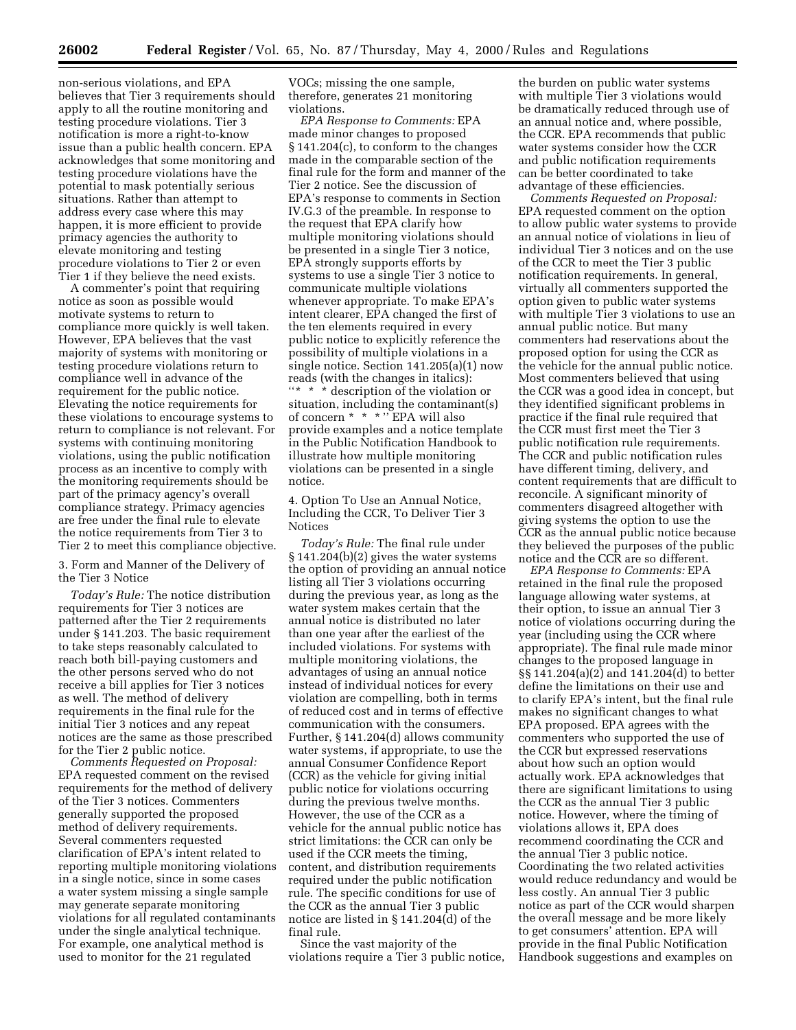non-serious violations, and EPA believes that Tier 3 requirements should apply to all the routine monitoring and testing procedure violations. Tier 3 notification is more a right-to-know issue than a public health concern. EPA acknowledges that some monitoring and testing procedure violations have the potential to mask potentially serious situations. Rather than attempt to address every case where this may happen, it is more efficient to provide primacy agencies the authority to elevate monitoring and testing procedure violations to Tier 2 or even Tier 1 if they believe the need exists.

A commenter's point that requiring notice as soon as possible would motivate systems to return to compliance more quickly is well taken. However, EPA believes that the vast majority of systems with monitoring or testing procedure violations return to compliance well in advance of the requirement for the public notice. Elevating the notice requirements for these violations to encourage systems to return to compliance is not relevant. For systems with continuing monitoring violations, using the public notification process as an incentive to comply with the monitoring requirements should be part of the primacy agency's overall compliance strategy. Primacy agencies are free under the final rule to elevate the notice requirements from Tier 3 to Tier 2 to meet this compliance objective.

3. Form and Manner of the Delivery of the Tier 3 Notice

*Today's Rule:* The notice distribution requirements for Tier 3 notices are patterned after the Tier 2 requirements under § 141.203. The basic requirement to take steps reasonably calculated to reach both bill-paying customers and the other persons served who do not receive a bill applies for Tier 3 notices as well. The method of delivery requirements in the final rule for the initial Tier 3 notices and any repeat notices are the same as those prescribed for the Tier 2 public notice.

*Comments Requested on Proposal:* EPA requested comment on the revised requirements for the method of delivery of the Tier 3 notices. Commenters generally supported the proposed method of delivery requirements. Several commenters requested clarification of EPA's intent related to reporting multiple monitoring violations in a single notice, since in some cases a water system missing a single sample may generate separate monitoring violations for all regulated contaminants under the single analytical technique. For example, one analytical method is used to monitor for the 21 regulated

VOCs; missing the one sample, therefore, generates 21 monitoring violations.

*EPA Response to Comments:* EPA made minor changes to proposed § 141.204(c), to conform to the changes made in the comparable section of the final rule for the form and manner of the Tier 2 notice. See the discussion of EPA's response to comments in Section IV.G.3 of the preamble. In response to the request that EPA clarify how multiple monitoring violations should be presented in a single Tier 3 notice, EPA strongly supports efforts by systems to use a single Tier 3 notice to communicate multiple violations whenever appropriate. To make EPA's intent clearer, EPA changed the first of the ten elements required in every public notice to explicitly reference the possibility of multiple violations in a single notice. Section 141.205(a)(1) now reads (with the changes in italics): ''\* \* \* description of the violation or situation, including the contaminant(s) of concern \* \* \* '' EPA will also provide examples and a notice template in the Public Notification Handbook to illustrate how multiple monitoring violations can be presented in a single notice.

4. Option To Use an Annual Notice, Including the CCR, To Deliver Tier 3 Notices

*Today's Rule:* The final rule under § 141.204(b)(2) gives the water systems the option of providing an annual notice listing all Tier 3 violations occurring during the previous year, as long as the water system makes certain that the annual notice is distributed no later than one year after the earliest of the included violations. For systems with multiple monitoring violations, the advantages of using an annual notice instead of individual notices for every violation are compelling, both in terms of reduced cost and in terms of effective communication with the consumers. Further, § 141.204(d) allows community water systems, if appropriate, to use the annual Consumer Confidence Report (CCR) as the vehicle for giving initial public notice for violations occurring during the previous twelve months. However, the use of the CCR as a vehicle for the annual public notice has strict limitations: the CCR can only be used if the CCR meets the timing, content, and distribution requirements required under the public notification rule. The specific conditions for use of the CCR as the annual Tier 3 public notice are listed in § 141.204(d) of the final rule.

Since the vast majority of the violations require a Tier 3 public notice,

the burden on public water systems with multiple Tier 3 violations would be dramatically reduced through use of an annual notice and, where possible, the CCR. EPA recommends that public water systems consider how the CCR and public notification requirements can be better coordinated to take advantage of these efficiencies.

*Comments Requested on Proposal:* EPA requested comment on the option to allow public water systems to provide an annual notice of violations in lieu of individual Tier 3 notices and on the use of the CCR to meet the Tier 3 public notification requirements. In general, virtually all commenters supported the option given to public water systems with multiple Tier 3 violations to use an annual public notice. But many commenters had reservations about the proposed option for using the CCR as the vehicle for the annual public notice. Most commenters believed that using the CCR was a good idea in concept, but they identified significant problems in practice if the final rule required that the CCR must first meet the Tier 3 public notification rule requirements. The CCR and public notification rules have different timing, delivery, and content requirements that are difficult to reconcile. A significant minority of commenters disagreed altogether with giving systems the option to use the CCR as the annual public notice because they believed the purposes of the public notice and the CCR are so different.

*EPA Response to Comments:* EPA retained in the final rule the proposed language allowing water systems, at their option, to issue an annual Tier 3 notice of violations occurring during the year (including using the CCR where appropriate). The final rule made minor changes to the proposed language in §§ 141.204(a)(2) and 141.204(d) to better define the limitations on their use and to clarify EPA's intent, but the final rule makes no significant changes to what EPA proposed. EPA agrees with the commenters who supported the use of the CCR but expressed reservations about how such an option would actually work. EPA acknowledges that there are significant limitations to using the CCR as the annual Tier 3 public notice. However, where the timing of violations allows it, EPA does recommend coordinating the CCR and the annual Tier 3 public notice. Coordinating the two related activities would reduce redundancy and would be less costly. An annual Tier 3 public notice as part of the CCR would sharpen the overall message and be more likely to get consumers' attention. EPA will provide in the final Public Notification Handbook suggestions and examples on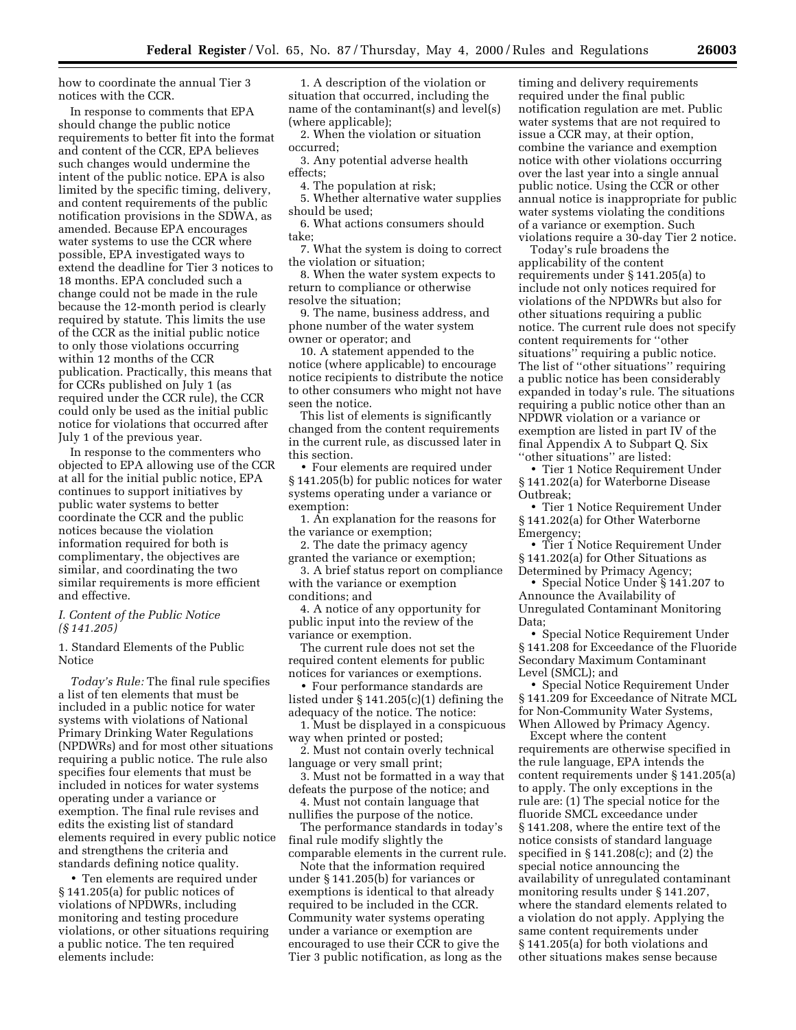how to coordinate the annual Tier 3 notices with the CCR.

In response to comments that EPA should change the public notice requirements to better fit into the format and content of the CCR, EPA believes such changes would undermine the intent of the public notice. EPA is also limited by the specific timing, delivery, and content requirements of the public notification provisions in the SDWA, as amended. Because EPA encourages water systems to use the CCR where possible, EPA investigated ways to extend the deadline for Tier 3 notices to 18 months. EPA concluded such a change could not be made in the rule because the 12-month period is clearly required by statute. This limits the use of the CCR as the initial public notice to only those violations occurring within 12 months of the CCR publication. Practically, this means that for CCRs published on July 1 (as required under the CCR rule), the CCR could only be used as the initial public notice for violations that occurred after July 1 of the previous year.

In response to the commenters who objected to EPA allowing use of the CCR at all for the initial public notice, EPA continues to support initiatives by public water systems to better coordinate the CCR and the public notices because the violation information required for both is complimentary, the objectives are similar, and coordinating the two similar requirements is more efficient and effective.

#### *I. Content of the Public Notice (§ 141.205)*

1. Standard Elements of the Public Notice

*Today's Rule:* The final rule specifies a list of ten elements that must be included in a public notice for water systems with violations of National Primary Drinking Water Regulations (NPDWRs) and for most other situations requiring a public notice. The rule also specifies four elements that must be included in notices for water systems operating under a variance or exemption. The final rule revises and edits the existing list of standard elements required in every public notice and strengthens the criteria and standards defining notice quality.

• Ten elements are required under § 141.205(a) for public notices of violations of NPDWRs, including monitoring and testing procedure violations, or other situations requiring a public notice. The ten required elements include:

1. A description of the violation or situation that occurred, including the name of the contaminant(s) and level(s) (where applicable);

2. When the violation or situation occurred;

3. Any potential adverse health effects;

4. The population at risk;

5. Whether alternative water supplies should be used;

6. What actions consumers should take;

7. What the system is doing to correct the violation or situation;

8. When the water system expects to return to compliance or otherwise resolve the situation;

9. The name, business address, and phone number of the water system owner or operator; and

10. A statement appended to the notice (where applicable) to encourage notice recipients to distribute the notice to other consumers who might not have seen the notice.

This list of elements is significantly changed from the content requirements in the current rule, as discussed later in this section.

• Four elements are required under § 141.205(b) for public notices for water systems operating under a variance or exemption:

1. An explanation for the reasons for the variance or exemption;

2. The date the primacy agency granted the variance or exemption;

3. A brief status report on compliance with the variance or exemption conditions; and

4. A notice of any opportunity for public input into the review of the variance or exemption.

The current rule does not set the required content elements for public notices for variances or exemptions.

• Four performance standards are listed under § 141.205(c)(1) defining the adequacy of the notice. The notice:

1. Must be displayed in a conspicuous way when printed or posted;

2. Must not contain overly technical language or very small print;

3. Must not be formatted in a way that defeats the purpose of the notice; and

4. Must not contain language that nullifies the purpose of the notice.

The performance standards in today's final rule modify slightly the comparable elements in the current rule.

Note that the information required under § 141.205(b) for variances or exemptions is identical to that already required to be included in the CCR. Community water systems operating under a variance or exemption are encouraged to use their CCR to give the Tier 3 public notification, as long as the

timing and delivery requirements required under the final public notification regulation are met. Public water systems that are not required to issue a CCR may, at their option, combine the variance and exemption notice with other violations occurring over the last year into a single annual public notice. Using the CCR or other annual notice is inappropriate for public water systems violating the conditions of a variance or exemption. Such violations require a 30-day Tier 2 notice.

Today's rule broadens the applicability of the content requirements under § 141.205(a) to include not only notices required for violations of the NPDWRs but also for other situations requiring a public notice. The current rule does not specify content requirements for ''other situations'' requiring a public notice. The list of ''other situations'' requiring a public notice has been considerably expanded in today's rule. The situations requiring a public notice other than an NPDWR violation or a variance or exemption are listed in part IV of the final Appendix A to Subpart Q. Six ''other situations'' are listed:

• Tier 1 Notice Requirement Under § 141.202(a) for Waterborne Disease Outbreak;

• Tier 1 Notice Requirement Under § 141.202(a) for Other Waterborne Emergency;

• Tier 1 Notice Requirement Under § 141.202(a) for Other Situations as Determined by Primacy Agency;

• Special Notice Under § 141.207 to Announce the Availability of Unregulated Contaminant Monitoring Data;

• Special Notice Requirement Under § 141.208 for Exceedance of the Fluoride Secondary Maximum Contaminant Level (SMCL); and

• Special Notice Requirement Under § 141.209 for Exceedance of Nitrate MCL for Non-Community Water Systems, When Allowed by Primacy Agency.

Except where the content requirements are otherwise specified in the rule language, EPA intends the content requirements under § 141.205(a) to apply. The only exceptions in the rule are: (1) The special notice for the fluoride SMCL exceedance under § 141.208, where the entire text of the notice consists of standard language specified in § 141.208(c); and (2) the special notice announcing the availability of unregulated contaminant monitoring results under § 141.207, where the standard elements related to a violation do not apply. Applying the same content requirements under § 141.205(a) for both violations and other situations makes sense because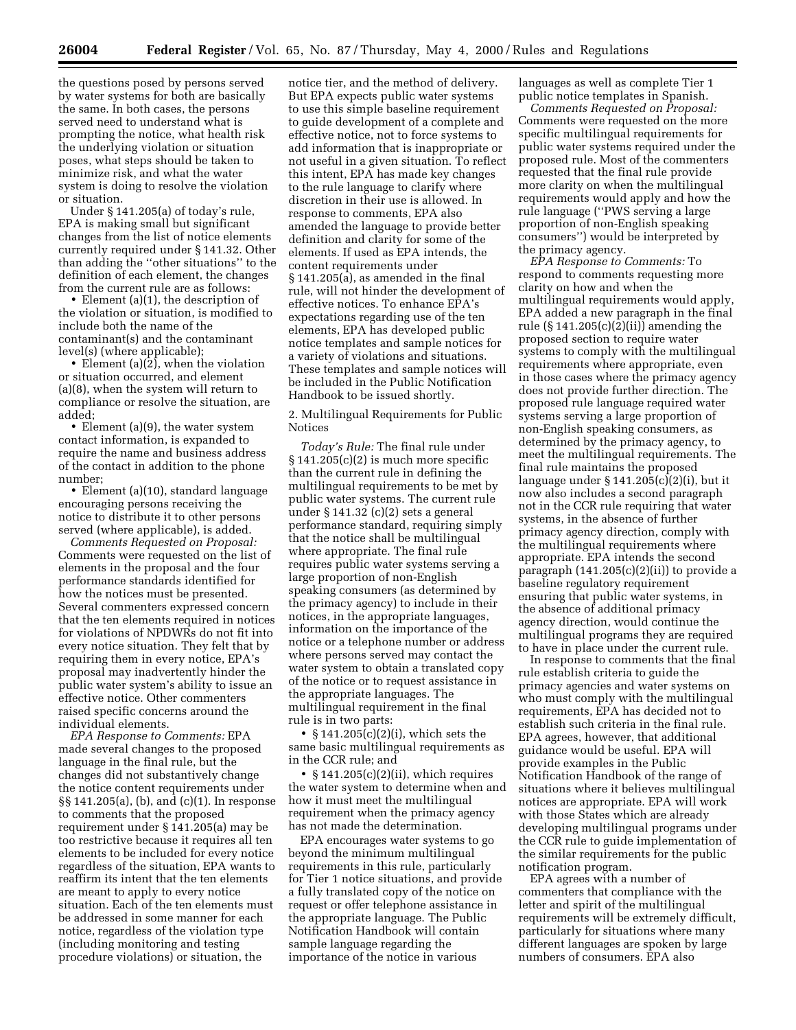the questions posed by persons served by water systems for both are basically the same. In both cases, the persons served need to understand what is prompting the notice, what health risk the underlying violation or situation poses, what steps should be taken to minimize risk, and what the water system is doing to resolve the violation or situation.

Under § 141.205(a) of today's rule, EPA is making small but significant changes from the list of notice elements currently required under § 141.32. Other than adding the ''other situations'' to the definition of each element, the changes from the current rule are as follows:

• Element (a)(1), the description of the violation or situation, is modified to include both the name of the contaminant(s) and the contaminant level(s) (where applicable);

• Element (a)(2), when the violation or situation occurred, and element (a)(8), when the system will return to compliance or resolve the situation, are added;

• Element (a)(9), the water system contact information, is expanded to require the name and business address of the contact in addition to the phone number;

• Element (a)(10), standard language encouraging persons receiving the notice to distribute it to other persons served (where applicable), is added.

*Comments Requested on Proposal:* Comments were requested on the list of elements in the proposal and the four performance standards identified for how the notices must be presented. Several commenters expressed concern that the ten elements required in notices for violations of NPDWRs do not fit into every notice situation. They felt that by requiring them in every notice, EPA's proposal may inadvertently hinder the public water system's ability to issue an effective notice. Other commenters raised specific concerns around the individual elements.

*EPA Response to Comments:* EPA made several changes to the proposed language in the final rule, but the changes did not substantively change the notice content requirements under §§ 141.205(a), (b), and (c)(1). In response to comments that the proposed requirement under § 141.205(a) may be too restrictive because it requires all ten elements to be included for every notice regardless of the situation, EPA wants to reaffirm its intent that the ten elements are meant to apply to every notice situation. Each of the ten elements must be addressed in some manner for each notice, regardless of the violation type (including monitoring and testing procedure violations) or situation, the

notice tier, and the method of delivery. But EPA expects public water systems to use this simple baseline requirement to guide development of a complete and effective notice, not to force systems to add information that is inappropriate or not useful in a given situation. To reflect this intent, EPA has made key changes to the rule language to clarify where discretion in their use is allowed. In response to comments, EPA also amended the language to provide better definition and clarity for some of the elements. If used as EPA intends, the content requirements under § 141.205(a), as amended in the final rule, will not hinder the development of effective notices. To enhance EPA's expectations regarding use of the ten elements, EPA has developed public notice templates and sample notices for a variety of violations and situations. These templates and sample notices will be included in the Public Notification Handbook to be issued shortly.

2. Multilingual Requirements for Public Notices

*Today's Rule:* The final rule under  $§ 141.205(c)(2)$  is much more specific than the current rule in defining the multilingual requirements to be met by public water systems. The current rule under § 141.32 (c)(2) sets a general performance standard, requiring simply that the notice shall be multilingual where appropriate. The final rule requires public water systems serving a large proportion of non-English speaking consumers (as determined by the primacy agency) to include in their notices, in the appropriate languages, information on the importance of the notice or a telephone number or address where persons served may contact the water system to obtain a translated copy of the notice or to request assistance in the appropriate languages. The multilingual requirement in the final rule is in two parts:

•  $$141.205(c)(2)(i)$ , which sets the same basic multilingual requirements as in the CCR rule; and

• § 141.205(c)(2)(ii), which requires the water system to determine when and how it must meet the multilingual requirement when the primacy agency has not made the determination.

EPA encourages water systems to go beyond the minimum multilingual requirements in this rule, particularly for Tier 1 notice situations, and provide a fully translated copy of the notice on request or offer telephone assistance in the appropriate language. The Public Notification Handbook will contain sample language regarding the importance of the notice in various

languages as well as complete Tier 1 public notice templates in Spanish.

*Comments Requested on Proposal:* Comments were requested on the more specific multilingual requirements for public water systems required under the proposed rule. Most of the commenters requested that the final rule provide more clarity on when the multilingual requirements would apply and how the rule language (''PWS serving a large proportion of non-English speaking consumers'') would be interpreted by the primacy agency.

*EPA Response to Comments:* To respond to comments requesting more clarity on how and when the multilingual requirements would apply, EPA added a new paragraph in the final rule  $(S141.205(c)(2)(ii))$  amending the proposed section to require water systems to comply with the multilingual requirements where appropriate, even in those cases where the primacy agency does not provide further direction. The proposed rule language required water systems serving a large proportion of non-English speaking consumers, as determined by the primacy agency, to meet the multilingual requirements. The final rule maintains the proposed language under § 141.205(c)(2)(i), but it now also includes a second paragraph not in the CCR rule requiring that water systems, in the absence of further primacy agency direction, comply with the multilingual requirements where appropriate. EPA intends the second paragraph  $(141.205(c)(2)(ii))$  to provide a baseline regulatory requirement ensuring that public water systems, in the absence of additional primacy agency direction, would continue the multilingual programs they are required to have in place under the current rule.

In response to comments that the final rule establish criteria to guide the primacy agencies and water systems on who must comply with the multilingual requirements, EPA has decided not to establish such criteria in the final rule. EPA agrees, however, that additional guidance would be useful. EPA will provide examples in the Public Notification Handbook of the range of situations where it believes multilingual notices are appropriate. EPA will work with those States which are already developing multilingual programs under the CCR rule to guide implementation of the similar requirements for the public notification program.

EPA agrees with a number of commenters that compliance with the letter and spirit of the multilingual requirements will be extremely difficult, particularly for situations where many different languages are spoken by large numbers of consumers. EPA also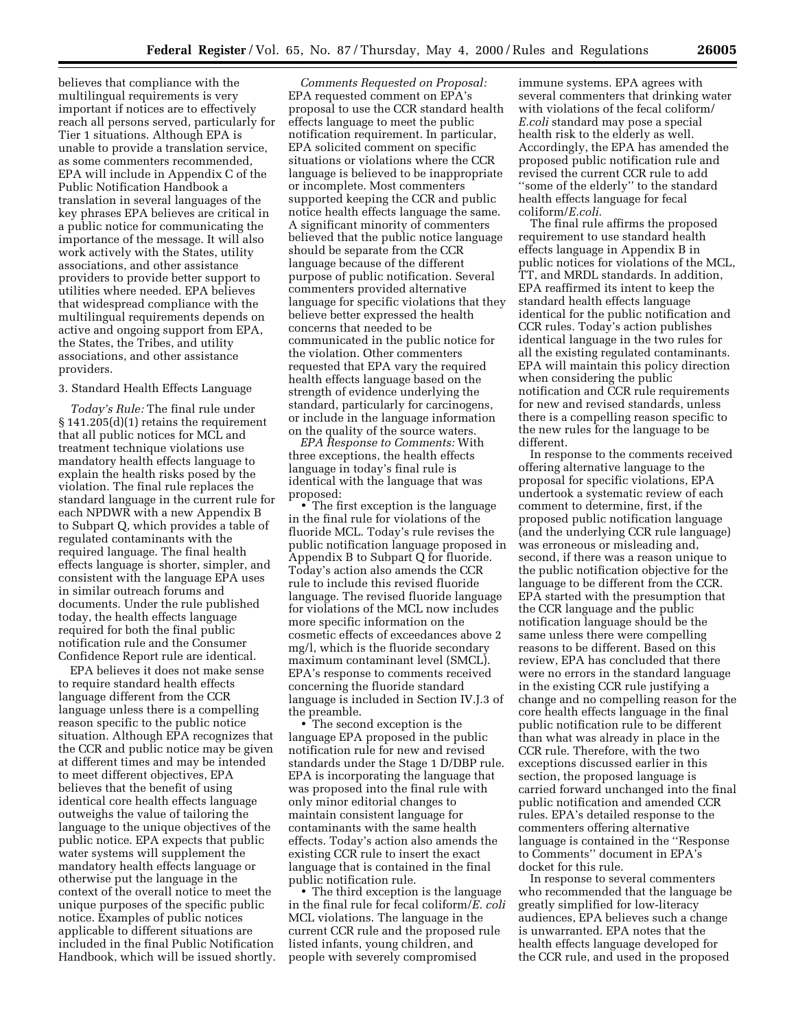believes that compliance with the multilingual requirements is very important if notices are to effectively reach all persons served, particularly for Tier 1 situations. Although EPA is unable to provide a translation service, as some commenters recommended, EPA will include in Appendix C of the Public Notification Handbook a translation in several languages of the key phrases EPA believes are critical in a public notice for communicating the importance of the message. It will also work actively with the States, utility associations, and other assistance providers to provide better support to utilities where needed. EPA believes that widespread compliance with the multilingual requirements depends on active and ongoing support from EPA, the States, the Tribes, and utility associations, and other assistance providers.

#### 3. Standard Health Effects Language

*Today's Rule:* The final rule under § 141.205(d)(1) retains the requirement that all public notices for MCL and treatment technique violations use mandatory health effects language to explain the health risks posed by the violation. The final rule replaces the standard language in the current rule for each NPDWR with a new Appendix B to Subpart Q, which provides a table of regulated contaminants with the required language. The final health effects language is shorter, simpler, and consistent with the language EPA uses in similar outreach forums and documents. Under the rule published today, the health effects language required for both the final public notification rule and the Consumer Confidence Report rule are identical.

EPA believes it does not make sense to require standard health effects language different from the CCR language unless there is a compelling reason specific to the public notice situation. Although EPA recognizes that the CCR and public notice may be given at different times and may be intended to meet different objectives, EPA believes that the benefit of using identical core health effects language outweighs the value of tailoring the language to the unique objectives of the public notice. EPA expects that public water systems will supplement the mandatory health effects language or otherwise put the language in the context of the overall notice to meet the unique purposes of the specific public notice. Examples of public notices applicable to different situations are included in the final Public Notification Handbook, which will be issued shortly.

*Comments Requested on Proposal:* EPA requested comment on EPA's proposal to use the CCR standard health effects language to meet the public notification requirement. In particular, EPA solicited comment on specific situations or violations where the CCR language is believed to be inappropriate or incomplete. Most commenters supported keeping the CCR and public notice health effects language the same. A significant minority of commenters believed that the public notice language should be separate from the CCR language because of the different purpose of public notification. Several commenters provided alternative language for specific violations that they believe better expressed the health concerns that needed to be communicated in the public notice for the violation. Other commenters requested that EPA vary the required health effects language based on the strength of evidence underlying the standard, particularly for carcinogens, or include in the language information on the quality of the source waters.

*EPA Response to Comments:* With three exceptions, the health effects language in today's final rule is identical with the language that was proposed:

• The first exception is the language in the final rule for violations of the fluoride MCL. Today's rule revises the public notification language proposed in Appendix B to Subpart Q for fluoride. Today's action also amends the CCR rule to include this revised fluoride language. The revised fluoride language for violations of the MCL now includes more specific information on the cosmetic effects of exceedances above 2 mg/l, which is the fluoride secondary maximum contaminant level (SMCL). EPA's response to comments received concerning the fluoride standard language is included in Section IV.J.3 of the preamble.

• The second exception is the language EPA proposed in the public notification rule for new and revised standards under the Stage 1 D/DBP rule. EPA is incorporating the language that was proposed into the final rule with only minor editorial changes to maintain consistent language for contaminants with the same health effects. Today's action also amends the existing CCR rule to insert the exact language that is contained in the final public notification rule.

• The third exception is the language in the final rule for fecal coliform/*E. coli* MCL violations. The language in the current CCR rule and the proposed rule listed infants, young children, and people with severely compromised

immune systems. EPA agrees with several commenters that drinking water with violations of the fecal coliform/ *E.coli* standard may pose a special health risk to the elderly as well. Accordingly, the EPA has amended the proposed public notification rule and revised the current CCR rule to add ''some of the elderly'' to the standard health effects language for fecal coliform/*E.coli.*

The final rule affirms the proposed requirement to use standard health effects language in Appendix B in public notices for violations of the MCL, TT, and MRDL standards. In addition, EPA reaffirmed its intent to keep the standard health effects language identical for the public notification and CCR rules. Today's action publishes identical language in the two rules for all the existing regulated contaminants. EPA will maintain this policy direction when considering the public notification and CCR rule requirements for new and revised standards, unless there is a compelling reason specific to the new rules for the language to be different.

In response to the comments received offering alternative language to the proposal for specific violations, EPA undertook a systematic review of each comment to determine, first, if the proposed public notification language (and the underlying CCR rule language) was erroneous or misleading and, second, if there was a reason unique to the public notification objective for the language to be different from the CCR. EPA started with the presumption that the CCR language and the public notification language should be the same unless there were compelling reasons to be different. Based on this review, EPA has concluded that there were no errors in the standard language in the existing CCR rule justifying a change and no compelling reason for the core health effects language in the final public notification rule to be different than what was already in place in the CCR rule. Therefore, with the two exceptions discussed earlier in this section, the proposed language is carried forward unchanged into the final public notification and amended CCR rules. EPA's detailed response to the commenters offering alternative language is contained in the ''Response to Comments'' document in EPA's docket for this rule.

In response to several commenters who recommended that the language be greatly simplified for low-literacy audiences, EPA believes such a change is unwarranted. EPA notes that the health effects language developed for the CCR rule, and used in the proposed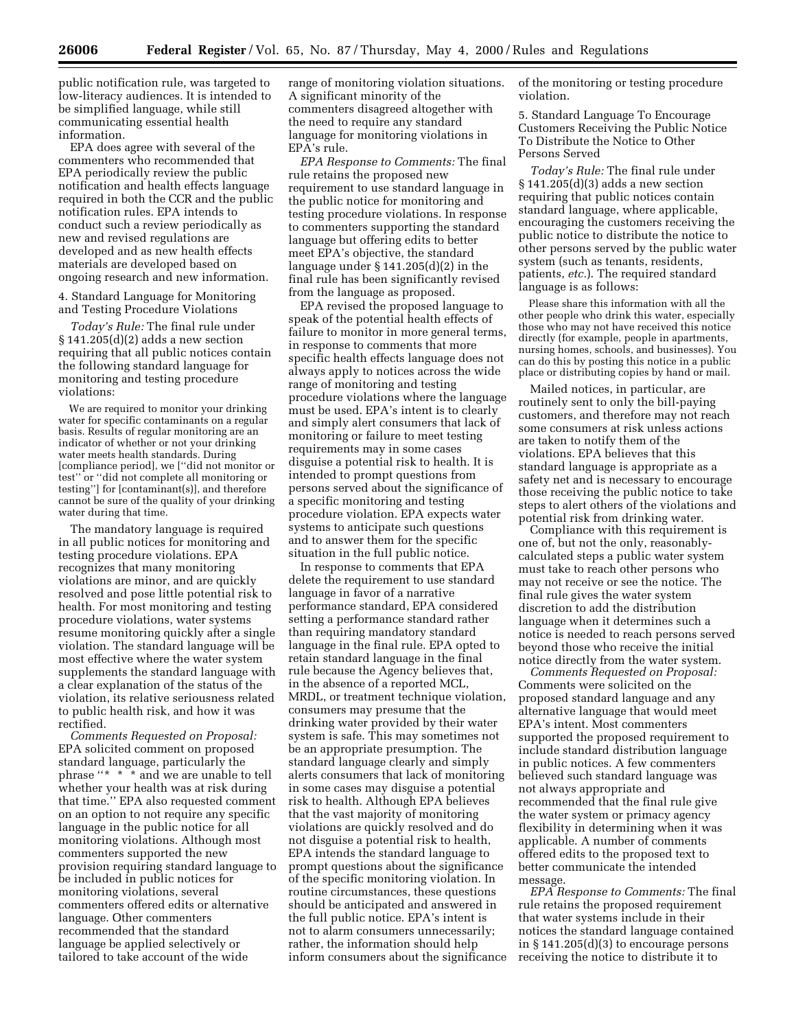public notification rule, was targeted to low-literacy audiences. It is intended to be simplified language, while still communicating essential health information.

EPA does agree with several of the commenters who recommended that EPA periodically review the public notification and health effects language required in both the CCR and the public notification rules. EPA intends to conduct such a review periodically as new and revised regulations are developed and as new health effects materials are developed based on ongoing research and new information.

4. Standard Language for Monitoring and Testing Procedure Violations

*Today's Rule:* The final rule under  $§ 141.205(d)(2)$  adds a new section requiring that all public notices contain the following standard language for monitoring and testing procedure violations:

We are required to monitor your drinking water for specific contaminants on a regular basis. Results of regular monitoring are an indicator of whether or not your drinking water meets health standards. During [compliance period], we [''did not monitor or test'' or ''did not complete all monitoring or testing''] for [contaminant(s)], and therefore cannot be sure of the quality of your drinking water during that time.

The mandatory language is required in all public notices for monitoring and testing procedure violations. EPA recognizes that many monitoring violations are minor, and are quickly resolved and pose little potential risk to health. For most monitoring and testing procedure violations, water systems resume monitoring quickly after a single violation. The standard language will be most effective where the water system supplements the standard language with a clear explanation of the status of the violation, its relative seriousness related to public health risk, and how it was rectified.

*Comments Requested on Proposal:* EPA solicited comment on proposed standard language, particularly the phrase ''\* \* \* and we are unable to tell whether your health was at risk during that time.'' EPA also requested comment on an option to not require any specific language in the public notice for all monitoring violations. Although most commenters supported the new provision requiring standard language to be included in public notices for monitoring violations, several commenters offered edits or alternative language. Other commenters recommended that the standard language be applied selectively or tailored to take account of the wide

range of monitoring violation situations. A significant minority of the commenters disagreed altogether with the need to require any standard language for monitoring violations in EPA's rule.

*EPA Response to Comments:* The final rule retains the proposed new requirement to use standard language in the public notice for monitoring and testing procedure violations. In response to commenters supporting the standard language but offering edits to better meet EPA's objective, the standard language under § 141.205(d)(2) in the final rule has been significantly revised from the language as proposed.

EPA revised the proposed language to speak of the potential health effects of failure to monitor in more general terms, in response to comments that more specific health effects language does not always apply to notices across the wide range of monitoring and testing procedure violations where the language must be used. EPA's intent is to clearly and simply alert consumers that lack of monitoring or failure to meet testing requirements may in some cases disguise a potential risk to health. It is intended to prompt questions from persons served about the significance of a specific monitoring and testing procedure violation. EPA expects water systems to anticipate such questions and to answer them for the specific situation in the full public notice.

In response to comments that EPA delete the requirement to use standard language in favor of a narrative performance standard, EPA considered setting a performance standard rather than requiring mandatory standard language in the final rule. EPA opted to retain standard language in the final rule because the Agency believes that, in the absence of a reported MCL, MRDL, or treatment technique violation, consumers may presume that the drinking water provided by their water system is safe. This may sometimes not be an appropriate presumption. The standard language clearly and simply alerts consumers that lack of monitoring in some cases may disguise a potential risk to health. Although EPA believes that the vast majority of monitoring violations are quickly resolved and do not disguise a potential risk to health, EPA intends the standard language to prompt questions about the significance of the specific monitoring violation. In routine circumstances, these questions should be anticipated and answered in the full public notice. EPA's intent is not to alarm consumers unnecessarily; rather, the information should help inform consumers about the significance of the monitoring or testing procedure violation.

5. Standard Language To Encourage Customers Receiving the Public Notice To Distribute the Notice to Other Persons Served

*Today's Rule:* The final rule under § 141.205(d)(3) adds a new section requiring that public notices contain standard language, where applicable, encouraging the customers receiving the public notice to distribute the notice to other persons served by the public water system (such as tenants, residents, patients, *etc.*). The required standard language is as follows:

Please share this information with all the other people who drink this water, especially those who may not have received this notice directly (for example, people in apartments, nursing homes, schools, and businesses). You can do this by posting this notice in a public place or distributing copies by hand or mail.

Mailed notices, in particular, are routinely sent to only the bill-paying customers, and therefore may not reach some consumers at risk unless actions are taken to notify them of the violations. EPA believes that this standard language is appropriate as a safety net and is necessary to encourage those receiving the public notice to take steps to alert others of the violations and potential risk from drinking water.

Compliance with this requirement is one of, but not the only, reasonablycalculated steps a public water system must take to reach other persons who may not receive or see the notice. The final rule gives the water system discretion to add the distribution language when it determines such a notice is needed to reach persons served beyond those who receive the initial notice directly from the water system.

*Comments Requested on Proposal:* Comments were solicited on the proposed standard language and any alternative language that would meet EPA's intent. Most commenters supported the proposed requirement to include standard distribution language in public notices. A few commenters believed such standard language was not always appropriate and recommended that the final rule give the water system or primacy agency flexibility in determining when it was applicable. A number of comments offered edits to the proposed text to better communicate the intended message.

*EPA Response to Comments:* The final rule retains the proposed requirement that water systems include in their notices the standard language contained in  $§ 141.205(d)(3)$  to encourage persons receiving the notice to distribute it to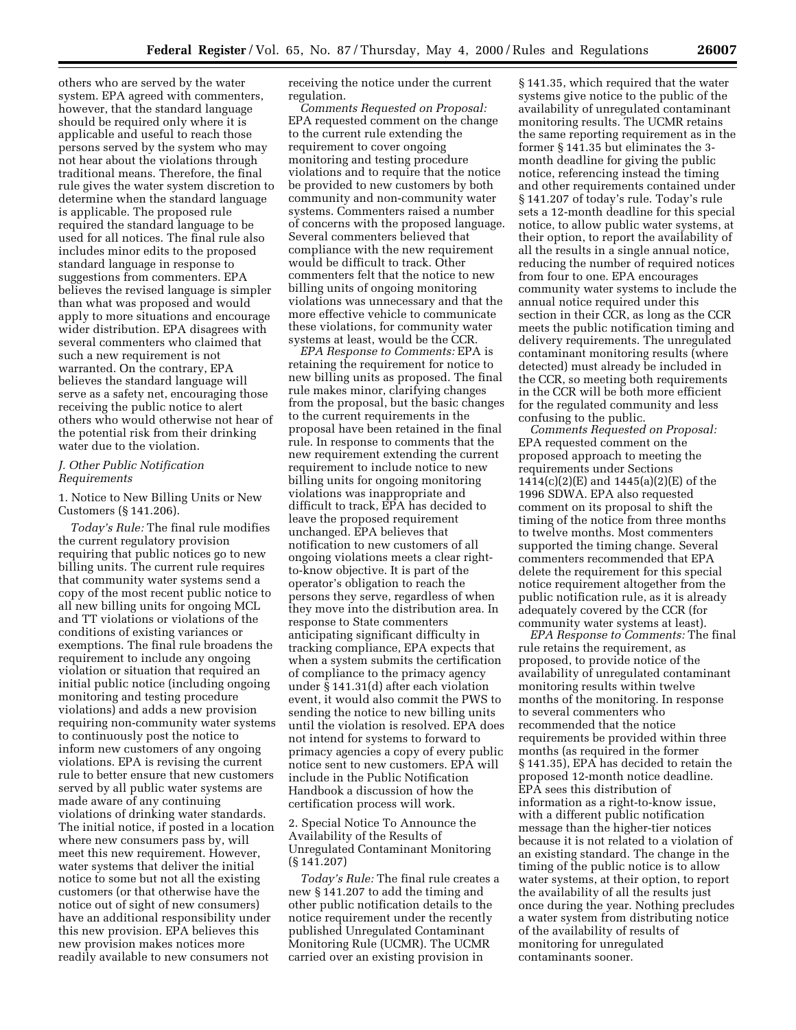others who are served by the water system. EPA agreed with commenters, however, that the standard language should be required only where it is applicable and useful to reach those persons served by the system who may not hear about the violations through traditional means. Therefore, the final rule gives the water system discretion to determine when the standard language is applicable. The proposed rule required the standard language to be used for all notices. The final rule also includes minor edits to the proposed standard language in response to suggestions from commenters. EPA believes the revised language is simpler than what was proposed and would apply to more situations and encourage wider distribution. EPA disagrees with several commenters who claimed that such a new requirement is not warranted. On the contrary, EPA believes the standard language will serve as a safety net, encouraging those receiving the public notice to alert others who would otherwise not hear of the potential risk from their drinking water due to the violation.

## *J. Other Public Notification Requirements*

1. Notice to New Billing Units or New Customers (§ 141.206).

*Today's Rule:* The final rule modifies the current regulatory provision requiring that public notices go to new billing units. The current rule requires that community water systems send a copy of the most recent public notice to all new billing units for ongoing MCL and TT violations or violations of the conditions of existing variances or exemptions. The final rule broadens the requirement to include any ongoing violation or situation that required an initial public notice (including ongoing monitoring and testing procedure violations) and adds a new provision requiring non-community water systems to continuously post the notice to inform new customers of any ongoing violations. EPA is revising the current rule to better ensure that new customers served by all public water systems are made aware of any continuing violations of drinking water standards. The initial notice, if posted in a location where new consumers pass by, will meet this new requirement. However, water systems that deliver the initial notice to some but not all the existing customers (or that otherwise have the notice out of sight of new consumers) have an additional responsibility under this new provision. EPA believes this new provision makes notices more readily available to new consumers not

receiving the notice under the current regulation.

*Comments Requested on Proposal:* EPA requested comment on the change to the current rule extending the requirement to cover ongoing monitoring and testing procedure violations and to require that the notice be provided to new customers by both community and non-community water systems. Commenters raised a number of concerns with the proposed language. Several commenters believed that compliance with the new requirement would be difficult to track. Other commenters felt that the notice to new billing units of ongoing monitoring violations was unnecessary and that the more effective vehicle to communicate these violations, for community water systems at least, would be the CCR.

*EPA Response to Comments:* EPA is retaining the requirement for notice to new billing units as proposed. The final rule makes minor, clarifying changes from the proposal, but the basic changes to the current requirements in the proposal have been retained in the final rule. In response to comments that the new requirement extending the current requirement to include notice to new billing units for ongoing monitoring violations was inappropriate and difficult to track, EPA has decided to leave the proposed requirement unchanged. EPA believes that notification to new customers of all ongoing violations meets a clear rightto-know objective. It is part of the operator's obligation to reach the persons they serve, regardless of when they move into the distribution area. In response to State commenters anticipating significant difficulty in tracking compliance, EPA expects that when a system submits the certification of compliance to the primacy agency under § 141.31(d) after each violation event, it would also commit the PWS to sending the notice to new billing units until the violation is resolved. EPA does not intend for systems to forward to primacy agencies a copy of every public notice sent to new customers. EPA will include in the Public Notification Handbook a discussion of how the certification process will work.

2. Special Notice To Announce the Availability of the Results of Unregulated Contaminant Monitoring (§ 141.207)

*Today's Rule:* The final rule creates a new § 141.207 to add the timing and other public notification details to the notice requirement under the recently published Unregulated Contaminant Monitoring Rule (UCMR). The UCMR carried over an existing provision in

§ 141.35, which required that the water systems give notice to the public of the availability of unregulated contaminant monitoring results. The UCMR retains the same reporting requirement as in the former § 141.35 but eliminates the 3 month deadline for giving the public notice, referencing instead the timing and other requirements contained under § 141.207 of today's rule. Today's rule sets a 12-month deadline for this special notice, to allow public water systems, at their option, to report the availability of all the results in a single annual notice, reducing the number of required notices from four to one. EPA encourages community water systems to include the annual notice required under this section in their CCR, as long as the CCR meets the public notification timing and delivery requirements. The unregulated contaminant monitoring results (where detected) must already be included in the CCR, so meeting both requirements in the CCR will be both more efficient for the regulated community and less confusing to the public.

*Comments Requested on Proposal:* EPA requested comment on the proposed approach to meeting the requirements under Sections 1414(c)(2)(E) and 1445(a)(2)(E) of the 1996 SDWA. EPA also requested comment on its proposal to shift the timing of the notice from three months to twelve months. Most commenters supported the timing change. Several commenters recommended that EPA delete the requirement for this special notice requirement altogether from the public notification rule, as it is already adequately covered by the CCR (for community water systems at least).

*EPA Response to Comments:* The final rule retains the requirement, as proposed, to provide notice of the availability of unregulated contaminant monitoring results within twelve months of the monitoring. In response to several commenters who recommended that the notice requirements be provided within three months (as required in the former § 141.35), EPA has decided to retain the proposed 12-month notice deadline. EPA sees this distribution of information as a right-to-know issue, with a different public notification message than the higher-tier notices because it is not related to a violation of an existing standard. The change in the timing of the public notice is to allow water systems, at their option, to report the availability of all the results just once during the year. Nothing precludes a water system from distributing notice of the availability of results of monitoring for unregulated contaminants sooner.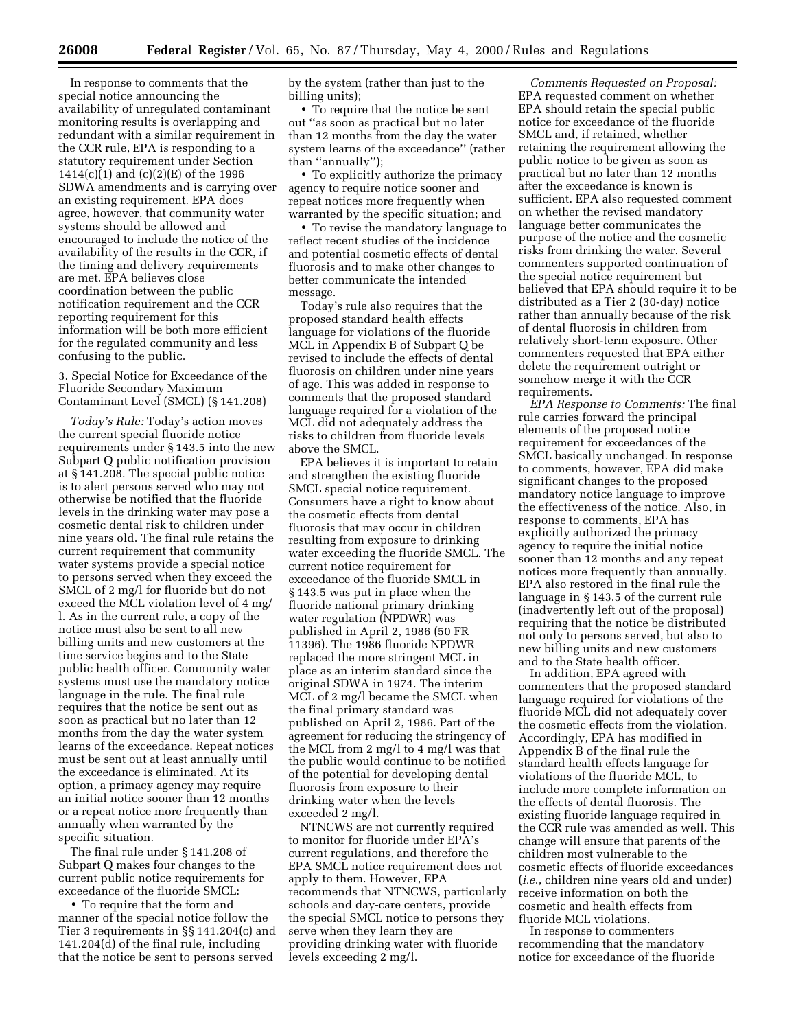In response to comments that the special notice announcing the availability of unregulated contaminant monitoring results is overlapping and redundant with a similar requirement in the CCR rule, EPA is responding to a statutory requirement under Section 1414(c)(1) and (c)(2)(E) of the 1996 SDWA amendments and is carrying over an existing requirement. EPA does agree, however, that community water systems should be allowed and encouraged to include the notice of the availability of the results in the CCR, if the timing and delivery requirements are met. EPA believes close coordination between the public notification requirement and the CCR reporting requirement for this information will be both more efficient for the regulated community and less confusing to the public.

3. Special Notice for Exceedance of the Fluoride Secondary Maximum Contaminant Level (SMCL) (§ 141.208)

*Today's Rule:* Today's action moves the current special fluoride notice requirements under § 143.5 into the new Subpart Q public notification provision at § 141.208. The special public notice is to alert persons served who may not otherwise be notified that the fluoride levels in the drinking water may pose a cosmetic dental risk to children under nine years old. The final rule retains the current requirement that community water systems provide a special notice to persons served when they exceed the SMCL of 2 mg/l for fluoride but do not exceed the MCL violation level of 4 mg/ l. As in the current rule, a copy of the notice must also be sent to all new billing units and new customers at the time service begins and to the State public health officer. Community water systems must use the mandatory notice language in the rule. The final rule requires that the notice be sent out as soon as practical but no later than 12 months from the day the water system learns of the exceedance. Repeat notices must be sent out at least annually until the exceedance is eliminated. At its option, a primacy agency may require an initial notice sooner than 12 months or a repeat notice more frequently than annually when warranted by the specific situation.

The final rule under § 141.208 of Subpart Q makes four changes to the current public notice requirements for exceedance of the fluoride SMCL:

• To require that the form and manner of the special notice follow the Tier 3 requirements in §§ 141.204(c) and 141.204(d) of the final rule, including that the notice be sent to persons served

by the system (rather than just to the billing units);

• To require that the notice be sent out ''as soon as practical but no later than 12 months from the day the water system learns of the exceedance'' (rather than ''annually'');

• To explicitly authorize the primacy agency to require notice sooner and repeat notices more frequently when warranted by the specific situation; and

• To revise the mandatory language to reflect recent studies of the incidence and potential cosmetic effects of dental fluorosis and to make other changes to better communicate the intended message.

Today's rule also requires that the proposed standard health effects language for violations of the fluoride MCL in Appendix B of Subpart Q be revised to include the effects of dental fluorosis on children under nine years of age. This was added in response to comments that the proposed standard language required for a violation of the MCL did not adequately address the risks to children from fluoride levels above the SMCL.

EPA believes it is important to retain and strengthen the existing fluoride SMCL special notice requirement. Consumers have a right to know about the cosmetic effects from dental fluorosis that may occur in children resulting from exposure to drinking water exceeding the fluoride SMCL. The current notice requirement for exceedance of the fluoride SMCL in § 143.5 was put in place when the fluoride national primary drinking water regulation (NPDWR) was published in April 2, 1986 (50 FR 11396). The 1986 fluoride NPDWR replaced the more stringent MCL in place as an interim standard since the original SDWA in 1974. The interim MCL of 2 mg/l became the SMCL when the final primary standard was published on April 2, 1986. Part of the agreement for reducing the stringency of the MCL from 2 mg/l to 4 mg/l was that the public would continue to be notified of the potential for developing dental fluorosis from exposure to their drinking water when the levels exceeded 2 mg/l.

NTNCWS are not currently required to monitor for fluoride under EPA's current regulations, and therefore the EPA SMCL notice requirement does not apply to them. However, EPA recommends that NTNCWS, particularly schools and day-care centers, provide the special SMCL notice to persons they serve when they learn they are providing drinking water with fluoride levels exceeding 2 mg/l.

*Comments Requested on Proposal:* EPA requested comment on whether EPA should retain the special public notice for exceedance of the fluoride SMCL and, if retained, whether retaining the requirement allowing the public notice to be given as soon as practical but no later than 12 months after the exceedance is known is sufficient. EPA also requested comment on whether the revised mandatory language better communicates the purpose of the notice and the cosmetic risks from drinking the water. Several commenters supported continuation of the special notice requirement but believed that EPA should require it to be distributed as a Tier 2 (30-day) notice rather than annually because of the risk of dental fluorosis in children from relatively short-term exposure. Other commenters requested that EPA either delete the requirement outright or somehow merge it with the CCR requirements.

*EPA Response to Comments:* The final rule carries forward the principal elements of the proposed notice requirement for exceedances of the SMCL basically unchanged. In response to comments, however, EPA did make significant changes to the proposed mandatory notice language to improve the effectiveness of the notice. Also, in response to comments, EPA has explicitly authorized the primacy agency to require the initial notice sooner than 12 months and any repeat notices more frequently than annually. EPA also restored in the final rule the language in § 143.5 of the current rule (inadvertently left out of the proposal) requiring that the notice be distributed not only to persons served, but also to new billing units and new customers and to the State health officer.

In addition, EPA agreed with commenters that the proposed standard language required for violations of the fluoride MCL did not adequately cover the cosmetic effects from the violation. Accordingly, EPA has modified in Appendix B of the final rule the standard health effects language for violations of the fluoride MCL, to include more complete information on the effects of dental fluorosis. The existing fluoride language required in the CCR rule was amended as well. This change will ensure that parents of the children most vulnerable to the cosmetic effects of fluoride exceedances (*i.e*., children nine years old and under) receive information on both the cosmetic and health effects from fluoride MCL violations.

In response to commenters recommending that the mandatory notice for exceedance of the fluoride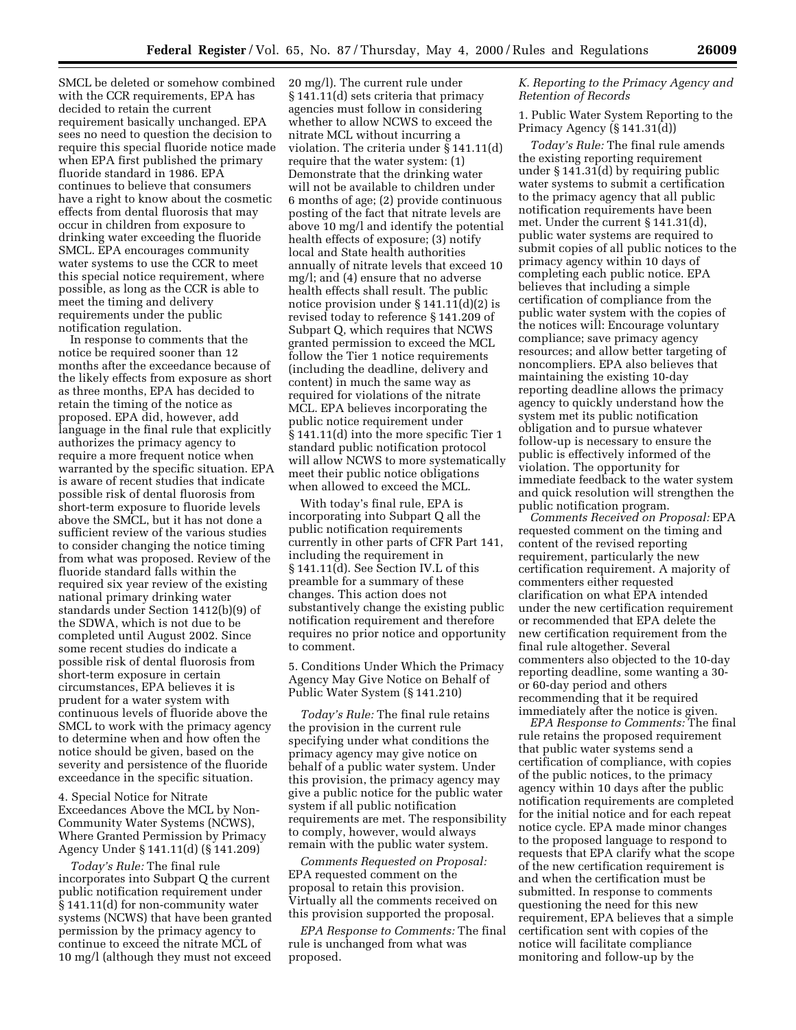SMCL be deleted or somehow combined with the CCR requirements, EPA has decided to retain the current requirement basically unchanged. EPA sees no need to question the decision to require this special fluoride notice made when EPA first published the primary fluoride standard in 1986. EPA continues to believe that consumers have a right to know about the cosmetic effects from dental fluorosis that may occur in children from exposure to drinking water exceeding the fluoride SMCL. EPA encourages community water systems to use the CCR to meet this special notice requirement, where possible, as long as the CCR is able to meet the timing and delivery requirements under the public notification regulation.

In response to comments that the notice be required sooner than 12 months after the exceedance because of the likely effects from exposure as short as three months, EPA has decided to retain the timing of the notice as proposed. EPA did, however, add language in the final rule that explicitly authorizes the primacy agency to require a more frequent notice when warranted by the specific situation. EPA is aware of recent studies that indicate possible risk of dental fluorosis from short-term exposure to fluoride levels above the SMCL, but it has not done a sufficient review of the various studies to consider changing the notice timing from what was proposed. Review of the fluoride standard falls within the required six year review of the existing national primary drinking water standards under Section 1412(b)(9) of the SDWA, which is not due to be completed until August 2002. Since some recent studies do indicate a possible risk of dental fluorosis from short-term exposure in certain circumstances, EPA believes it is prudent for a water system with continuous levels of fluoride above the SMCL to work with the primacy agency to determine when and how often the notice should be given, based on the severity and persistence of the fluoride exceedance in the specific situation.

4. Special Notice for Nitrate Exceedances Above the MCL by Non-Community Water Systems (NCWS), Where Granted Permission by Primacy Agency Under § 141.11(d) (§ 141.209)

*Today's Rule:* The final rule incorporates into Subpart Q the current public notification requirement under § 141.11(d) for non-community water systems (NCWS) that have been granted permission by the primacy agency to continue to exceed the nitrate MCL of 10 mg/l (although they must not exceed 20 mg/l). The current rule under § 141.11(d) sets criteria that primacy agencies must follow in considering whether to allow NCWS to exceed the nitrate MCL without incurring a violation. The criteria under § 141.11(d) require that the water system: (1) Demonstrate that the drinking water will not be available to children under 6 months of age; (2) provide continuous posting of the fact that nitrate levels are above 10 mg/l and identify the potential health effects of exposure; (3) notify local and State health authorities annually of nitrate levels that exceed 10 mg/l; and (4) ensure that no adverse health effects shall result. The public notice provision under § 141.11(d)(2) is revised today to reference § 141.209 of Subpart Q, which requires that NCWS granted permission to exceed the MCL follow the Tier 1 notice requirements (including the deadline, delivery and content) in much the same way as required for violations of the nitrate MCL. EPA believes incorporating the public notice requirement under § 141.11(d) into the more specific Tier 1 standard public notification protocol will allow NCWS to more systematically meet their public notice obligations when allowed to exceed the MCL.

With today's final rule, EPA is incorporating into Subpart Q all the public notification requirements currently in other parts of CFR Part 141, including the requirement in § 141.11(d). See Section IV.L of this preamble for a summary of these changes. This action does not substantively change the existing public notification requirement and therefore requires no prior notice and opportunity to comment.

5. Conditions Under Which the Primacy Agency May Give Notice on Behalf of Public Water System (§ 141.210)

*Today's Rule:* The final rule retains the provision in the current rule specifying under what conditions the primacy agency may give notice on behalf of a public water system. Under this provision, the primacy agency may give a public notice for the public water system if all public notification requirements are met. The responsibility to comply, however, would always remain with the public water system.

*Comments Requested on Proposal:* EPA requested comment on the proposal to retain this provision. Virtually all the comments received on this provision supported the proposal.

*EPA Response to Comments:* The final rule is unchanged from what was proposed.

## *K. Reporting to the Primacy Agency and Retention of Records*

1. Public Water System Reporting to the Primacy Agency (§ 141.31(d))

*Today's Rule:* The final rule amends the existing reporting requirement under § 141.31(d) by requiring public water systems to submit a certification to the primacy agency that all public notification requirements have been met. Under the current § 141.31(d), public water systems are required to submit copies of all public notices to the primacy agency within 10 days of completing each public notice. EPA believes that including a simple certification of compliance from the public water system with the copies of the notices will: Encourage voluntary compliance; save primacy agency resources; and allow better targeting of noncompliers. EPA also believes that maintaining the existing 10-day reporting deadline allows the primacy agency to quickly understand how the system met its public notification obligation and to pursue whatever follow-up is necessary to ensure the public is effectively informed of the violation. The opportunity for immediate feedback to the water system and quick resolution will strengthen the public notification program.

*Comments Received on Proposal:* EPA requested comment on the timing and content of the revised reporting requirement, particularly the new certification requirement. A majority of commenters either requested clarification on what EPA intended under the new certification requirement or recommended that EPA delete the new certification requirement from the final rule altogether. Several commenters also objected to the 10-day reporting deadline, some wanting a 30 or 60-day period and others recommending that it be required immediately after the notice is given.

*EPA Response to Comments:* The final rule retains the proposed requirement that public water systems send a certification of compliance, with copies of the public notices, to the primacy agency within 10 days after the public notification requirements are completed for the initial notice and for each repeat notice cycle. EPA made minor changes to the proposed language to respond to requests that EPA clarify what the scope of the new certification requirement is and when the certification must be submitted. In response to comments questioning the need for this new requirement, EPA believes that a simple certification sent with copies of the notice will facilitate compliance monitoring and follow-up by the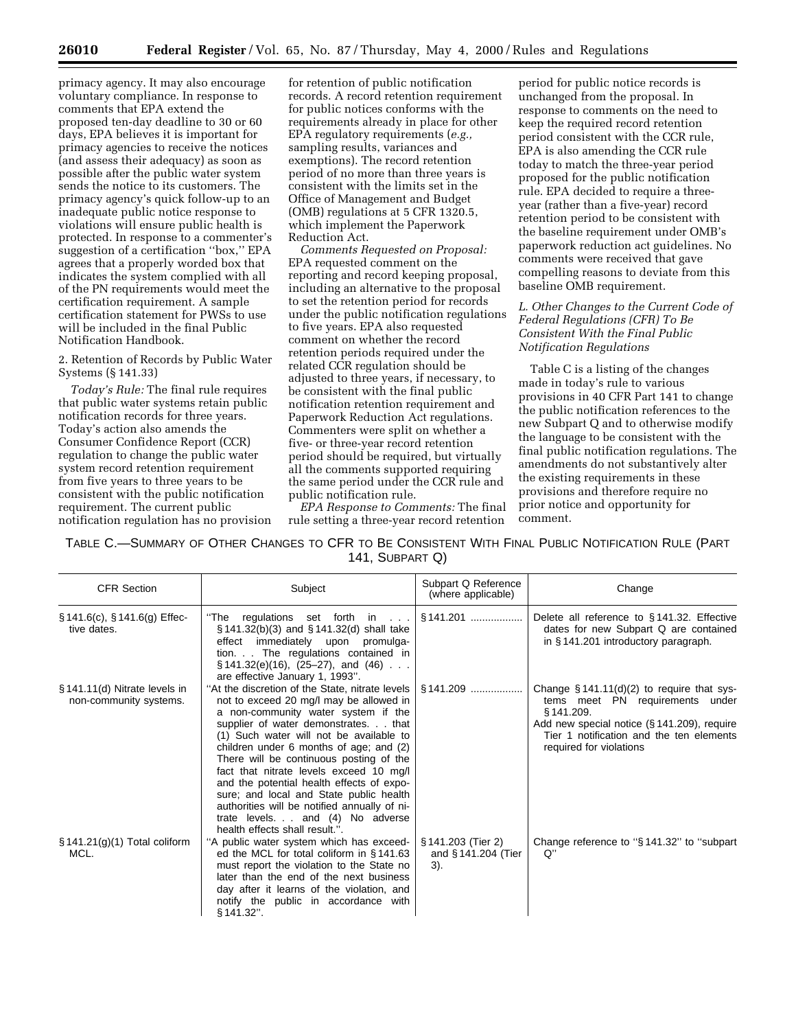primacy agency. It may also encourage voluntary compliance. In response to comments that EPA extend the proposed ten-day deadline to 30 or 60 days, EPA believes it is important for primacy agencies to receive the notices (and assess their adequacy) as soon as possible after the public water system sends the notice to its customers. The primacy agency's quick follow-up to an inadequate public notice response to violations will ensure public health is protected. In response to a commenter's suggestion of a certification "box," EPA agrees that a properly worded box that indicates the system complied with all of the PN requirements would meet the certification requirement. A sample certification statement for PWSs to use will be included in the final Public Notification Handbook.

#### 2. Retention of Records by Public Water Systems (§ 141.33)

*Today's Rule:* The final rule requires that public water systems retain public notification records for three years. Today's action also amends the Consumer Confidence Report (CCR) regulation to change the public water system record retention requirement from five years to three years to be consistent with the public notification requirement. The current public notification regulation has no provision for retention of public notification records. A record retention requirement for public notices conforms with the requirements already in place for other EPA regulatory requirements (*e.g.,* sampling results, variances and exemptions). The record retention period of no more than three years is consistent with the limits set in the Office of Management and Budget (OMB) regulations at 5 CFR 1320.5, which implement the Paperwork Reduction Act.

*Comments Requested on Proposal:* EPA requested comment on the reporting and record keeping proposal, including an alternative to the proposal to set the retention period for records under the public notification regulations to five years. EPA also requested comment on whether the record retention periods required under the related CCR regulation should be adjusted to three years, if necessary, to be consistent with the final public notification retention requirement and Paperwork Reduction Act regulations. Commenters were split on whether a five- or three-year record retention period should be required, but virtually all the comments supported requiring the same period under the CCR rule and public notification rule.

*EPA Response to Comments:* The final rule setting a three-year record retention

period for public notice records is unchanged from the proposal. In response to comments on the need to keep the required record retention period consistent with the CCR rule, EPA is also amending the CCR rule today to match the three-year period proposed for the public notification rule. EPA decided to require a threeyear (rather than a five-year) record retention period to be consistent with the baseline requirement under OMB's paperwork reduction act guidelines. No comments were received that gave compelling reasons to deviate from this baseline OMB requirement.

*L. Other Changes to the Current Code of Federal Regulations (CFR) To Be Consistent With the Final Public Notification Regulations*

Table C is a listing of the changes made in today's rule to various provisions in 40 CFR Part 141 to change the public notification references to the new Subpart Q and to otherwise modify the language to be consistent with the final public notification regulations. The amendments do not substantively alter the existing requirements in these provisions and therefore require no prior notice and opportunity for comment.

TABLE C.—SUMMARY OF OTHER CHANGES TO CFR TO BE CONSISTENT WITH FINAL PUBLIC NOTIFICATION RULE (PART 141, SUBPART Q)

| <b>CFR Section</b>                                      | Subject                                                                                                                                                                                                                                                                                                                                                                                                                                                                                                                                                             | Subpart Q Reference<br>(where applicable)       | Change                                                                                                                                                                                                              |
|---------------------------------------------------------|---------------------------------------------------------------------------------------------------------------------------------------------------------------------------------------------------------------------------------------------------------------------------------------------------------------------------------------------------------------------------------------------------------------------------------------------------------------------------------------------------------------------------------------------------------------------|-------------------------------------------------|---------------------------------------------------------------------------------------------------------------------------------------------------------------------------------------------------------------------|
| $\S 141.6(c), \S 141.6(g)$ Effec-<br>tive dates.        | "The<br>regulations set forth in $\dots$<br>§141.32(b)(3) and §141.32(d) shall take<br>effect immediately upon<br>promulga-<br>tion. The regulations contained in<br>$\S$ 141.32(e)(16), (25–27), and (46)<br>are effective January 1, 1993".                                                                                                                                                                                                                                                                                                                       | §141.201                                        | Delete all reference to §141.32. Effective<br>dates for new Subpart Q are contained<br>in $\S$ 141.201 introductory paragraph.                                                                                      |
| § 141.11(d) Nitrate levels in<br>non-community systems. | "At the discretion of the State, nitrate levels<br>not to exceed 20 mg/l may be allowed in<br>a non-community water system if the<br>supplier of water demonstrates. that<br>(1) Such water will not be available to<br>children under 6 months of age; and (2)<br>There will be continuous posting of the<br>fact that nitrate levels exceed 10 mg/l<br>and the potential health effects of expo-<br>sure; and local and State public health<br>authorities will be notified annually of ni-<br>trate levels. and (4) No adverse<br>health effects shall result.". | $§141.209$                                      | Change $\S 141.11(d)(2)$ to require that sys-<br>tems meet PN requirements under<br>§141.209.<br>Add new special notice (§ 141.209), require<br>Tier 1 notification and the ten elements<br>required for violations |
| $\S$ 141.21(g)(1) Total coliform<br>MCL.                | "A public water system which has exceed-<br>ed the MCL for total coliform in §141.63<br>must report the violation to the State no<br>later than the end of the next business<br>day after it learns of the violation, and<br>notify the public in accordance with<br>§ 141.32".                                                                                                                                                                                                                                                                                     | § 141.203 (Tier 2)<br>and §141.204 (Tier<br>3). | Change reference to "§141.32" to "subpart"<br>Q"                                                                                                                                                                    |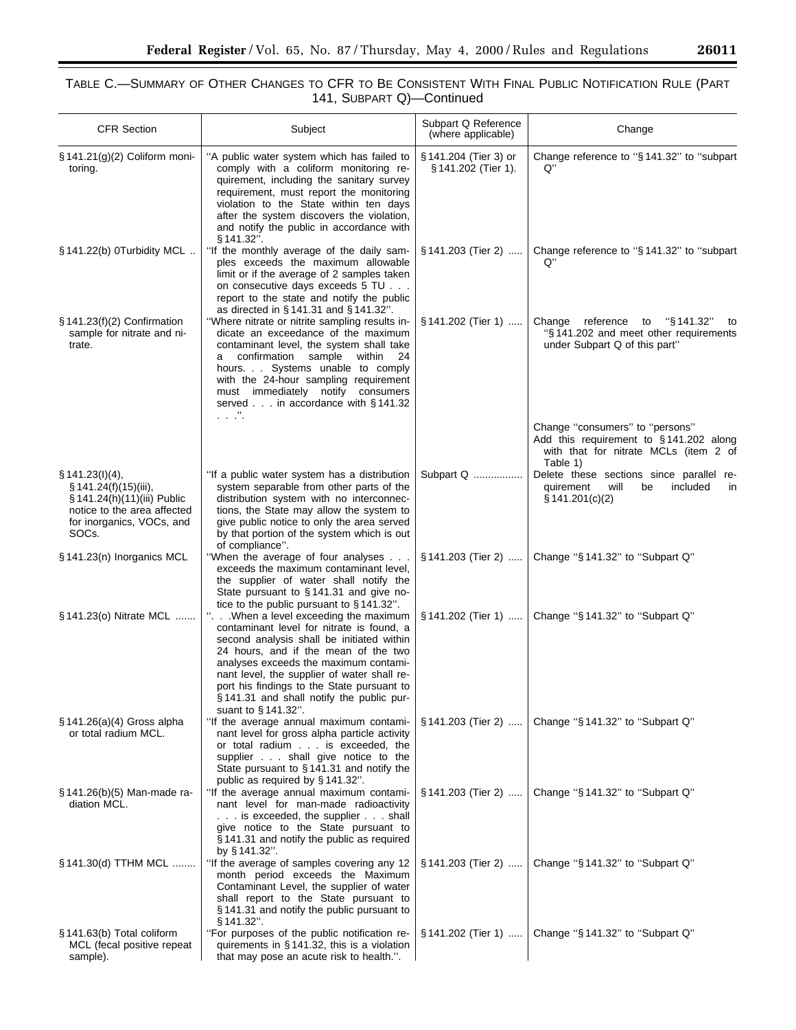# TABLE C.—SUMMARY OF OTHER CHANGES TO CFR TO BE CONSISTENT WITH FINAL PUBLIC NOTIFICATION RULE (PART 141, SUBPART Q)—Continued

| <b>CFR Section</b>                                                                                                                               | Subject                                                                                                                                                                                                                                                                                                                                                                                                   | Subpart Q Reference<br>(where applicable)      | Change                                                                                                                         |
|--------------------------------------------------------------------------------------------------------------------------------------------------|-----------------------------------------------------------------------------------------------------------------------------------------------------------------------------------------------------------------------------------------------------------------------------------------------------------------------------------------------------------------------------------------------------------|------------------------------------------------|--------------------------------------------------------------------------------------------------------------------------------|
| § 141.21(g)(2) Coliform moni-<br>toring.                                                                                                         | "A public water system which has failed to<br>comply with a coliform monitoring re-<br>quirement, including the sanitary survey<br>requirement, must report the monitoring<br>violation to the State within ten days<br>after the system discovers the violation,<br>and notify the public in accordance with                                                                                             | § 141.204 (Tier 3) or<br>$§ 141.202$ (Tier 1). | Change reference to "§141.32" to "subpart<br>Q"                                                                                |
| § 141.22(b) 0Turbidity MCL                                                                                                                       | § 141.32".<br>"If the monthly average of the daily sam-<br>ples exceeds the maximum allowable<br>limit or if the average of 2 samples taken<br>on consecutive days exceeds 5 TU<br>report to the state and notify the public                                                                                                                                                                              | $§ 141.203$ (Tier 2)                           | Change reference to "§141.32" to "subpart<br>Q"                                                                                |
| $§ 141.23(f)(2)$ Confirmation<br>sample for nitrate and ni-<br>trate.                                                                            | as directed in $\S 141.31$ and $\S 141.32$ ".<br>"Where nitrate or nitrite sampling results in-<br>dicate an exceedance of the maximum<br>contaminant level, the system shall take<br>confirmation sample within<br>-24<br>a<br>hours. Systems unable to comply<br>with the 24-hour sampling requirement<br>must immediately notify consumers<br>served in accordance with §141.32<br>$\ldots$ . $\ldots$ | § 141.202 (Tier 1)                             | Change reference<br>"§ 141.32"<br>to<br>to<br>"§141.202 and meet other requirements<br>under Subpart Q of this part"           |
|                                                                                                                                                  |                                                                                                                                                                                                                                                                                                                                                                                                           |                                                | Change "consumers" to "persons"<br>Add this requirement to §141.202 along<br>with that for nitrate MCLs (item 2 of<br>Table 1) |
| § 141.23(l)(4),<br>$\S 141.24(f)(15)(iii)$ ,<br>§ 141.24(h)(11)(iii) Public<br>notice to the area affected<br>for inorganics, VOCs, and<br>SOCs. | "If a public water system has a distribution<br>system separable from other parts of the<br>distribution system with no interconnec-<br>tions, the State may allow the system to<br>give public notice to only the area served<br>by that portion of the system which is out<br>of compliance".                                                                                                           | Subpart Q                                      | Delete these sections since parallel re-<br>will<br>included<br>quirement<br>be<br>in<br>$\S$ 141.201(c)(2)                    |
| §141.23(n) Inorganics MCL                                                                                                                        | "When the average of four analyses<br>exceeds the maximum contaminant level,<br>the supplier of water shall notify the<br>State pursuant to §141.31 and give no-<br>tice to the public pursuant to $\S 141.32$ ".                                                                                                                                                                                         | § 141.203 (Tier 2)                             | Change "§141.32" to "Subpart Q"                                                                                                |
| § 141.23(o) Nitrate MCL                                                                                                                          | ". When a level exceeding the maximum<br>contaminant level for nitrate is found, a<br>second analysis shall be initiated within<br>24 hours, and if the mean of the two<br>analyses exceeds the maximum contami-<br>nant level, the supplier of water shall re-<br>port his findings to the State pursuant to<br>§141.31 and shall notify the public pur-<br>suant to §141.32".                           | § 141.202 (Tier 1)                             | Change "§141.32" to "Subpart Q"                                                                                                |
| $\S$ 141.26(a)(4) Gross alpha<br>or total radium MCL.                                                                                            | "If the average annual maximum contami-<br>nant level for gross alpha particle activity<br>or total radium is exceeded, the<br>supplier shall give notice to the<br>State pursuant to $§$ 141.31 and notify the<br>public as required by §141.32".                                                                                                                                                        | $§ 141.203$ (Tier 2)                           | Change "§141.32" to "Subpart Q"                                                                                                |
| § 141.26(b)(5) Man-made ra-<br>diation MCL.                                                                                                      | "If the average annual maximum contami-<br>nant level for man-made radioactivity<br>. is exceeded, the supplier shall<br>give notice to the State pursuant to<br>§141.31 and notify the public as required<br>by $§ 141.32$ ".                                                                                                                                                                            | § 141.203 (Tier 2)                             | Change "§141.32" to "Subpart Q"                                                                                                |
| § 141.30(d) TTHM MCL                                                                                                                             | "If the average of samples covering any 12<br>month period exceeds the Maximum<br>Contaminant Level, the supplier of water<br>shall report to the State pursuant to<br>§141.31 and notify the public pursuant to<br>§ 141.32".                                                                                                                                                                            | § 141.203 (Tier 2)                             | Change "§141.32" to "Subpart Q"                                                                                                |
| § 141.63(b) Total coliform<br>MCL (fecal positive repeat<br>sample).                                                                             | "For purposes of the public notification re-<br>quirements in $\S$ 141.32, this is a violation<br>that may pose an acute risk to health.".                                                                                                                                                                                                                                                                | § 141.202 (Tier 1)                             | Change "§141.32" to "Subpart Q"                                                                                                |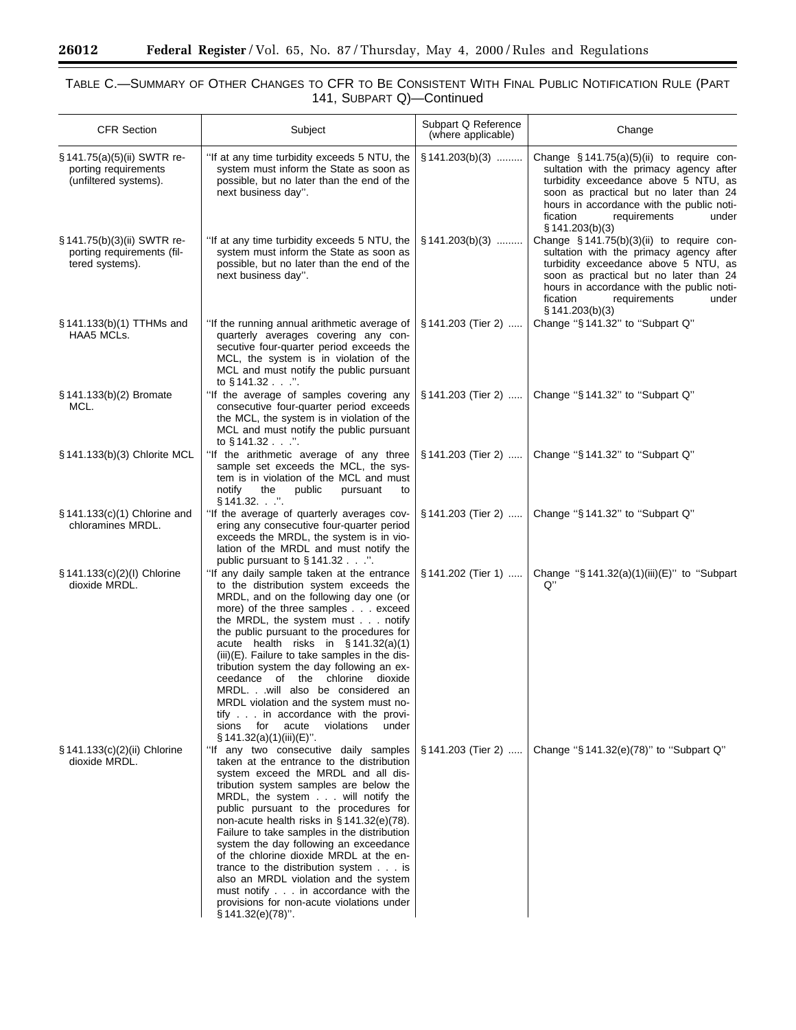$\equiv$ 

▀

# TABLE C.—SUMMARY OF OTHER CHANGES TO CFR TO BE CONSISTENT WITH FINAL PUBLIC NOTIFICATION RULE (PART 141, SUBPART Q)—Continued

| <b>CFR Section</b>                                                           | Subject                                                                                                                                                                                                                                                                                                                                                                                                                                                                                                                                                                                                                                    | Subpart Q Reference<br>(where applicable) | Change                                                                                                                                                                                                                                                                        |
|------------------------------------------------------------------------------|--------------------------------------------------------------------------------------------------------------------------------------------------------------------------------------------------------------------------------------------------------------------------------------------------------------------------------------------------------------------------------------------------------------------------------------------------------------------------------------------------------------------------------------------------------------------------------------------------------------------------------------------|-------------------------------------------|-------------------------------------------------------------------------------------------------------------------------------------------------------------------------------------------------------------------------------------------------------------------------------|
| § 141.75(a)(5)(ii) SWTR re-<br>porting requirements<br>(unfiltered systems). | "If at any time turbidity exceeds 5 NTU, the<br>system must inform the State as soon as<br>possible, but no later than the end of the<br>next business day".                                                                                                                                                                                                                                                                                                                                                                                                                                                                               | $\S$ 141.203(b)(3)                        | Change $§ 141.75(a)(5)(ii)$ to require con-<br>sultation with the primacy agency after<br>turbidity exceedance above 5 NTU, as<br>soon as practical but no later than 24<br>hours in accordance with the public noti-<br>fication<br>requirements<br>under<br>§ 141.203(b)(3) |
| § 141.75(b)(3)(ii) SWTR re-<br>porting requirements (fil-<br>tered systems). | "If at any time turbidity exceeds 5 NTU, the<br>system must inform the State as soon as<br>possible, but no later than the end of the<br>next business day".                                                                                                                                                                                                                                                                                                                                                                                                                                                                               | $§ 141.203(b)(3)$                         | Change §141.75(b)(3)(ii) to require con-<br>sultation with the primacy agency after<br>turbidity exceedance above 5 NTU, as<br>soon as practical but no later than 24<br>hours in accordance with the public noti-<br>fication<br>requirements<br>under<br>§ 141.203(b)(3)    |
| § 141.133(b)(1) TTHMs and<br>HAA5 MCLs.                                      | "If the running annual arithmetic average of<br>quarterly averages covering any con-<br>secutive four-quarter period exceeds the<br>MCL, the system is in violation of the<br>MCL and must notify the public pursuant<br>to $§$ 141.32".                                                                                                                                                                                                                                                                                                                                                                                                   | § 141.203 (Tier 2)                        | Change "§141.32" to "Subpart Q"                                                                                                                                                                                                                                               |
| § 141.133(b)(2) Bromate<br>MCL.                                              | "If the average of samples covering any<br>consecutive four-quarter period exceeds<br>the MCL, the system is in violation of the<br>MCL and must notify the public pursuant<br>to $§$ 141.32 $\ldots$ ".                                                                                                                                                                                                                                                                                                                                                                                                                                   | § 141.203 (Tier 2)                        | Change "§141.32" to "Subpart Q"                                                                                                                                                                                                                                               |
| § 141.133(b)(3) Chlorite MCL                                                 | "If the arithmetic average of any three<br>sample set exceeds the MCL, the sys-<br>tem is in violation of the MCL and must<br>notify<br>the<br>public<br>pursuant<br>to<br>$§ 141.32.$ ".                                                                                                                                                                                                                                                                                                                                                                                                                                                  | § 141.203 (Tier 2)                        | Change "§141.32" to "Subpart Q"                                                                                                                                                                                                                                               |
| § 141.133(c)(1) Chlorine and<br>chloramines MRDL.                            | "If the average of quarterly averages cov-<br>ering any consecutive four-quarter period<br>exceeds the MRDL, the system is in vio-<br>lation of the MRDL and must notify the<br>public pursuant to §141.32".                                                                                                                                                                                                                                                                                                                                                                                                                               | $§ 141.203$ (Tier 2)                      | Change "§141.32" to "Subpart Q"                                                                                                                                                                                                                                               |
| § 141.133(c)(2)(l) Chlorine<br>dioxide MRDL.                                 | "If any daily sample taken at the entrance<br>to the distribution system exceeds the<br>MRDL, and on the following day one (or<br>more) of the three samples exceed<br>the MRDL, the system must $\ldots$ notify<br>the public pursuant to the procedures for<br>acute health risks in $§ 141.32(a)(1)$<br>(iii)(E). Failure to take samples in the dis-<br>tribution system the day following an ex-<br>ceedance of the chlorine dioxide<br>MRDLwill also be considered an<br>MRDL violation and the system must no-<br>tify in accordance with the provi-<br>for<br>acute<br>violations<br>under<br>sions<br>$\S$ 141.32(a)(1)(iii)(E)". | $$141.202$ (Tier 1)                       | Change "§141.32(a)(1)(iii)(E)" to "Subpart<br>Q"                                                                                                                                                                                                                              |
| § 141.133(c)(2)(ii) Chlorine<br>dioxide MRDL.                                | "If any two consecutive daily samples<br>taken at the entrance to the distribution<br>system exceed the MRDL and all dis-<br>tribution system samples are below the<br>MRDL, the system will notify the<br>public pursuant to the procedures for<br>non-acute health risks in $\S$ 141.32(e)(78).<br>Failure to take samples in the distribution<br>system the day following an exceedance<br>of the chlorine dioxide MRDL at the en-<br>trance to the distribution system is<br>also an MRDL violation and the system<br>must notify in accordance with the<br>provisions for non-acute violations under<br>$§ 141.32(e)(78)$ ".          | § 141.203 (Tier 2)                        | Change "§ 141.32(e)(78)" to "Subpart Q"                                                                                                                                                                                                                                       |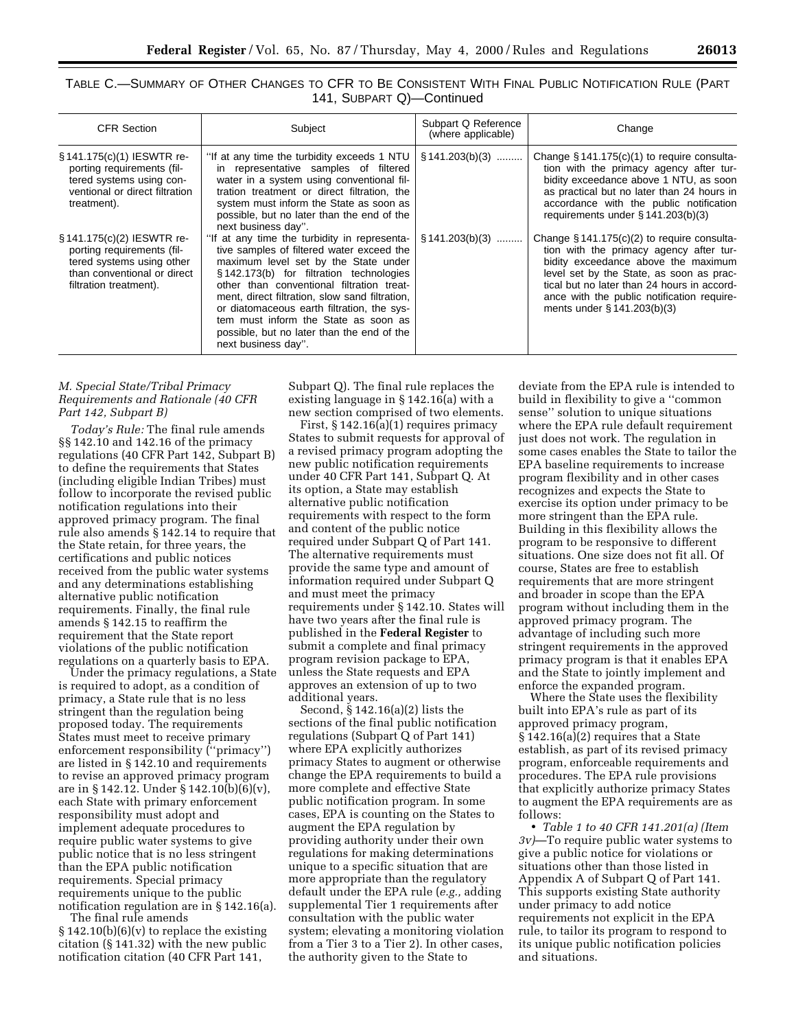| TABLE C.—SUMMARY OF OTHER CHANGES TO CFR TO BE CONSISTENT WITH FINAL PUBLIC NOTIFICATION RULE (PART |                           |  |  |
|-----------------------------------------------------------------------------------------------------|---------------------------|--|--|
|                                                                                                     | 141, SUBPART Q)-Continued |  |  |

| <b>CFR Section</b>                                                                                                                             | Subject                                                                                                                                                                                                                                                                                                                                                                                                                                | Subpart Q Reference<br>(where applicable) | Change                                                                                                                                                                                                                                                                                                      |
|------------------------------------------------------------------------------------------------------------------------------------------------|----------------------------------------------------------------------------------------------------------------------------------------------------------------------------------------------------------------------------------------------------------------------------------------------------------------------------------------------------------------------------------------------------------------------------------------|-------------------------------------------|-------------------------------------------------------------------------------------------------------------------------------------------------------------------------------------------------------------------------------------------------------------------------------------------------------------|
| § 141.175(c)(1) IESWTR re-<br>porting requirements (fil-<br>tered systems using con-<br>ventional or direct filtration<br>treatment).          | "If at any time the turbidity exceeds 1 NTU $\mid$ § 141.203(b)(3)<br>in representative samples of filtered<br>water in a system using conventional fil-<br>tration treatment or direct filtration, the<br>system must inform the State as soon as<br>possible, but no later than the end of the<br>next business day".                                                                                                                |                                           | Change $\S$ 141.175(c)(1) to require consulta-<br>tion with the primacy agency after tur-<br>bidity exceedance above 1 NTU, as soon<br>as practical but no later than 24 hours in<br>accordance with the public notification<br>requirements under $\S$ 141.203(b)(3)                                       |
| § 141.175(c)(2) IESWTR re-<br>porting requirements (fil-<br>tered systems using other<br>than conventional or direct<br>filtration treatment). | "If at any time the turbidity in representa-<br>tive samples of filtered water exceed the<br>maximum level set by the State under<br>§142.173(b) for filtration technologies<br>other than conventional filtration treat-<br>ment, direct filtration, slow sand filtration,<br>or diatomaceous earth filtration, the sys-<br>tem must inform the State as soon as<br>possible, but no later than the end of the<br>next business day". | $$141.203(b)(3)$                          | Change $\S 141.175(c)(2)$ to require consulta-<br>tion with the primacy agency after tur-<br>bidity exceedance above the maximum<br>level set by the State, as soon as prac-<br>tical but no later than 24 hours in accord-<br>ance with the public notification require-<br>ments under $\S$ 141.203(b)(3) |

# *M. Special State/Tribal Primacy Requirements and Rationale (40 CFR Part 142, Subpart B)*

*Today's Rule:* The final rule amends §§ 142.10 and 142.16 of the primacy regulations (40 CFR Part 142, Subpart B) to define the requirements that States (including eligible Indian Tribes) must follow to incorporate the revised public notification regulations into their approved primacy program. The final rule also amends § 142.14 to require that the State retain, for three years, the certifications and public notices received from the public water systems and any determinations establishing alternative public notification requirements. Finally, the final rule amends § 142.15 to reaffirm the requirement that the State report violations of the public notification regulations on a quarterly basis to EPA.

Under the primacy regulations, a State is required to adopt, as a condition of primacy, a State rule that is no less stringent than the regulation being proposed today. The requirements States must meet to receive primary enforcement responsibility (''primacy'') are listed in § 142.10 and requirements to revise an approved primacy program are in § 142.12. Under § 142.10(b)(6)(v), each State with primary enforcement responsibility must adopt and implement adequate procedures to require public water systems to give public notice that is no less stringent than the EPA public notification requirements. Special primacy requirements unique to the public notification regulation are in § 142.16(a).

The final rule amends § 142.10(b)(6)(v) to replace the existing citation (§ 141.32) with the new public notification citation (40 CFR Part 141,

Subpart Q). The final rule replaces the existing language in § 142.16(a) with a new section comprised of two elements.

First, § 142.16(a)(1) requires primacy States to submit requests for approval of a revised primacy program adopting the new public notification requirements under 40 CFR Part 141, Subpart Q. At its option, a State may establish alternative public notification requirements with respect to the form and content of the public notice required under Subpart Q of Part 141. The alternative requirements must provide the same type and amount of information required under Subpart Q and must meet the primacy requirements under § 142.10. States will have two years after the final rule is published in the **Federal Register** to submit a complete and final primacy program revision package to EPA, unless the State requests and EPA approves an extension of up to two additional years.

Second, § 142.16(a)(2) lists the sections of the final public notification regulations (Subpart Q of Part 141) where EPA explicitly authorizes primacy States to augment or otherwise change the EPA requirements to build a more complete and effective State public notification program. In some cases, EPA is counting on the States to augment the EPA regulation by providing authority under their own regulations for making determinations unique to a specific situation that are more appropriate than the regulatory default under the EPA rule (*e.g.,* adding supplemental Tier 1 requirements after consultation with the public water system; elevating a monitoring violation from a Tier 3 to a Tier 2). In other cases, the authority given to the State to

deviate from the EPA rule is intended to build in flexibility to give a ''common sense'' solution to unique situations where the EPA rule default requirement just does not work. The regulation in some cases enables the State to tailor the EPA baseline requirements to increase program flexibility and in other cases recognizes and expects the State to exercise its option under primacy to be more stringent than the EPA rule. Building in this flexibility allows the program to be responsive to different situations. One size does not fit all. Of course, States are free to establish requirements that are more stringent and broader in scope than the EPA program without including them in the approved primacy program. The advantage of including such more stringent requirements in the approved primacy program is that it enables EPA and the State to jointly implement and enforce the expanded program.

Where the State uses the flexibility built into EPA's rule as part of its approved primacy program, § 142.16(a)(2) requires that a State establish, as part of its revised primacy program, enforceable requirements and procedures. The EPA rule provisions that explicitly authorize primacy States to augment the EPA requirements are as follows:

• *Table 1 to 40 CFR 141.201(a) (Item 3v)*—To require public water systems to give a public notice for violations or situations other than those listed in Appendix A of Subpart Q of Part 141. This supports existing State authority under primacy to add notice requirements not explicit in the EPA rule, to tailor its program to respond to its unique public notification policies and situations.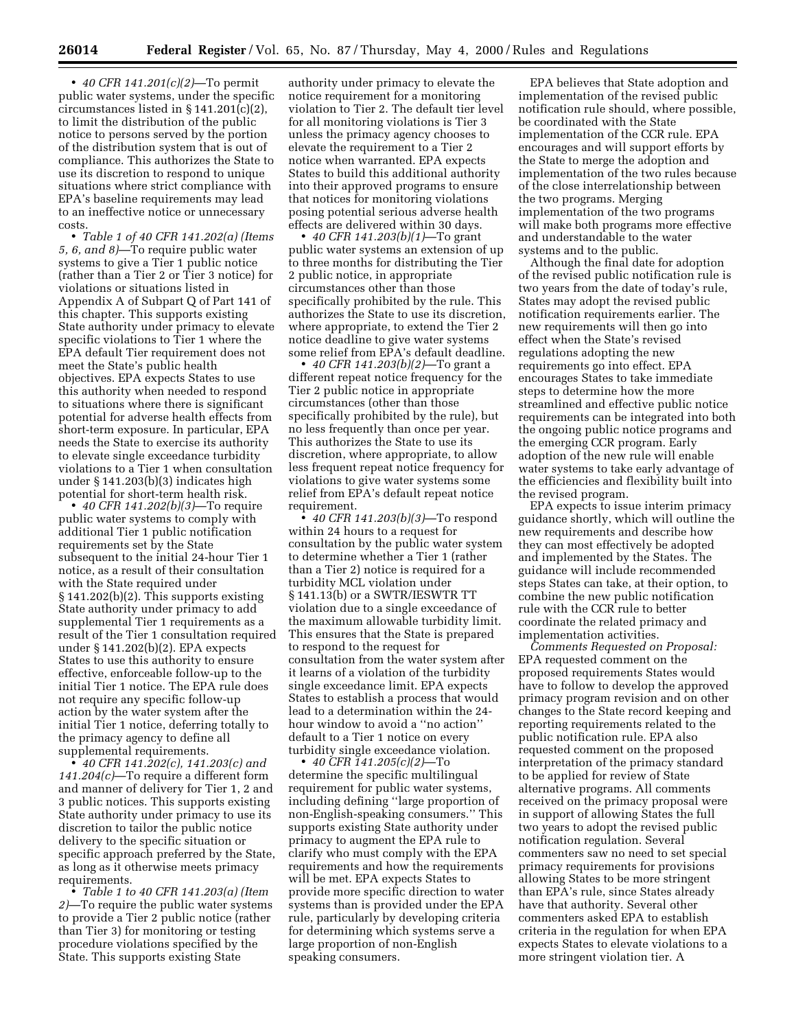• *40 CFR 141.201(c)(2)*—To permit public water systems, under the specific circumstances listed in § 141.201(c)(2), to limit the distribution of the public notice to persons served by the portion of the distribution system that is out of compliance. This authorizes the State to use its discretion to respond to unique situations where strict compliance with EPA's baseline requirements may lead to an ineffective notice or unnecessary costs.

• *Table 1 of 40 CFR 141.202(a) (Items 5, 6, and 8)*—To require public water systems to give a Tier 1 public notice (rather than a Tier 2 or Tier 3 notice) for violations or situations listed in Appendix A of Subpart Q of Part 141 of this chapter. This supports existing State authority under primacy to elevate specific violations to Tier 1 where the EPA default Tier requirement does not meet the State's public health objectives. EPA expects States to use this authority when needed to respond to situations where there is significant potential for adverse health effects from short-term exposure. In particular, EPA needs the State to exercise its authority to elevate single exceedance turbidity violations to a Tier 1 when consultation under § 141.203(b)(3) indicates high potential for short-term health risk.

• *40 CFR 141.202(b)(3)*—To require public water systems to comply with additional Tier 1 public notification requirements set by the State subsequent to the initial 24-hour Tier 1 notice, as a result of their consultation with the State required under § 141.202(b)(2). This supports existing State authority under primacy to add supplemental Tier 1 requirements as a result of the Tier 1 consultation required under § 141.202(b)(2). EPA expects States to use this authority to ensure effective, enforceable follow-up to the initial Tier 1 notice. The EPA rule does not require any specific follow-up action by the water system after the initial Tier 1 notice, deferring totally to the primacy agency to define all supplemental requirements.

• *40 CFR 141.202(c), 141.203(c) and 141.204(c)*—To require a different form and manner of delivery for Tier 1, 2 and 3 public notices. This supports existing State authority under primacy to use its discretion to tailor the public notice delivery to the specific situation or specific approach preferred by the State, as long as it otherwise meets primacy requirements.

• *Table 1 to 40 CFR 141.203(a) (Item 2)*—To require the public water systems to provide a Tier 2 public notice (rather than Tier 3) for monitoring or testing procedure violations specified by the State. This supports existing State

authority under primacy to elevate the notice requirement for a monitoring violation to Tier 2. The default tier level for all monitoring violations is Tier 3 unless the primacy agency chooses to elevate the requirement to a Tier 2 notice when warranted. EPA expects States to build this additional authority into their approved programs to ensure that notices for monitoring violations posing potential serious adverse health effects are delivered within 30 days.

• *40 CFR 141.203(b)(1)*—To grant public water systems an extension of up to three months for distributing the Tier 2 public notice, in appropriate circumstances other than those specifically prohibited by the rule. This authorizes the State to use its discretion, where appropriate, to extend the Tier 2 notice deadline to give water systems some relief from EPA's default deadline.

• *40 CFR 141.203(b)(2)*—To grant a different repeat notice frequency for the Tier 2 public notice in appropriate circumstances (other than those specifically prohibited by the rule), but no less frequently than once per year. This authorizes the State to use its discretion, where appropriate, to allow less frequent repeat notice frequency for violations to give water systems some relief from EPA's default repeat notice requirement.

• *40 CFR 141.203(b)(3)*—To respond within 24 hours to a request for consultation by the public water system to determine whether a Tier 1 (rather than a Tier 2) notice is required for a turbidity MCL violation under § 141.13(b) or a SWTR/IESWTR TT violation due to a single exceedance of the maximum allowable turbidity limit. This ensures that the State is prepared to respond to the request for consultation from the water system after it learns of a violation of the turbidity single exceedance limit. EPA expects States to establish a process that would lead to a determination within the 24 hour window to avoid a ''no action'' default to a Tier 1 notice on every turbidity single exceedance violation.

• *40 CFR 141.205(c)(2)*—To determine the specific multilingual requirement for public water systems, including defining ''large proportion of non-English-speaking consumers.'' This supports existing State authority under primacy to augment the EPA rule to clarify who must comply with the EPA requirements and how the requirements will be met. EPA expects States to provide more specific direction to water systems than is provided under the EPA rule, particularly by developing criteria for determining which systems serve a large proportion of non-English speaking consumers.

EPA believes that State adoption and implementation of the revised public notification rule should, where possible, be coordinated with the State implementation of the CCR rule. EPA encourages and will support efforts by the State to merge the adoption and implementation of the two rules because of the close interrelationship between the two programs. Merging implementation of the two programs will make both programs more effective and understandable to the water systems and to the public.

Although the final date for adoption of the revised public notification rule is two years from the date of today's rule, States may adopt the revised public notification requirements earlier. The new requirements will then go into effect when the State's revised regulations adopting the new requirements go into effect. EPA encourages States to take immediate steps to determine how the more streamlined and effective public notice requirements can be integrated into both the ongoing public notice programs and the emerging CCR program. Early adoption of the new rule will enable water systems to take early advantage of the efficiencies and flexibility built into the revised program.

EPA expects to issue interim primacy guidance shortly, which will outline the new requirements and describe how they can most effectively be adopted and implemented by the States. The guidance will include recommended steps States can take, at their option, to combine the new public notification rule with the CCR rule to better coordinate the related primacy and implementation activities.

*Comments Requested on Proposal:* EPA requested comment on the proposed requirements States would have to follow to develop the approved primacy program revision and on other changes to the State record keeping and reporting requirements related to the public notification rule. EPA also requested comment on the proposed interpretation of the primacy standard to be applied for review of State alternative programs. All comments received on the primacy proposal were in support of allowing States the full two years to adopt the revised public notification regulation. Several commenters saw no need to set special primacy requirements for provisions allowing States to be more stringent than EPA's rule, since States already have that authority. Several other commenters asked EPA to establish criteria in the regulation for when EPA expects States to elevate violations to a more stringent violation tier. A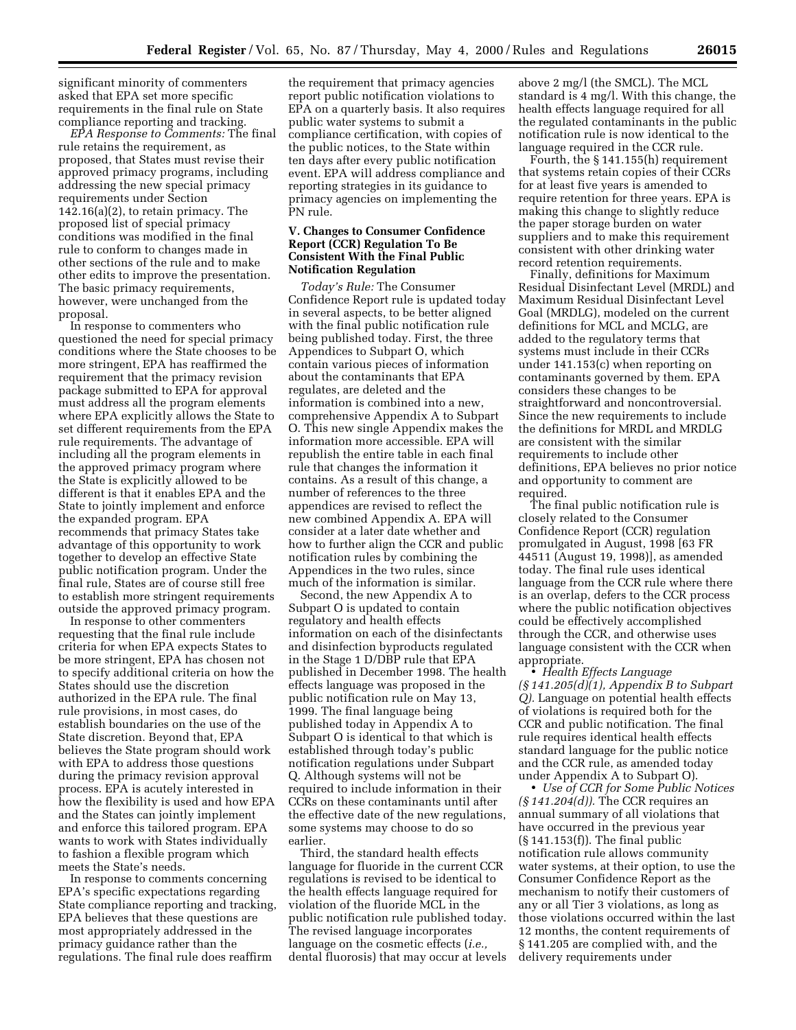significant minority of commenters asked that EPA set more specific requirements in the final rule on State compliance reporting and tracking.

*EPA Response to Comments:* The final rule retains the requirement, as proposed, that States must revise their approved primacy programs, including addressing the new special primacy requirements under Section 142.16(a)(2), to retain primacy. The proposed list of special primacy conditions was modified in the final rule to conform to changes made in other sections of the rule and to make other edits to improve the presentation. The basic primacy requirements, however, were unchanged from the proposal.

In response to commenters who questioned the need for special primacy conditions where the State chooses to be more stringent, EPA has reaffirmed the requirement that the primacy revision package submitted to EPA for approval must address all the program elements where EPA explicitly allows the State to set different requirements from the EPA rule requirements. The advantage of including all the program elements in the approved primacy program where the State is explicitly allowed to be different is that it enables EPA and the State to jointly implement and enforce the expanded program. EPA recommends that primacy States take advantage of this opportunity to work together to develop an effective State public notification program. Under the final rule, States are of course still free to establish more stringent requirements outside the approved primacy program.

In response to other commenters requesting that the final rule include criteria for when EPA expects States to be more stringent, EPA has chosen not to specify additional criteria on how the States should use the discretion authorized in the EPA rule. The final rule provisions, in most cases, do establish boundaries on the use of the State discretion. Beyond that, EPA believes the State program should work with EPA to address those questions during the primacy revision approval process. EPA is acutely interested in how the flexibility is used and how EPA and the States can jointly implement and enforce this tailored program. EPA wants to work with States individually to fashion a flexible program which meets the State's needs.

In response to comments concerning EPA's specific expectations regarding State compliance reporting and tracking, EPA believes that these questions are most appropriately addressed in the primacy guidance rather than the regulations. The final rule does reaffirm

the requirement that primacy agencies report public notification violations to EPA on a quarterly basis. It also requires public water systems to submit a compliance certification, with copies of the public notices, to the State within ten days after every public notification event. EPA will address compliance and reporting strategies in its guidance to primacy agencies on implementing the PN rule.

## **V. Changes to Consumer Confidence Report (CCR) Regulation To Be Consistent With the Final Public Notification Regulation**

*Today's Rule:* The Consumer Confidence Report rule is updated today in several aspects, to be better aligned with the final public notification rule being published today. First, the three Appendices to Subpart O, which contain various pieces of information about the contaminants that EPA regulates, are deleted and the information is combined into a new, comprehensive Appendix A to Subpart O. This new single Appendix makes the information more accessible. EPA will republish the entire table in each final rule that changes the information it contains. As a result of this change, a number of references to the three appendices are revised to reflect the new combined Appendix A. EPA will consider at a later date whether and how to further align the CCR and public notification rules by combining the Appendices in the two rules, since much of the information is similar.

Second, the new Appendix A to Subpart O is updated to contain regulatory and health effects information on each of the disinfectants and disinfection byproducts regulated in the Stage 1 D/DBP rule that EPA published in December 1998. The health effects language was proposed in the public notification rule on May 13, 1999. The final language being published today in Appendix A to Subpart O is identical to that which is established through today's public notification regulations under Subpart Q. Although systems will not be required to include information in their CCRs on these contaminants until after the effective date of the new regulations, some systems may choose to do so earlier.

Third, the standard health effects language for fluoride in the current CCR regulations is revised to be identical to the health effects language required for violation of the fluoride MCL in the public notification rule published today. The revised language incorporates language on the cosmetic effects (*i.e.,* dental fluorosis) that may occur at levels

above 2 mg/l (the SMCL). The MCL standard is 4 mg/l. With this change, the health effects language required for all the regulated contaminants in the public notification rule is now identical to the language required in the CCR rule.

Fourth, the § 141.155(h) requirement that systems retain copies of their CCRs for at least five years is amended to require retention for three years. EPA is making this change to slightly reduce the paper storage burden on water suppliers and to make this requirement consistent with other drinking water record retention requirements.

Finally, definitions for Maximum Residual Disinfectant Level (MRDL) and Maximum Residual Disinfectant Level Goal (MRDLG), modeled on the current definitions for MCL and MCLG, are added to the regulatory terms that systems must include in their CCRs under 141.153(c) when reporting on contaminants governed by them. EPA considers these changes to be straightforward and noncontroversial. Since the new requirements to include the definitions for MRDL and MRDLG are consistent with the similar requirements to include other definitions, EPA believes no prior notice and opportunity to comment are required.

The final public notification rule is closely related to the Consumer Confidence Report (CCR) regulation promulgated in August, 1998 [63 FR 44511 (August 19, 1998)], as amended today. The final rule uses identical language from the CCR rule where there is an overlap, defers to the CCR process where the public notification objectives could be effectively accomplished through the CCR, and otherwise uses language consistent with the CCR when appropriate.

• *Health Effects Language (§ 141.205(d)(1), Appendix B to Subpart Q).* Language on potential health effects of violations is required both for the CCR and public notification. The final rule requires identical health effects standard language for the public notice and the CCR rule, as amended today under Appendix A to Subpart O).

• *Use of CCR for Some Public Notices (§ 141.204(d)).* The CCR requires an annual summary of all violations that have occurred in the previous year (§ 141.153(f)). The final public notification rule allows community water systems, at their option, to use the Consumer Confidence Report as the mechanism to notify their customers of any or all Tier 3 violations, as long as those violations occurred within the last 12 months, the content requirements of § 141.205 are complied with, and the delivery requirements under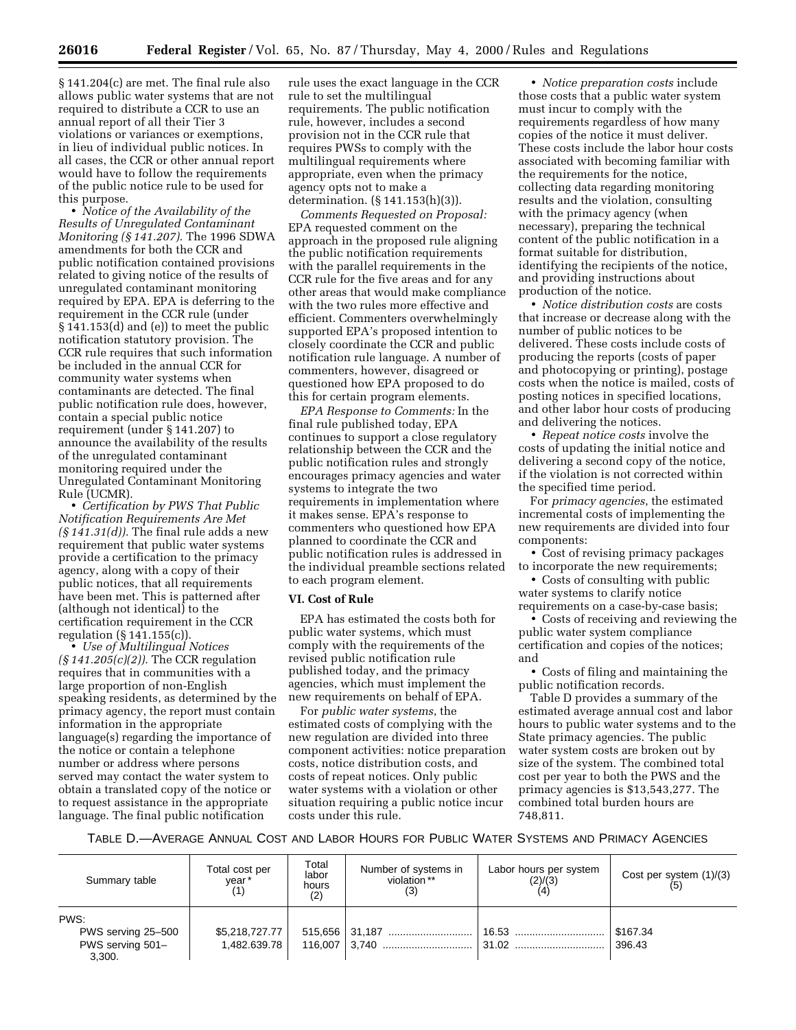§ 141.204(c) are met. The final rule also allows public water systems that are not required to distribute a CCR to use an annual report of all their Tier 3 violations or variances or exemptions, in lieu of individual public notices. In all cases, the CCR or other annual report would have to follow the requirements of the public notice rule to be used for this purpose.

• *Notice of the Availability of the Results of Unregulated Contaminant Monitoring (§ 141.207).* The 1996 SDWA amendments for both the CCR and public notification contained provisions related to giving notice of the results of unregulated contaminant monitoring required by EPA. EPA is deferring to the requirement in the CCR rule (under § 141.153(d) and (e)) to meet the public notification statutory provision. The CCR rule requires that such information be included in the annual CCR for community water systems when contaminants are detected. The final public notification rule does, however, contain a special public notice requirement (under § 141.207) to announce the availability of the results of the unregulated contaminant monitoring required under the Unregulated Contaminant Monitoring Rule (UCMR).

• *Certification by PWS That Public Notification Requirements Are Met (§ 141.31(d)).* The final rule adds a new requirement that public water systems provide a certification to the primacy agency, along with a copy of their public notices, that all requirements have been met. This is patterned after (although not identical) to the certification requirement in the CCR regulation (§ 141.155(c)).

• *Use of Multilingual Notices (§ 141.205(c)(2)).* The CCR regulation requires that in communities with a large proportion of non-English speaking residents, as determined by the primacy agency, the report must contain information in the appropriate language(s) regarding the importance of the notice or contain a telephone number or address where persons served may contact the water system to obtain a translated copy of the notice or to request assistance in the appropriate language. The final public notification

rule uses the exact language in the CCR rule to set the multilingual requirements. The public notification rule, however, includes a second provision not in the CCR rule that requires PWSs to comply with the multilingual requirements where appropriate, even when the primacy agency opts not to make a determination. (§ 141.153(h)(3)).

*Comments Requested on Proposal:* EPA requested comment on the approach in the proposed rule aligning the public notification requirements with the parallel requirements in the CCR rule for the five areas and for any other areas that would make compliance with the two rules more effective and efficient. Commenters overwhelmingly supported EPA's proposed intention to closely coordinate the CCR and public notification rule language. A number of commenters, however, disagreed or questioned how EPA proposed to do this for certain program elements.

*EPA Response to Comments:* In the final rule published today, EPA continues to support a close regulatory relationship between the CCR and the public notification rules and strongly encourages primacy agencies and water systems to integrate the two requirements in implementation where it makes sense. EPA's response to commenters who questioned how EPA planned to coordinate the CCR and public notification rules is addressed in the individual preamble sections related to each program element.

#### **VI. Cost of Rule**

EPA has estimated the costs both for public water systems, which must comply with the requirements of the revised public notification rule published today, and the primacy agencies, which must implement the new requirements on behalf of EPA.

For *public water systems*, the estimated costs of complying with the new regulation are divided into three component activities: notice preparation costs, notice distribution costs, and costs of repeat notices. Only public water systems with a violation or other situation requiring a public notice incur costs under this rule.

• *Notice preparation costs* include those costs that a public water system must incur to comply with the requirements regardless of how many copies of the notice it must deliver. These costs include the labor hour costs associated with becoming familiar with the requirements for the notice, collecting data regarding monitoring results and the violation, consulting with the primacy agency (when necessary), preparing the technical content of the public notification in a format suitable for distribution, identifying the recipients of the notice, and providing instructions about production of the notice.

• *Notice distribution costs* are costs that increase or decrease along with the number of public notices to be delivered. These costs include costs of producing the reports (costs of paper and photocopying or printing), postage costs when the notice is mailed, costs of posting notices in specified locations, and other labor hour costs of producing and delivering the notices.

• *Repeat notice costs* involve the costs of updating the initial notice and delivering a second copy of the notice, if the violation is not corrected within the specified time period.

For *primacy agencies*, the estimated incremental costs of implementing the new requirements are divided into four components:

• Cost of revising primacy packages to incorporate the new requirements;

• Costs of consulting with public water systems to clarify notice requirements on a case-by-case basis;

• Costs of receiving and reviewing the public water system compliance certification and copies of the notices; and

• Costs of filing and maintaining the public notification records.

Table D provides a summary of the estimated average annual cost and labor hours to public water systems and to the State primacy agencies. The public water system costs are broken out by size of the system. The combined total cost per year to both the PWS and the primacy agencies is \$13,543,277. The combined total burden hours are 748,811.

TABLE D.—AVERAGE ANNUAL COST AND LABOR HOURS FOR PUBLIC WATER SYSTEMS AND PRIMACY AGENCIES

| Summary table                                            | Total cost per<br>year*        | Total<br>labor<br>hours<br>(2) | Number of systems in<br>violation ** | Labor hours per system<br>(2)/(3) | Cost per system $(1)/(3)$<br>(5) |
|----------------------------------------------------------|--------------------------------|--------------------------------|--------------------------------------|-----------------------------------|----------------------------------|
| PWS:<br>PWS serving 25-500<br>PWS serving 501-<br>3,300. | \$5,218,727.77<br>1,482.639.78 |                                |                                      | . 16.53<br>31.02                  | \$167.34<br>396.43               |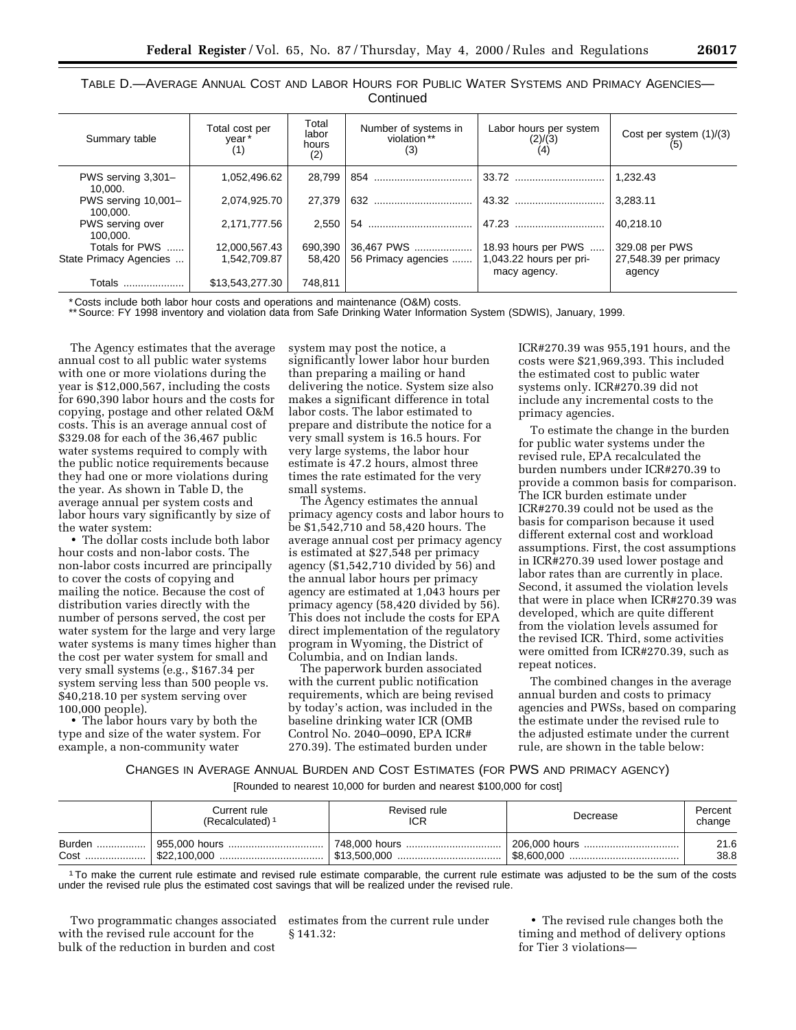| TABLE D.—AVERAGE ANNUAL COST AND LABOR HOURS FOR PUBLIC WATER SYSTEMS AND PRIMACY AGENCIES— |  |
|---------------------------------------------------------------------------------------------|--|
| Continued                                                                                   |  |

| Summary table                   | Total cost per<br>year*<br>(1) | Total<br>labor<br>hours<br>(2) | Number of systems in<br>violation**<br>(3) | Labor hours per system<br>(2)/(3)       | Cost per system (1)/(3)         |
|---------------------------------|--------------------------------|--------------------------------|--------------------------------------------|-----------------------------------------|---------------------------------|
| PWS serving 3,301-<br>10.000.   | 1.052.496.62                   | 28,799                         |                                            |                                         | 1.232.43                        |
| PWS serving 10,001-<br>100.000. | 2,074,925.70                   | 27.379                         |                                            |                                         | 3.283.11                        |
| PWS serving over<br>100.000.    | 2,171,777.56                   | 2.550                          |                                            | 47.23                                   | 40.218.10                       |
| Totals for PWS                  | 12.000.567.43                  | 690.390                        | 36.467 PWS                                 | 18.93 hours per PWS                     | 329.08 per PWS                  |
| State Primacy Agencies          | 1.542.709.87                   | 58.420                         | 56 Primacy agencies                        | 1,043.22 hours per pri-<br>macy agency. | 27,548.39 per primacy<br>agency |
| Totals                          | \$13,543,277.30                | 748.811                        |                                            |                                         |                                 |

\* Costs include both labor hour costs and operations and maintenance (O&M) costs.

\*\* Source: FY 1998 inventory and violation data from Safe Drinking Water Information System (SDWIS), January, 1999.

The Agency estimates that the average annual cost to all public water systems with one or more violations during the year is \$12,000,567, including the costs for 690,390 labor hours and the costs for copying, postage and other related O&M costs. This is an average annual cost of \$329.08 for each of the 36,467 public water systems required to comply with the public notice requirements because they had one or more violations during the year. As shown in Table D, the average annual per system costs and labor hours vary significantly by size of the water system:

• The dollar costs include both labor hour costs and non-labor costs. The non-labor costs incurred are principally to cover the costs of copying and mailing the notice. Because the cost of distribution varies directly with the number of persons served, the cost per water system for the large and very large water systems is many times higher than the cost per water system for small and very small systems (e.g., \$167.34 per system serving less than 500 people vs. \$40,218.10 per system serving over 100,000 people).

• The labor hours vary by both the type and size of the water system. For example, a non-community water

system may post the notice, a significantly lower labor hour burden than preparing a mailing or hand delivering the notice. System size also makes a significant difference in total labor costs. The labor estimated to prepare and distribute the notice for a very small system is 16.5 hours. For very large systems, the labor hour estimate is 47.2 hours, almost three times the rate estimated for the very small systems.

The Agency estimates the annual primacy agency costs and labor hours to be \$1,542,710 and 58,420 hours. The average annual cost per primacy agency is estimated at \$27,548 per primacy agency (\$1,542,710 divided by 56) and the annual labor hours per primacy agency are estimated at 1,043 hours per primacy agency (58,420 divided by 56). This does not include the costs for EPA direct implementation of the regulatory program in Wyoming, the District of Columbia, and on Indian lands.

The paperwork burden associated with the current public notification requirements, which are being revised by today's action, was included in the baseline drinking water ICR (OMB Control No. 2040–0090, EPA ICR# 270.39). The estimated burden under

ICR#270.39 was 955,191 hours, and the costs were \$21,969,393. This included the estimated cost to public water systems only. ICR#270.39 did not include any incremental costs to the primacy agencies.

To estimate the change in the burden for public water systems under the revised rule, EPA recalculated the burden numbers under ICR#270.39 to provide a common basis for comparison. The ICR burden estimate under ICR#270.39 could not be used as the basis for comparison because it used different external cost and workload assumptions. First, the cost assumptions in ICR#270.39 used lower postage and labor rates than are currently in place. Second, it assumed the violation levels that were in place when ICR#270.39 was developed, which are quite different from the violation levels assumed for the revised ICR. Third, some activities were omitted from ICR#270.39, such as repeat notices.

The combined changes in the average annual burden and costs to primacy agencies and PWSs, based on comparing the estimate under the revised rule to the adjusted estimate under the current rule, are shown in the table below:

CHANGES IN AVERAGE ANNUAL BURDEN AND COST ESTIMATES (FOR PWS AND PRIMACY AGENCY) [Rounded to nearest 10,000 for burden and nearest \$100,000 for cost]

|      | Current rule<br>(Recalculated) <sup>1</sup> | Revised rule<br>ICR | Decrease      | Percent<br>change |
|------|---------------------------------------------|---------------------|---------------|-------------------|
|      |                                             | . 748,000 hours     | 206,000 hours | 21.6              |
| Cost |                                             |                     |               | 38.8              |

1To make the current rule estimate and revised rule estimate comparable, the current rule estimate was adjusted to be the sum of the costs under the revised rule plus the estimated cost savings that will be realized under the revised rule.

Two programmatic changes associated with the revised rule account for the bulk of the reduction in burden and cost

estimates from the current rule under § 141.32:

• The revised rule changes both the timing and method of delivery options for Tier 3 violations—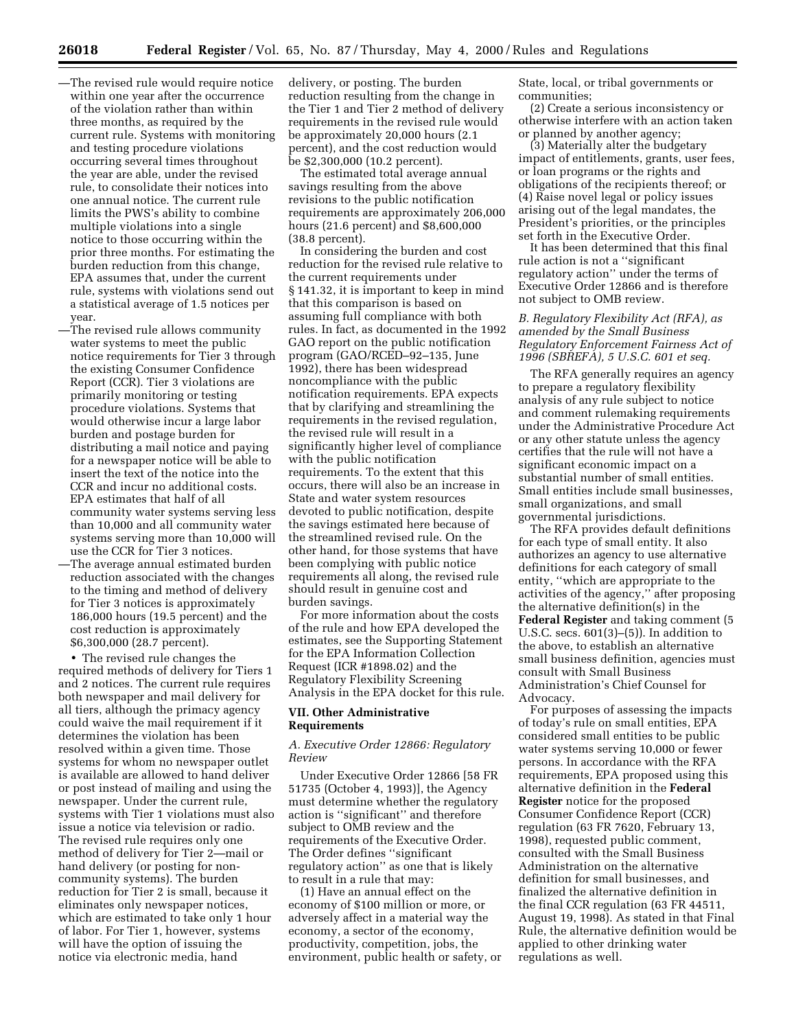- —The revised rule would require notice within one year after the occurrence of the violation rather than within three months, as required by the current rule. Systems with monitoring and testing procedure violations occurring several times throughout the year are able, under the revised rule, to consolidate their notices into one annual notice. The current rule limits the PWS's ability to combine multiple violations into a single notice to those occurring within the prior three months. For estimating the burden reduction from this change, EPA assumes that, under the current rule, systems with violations send out a statistical average of 1.5 notices per year.
- —The revised rule allows community water systems to meet the public notice requirements for Tier 3 through the existing Consumer Confidence Report (CCR). Tier 3 violations are primarily monitoring or testing procedure violations. Systems that would otherwise incur a large labor burden and postage burden for distributing a mail notice and paying for a newspaper notice will be able to insert the text of the notice into the CCR and incur no additional costs. EPA estimates that half of all community water systems serving less than 10,000 and all community water systems serving more than 10,000 will use the CCR for Tier 3 notices.
- —The average annual estimated burden reduction associated with the changes to the timing and method of delivery for Tier 3 notices is approximately 186,000 hours (19.5 percent) and the cost reduction is approximately \$6,300,000 (28.7 percent).

• The revised rule changes the required methods of delivery for Tiers 1 and 2 notices. The current rule requires both newspaper and mail delivery for all tiers, although the primacy agency could waive the mail requirement if it determines the violation has been resolved within a given time. Those systems for whom no newspaper outlet is available are allowed to hand deliver or post instead of mailing and using the newspaper. Under the current rule, systems with Tier 1 violations must also issue a notice via television or radio. The revised rule requires only one method of delivery for Tier 2—mail or hand delivery (or posting for noncommunity systems). The burden reduction for Tier 2 is small, because it eliminates only newspaper notices, which are estimated to take only 1 hour of labor. For Tier 1, however, systems will have the option of issuing the notice via electronic media, hand

delivery, or posting. The burden reduction resulting from the change in the Tier 1 and Tier 2 method of delivery requirements in the revised rule would be approximately 20,000 hours (2.1 percent), and the cost reduction would be \$2,300,000 (10.2 percent).

The estimated total average annual savings resulting from the above revisions to the public notification requirements are approximately 206,000 hours (21.6 percent) and \$8,600,000 (38.8 percent).

In considering the burden and cost reduction for the revised rule relative to the current requirements under § 141.32, it is important to keep in mind that this comparison is based on assuming full compliance with both rules. In fact, as documented in the 1992 GAO report on the public notification program (GAO/RCED–92–135, June 1992), there has been widespread noncompliance with the public notification requirements. EPA expects that by clarifying and streamlining the requirements in the revised regulation, the revised rule will result in a significantly higher level of compliance with the public notification requirements. To the extent that this occurs, there will also be an increase in State and water system resources devoted to public notification, despite the savings estimated here because of the streamlined revised rule. On the other hand, for those systems that have been complying with public notice requirements all along, the revised rule should result in genuine cost and burden savings.

For more information about the costs of the rule and how EPA developed the estimates, see the Supporting Statement for the EPA Information Collection Request (ICR #1898.02) and the Regulatory Flexibility Screening Analysis in the EPA docket for this rule.

#### **VII. Other Administrative Requirements**

## *A. Executive Order 12866: Regulatory Review*

Under Executive Order 12866 [58 FR 51735 (October 4, 1993)], the Agency must determine whether the regulatory action is ''significant'' and therefore subject to OMB review and the requirements of the Executive Order. The Order defines ''significant regulatory action'' as one that is likely to result in a rule that may:

(1) Have an annual effect on the economy of \$100 million or more, or adversely affect in a material way the economy, a sector of the economy, productivity, competition, jobs, the environment, public health or safety, or State, local, or tribal governments or communities;

(2) Create a serious inconsistency or otherwise interfere with an action taken or planned by another agency;

(3) Materially alter the budgetary impact of entitlements, grants, user fees, or loan programs or the rights and obligations of the recipients thereof; or (4) Raise novel legal or policy issues arising out of the legal mandates, the President's priorities, or the principles set forth in the Executive Order.

It has been determined that this final rule action is not a ''significant regulatory action'' under the terms of Executive Order 12866 and is therefore not subject to OMB review.

# *B. Regulatory Flexibility Act (RFA), as amended by the Small Business Regulatory Enforcement Fairness Act of 1996 (SBREFA), 5 U.S.C. 601 et seq.*

The RFA generally requires an agency to prepare a regulatory flexibility analysis of any rule subject to notice and comment rulemaking requirements under the Administrative Procedure Act or any other statute unless the agency certifies that the rule will not have a significant economic impact on a substantial number of small entities. Small entities include small businesses, small organizations, and small governmental jurisdictions.

The RFA provides default definitions for each type of small entity. It also authorizes an agency to use alternative definitions for each category of small entity, ''which are appropriate to the activities of the agency,'' after proposing the alternative definition(s) in the **Federal Register** and taking comment (5 U.S.C. secs. 601(3)–(5)). In addition to the above, to establish an alternative small business definition, agencies must consult with Small Business Administration's Chief Counsel for Advocacy.

For purposes of assessing the impacts of today's rule on small entities, EPA considered small entities to be public water systems serving 10,000 or fewer persons. In accordance with the RFA requirements, EPA proposed using this alternative definition in the **Federal Register** notice for the proposed Consumer Confidence Report (CCR) regulation (63 FR 7620, February 13, 1998), requested public comment, consulted with the Small Business Administration on the alternative definition for small businesses, and finalized the alternative definition in the final CCR regulation (63 FR 44511, August 19, 1998). As stated in that Final Rule, the alternative definition would be applied to other drinking water regulations as well.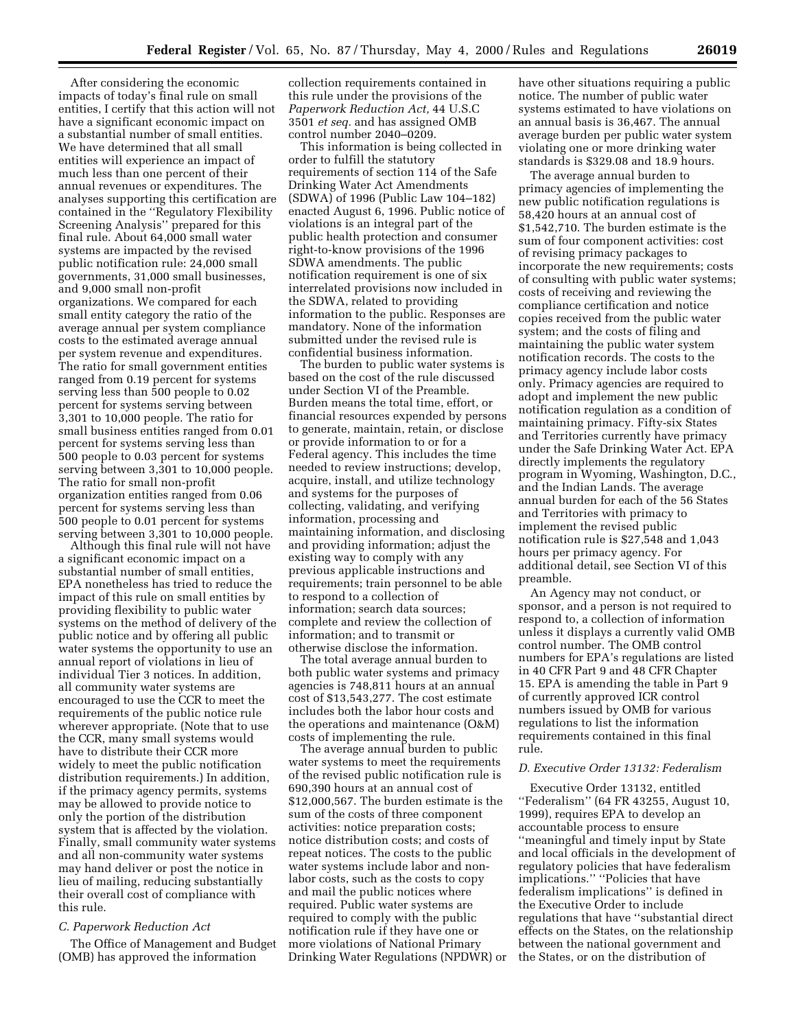After considering the economic impacts of today's final rule on small entities, I certify that this action will not have a significant economic impact on a substantial number of small entities. We have determined that all small entities will experience an impact of much less than one percent of their annual revenues or expenditures. The analyses supporting this certification are contained in the ''Regulatory Flexibility Screening Analysis'' prepared for this final rule. About 64,000 small water systems are impacted by the revised public notification rule: 24,000 small governments, 31,000 small businesses, and 9,000 small non-profit organizations. We compared for each small entity category the ratio of the average annual per system compliance costs to the estimated average annual per system revenue and expenditures. The ratio for small government entities ranged from 0.19 percent for systems serving less than 500 people to 0.02 percent for systems serving between 3,301 to 10,000 people. The ratio for small business entities ranged from 0.01 percent for systems serving less than 500 people to 0.03 percent for systems serving between 3,301 to 10,000 people. The ratio for small non-profit organization entities ranged from 0.06 percent for systems serving less than 500 people to 0.01 percent for systems serving between 3,301 to 10,000 people.

Although this final rule will not have a significant economic impact on a substantial number of small entities, EPA nonetheless has tried to reduce the impact of this rule on small entities by providing flexibility to public water systems on the method of delivery of the public notice and by offering all public water systems the opportunity to use an annual report of violations in lieu of individual Tier 3 notices. In addition, all community water systems are encouraged to use the CCR to meet the requirements of the public notice rule wherever appropriate. (Note that to use the CCR, many small systems would have to distribute their CCR more widely to meet the public notification distribution requirements.) In addition, if the primacy agency permits, systems may be allowed to provide notice to only the portion of the distribution system that is affected by the violation. Finally, small community water systems and all non-community water systems may hand deliver or post the notice in lieu of mailing, reducing substantially their overall cost of compliance with this rule.

#### *C. Paperwork Reduction Act*

The Office of Management and Budget (OMB) has approved the information

collection requirements contained in this rule under the provisions of the *Paperwork Reduction Act,* 44 U.S.C 3501 *et seq.* and has assigned OMB control number 2040–0209.

This information is being collected in order to fulfill the statutory requirements of section 114 of the Safe Drinking Water Act Amendments (SDWA) of 1996 (Public Law 104–182) enacted August 6, 1996. Public notice of violations is an integral part of the public health protection and consumer right-to-know provisions of the 1996 SDWA amendments. The public notification requirement is one of six interrelated provisions now included in the SDWA, related to providing information to the public. Responses are mandatory. None of the information submitted under the revised rule is confidential business information.

The burden to public water systems is based on the cost of the rule discussed under Section VI of the Preamble. Burden means the total time, effort, or financial resources expended by persons to generate, maintain, retain, or disclose or provide information to or for a Federal agency. This includes the time needed to review instructions; develop, acquire, install, and utilize technology and systems for the purposes of collecting, validating, and verifying information, processing and maintaining information, and disclosing and providing information; adjust the existing way to comply with any previous applicable instructions and requirements; train personnel to be able to respond to a collection of information; search data sources; complete and review the collection of information; and to transmit or otherwise disclose the information.

The total average annual burden to both public water systems and primacy agencies is 748,811 hours at an annual cost of \$13,543,277. The cost estimate includes both the labor hour costs and the operations and maintenance (O&M) costs of implementing the rule.

The average annual burden to public water systems to meet the requirements of the revised public notification rule is 690,390 hours at an annual cost of \$12,000,567. The burden estimate is the sum of the costs of three component activities: notice preparation costs; notice distribution costs; and costs of repeat notices. The costs to the public water systems include labor and nonlabor costs, such as the costs to copy and mail the public notices where required. Public water systems are required to comply with the public notification rule if they have one or more violations of National Primary Drinking Water Regulations (NPDWR) or have other situations requiring a public notice. The number of public water systems estimated to have violations on an annual basis is 36,467. The annual average burden per public water system violating one or more drinking water standards is \$329.08 and 18.9 hours.

The average annual burden to primacy agencies of implementing the new public notification regulations is 58,420 hours at an annual cost of \$1,542,710. The burden estimate is the sum of four component activities: cost of revising primacy packages to incorporate the new requirements; costs of consulting with public water systems; costs of receiving and reviewing the compliance certification and notice copies received from the public water system; and the costs of filing and maintaining the public water system notification records. The costs to the primacy agency include labor costs only. Primacy agencies are required to adopt and implement the new public notification regulation as a condition of maintaining primacy. Fifty-six States and Territories currently have primacy under the Safe Drinking Water Act. EPA directly implements the regulatory program in Wyoming, Washington, D.C., and the Indian Lands. The average annual burden for each of the 56 States and Territories with primacy to implement the revised public notification rule is \$27,548 and 1,043 hours per primacy agency. For additional detail, see Section VI of this preamble.

An Agency may not conduct, or sponsor, and a person is not required to respond to, a collection of information unless it displays a currently valid OMB control number. The OMB control numbers for EPA's regulations are listed in 40 CFR Part 9 and 48 CFR Chapter 15. EPA is amending the table in Part 9 of currently approved ICR control numbers issued by OMB for various regulations to list the information requirements contained in this final rule.

#### *D. Executive Order 13132: Federalism*

Executive Order 13132, entitled ''Federalism'' (64 FR 43255, August 10, 1999), requires EPA to develop an accountable process to ensure ''meaningful and timely input by State and local officials in the development of regulatory policies that have federalism implications.'' ''Policies that have federalism implications'' is defined in the Executive Order to include regulations that have ''substantial direct effects on the States, on the relationship between the national government and the States, or on the distribution of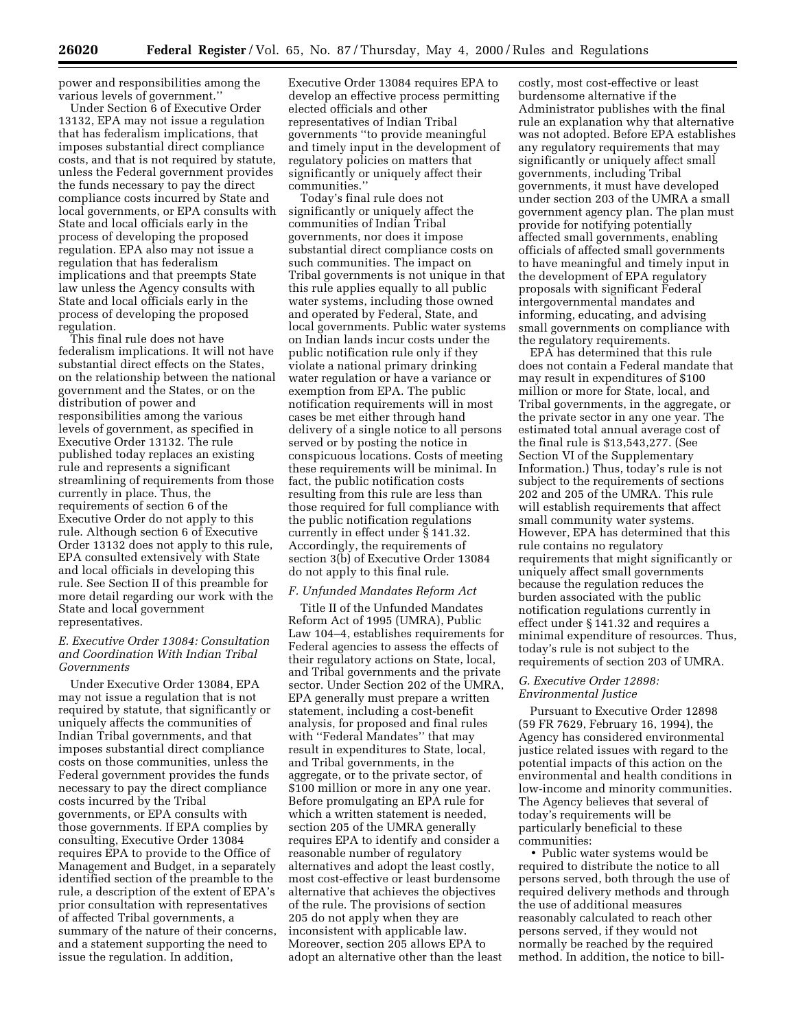power and responsibilities among the various levels of government.''

Under Section 6 of Executive Order 13132, EPA may not issue a regulation that has federalism implications, that imposes substantial direct compliance costs, and that is not required by statute, unless the Federal government provides the funds necessary to pay the direct compliance costs incurred by State and local governments, or EPA consults with State and local officials early in the process of developing the proposed regulation. EPA also may not issue a regulation that has federalism implications and that preempts State law unless the Agency consults with State and local officials early in the process of developing the proposed regulation.

This final rule does not have federalism implications. It will not have substantial direct effects on the States, on the relationship between the national government and the States, or on the distribution of power and responsibilities among the various levels of government, as specified in Executive Order 13132. The rule published today replaces an existing rule and represents a significant streamlining of requirements from those currently in place. Thus, the requirements of section 6 of the Executive Order do not apply to this rule. Although section 6 of Executive Order 13132 does not apply to this rule, EPA consulted extensively with State and local officials in developing this rule. See Section II of this preamble for more detail regarding our work with the State and local government representatives.

# *E. Executive Order 13084: Consultation and Coordination With Indian Tribal Governments*

Under Executive Order 13084, EPA may not issue a regulation that is not required by statute, that significantly or uniquely affects the communities of Indian Tribal governments, and that imposes substantial direct compliance costs on those communities, unless the Federal government provides the funds necessary to pay the direct compliance costs incurred by the Tribal governments, or EPA consults with those governments. If EPA complies by consulting, Executive Order 13084 requires EPA to provide to the Office of Management and Budget, in a separately identified section of the preamble to the rule, a description of the extent of EPA's prior consultation with representatives of affected Tribal governments, a summary of the nature of their concerns, and a statement supporting the need to issue the regulation. In addition,

Executive Order 13084 requires EPA to develop an effective process permitting elected officials and other representatives of Indian Tribal governments ''to provide meaningful and timely input in the development of regulatory policies on matters that significantly or uniquely affect their communities.''

Today's final rule does not significantly or uniquely affect the communities of Indian Tribal governments, nor does it impose substantial direct compliance costs on such communities. The impact on Tribal governments is not unique in that this rule applies equally to all public water systems, including those owned and operated by Federal, State, and local governments. Public water systems on Indian lands incur costs under the public notification rule only if they violate a national primary drinking water regulation or have a variance or exemption from EPA. The public notification requirements will in most cases be met either through hand delivery of a single notice to all persons served or by posting the notice in conspicuous locations. Costs of meeting these requirements will be minimal. In fact, the public notification costs resulting from this rule are less than those required for full compliance with the public notification regulations currently in effect under § 141.32. Accordingly, the requirements of section 3(b) of Executive Order 13084 do not apply to this final rule.

#### *F. Unfunded Mandates Reform Act*

Title II of the Unfunded Mandates Reform Act of 1995 (UMRA), Public Law 104–4, establishes requirements for Federal agencies to assess the effects of their regulatory actions on State, local, and Tribal governments and the private sector. Under Section 202 of the UMRA, EPA generally must prepare a written statement, including a cost-benefit analysis, for proposed and final rules with ''Federal Mandates'' that may result in expenditures to State, local, and Tribal governments, in the aggregate, or to the private sector, of \$100 million or more in any one year. Before promulgating an EPA rule for which a written statement is needed, section 205 of the UMRA generally requires EPA to identify and consider a reasonable number of regulatory alternatives and adopt the least costly, most cost-effective or least burdensome alternative that achieves the objectives of the rule. The provisions of section 205 do not apply when they are inconsistent with applicable law. Moreover, section 205 allows EPA to adopt an alternative other than the least

costly, most cost-effective or least burdensome alternative if the Administrator publishes with the final rule an explanation why that alternative was not adopted. Before EPA establishes any regulatory requirements that may significantly or uniquely affect small governments, including Tribal governments, it must have developed under section 203 of the UMRA a small government agency plan. The plan must provide for notifying potentially affected small governments, enabling officials of affected small governments to have meaningful and timely input in the development of EPA regulatory proposals with significant Federal intergovernmental mandates and informing, educating, and advising small governments on compliance with the regulatory requirements.

EPA has determined that this rule does not contain a Federal mandate that may result in expenditures of \$100 million or more for State, local, and Tribal governments, in the aggregate, or the private sector in any one year. The estimated total annual average cost of the final rule is \$13,543,277. (See Section VI of the Supplementary Information.) Thus, today's rule is not subject to the requirements of sections 202 and 205 of the UMRA. This rule will establish requirements that affect small community water systems. However, EPA has determined that this rule contains no regulatory requirements that might significantly or uniquely affect small governments because the regulation reduces the burden associated with the public notification regulations currently in effect under § 141.32 and requires a minimal expenditure of resources. Thus, today's rule is not subject to the requirements of section 203 of UMRA.

#### *G. Executive Order 12898: Environmental Justice*

Pursuant to Executive Order 12898 (59 FR 7629, February 16, 1994), the Agency has considered environmental justice related issues with regard to the potential impacts of this action on the environmental and health conditions in low-income and minority communities. The Agency believes that several of today's requirements will be particularly beneficial to these communities:

• Public water systems would be required to distribute the notice to all persons served, both through the use of required delivery methods and through the use of additional measures reasonably calculated to reach other persons served, if they would not normally be reached by the required method. In addition, the notice to bill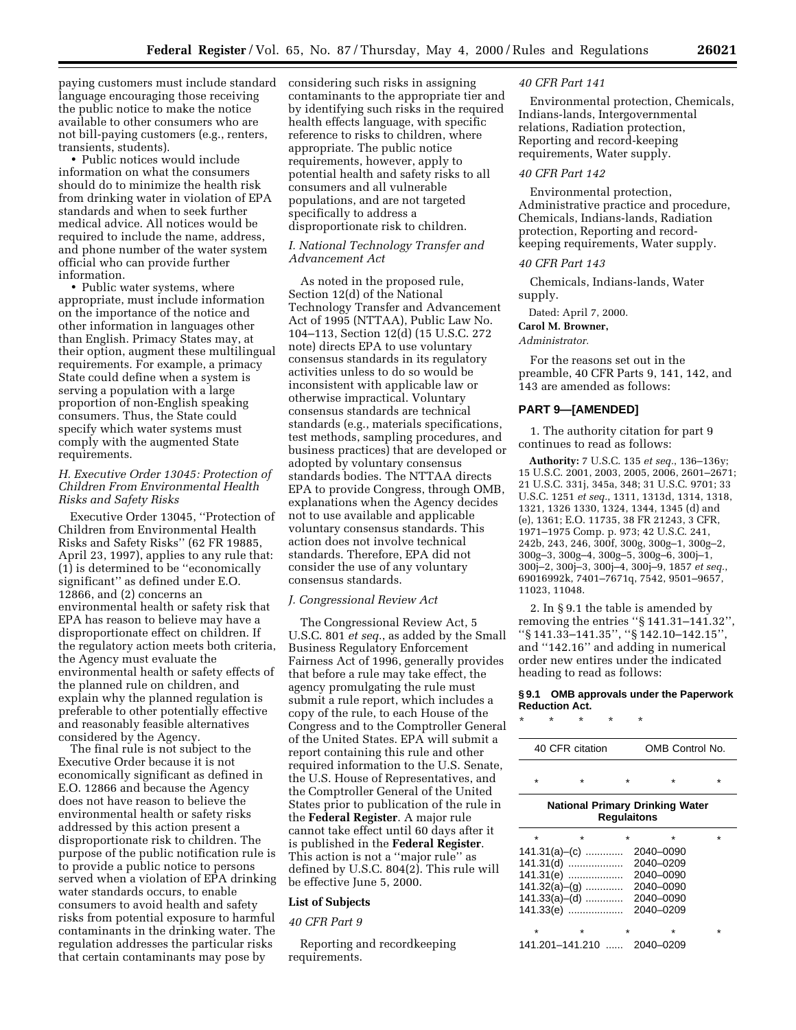paying customers must include standard considering such risks in assigning language encouraging those receiving the public notice to make the notice available to other consumers who are not bill-paying customers (e.g., renters, transients, students).

• Public notices would include information on what the consumers should do to minimize the health risk from drinking water in violation of EPA standards and when to seek further medical advice. All notices would be required to include the name, address, and phone number of the water system official who can provide further information.

• Public water systems, where appropriate, must include information on the importance of the notice and other information in languages other than English. Primacy States may, at their option, augment these multilingual requirements. For example, a primacy State could define when a system is serving a population with a large proportion of non-English speaking consumers. Thus, the State could specify which water systems must comply with the augmented State requirements.

## *H. Executive Order 13045: Protection of Children From Environmental Health Risks and Safety Risks*

Executive Order 13045, ''Protection of Children from Environmental Health Risks and Safety Risks'' (62 FR 19885, April 23, 1997), applies to any rule that: (1) is determined to be ''economically significant'' as defined under E.O. 12866, and (2) concerns an environmental health or safety risk that EPA has reason to believe may have a disproportionate effect on children. If the regulatory action meets both criteria, the Agency must evaluate the environmental health or safety effects of the planned rule on children, and explain why the planned regulation is preferable to other potentially effective and reasonably feasible alternatives considered by the Agency.

The final rule is not subject to the Executive Order because it is not economically significant as defined in E.O. 12866 and because the Agency does not have reason to believe the environmental health or safety risks addressed by this action present a disproportionate risk to children. The purpose of the public notification rule is to provide a public notice to persons served when a violation of EPA drinking water standards occurs, to enable consumers to avoid health and safety risks from potential exposure to harmful contaminants in the drinking water. The regulation addresses the particular risks that certain contaminants may pose by

contaminants to the appropriate tier and by identifying such risks in the required health effects language, with specific reference to risks to children, where appropriate. The public notice requirements, however, apply to potential health and safety risks to all consumers and all vulnerable populations, and are not targeted specifically to address a disproportionate risk to children.

## *I. National Technology Transfer and Advancement Act*

As noted in the proposed rule, Section 12(d) of the National Technology Transfer and Advancement Act of 1995 (NTTAA), Public Law No. 104–113, Section 12(d) (15 U.S.C. 272 note) directs EPA to use voluntary consensus standards in its regulatory activities unless to do so would be inconsistent with applicable law or otherwise impractical. Voluntary consensus standards are technical standards (e.g., materials specifications, test methods, sampling procedures, and business practices) that are developed or adopted by voluntary consensus standards bodies. The NTTAA directs EPA to provide Congress, through OMB, explanations when the Agency decides not to use available and applicable voluntary consensus standards. This action does not involve technical standards. Therefore, EPA did not consider the use of any voluntary consensus standards.

#### *J. Congressional Review Act*

The Congressional Review Act, 5 U.S.C. 801 *et seq.*, as added by the Small Business Regulatory Enforcement Fairness Act of 1996, generally provides that before a rule may take effect, the agency promulgating the rule must submit a rule report, which includes a copy of the rule, to each House of the Congress and to the Comptroller General of the United States. EPA will submit a report containing this rule and other required information to the U.S. Senate, the U.S. House of Representatives, and the Comptroller General of the United States prior to publication of the rule in the **Federal Register**. A major rule cannot take effect until 60 days after it is published in the **Federal Register**. This action is not a ''major rule'' as defined by U.S.C. 804(2). This rule will be effective June 5, 2000.

#### **List of Subjects**

#### *40 CFR Part 9*

Reporting and recordkeeping requirements.

#### *40 CFR Part 141*

Environmental protection, Chemicals, Indians-lands, Intergovernmental relations, Radiation protection, Reporting and record-keeping requirements, Water supply.

#### *40 CFR Part 142*

Environmental protection, Administrative practice and procedure, Chemicals, Indians-lands, Radiation protection, Reporting and recordkeeping requirements, Water supply.

#### *40 CFR Part 143*

Chemicals, Indians-lands, Water supply.

Dated: April 7, 2000.

#### **Carol M. Browner,**

*Administrator.*

For the reasons set out in the preamble, 40 CFR Parts 9, 141, 142, and 143 are amended as follows:

#### **PART 9—[AMENDED]**

1. The authority citation for part 9 continues to read as follows:

**Authority:** 7 U.S.C. 135 *et seq.*, 136–136y; 15 U.S.C. 2001, 2003, 2005, 2006, 2601–2671; 21 U.S.C. 331j, 345a, 348; 31 U.S.C. 9701; 33 U.S.C. 1251 *et seq.*, 1311, 1313d, 1314, 1318, 1321, 1326 1330, 1324, 1344, 1345 (d) and (e), 1361; E.O. 11735, 38 FR 21243, 3 CFR, 1971–1975 Comp. p. 973; 42 U.S.C. 241, 242b, 243, 246, 300f, 300g, 300g–1, 300g–2, 300g–3, 300g–4, 300g–5, 300g–6, 300j–1, 300j–2, 300j–3, 300j–4, 300j–9, 1857 *et seq.*, 69016992k, 7401–7671q, 7542, 9501–9657, 11023, 11048.

2. In § 9.1 the table is amended by removing the entries ''§ 141.31–141.32'', ''§ 141.33–141.35'', ''§ 142.10–142.15'', and ''142.16'' and adding in numerical order new entires under the indicated heading to read as follows:

#### **§ 9.1 OMB approvals under the Paperwork Reduction Act.**

| $^\star$ | ÷ | ÷                                                                                                     | ÷                  | ÷ |                                                                                       |   |
|----------|---|-------------------------------------------------------------------------------------------------------|--------------------|---|---------------------------------------------------------------------------------------|---|
|          |   | 40 CFR citation                                                                                       |                    |   | OMB Control No.                                                                       |   |
| $\star$  |   | ÷                                                                                                     | ÷                  |   | $\star$                                                                               | ÷ |
|          |   |                                                                                                       | <b>Regulaitons</b> |   | <b>National Primary Drinking Water</b>                                                |   |
| $\star$  |   | ÷<br>$141.31(a)$ - (c)<br>141.31(d)<br>141.31(e)<br>$141.32(a)–(g)$<br>$141.33(a)$ - (d)<br>141.33(e) |                    |   | $\star$<br>2040-0090<br>2040-0209<br>2040-0090<br>2040-0090<br>2040-0090<br>2040-0209 |   |
| ÷        |   |                                                                                                       |                    |   |                                                                                       |   |

141.201–141.210 ...... 2040–0209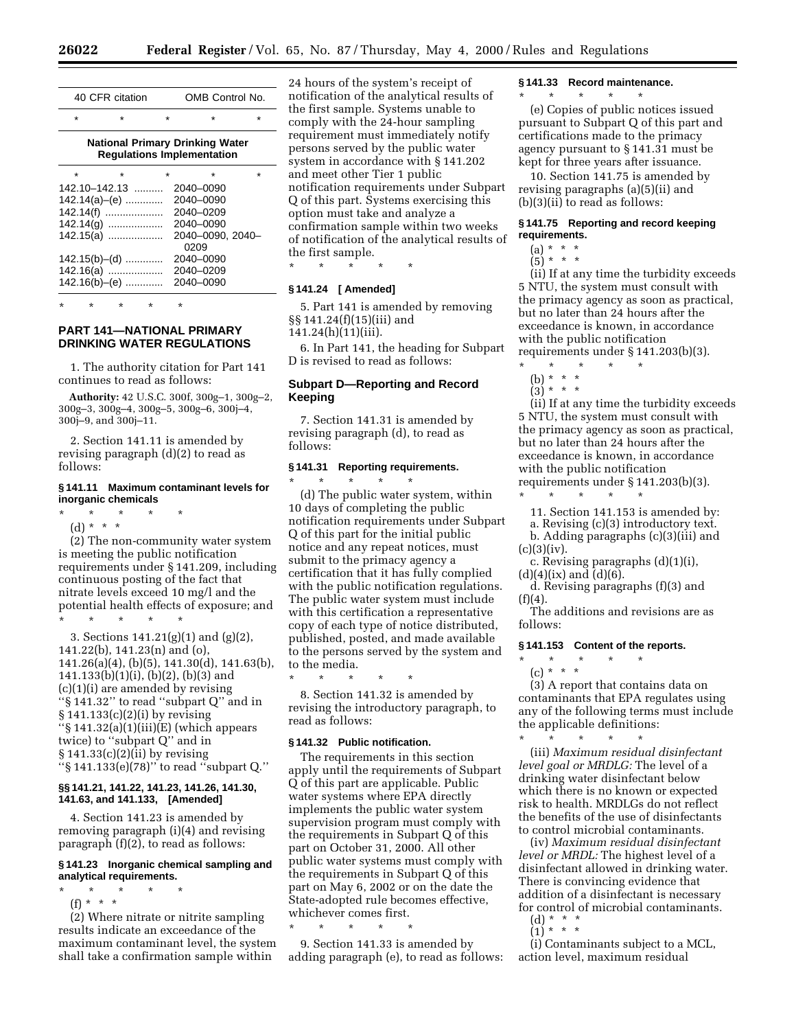|                                                                             | 40 CFR citation   |         | OMB Control No.  |   |  |  |  |  |  |  |
|-----------------------------------------------------------------------------|-------------------|---------|------------------|---|--|--|--|--|--|--|
| $\star$                                                                     | ÷                 | $\star$ | $\star$          | ÷ |  |  |  |  |  |  |
| <b>National Primary Drinking Water</b><br><b>Requlations Implementation</b> |                   |         |                  |   |  |  |  |  |  |  |
| $\star$                                                                     | ÷                 | $\star$ | $\star$          | ÷ |  |  |  |  |  |  |
|                                                                             | $142.10 - 142.13$ |         | 2040–0090        |   |  |  |  |  |  |  |
|                                                                             | $142.14(a)$ - (e) |         | 2040-0090        |   |  |  |  |  |  |  |
|                                                                             | 142.14(f)         |         | 2040–0209        |   |  |  |  |  |  |  |
|                                                                             | $142.14(q)$       |         | 2040–0090        |   |  |  |  |  |  |  |
|                                                                             | 142.15(a)         |         | 2040-0090, 2040- |   |  |  |  |  |  |  |
|                                                                             |                   |         | 0209             |   |  |  |  |  |  |  |
|                                                                             | $142.15(b)$ - (d) |         | 2040-0090        |   |  |  |  |  |  |  |
|                                                                             | 142.16(a)         |         | 2040–0209        |   |  |  |  |  |  |  |
|                                                                             | 142.16(b)-(e)     |         | 2040–0090        |   |  |  |  |  |  |  |
|                                                                             |                   |         |                  |   |  |  |  |  |  |  |

\* \* \* \* \*

# **PART 141—NATIONAL PRIMARY DRINKING WATER REGULATIONS**

1. The authority citation for Part 141 continues to read as follows:

**Authority:** 42 U.S.C. 300f, 300g–1, 300g–2, 300g–3, 300g–4, 300g–5, 300g–6, 300j–4, 300j–9, and 300j–11.

2. Section 141.11 is amended by revising paragraph (d)(2) to read as follows:

## **§ 141.11 Maximum contaminant levels for inorganic chemicals**

\* \* \* \* \*

(d) \* \* \*

(2) The non-community water system is meeting the public notification requirements under § 141.209, including continuous posting of the fact that nitrate levels exceed 10 mg/l and the potential health effects of exposure; and \* \* \* \* \*

3. Sections 141.21(g)(1) and (g)(2), 141.22(b), 141.23(n) and (o), 141.26(a)(4), (b)(5), 141.30(d), 141.63(b),  $141.133(b)(1)(i)$ , (b)(2), (b)(3) and (c)(1)(i) are amended by revising ''§ 141.32'' to read ''subpart Q'' and in § 141.133(c)(2)(i) by revising  $\sqrt{\frac{1}{2} (a)(1)(iii)}$ (E) (which appears twice) to ''subpart Q'' and in § 141.33(c)(2)(ii) by revising ''§ 141.133(e)(78)'' to read ''subpart Q.''

#### **§§ 141.21, 141.22, 141.23, 141.26, 141.30, 141.63, and 141.133, [Amended]**

4. Section 141.23 is amended by removing paragraph (i)(4) and revising paragraph (f)(2), to read as follows:

#### **§ 141.23 Inorganic chemical sampling and analytical requirements.**

- \* \* \* \* \*
	- (f) \* \* \*

(2) Where nitrate or nitrite sampling results indicate an exceedance of the maximum contaminant level, the system shall take a confirmation sample within

24 hours of the system's receipt of notification of the analytical results of the first sample. Systems unable to comply with the 24-hour sampling requirement must immediately notify persons served by the public water system in accordance with § 141.202 and meet other Tier 1 public notification requirements under Subpart Q of this part. Systems exercising this option must take and analyze a confirmation sample within two weeks of notification of the analytical results of the first sample.

\* \* \* \* \*

### **§ 141.24 [ Amended]**

5. Part 141 is amended by removing §§ 141.24(f)(15)(iii) and

# 141.24(h)(11)(iii).

6. In Part 141, the heading for Subpart D is revised to read as follows:

# **Subpart D—Reporting and Record Keeping**

7. Section 141.31 is amended by revising paragraph (d), to read as follows:

# **§ 141.31 Reporting requirements.**

\* \* \* \* \* (d) The public water system, within 10 days of completing the public notification requirements under Subpart Q of this part for the initial public notice and any repeat notices, must submit to the primacy agency a certification that it has fully complied with the public notification regulations. The public water system must include with this certification a representative copy of each type of notice distributed, published, posted, and made available to the persons served by the system and to the media.

\* \* \* \* \* 8. Section 141.32 is amended by revising the introductory paragraph, to read as follows:

## **§ 141.32 Public notification.**

The requirements in this section apply until the requirements of Subpart Q of this part are applicable. Public water systems where EPA directly implements the public water system supervision program must comply with the requirements in Subpart Q of this part on October 31, 2000. All other public water systems must comply with the requirements in Subpart Q of this part on May 6, 2002 or on the date the State-adopted rule becomes effective, whichever comes first.

\* \* \* \* \* 9. Section 141.33 is amended by adding paragraph (e), to read as follows:

#### **§ 141.33 Record maintenance.**

\* \* \* \* \*

(e) Copies of public notices issued pursuant to Subpart Q of this part and certifications made to the primacy agency pursuant to § 141.31 must be kept for three years after issuance.

10. Section 141.75 is amended by revising paragraphs (a)(5)(ii) and (b)(3)(ii) to read as follows:

## **§ 141.75 Reporting and record keeping requirements.**

- $(a) * * * *$
- $(5)^*$  \* \*

(ii) If at any time the turbidity exceeds 5 NTU, the system must consult with the primacy agency as soon as practical, but no later than 24 hours after the exceedance is known, in accordance with the public notification requirements under § 141.203(b)(3).

- \* \* \* \* \* (b) \* \* \*
- $(3) * * * *$

(ii) If at any time the turbidity exceeds 5 NTU, the system must consult with the primacy agency as soon as practical, but no later than 24 hours after the exceedance is known, in accordance with the public notification requirements under § 141.203(b)(3).

- \* \* \* \* \* 11. Section 141.153 is amended by: a. Revising (c)(3) introductory text.
- b. Adding paragraphs (c)(3)(iii) and  $(c)(3)(iv).$
- c. Revising paragraphs (d)(1)(i),

 $(d)(4)(ix)$  and  $(d)(6)$ . d. Revising paragraphs (f)(3) and  $(f)(4).$ 

The additions and revisions are as follows:

#### **§ 141.153 Content of the reports.**

\* \* \* \* \* (c) \* \* \*

(3) A report that contains data on contaminants that EPA regulates using any of the following terms must include the applicable definitions: \* \* \* \* \*

(iii) *Maximum residual disinfectant level goal or MRDLG:* The level of a drinking water disinfectant below which there is no known or expected risk to health. MRDLGs do not reflect the benefits of the use of disinfectants to control microbial contaminants.

(iv) *Maximum residual disinfectant level or MRDL:* The highest level of a disinfectant allowed in drinking water. There is convincing evidence that addition of a disinfectant is necessary for control of microbial contaminants.

 $(d) * * * *$  $(1) * * * *$ 

(i) Contaminants subject to a MCL, action level, maximum residual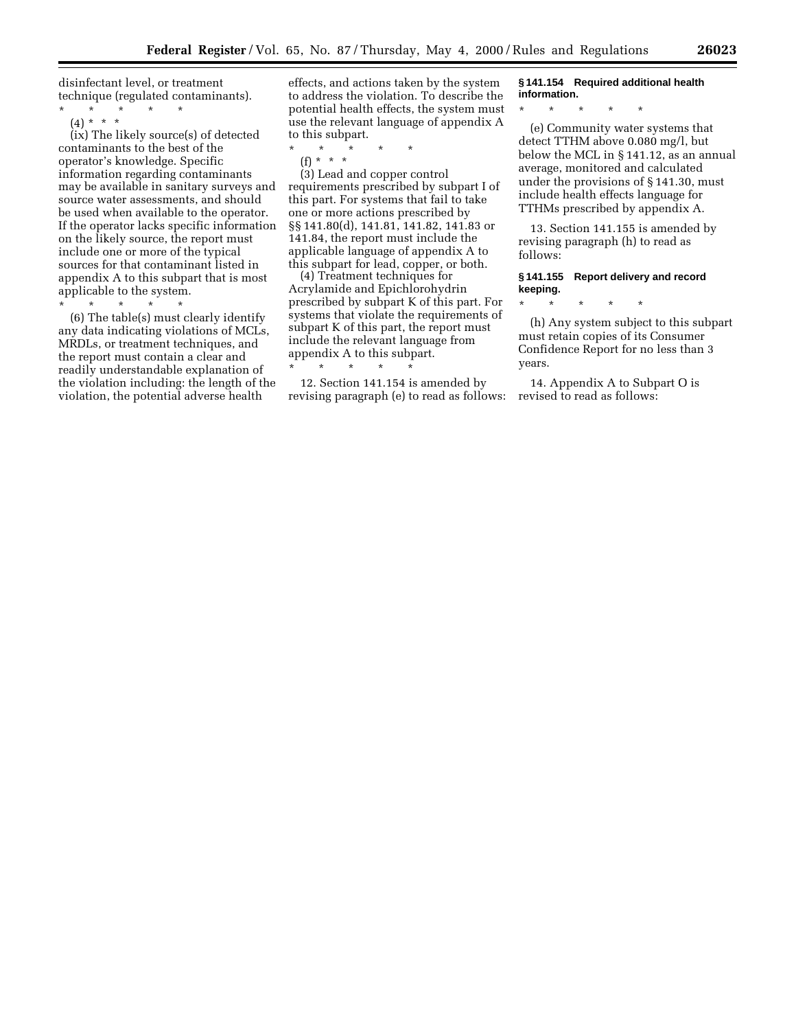disinfectant level, or treatment technique (regulated contaminants).

\* \* \* \* \* (4) \* \* \*

(ix) The likely source(s) of detected contaminants to the best of the operator's knowledge. Specific information regarding contaminants may be available in sanitary surveys and source water assessments, and should be used when available to the operator. If the operator lacks specific information on the likely source, the report must include one or more of the typical sources for that contaminant listed in appendix A to this subpart that is most applicable to the system.

\* \* \* \* \* (6) The table(s) must clearly identify any data indicating violations of MCLs, MRDLs, or treatment techniques, and the report must contain a clear and readily understandable explanation of the violation including: the length of the violation, the potential adverse health

effects, and actions taken by the system to address the violation. To describe the potential health effects, the system must use the relevant language of appendix A to this subpart.<br> $*$  \* \* \*

\* \* \* \* \*

(f) \* \* \*

(3) Lead and copper control requirements prescribed by subpart I of this part. For systems that fail to take one or more actions prescribed by §§ 141.80(d), 141.81, 141.82, 141.83 or 141.84, the report must include the applicable language of appendix A to this subpart for lead, copper, or both.

(4) Treatment techniques for Acrylamide and Epichlorohydrin prescribed by subpart K of this part. For systems that violate the requirements of subpart K of this part, the report must include the relevant language from appendix A to this subpart. \* \* \* \* \*

12. Section 141.154 is amended by revising paragraph (e) to read as follows:

# **§ 141.154 Required additional health information.**

\* \* \* \* \*

(e) Community water systems that detect TTHM above 0.080 mg/l, but below the MCL in § 141.12, as an annual average, monitored and calculated under the provisions of § 141.30, must include health effects language for TTHMs prescribed by appendix A.

13. Section 141.155 is amended by revising paragraph (h) to read as follows:

## **§ 141.155 Report delivery and record keeping.**

\* \* \* \* \*

(h) Any system subject to this subpart must retain copies of its Consumer Confidence Report for no less than 3 years.

14. Appendix A to Subpart O is revised to read as follows: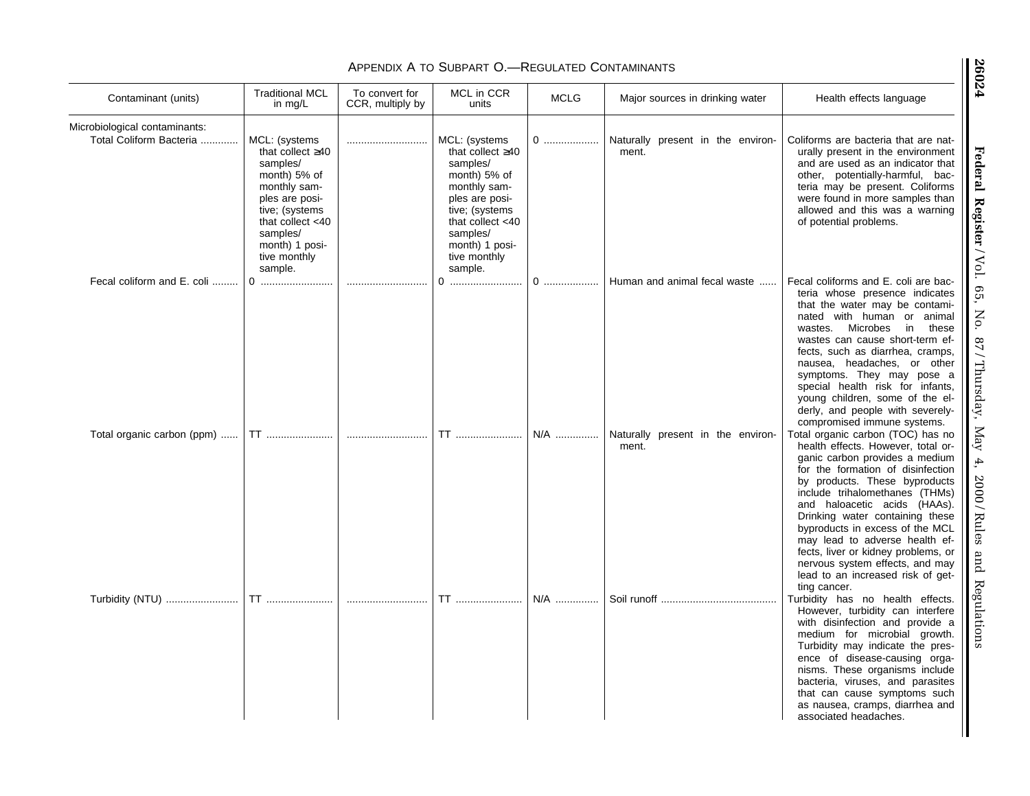| Contaminant (units)                                      | <b>Traditional MCL</b><br>in $mg/L$                                                                                                                                                          | To convert for<br>CCR, multiply by | MCL in CCR<br>units                                                                                                                                                                          | <b>MCLG</b> | Major sources in drinking water            | Health effects language                                                                                                                                                                                                                                                                                                                                                                                                                                                                  |
|----------------------------------------------------------|----------------------------------------------------------------------------------------------------------------------------------------------------------------------------------------------|------------------------------------|----------------------------------------------------------------------------------------------------------------------------------------------------------------------------------------------|-------------|--------------------------------------------|------------------------------------------------------------------------------------------------------------------------------------------------------------------------------------------------------------------------------------------------------------------------------------------------------------------------------------------------------------------------------------------------------------------------------------------------------------------------------------------|
| Microbiological contaminants:<br>Total Coliform Bacteria | MCL: (systems<br>that collect $\geq 40$<br>samples/<br>month) 5% of<br>monthly sam-<br>ples are posi-<br>tive; (systems<br>that collect $<$ 40<br>samples/<br>month) 1 posi-<br>tive monthly |                                    | MCL: (systems<br>that collect $\geq 40$<br>samples/<br>month) 5% of<br>monthly sam-<br>ples are posi-<br>tive; (systems<br>that collect $<$ 40<br>samples/<br>month) 1 posi-<br>tive monthly | 0           | Naturally present in the environ-<br>ment. | Coliforms are bacteria that are nat-<br>urally present in the environment<br>and are used as an indicator that<br>other, potentially-harmful, bac-<br>teria may be present. Coliforms<br>were found in more samples than<br>allowed and this was a warning<br>of potential problems.                                                                                                                                                                                                     |
| Fecal coliform and E. coli                               | sample.                                                                                                                                                                                      |                                    | sample.<br>0                                                                                                                                                                                 | 0           | Human and animal fecal waste               | Fecal coliforms and E. coli are bac-<br>teria whose presence indicates<br>that the water may be contami-<br>nated with human or animal<br>wastes. Microbes<br>in<br>these<br>wastes can cause short-term ef-<br>fects, such as diarrhea, cramps,<br>nausea, headaches, or other<br>symptoms. They may pose a<br>special health risk for infants,<br>young children, some of the el-<br>derly, and people with severely-<br>compromised immune systems.                                   |
| Total organic carbon (ppm)                               | <b>TT</b>                                                                                                                                                                                    |                                    | <b>TT</b>                                                                                                                                                                                    | N/A         | Naturally present in the environ-<br>ment. | Total organic carbon (TOC) has no<br>health effects. However, total or-<br>ganic carbon provides a medium<br>for the formation of disinfection<br>by products. These byproducts<br>include trihalomethanes (THMs)<br>and haloacetic acids (HAAs).<br>Drinking water containing these<br>byproducts in excess of the MCL<br>may lead to adverse health ef-<br>fects, liver or kidney problems, or<br>nervous system effects, and may<br>lead to an increased risk of get-<br>ting cancer. |
| Turbidity (NTU)                                          | <b>TT</b>                                                                                                                                                                                    |                                    | TT                                                                                                                                                                                           | N/A         |                                            | Turbidity has no health effects.                                                                                                                                                                                                                                                                                                                                                                                                                                                         |
|                                                          |                                                                                                                                                                                              |                                    |                                                                                                                                                                                              |             |                                            | However, turbidity can interfere<br>with disinfection and provide a<br>medium for microbial growth.<br>Turbidity may indicate the pres-<br>ence of disease-causing orga-<br>nisms. These organisms include<br>bacteria, viruses, and parasites<br>that can cause symptoms such<br>as nausea, cramps, diarrhea and<br>associated headaches.                                                                                                                                               |

# Appendix A to Subpart O.—Regulated Contaminants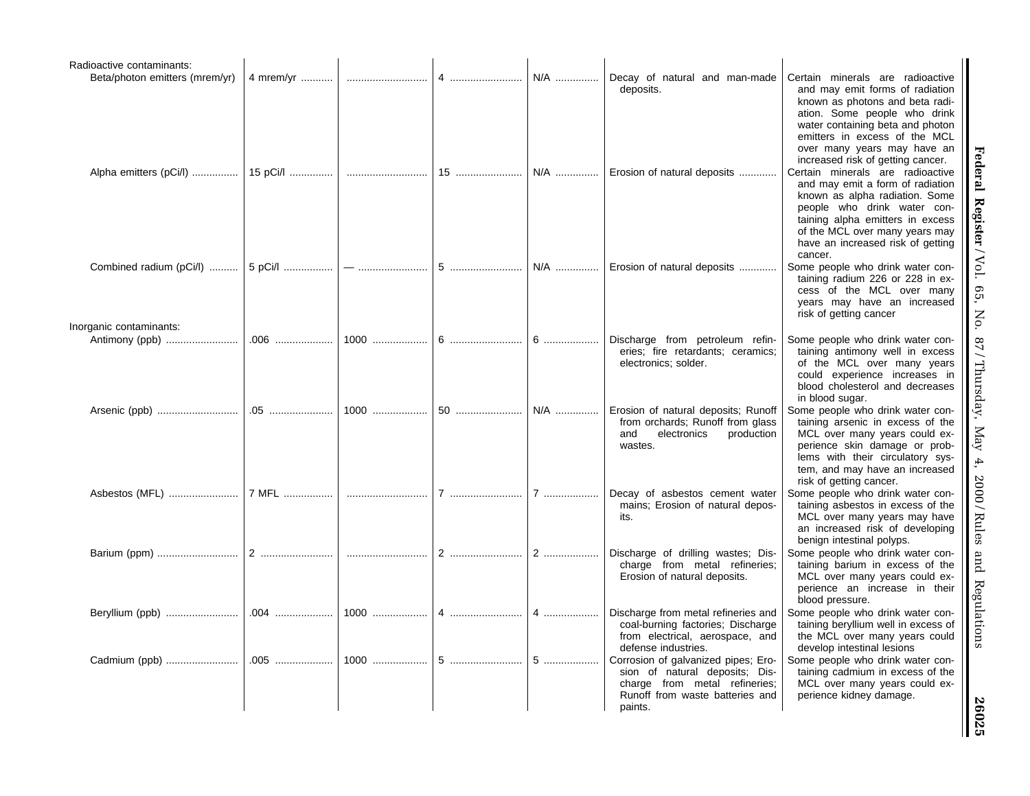| Radioactive contaminants:                          |           |      |    |     |                                                                                                                                                      |                                                                                                                                                                                                                                                                                 |
|----------------------------------------------------|-----------|------|----|-----|------------------------------------------------------------------------------------------------------------------------------------------------------|---------------------------------------------------------------------------------------------------------------------------------------------------------------------------------------------------------------------------------------------------------------------------------|
| Beta/photon emitters (mrem/yr)                     | 4 mrem/yr |      | 4  | N/A | Decay of natural and man-made<br>deposits.                                                                                                           | Certain minerals are radioactive<br>and may emit forms of radiation<br>known as photons and beta radi-<br>ation. Some people who drink<br>water containing beta and photon<br>emitters in excess of the MCL<br>over many years may have an<br>increased risk of getting cancer. |
| Alpha emitters (pCi/l)                             | 15 pCi/l  |      |    |     | 15    N/A    Erosion of natural deposits                                                                                                             | Certain minerals are radioactive<br>and may emit a form of radiation<br>known as alpha radiation. Some<br>people who drink water con-<br>taining alpha emitters in excess<br>of the MCL over many years may<br>have an increased risk of getting<br>cancer.                     |
| Combined radium (pCi/l)<br>Inorganic contaminants: | 5 pCi/l   |      |    |     | N/A    Erosion of natural deposits                                                                                                                   | Some people who drink water con-<br>taining radium 226 or 228 in ex-<br>cess of the MCL over many<br>years may have an increased<br>risk of getting cancer                                                                                                                      |
| Antimony (ppb)                                     |           | 1000 |    | 6   | Discharge from petroleum refin-<br>eries; fire retardants; ceramics;<br>electronics; solder.                                                         | Some people who drink water con-<br>taining antimony well in excess<br>of the MCL over many years<br>could experience increases in<br>blood cholesterol and decreases<br>in blood sugar.                                                                                        |
|                                                    |           | 1000 | 50 | N/A | Erosion of natural deposits; Runoff<br>from orchards; Runoff from glass<br>and<br>electronics<br>production<br>wastes.                               | Some people who drink water con-<br>taining arsenic in excess of the<br>MCL over many years could ex-<br>perience skin damage or prob-<br>lems with their circulatory sys-<br>tem, and may have an increased<br>risk of getting cancer.                                         |
|                                                    |           |      | 7  | 7   | Decay of asbestos cement water<br>mains; Erosion of natural depos-<br>its.                                                                           | Some people who drink water con-<br>taining asbestos in excess of the<br>MCL over many years may have<br>an increased risk of developing<br>benign intestinal polyps.                                                                                                           |
|                                                    | 2         |      |    |     | Discharge of drilling wastes; Dis-<br>charge from metal refineries;<br>Erosion of natural deposits.                                                  | Some people who drink water con-<br>taining barium in excess of the<br>MCL over many years could ex-<br>perience an increase in their<br>blood pressure.                                                                                                                        |
| Beryllium (ppb)                                    | .004      |      |    |     | Discharge from metal refineries and<br>coal-burning factories; Discharge<br>from electrical, aerospace, and<br>defense industries.                   | Some people who drink water con-<br>taining beryllium well in excess of<br>the MCL over many years could<br>develop intestinal lesions                                                                                                                                          |
|                                                    |           |      |    |     | Corrosion of galvanized pipes; Ero-<br>sion of natural deposits; Dis-<br>charge from metal refineries;<br>Runoff from waste batteries and<br>paints. | Some people who drink water con-<br>taining cadmium in excess of the<br>MCL over many years could ex-<br>perience kidney damage.                                                                                                                                                |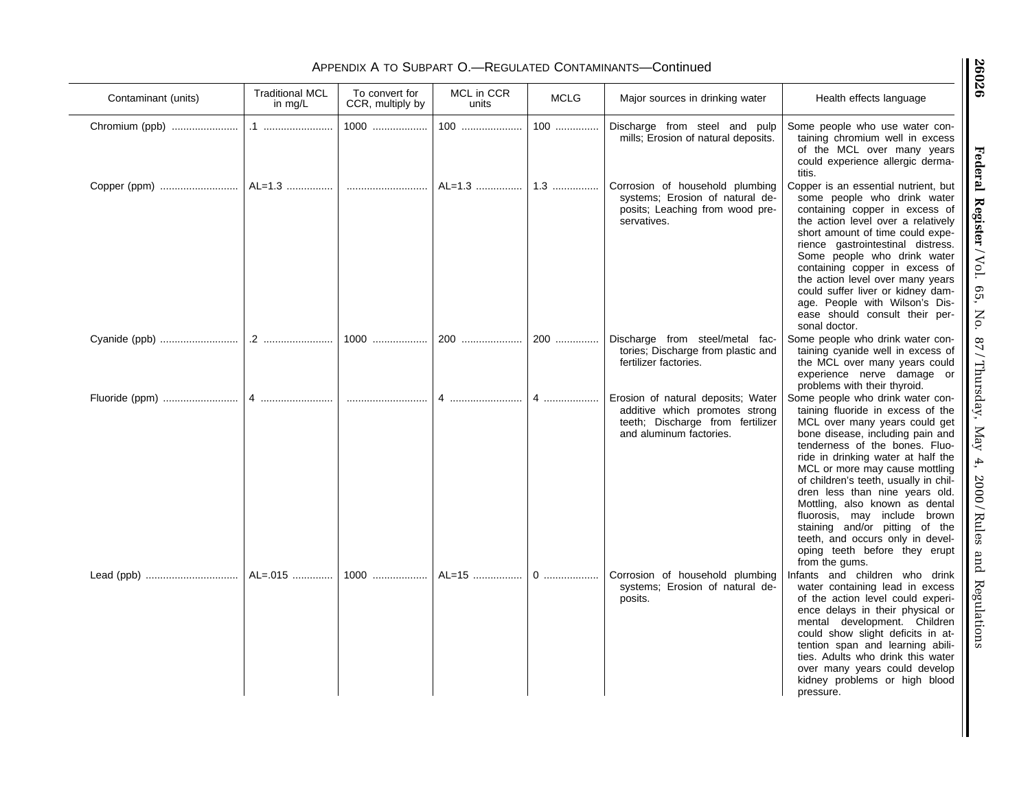# APPENDIX A TO SUBPART O.—REGULATED CONTAMINANTS—Continued

| Contaminant (units) | <b>Traditional MCL</b><br>in $mg/L$ | To convert for<br>CCR, multiply by | MCL in CCR<br>units | <b>MCLG</b> | Major sources in drinking water                                                                                                     | Health effects language                                                                                                                                                                                                                                                                                                                                                                                                                                                                                                    |
|---------------------|-------------------------------------|------------------------------------|---------------------|-------------|-------------------------------------------------------------------------------------------------------------------------------------|----------------------------------------------------------------------------------------------------------------------------------------------------------------------------------------------------------------------------------------------------------------------------------------------------------------------------------------------------------------------------------------------------------------------------------------------------------------------------------------------------------------------------|
| Chromium (ppb)      |                                     | 1000                               | 100                 | $100$       | Discharge from steel and pulp<br>mills; Erosion of natural deposits.                                                                | Some people who use water con-<br>taining chromium well in excess<br>of the MCL over many years<br>could experience allergic derma-<br>titis.                                                                                                                                                                                                                                                                                                                                                                              |
| Copper (ppm)        | AL=1.3                              |                                    | AL=1.3              | $1.3$       | Corrosion of household plumbing<br>systems; Erosion of natural de-<br>posits; Leaching from wood pre-<br>servatives.                | Copper is an essential nutrient, but<br>some people who drink water<br>containing copper in excess of<br>the action level over a relatively<br>short amount of time could expe-<br>rience gastrointestinal distress.<br>Some people who drink water<br>containing copper in excess of<br>the action level over many years<br>could suffer liver or kidney dam-<br>age. People with Wilson's Dis-<br>ease should consult their per-<br>sonal doctor.                                                                        |
|                     |                                     | 1000                               | 200                 | 200         | Discharge from steel/metal fac-<br>tories; Discharge from plastic and<br>fertilizer factories.                                      | Some people who drink water con-<br>taining cyanide well in excess of<br>the MCL over many years could<br>experience nerve damage or<br>problems with their thyroid.                                                                                                                                                                                                                                                                                                                                                       |
|                     | 4                                   |                                    | 4                   | 4           | Erosion of natural deposits; Water<br>additive which promotes strong<br>teeth; Discharge from fertilizer<br>and aluminum factories. | Some people who drink water con-<br>taining fluoride in excess of the<br>MCL over many years could get<br>bone disease, including pain and<br>tenderness of the bones. Fluo-<br>ride in drinking water at half the<br>MCL or more may cause mottling<br>of children's teeth, usually in chil-<br>dren less than nine years old.<br>Mottling, also known as dental<br>fluorosis, may include brown<br>staining and/or pitting of the<br>teeth, and occurs only in devel-<br>oping teeth before they erupt<br>from the gums. |
|                     | AL=.015                             | 1000                               | AL=15               | $0$         | Corrosion of household plumbing<br>systems; Erosion of natural de-<br>posits.                                                       | Infants and children who drink<br>water containing lead in excess<br>of the action level could experi-<br>ence delays in their physical or<br>mental development. Children<br>could show slight deficits in at-<br>tention span and learning abili-<br>ties. Adults who drink this water<br>over many years could develop<br>kidney problems or high blood<br>pressure.                                                                                                                                                    |

Federal Register / Vol. 65, No. 87 / Thursday, May 4, 2000 / Rules and Regulations **Federal Register** / Vol. 65, No. 87 / Thursday, May 4, 2000 / Rules and Regulations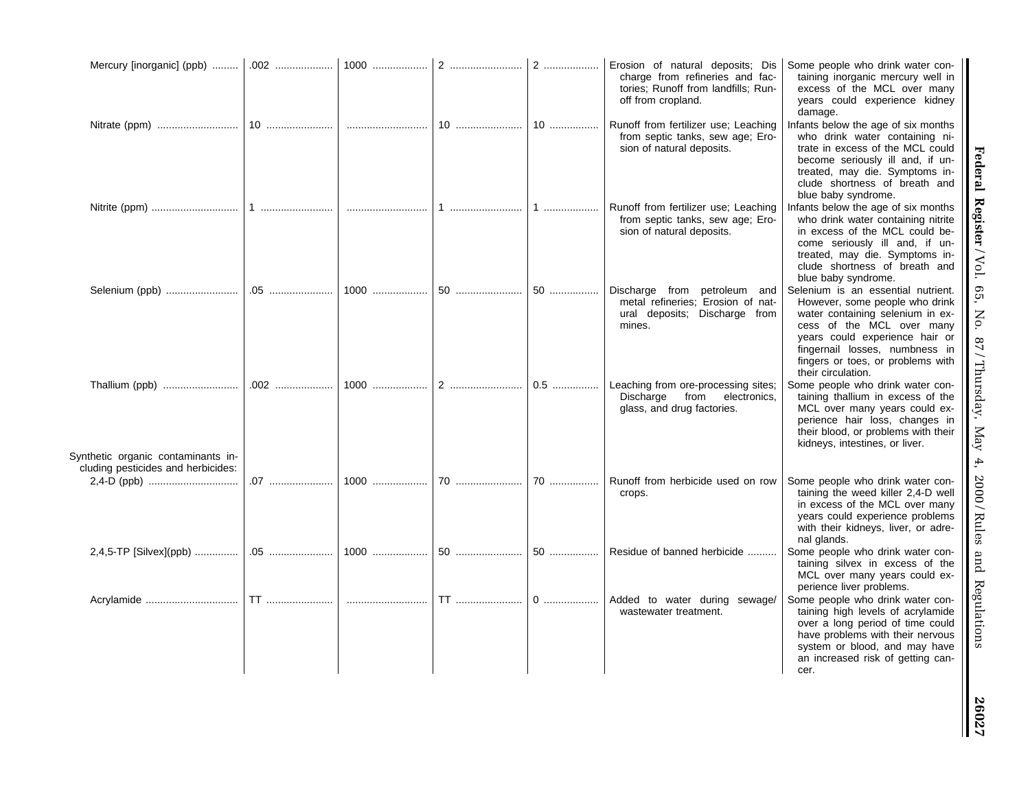|                                                      |           |        |    | 2    | Erosion of natural deposits; Dis<br>charge from refineries and fac-<br>tories; Runoff from landfills; Run-<br>off from cropland. | Some people who drink water con-<br>taining inorganic mercury well in<br>excess of the MCL over many<br>years could experience kidney<br>damage.                                                                                                                     |
|------------------------------------------------------|-----------|--------|----|------|----------------------------------------------------------------------------------------------------------------------------------|----------------------------------------------------------------------------------------------------------------------------------------------------------------------------------------------------------------------------------------------------------------------|
|                                                      | 10        |        | 10 | 10   | Runoff from fertilizer use; Leaching<br>from septic tanks, sew age; Ero-<br>sion of natural deposits.                            | Infants below the age of six months<br>who drink water containing ni-<br>trate in excess of the MCL could<br>become seriously ill and, if un-<br>treated, may die. Symptoms in-<br>clude shortness of breath and<br>blue baby syndrome.                              |
|                                                      | 1         |        |    | 1    | Runoff from fertilizer use; Leaching<br>from septic tanks, sew age; Ero-<br>sion of natural deposits.                            | Infants below the age of six months<br>who drink water containing nitrite<br>in excess of the MCL could be-<br>come seriously ill and, if un-<br>treated, may die. Symptoms in-<br>clude shortness of breath and<br>blue baby syndrome.                              |
|                                                      |           |        | 50 | $50$ | Discharge from<br>petroleum and<br>metal refineries; Erosion of nat-<br>ural deposits; Discharge from<br>mines.                  | Selenium is an essential nutrient.<br>However, some people who drink<br>water containing selenium in ex-<br>cess of the MCL over many<br>years could experience hair or<br>fingernail losses, numbness in<br>fingers or toes, or problems with<br>their circulation. |
| Thallium (ppb)<br>Synthetic organic contaminants in- | .002      | 1000   | 2  | 0.5  | Leaching from ore-processing sites;<br>from<br>Discharge<br>electronics,<br>glass, and drug factories.                           | Some people who drink water con-<br>taining thallium in excess of the<br>MCL over many years could ex-<br>perience hair loss, changes in<br>their blood, or problems with their<br>kidneys, intestines, or liver.                                                    |
| cluding pesticides and herbicides:                   |           | $1000$ | 70 | 70   | Runoff from herbicide used on row<br>crops.                                                                                      | Some people who drink water con-<br>taining the weed killer 2,4-D well<br>in excess of the MCL over many<br>years could experience problems<br>with their kidneys, liver, or adre-<br>nal glands.                                                                    |
| 2,4,5-TP [Silvex](ppb)                               | .05       | $1000$ | 50 | 50   | Residue of banned herbicide                                                                                                      | Some people who drink water con-<br>taining silvex in excess of the<br>MCL over many years could ex-<br>perience liver problems.                                                                                                                                     |
| Acrylamide                                           | <b>TT</b> |        |    |      | Added to water during sewage/<br>wastewater treatment.                                                                           | Some people who drink water con-<br>taining high levels of acrylamide<br>over a long period of time could<br>have problems with their nervous<br>system or blood, and may have<br>an increased risk of getting can-<br>cer.                                          |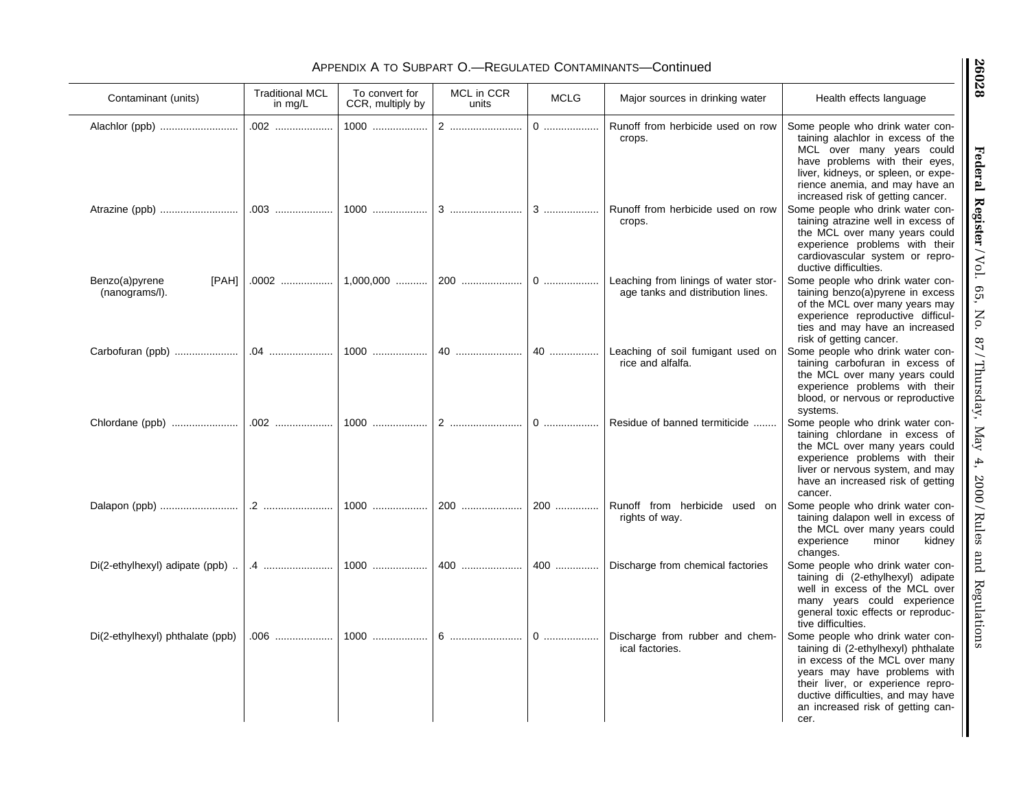# APPENDIX A TO SUBPART O.—REGULATED CONTAMINANTS—Continued

| Contaminant (units)                       | <b>Traditional MCL</b><br>in $mg/L$ | To convert for<br>CCR, multiply by | MCL in CCR<br>units | <b>MCLG</b> | Major sources in drinking water                                           | Health effects language                                                                                                                                                                                                                                           |
|-------------------------------------------|-------------------------------------|------------------------------------|---------------------|-------------|---------------------------------------------------------------------------|-------------------------------------------------------------------------------------------------------------------------------------------------------------------------------------------------------------------------------------------------------------------|
| Alachlor (ppb)                            | .002                                | 1000                               |                     |             | Runoff from herbicide used on row<br>crops.                               | Some people who drink water con-<br>taining alachlor in excess of the<br>MCL over many years could<br>have problems with their eyes,<br>liver, kidneys, or spleen, or expe-<br>rience anemia, and may have an<br>increased risk of getting cancer.                |
| Atrazine (ppb)                            |                                     | 1000                               | 3                   |             | Runoff from herbicide used on row<br>crops.                               | Some people who drink water con-<br>taining atrazine well in excess of<br>the MCL over many years could<br>experience problems with their<br>cardiovascular system or repro-<br>ductive difficulties.                                                             |
| Benzo(a)pyrene<br>[PAH]<br>(nanograms/l). | .0002                               | 1,000,000                          |                     |             | Leaching from linings of water stor-<br>age tanks and distribution lines. | Some people who drink water con-<br>taining benzo(a)pyrene in excess<br>of the MCL over many years may<br>experience reproductive difficul-<br>ties and may have an increased<br>risk of getting cancer.                                                          |
|                                           |                                     | 1000                               | 40                  | 40          | Leaching of soil fumigant used on<br>rice and alfalfa.                    | Some people who drink water con-<br>taining carbofuran in excess of<br>the MCL over many years could<br>experience problems with their<br>blood, or nervous or reproductive<br>systems.                                                                           |
|                                           | .002                                | 1000                               |                     |             | Residue of banned termiticide                                             | Some people who drink water con-<br>taining chlordane in excess of<br>the MCL over many years could<br>experience problems with their<br>liver or nervous system, and may<br>have an increased risk of getting<br>cancer.                                         |
|                                           |                                     | 1000                               | 200                 |             | Runoff from herbicide used on<br>rights of way.                           | Some people who drink water con-<br>taining dalapon well in excess of<br>the MCL over many years could<br>experience<br>minor<br>kidney<br>changes.                                                                                                               |
| Di(2-ethylhexyl) adipate (ppb)            | .4                                  | $1000$                             | 400                 |             | 400    Discharge from chemical factories                                  | Some people who drink water con-<br>taining di (2-ethylhexyl) adipate<br>well in excess of the MCL over<br>many years could experience<br>general toxic effects or reproduc-<br>tive difficulties.                                                                |
| Di(2-ethylhexyl) phthalate (ppb)          |                                     | 1000                               |                     | $0$         | Discharge from rubber and chem-<br>ical factories.                        | Some people who drink water con-<br>taining di (2-ethylhexyl) phthalate<br>in excess of the MCL over many<br>years may have problems with<br>their liver, or experience repro-<br>ductive difficulties, and may have<br>an increased risk of getting can-<br>cer. |

Federal Register / Vol. 65, No. 87 / Thursday, May 4, 2000 / Rules and Regulations **Federal Register** / Vol. 65, No. 87 / Thursday, May 4, 2000 / Rules and Regulations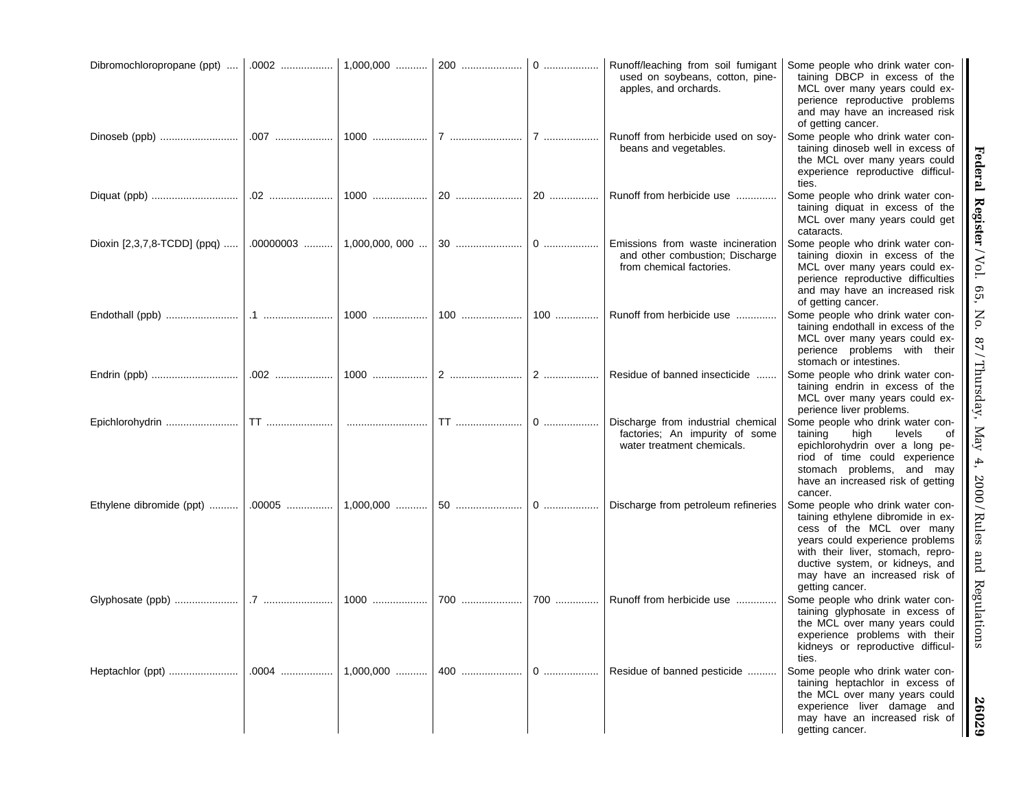| Dibromochloropropane (ppt)  |          |             |     |     | Runoff/leaching from soil fumigant<br>used on soybeans, cotton, pine-<br>apples, and orchards.     | Some people who drink water con-<br>taining DBCP in excess of the<br>MCL over many years could ex-<br>perience reproductive problems<br>and may have an increased risk<br>of getting cancer.                                                                      |
|-----------------------------|----------|-------------|-----|-----|----------------------------------------------------------------------------------------------------|-------------------------------------------------------------------------------------------------------------------------------------------------------------------------------------------------------------------------------------------------------------------|
| Dinoseb (ppb)               |          |             |     |     | Runoff from herbicide used on soy-<br>beans and vegetables.                                        | Some people who drink water con-<br>taining dinoseb well in excess of<br>the MCL over many years could<br>experience reproductive difficul-<br>ties.                                                                                                              |
|                             | .02  10  |             |     |     | Runoff from herbicide use                                                                          | Some people who drink water con-<br>taining diquat in excess of the<br>MCL over many years could get<br>cataracts.                                                                                                                                                |
| Dioxin [2,3,7,8-TCDD] (ppq) |          |             |     |     | Emissions from waste incineration<br>and other combustion; Discharge<br>from chemical factories.   | Some people who drink water con-<br>taining dioxin in excess of the<br>MCL over many years could ex-<br>perience reproductive difficulties<br>and may have an increased risk<br>of getting cancer.                                                                |
|                             |          |             |     | 100 | Runoff from herbicide use                                                                          | Some people who drink water con-<br>taining endothall in excess of the<br>MCL over many years could ex-<br>perience problems with their<br>stomach or intestines.                                                                                                 |
|                             |          |             |     |     | Residue of banned insecticide                                                                      | Some people who drink water con-<br>taining endrin in excess of the<br>MCL over many years could ex-<br>perience liver problems.                                                                                                                                  |
| Epichlorohydrin             |          |             |     | $0$ | Discharge from industrial chemical<br>factories; An impurity of some<br>water treatment chemicals. | Some people who drink water con-<br>taining<br>high<br>levels<br>оf<br>epichlorohydrin over a long pe-<br>riod of time could experience<br>stomach problems, and may<br>have an increased risk of getting<br>cancer.                                              |
| Ethylene dibromide (ppt)    | $.00005$ | $1,000,000$ |     | $0$ | Discharge from petroleum refineries                                                                | Some people who drink water con-<br>taining ethylene dibromide in ex-<br>cess of the MCL over many<br>years could experience problems<br>with their liver, stomach, repro-<br>ductive system, or kidneys, and<br>may have an increased risk of<br>getting cancer. |
| Glyphosate (ppb)            |          | 1000        | 700 | 700 | Runoff from herbicide use                                                                          | Some people who drink water con-<br>taining glyphosate in excess of<br>the MCL over many years could<br>experience problems with their<br>kidneys or reproductive difficul-<br>ties.                                                                              |
|                             |          |             |     |     | Residue of banned pesticide                                                                        | Some people who drink water con-<br>taining heptachlor in excess of<br>the MCL over many years could<br>experience liver damage and<br>may have an increased risk of<br>getting cancer.                                                                           |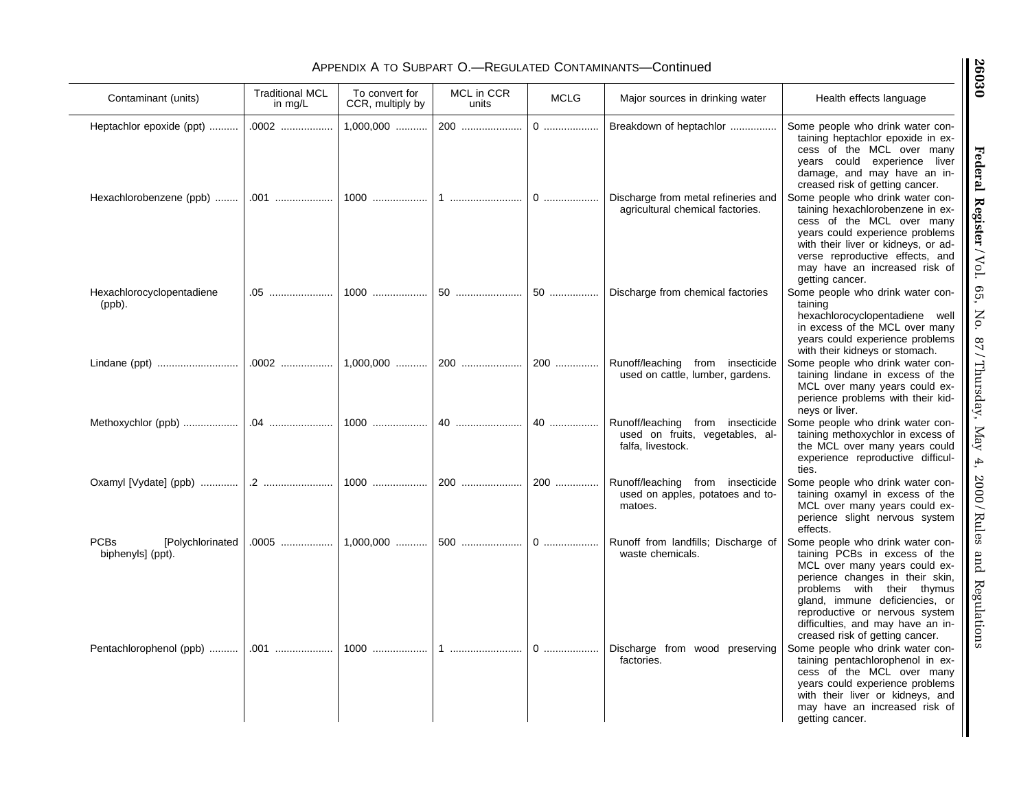# APPENDIX A TO SUBPART O.—REGULATED CONTAMINANTS—Continued

| Contaminant (units)                                  | <b>Traditional MCL</b><br>in $mg/L$ | To convert for<br>CCR, multiply by | MCL in CCR<br>units | <b>MCLG</b>                                          | Major sources in drinking water                                                          | Health effects language                                                                                                                                                                                                                                                                                         |
|------------------------------------------------------|-------------------------------------|------------------------------------|---------------------|------------------------------------------------------|------------------------------------------------------------------------------------------|-----------------------------------------------------------------------------------------------------------------------------------------------------------------------------------------------------------------------------------------------------------------------------------------------------------------|
| Heptachlor epoxide (ppt)                             | .0002                               | 1,000,000                          | 200                 | $0$                                                  | Breakdown of heptachlor                                                                  | Some people who drink water con-<br>taining heptachlor epoxide in ex-<br>cess of the MCL over many<br>years could experience liver<br>damage, and may have an in-<br>creased risk of getting cancer.                                                                                                            |
| Hexachlorobenzene (ppb)                              | .001                                | $1000$                             |                     | $0$                                                  | Discharge from metal refineries and<br>agricultural chemical factories.                  | Some people who drink water con-<br>taining hexachlorobenzene in ex-<br>cess of the MCL over many<br>years could experience problems<br>with their liver or kidneys, or ad-<br>verse reproductive effects, and<br>may have an increased risk of<br>getting cancer.                                              |
| Hexachlorocyclopentadiene<br>$(ppb)$ .               | .05                                 | $1000$                             | 50                  | $50$                                                 | Discharge from chemical factories                                                        | Some people who drink water con-<br>taining<br>hexachlorocyclopentadiene well<br>in excess of the MCL over many<br>years could experience problems<br>with their kidneys or stomach.                                                                                                                            |
|                                                      | .0002                               | $1,000,000$                        | 200                 | 200                                                  | Runoff/leaching from insecticide<br>used on cattle, lumber, gardens.                     | Some people who drink water con-<br>taining lindane in excess of the<br>MCL over many years could ex-<br>perience problems with their kid-<br>neys or liver.                                                                                                                                                    |
| Methoxychlor (ppb)                                   | .04                                 | 1000                               | 40                  | 40                                                   | Runoff/leaching from insecticide<br>used on fruits, vegetables, al-<br>falfa, livestock. | Some people who drink water con-<br>taining methoxychlor in excess of<br>the MCL over many years could<br>experience reproductive difficul-<br>ties.                                                                                                                                                            |
| Oxamyl [Vydate] (ppb)                                | $2$                                 | 1000                               | 200                 | 200                                                  | Runoff/leaching from insecticide<br>used on apples, potatoes and to-<br>matoes.          | Some people who drink water con-<br>taining oxamyl in excess of the<br>MCL over many years could ex-<br>perience slight nervous system<br>effects.                                                                                                                                                              |
| <b>PCBs</b><br>[Polychlorinated<br>biphenyls] (ppt). | .0005                               | 1,000,000                          | 500                 |                                                      | Runoff from landfills; Discharge of<br>waste chemicals.                                  | Some people who drink water con-<br>taining PCBs in excess of the<br>MCL over many years could ex-<br>perience changes in their skin,<br>problems with their thymus<br>gland, immune deficiencies, or<br>reproductive or nervous system<br>difficulties, and may have an in-<br>creased risk of getting cancer. |
| Pentachlorophenol (ppb)                              | .001                                | $1000$                             | 1                   | $0\ \dots\!\dots\!\dots\!\dots\!\dots\!\dots\!\dots$ | Discharge from wood preserving<br>factories.                                             | Some people who drink water con-<br>taining pentachlorophenol in ex-<br>cess of the MCL over many<br>years could experience problems<br>with their liver or kidneys, and<br>may have an increased risk of<br>getting cancer.                                                                                    |

Federal Register/Vol. 65, No. 87/Thursday, May 4, 2000/Rules and Regulations **Federal Register** / Vol. 65, No. 87 / Thursday, May 4, 2000 / Rules and Regulations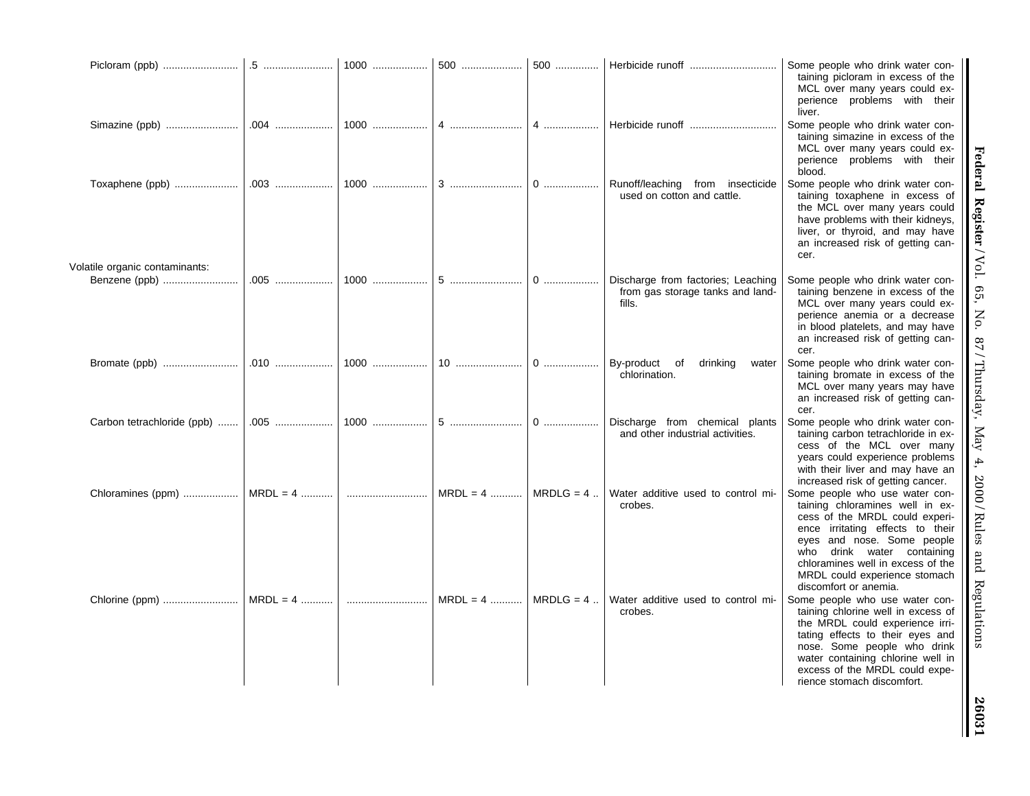|                                                   |            | 1000   | 500        |             |                                                                                  | Some people who drink water con-<br>taining picloram in excess of the<br>MCL over many years could ex-<br>perience problems with their<br>liver.                                                                                                                                                   |
|---------------------------------------------------|------------|--------|------------|-------------|----------------------------------------------------------------------------------|----------------------------------------------------------------------------------------------------------------------------------------------------------------------------------------------------------------------------------------------------------------------------------------------------|
| Simazine (ppb)                                    | .004       | $1000$ | 4          | 4           | Herbicide runoff                                                                 | Some people who drink water con-<br>taining simazine in excess of the<br>MCL over many years could ex-<br>perience problems with their<br>blood.                                                                                                                                                   |
| Toxaphene (ppb)<br>Volatile organic contaminants: |            | 1000   | 3          | $0$         | Runoff/leaching from insecticide<br>used on cotton and cattle.                   | Some people who drink water con-<br>taining toxaphene in excess of<br>the MCL over many years could<br>have problems with their kidneys,<br>liver, or thyroid, and may have<br>an increased risk of getting can-<br>cer.                                                                           |
| Benzene (ppb)                                     |            | $1000$ | $5$        | $0$         | Discharge from factories; Leaching<br>from gas storage tanks and land-<br>fills. | Some people who drink water con-<br>taining benzene in excess of the<br>MCL over many years could ex-<br>perience anemia or a decrease<br>in blood platelets, and may have<br>an increased risk of getting can-<br>cer.                                                                            |
|                                                   |            | 1000   | $10$       | $0$         | By-product of<br>drinking<br>water<br>chlorination.                              | Some people who drink water con-<br>taining bromate in excess of the<br>MCL over many years may have<br>an increased risk of getting can-<br>cer.                                                                                                                                                  |
| Carbon tetrachloride (ppb)                        |            | 1000   |            | 0           | Discharge from chemical plants<br>and other industrial activities.               | Some people who drink water con-<br>taining carbon tetrachloride in ex-<br>cess of the MCL over many<br>years could experience problems<br>with their liver and may have an<br>increased risk of getting cancer.                                                                                   |
| Chloramines (ppm)    MRDL = 4                     |            |        | $MRDL = 4$ | $MRDLG = 4$ | Water additive used to control mi-<br>crobes.                                    | Some people who use water con-<br>taining chloramines well in ex-<br>cess of the MRDL could experi-<br>ence irritating effects to their<br>eyes and nose. Some people<br>who drink water containing<br>chloramines well in excess of the<br>MRDL could experience stomach<br>discomfort or anemia. |
| Chlorine (ppm)                                    | $MRDL = 4$ |        | $MRDL = 4$ | $MRDLG = 4$ | Water additive used to control mi-<br>crobes.                                    | Some people who use water con-<br>taining chlorine well in excess of<br>the MRDL could experience irri-<br>tating effects to their eyes and<br>nose. Some people who drink<br>water containing chlorine well in<br>excess of the MRDL could expe-<br>rience stomach discomfort.                    |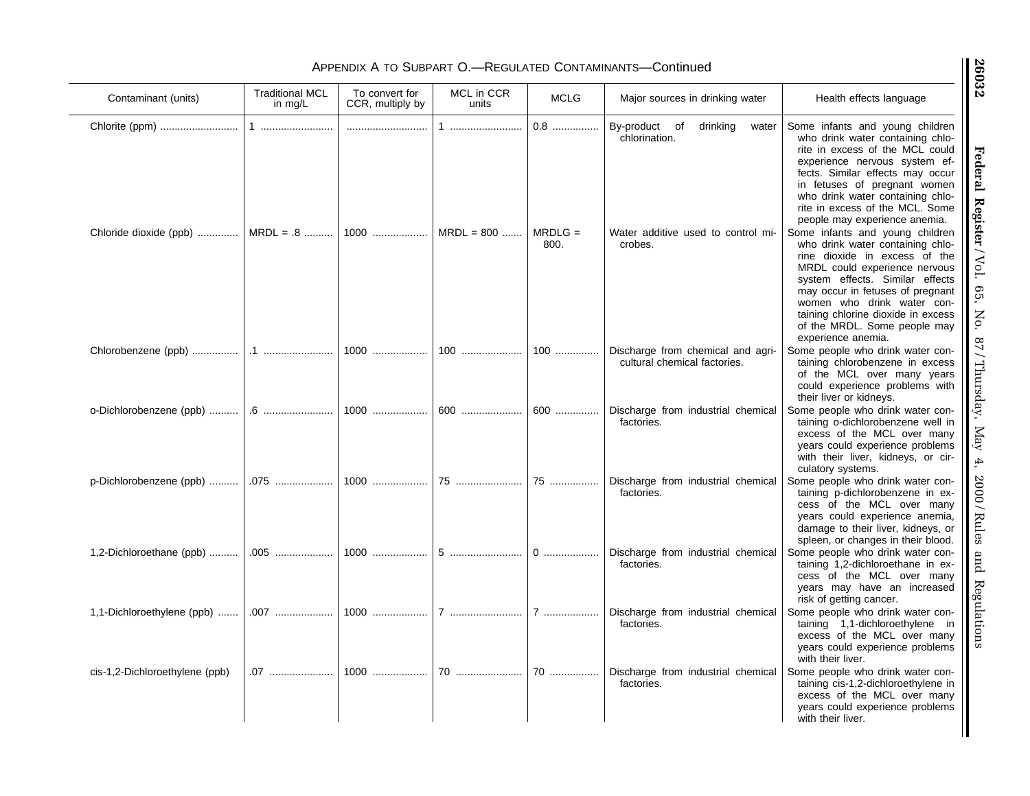# APPENDIX A TO SUBPART O.—REGULATED CONTAMINANTS—Continued

 $\overline{\phantom{a}}$ 

| Contaminant (units)            | <b>Traditional MCL</b><br>in mg/L | To convert for<br>CCR, multiply by | MCL in CCR<br>units | <b>MCLG</b>                | Major sources in drinking water                                                                      | Health effects language                                                                                                                                                                                                                                                                                                                                                                    |
|--------------------------------|-----------------------------------|------------------------------------|---------------------|----------------------------|------------------------------------------------------------------------------------------------------|--------------------------------------------------------------------------------------------------------------------------------------------------------------------------------------------------------------------------------------------------------------------------------------------------------------------------------------------------------------------------------------------|
| Chloride dioxide (ppb)         | 1<br>$MRDL = .8$                  | $1000$                             | 1<br>$MRDL = 800$   | $0.8$<br>$MRDLG =$<br>800. | By-product of<br>drinking<br>water<br>chlorination.<br>Water additive used to control mi-<br>crobes. | Some infants and young children<br>who drink water containing chlo-<br>rite in excess of the MCL could<br>experience nervous system ef-<br>fects. Similar effects may occur<br>in fetuses of pregnant women<br>who drink water containing chlo-<br>rite in excess of the MCL. Some<br>people may experience anemia.<br>Some infants and young children<br>who drink water containing chlo- |
|                                |                                   |                                    |                     |                            |                                                                                                      | rine dioxide in excess of the<br>MRDL could experience nervous<br>system effects. Similar effects<br>may occur in fetuses of pregnant<br>women who drink water con-<br>taining chlorine dioxide in excess<br>of the MRDL. Some people may<br>experience anemia.                                                                                                                            |
|                                |                                   | 1000                               | $100$               | 100                        | Discharge from chemical and agri-<br>cultural chemical factories.                                    | Some people who drink water con-<br>taining chlorobenzene in excess<br>of the MCL over many years<br>could experience problems with<br>their liver or kidneys.                                                                                                                                                                                                                             |
| o-Dichlorobenzene (ppb)        |                                   | 1000                               | 600                 | 600                        | Discharge from industrial chemical<br>factories.                                                     | Some people who drink water con-<br>taining o-dichlorobenzene well in<br>excess of the MCL over many<br>years could experience problems<br>with their liver, kidneys, or cir-<br>culatory systems.                                                                                                                                                                                         |
| p-Dichlorobenzene (ppb)        | .075                              | 1000                               | 75                  | 75                         | Discharge from industrial chemical<br>factories.                                                     | Some people who drink water con-<br>taining p-dichlorobenzene in ex-<br>cess of the MCL over many<br>years could experience anemia,<br>damage to their liver, kidneys, or<br>spleen, or changes in their blood.                                                                                                                                                                            |
| 1,2-Dichloroethane (ppb)       |                                   | 1000                               |                     | $0$                        | Discharge from industrial chemical<br>factories.                                                     | Some people who drink water con-<br>taining 1,2-dichloroethane in ex-<br>cess of the MCL over many<br>years may have an increased<br>risk of getting cancer.                                                                                                                                                                                                                               |
| 1,1-Dichloroethylene (ppb)     |                                   | 1000                               |                     | $7$                        | Discharge from industrial chemical<br>factories.                                                     | Some people who drink water con-<br>taining 1,1-dichloroethylene in<br>excess of the MCL over many<br>years could experience problems<br>with their liver.                                                                                                                                                                                                                                 |
| cis-1,2-Dichloroethylene (ppb) |                                   | $1000$                             |                     | $70$                       | Discharge from industrial chemical<br>factories.                                                     | Some people who drink water con-<br>taining cis-1,2-dichloroethylene in<br>excess of the MCL over many<br>years could experience problems<br>with their liver.                                                                                                                                                                                                                             |

Federal Register/Vol. 65, No. 87/Thursday, May 4, 2000/Rules and Regulations **Federal Register** / Vol. 65, No. 87 / Thursday, May 4, 2000 / Rules and Regulations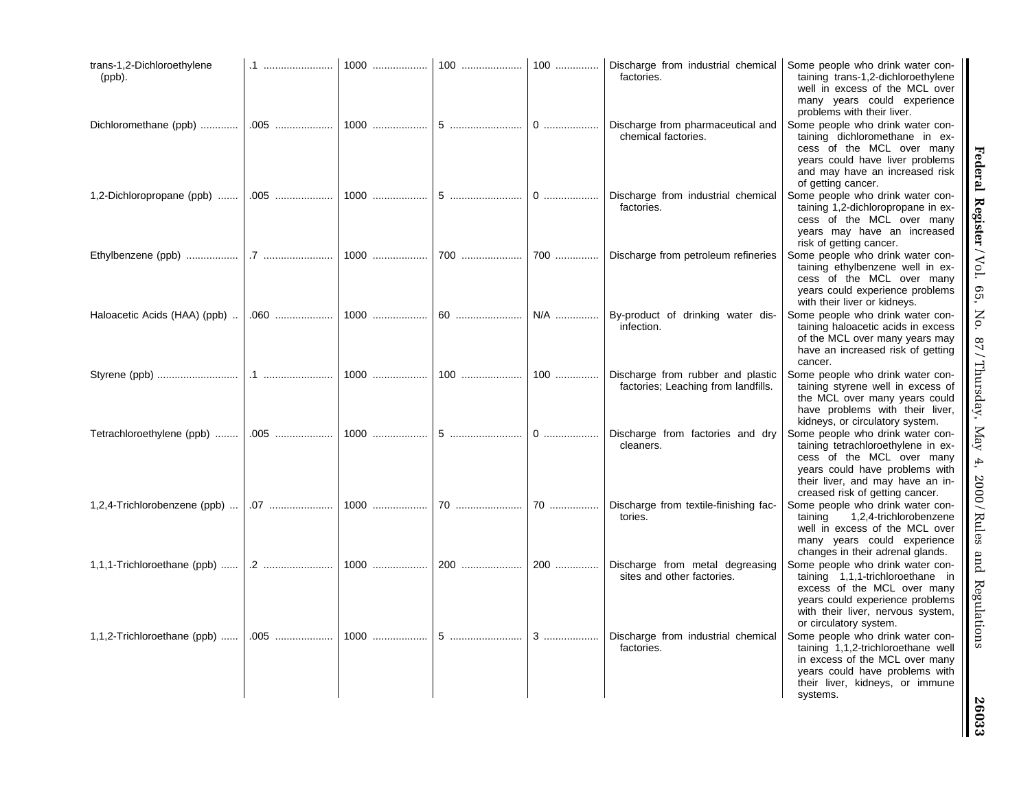| trans-1,2-Dichloroethylene<br>$(ppb)$ . | .1   | 1000 | 100 | 100 | Discharge from industrial chemical<br>factories.                         | Some people who drink water con-<br>taining trans-1,2-dichloroethylene<br>well in excess of the MCL over<br>many years could experience<br>problems with their liver.                                        |
|-----------------------------------------|------|------|-----|-----|--------------------------------------------------------------------------|--------------------------------------------------------------------------------------------------------------------------------------------------------------------------------------------------------------|
| Dichloromethane (ppb)                   |      | 1000 |     | $0$ | Discharge from pharmaceutical and<br>chemical factories.                 | Some people who drink water con-<br>taining dichloromethane in ex-<br>cess of the MCL over many<br>years could have liver problems<br>and may have an increased risk<br>of getting cancer.                   |
| 1,2-Dichloropropane (ppb)               | .005 | 1000 | 5   | 0   | Discharge from industrial chemical<br>factories.                         | Some people who drink water con-<br>taining 1,2-dichloropropane in ex-<br>cess of the MCL over many<br>years may have an increased<br>risk of getting cancer.                                                |
| Ethylbenzene (ppb)                      |      | 1000 | 700 | 700 | Discharge from petroleum refineries                                      | Some people who drink water con-<br>taining ethylbenzene well in ex-<br>cess of the MCL over many<br>years could experience problems<br>with their liver or kidneys.                                         |
| Haloacetic Acids (HAA) (ppb)            |      | 1000 | 60  | N/A | By-product of drinking water dis-<br>infection.                          | Some people who drink water con-<br>taining haloacetic acids in excess<br>of the MCL over many years may<br>have an increased risk of getting<br>cancer.                                                     |
|                                         |      | 1000 | 100 | 100 | Discharge from rubber and plastic<br>factories; Leaching from landfills. | Some people who drink water con-<br>taining styrene well in excess of<br>the MCL over many years could<br>have problems with their liver,<br>kidneys, or circulatory system.                                 |
| Tetrachloroethylene (ppb)               |      | 1000 | 5   | $0$ | Discharge from factories and dry<br>cleaners.                            | Some people who drink water con-<br>taining tetrachloroethylene in ex-<br>cess of the MCL over many<br>years could have problems with<br>their liver, and may have an in-<br>creased risk of getting cancer. |
| 1,2,4-Trichlorobenzene (ppb)            |      | 1000 | 70  | 70  | Discharge from textile-finishing fac-<br>tories.                         | Some people who drink water con-<br>taining<br>1,2,4-trichlorobenzene<br>well in excess of the MCL over<br>many years could experience<br>changes in their adrenal glands.                                   |
| 1,1,1-Trichloroethane (ppb)             | .2   | 1000 | 200 | 200 | Discharge from metal degreasing<br>sites and other factories.            | Some people who drink water con-<br>taining 1,1,1-trichloroethane in<br>excess of the MCL over many<br>years could experience problems<br>with their liver, nervous system,<br>or circulatory system.        |
| 1,1,2-Trichloroethane (ppb)             |      | 1000 |     |     | Discharge from industrial chemical<br>factories.                         | Some people who drink water con-<br>taining 1,1,2-trichloroethane well<br>in excess of the MCL over many<br>years could have problems with<br>their liver, kidneys, or immune<br>systems.                    |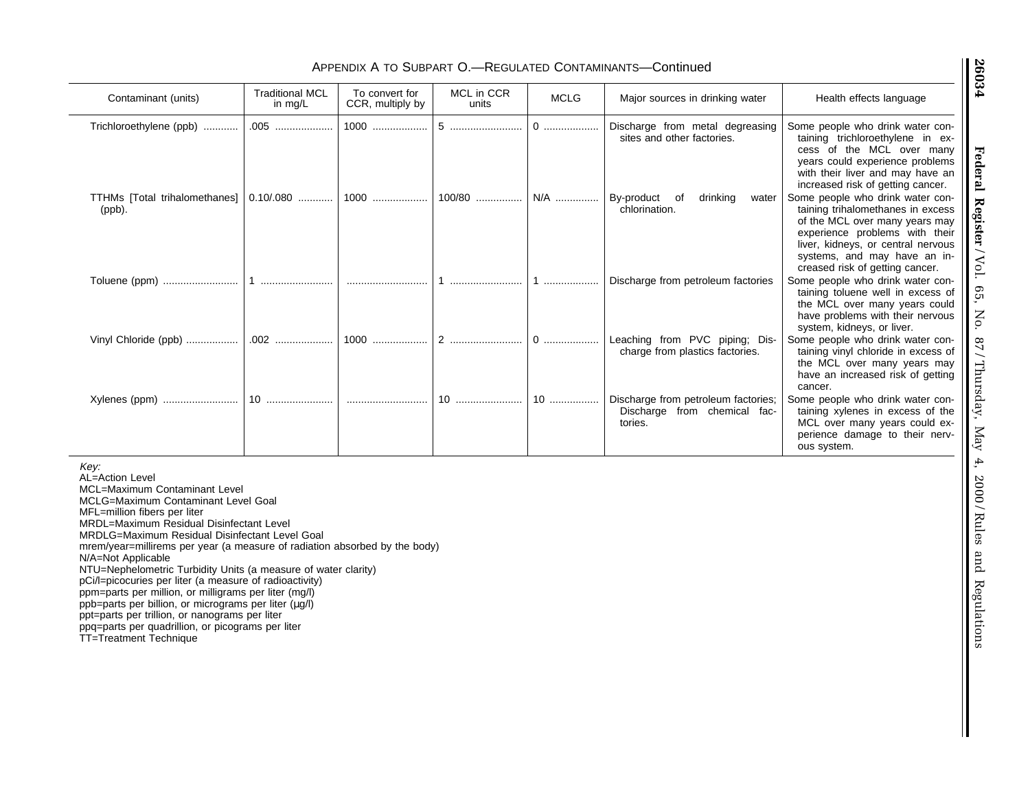# APPENDIX A TO SUBPART O.—REGULATED CONTAMINANTS—Continued

| Contaminant (units)                                    | <b>Traditional MCL</b><br>in $mg/L$ | To convert for<br>CCR, multiply by | MCL in CCR<br>units | <b>MCLG</b> | Major sources in drinking water                                                | Health effects language                                                                                                                                                                                                                            |
|--------------------------------------------------------|-------------------------------------|------------------------------------|---------------------|-------------|--------------------------------------------------------------------------------|----------------------------------------------------------------------------------------------------------------------------------------------------------------------------------------------------------------------------------------------------|
| Trichloroethylene (ppb)                                |                                     |                                    | 5                   |             | Discharge from metal degreasing<br>sites and other factories.                  | Some people who drink water con-<br>taining trichloroethylene in ex-<br>cess of the MCL over many<br>years could experience problems<br>with their liver and may have an<br>increased risk of getting cancer.                                      |
| TTHMs [Total trihalomethanes]   0.10/.080   <br>(ppb). |                                     | 1000                               | 100/80              | N/A         | drinking<br>By-product<br>water<br>of<br>chlorination.                         | Some people who drink water con-<br>taining trihalomethanes in excess<br>of the MCL over many years may<br>experience problems with their<br>liver, kidneys, or central nervous<br>systems, and may have an in-<br>creased risk of getting cancer. |
| Toluene (ppm)                                          |                                     |                                    |                     |             | Discharge from petroleum factories                                             | Some people who drink water con-<br>taining toluene well in excess of<br>the MCL over many years could<br>have problems with their nervous<br>system, kidneys, or liver.                                                                           |
| Vinyl Chloride (ppb)                                   |                                     | 1000                               | 2                   | 0           | Leaching from PVC piping; Dis-<br>charge from plastics factories.              | Some people who drink water con-<br>taining vinyl chloride in excess of<br>the MCL over many years may<br>have an increased risk of getting<br>cancer.                                                                                             |
|                                                        |                                     |                                    | 10                  | 10          | Discharge from petroleum factories;<br>Discharge from chemical fac-<br>tories. | Some people who drink water con-<br>taining xylenes in excess of the<br>MCL over many years could ex-<br>perience damage to their nerv-<br>ous system.                                                                                             |

Key:

AL=Action Level MCL=Maximum Contaminant Level MCLG=Maximum Contaminant Level GoalMFL=million fibers per liter MRDL=Maximum Residual Disinfectant Level MRDLG=Maximum Residual Disinfectant Level Goal mrem/year=millirems per year (a measure of radiation absorbed by the body) N/A=Not Applicable NTU=Nephelometric Turbidity Units (a measure of water clarity) pCi/l=picocuries per liter (a measure of radioactivity) ppm=parts per million, or milligrams per liter (mg/l) ppb=parts per billion, or micrograms per liter (µg/l) ppt=parts per trillion, or nanograms per liter ppq=parts per quadrillion, or picograms per liter TT=Treatment Technique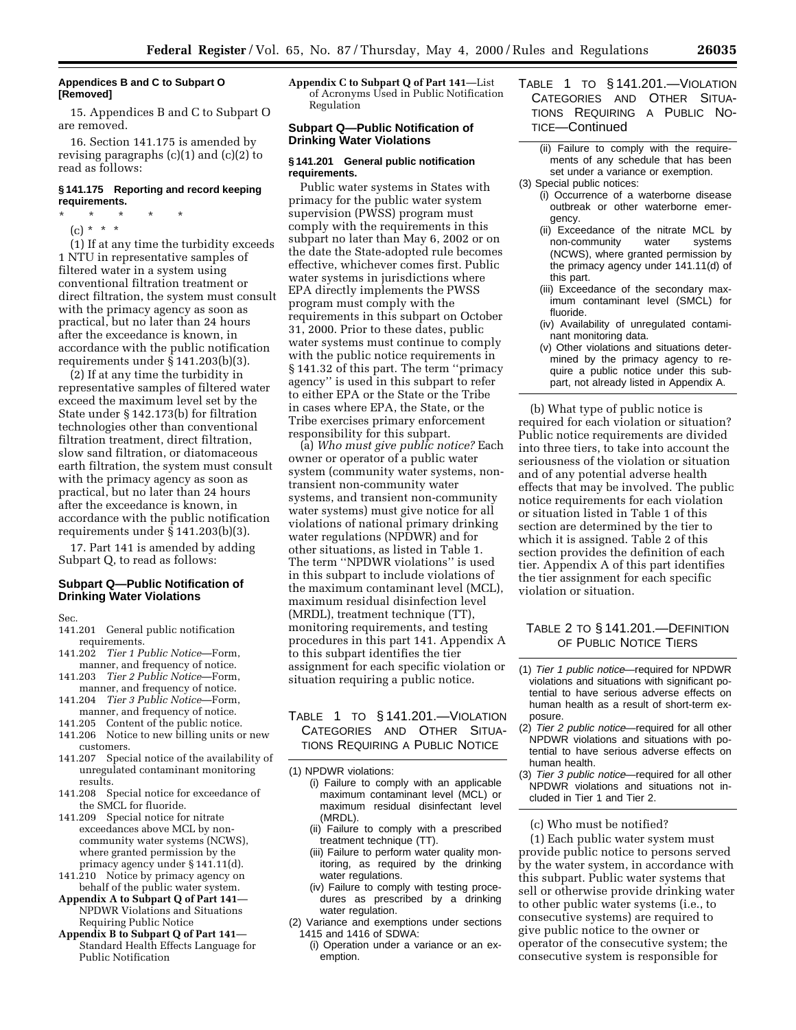## **Appendices B and C to Subpart O [Removed]**

15. Appendices B and C to Subpart O are removed.

16. Section 141.175 is amended by revising paragraphs (c)(1) and (c)(2) to read as follows:

# **§ 141.175 Reporting and record keeping requirements.**

\* \* \* \* \*

(c) \* \* \*

(1) If at any time the turbidity exceeds 1 NTU in representative samples of filtered water in a system using conventional filtration treatment or direct filtration, the system must consult with the primacy agency as soon as practical, but no later than 24 hours after the exceedance is known, in accordance with the public notification requirements under § 141.203(b)(3).

(2) If at any time the turbidity in representative samples of filtered water exceed the maximum level set by the State under § 142.173(b) for filtration technologies other than conventional filtration treatment, direct filtration, slow sand filtration, or diatomaceous earth filtration, the system must consult with the primacy agency as soon as practical, but no later than 24 hours after the exceedance is known, in accordance with the public notification requirements under § 141.203(b)(3).

17. Part 141 is amended by adding Subpart Q, to read as follows:

#### **Subpart Q—Public Notification of Drinking Water Violations**

Sec.

- 141.201 General public notification requirements.
- 141.202 *Tier 1 Public Notice*—Form, manner, and frequency of notice.
- 141.203 *Tier 2 Public Notice*—Form, manner, and frequency of notice.
- 141.204 *Tier 3 Public Notice*—Form,
- manner, and frequency of notice.<br>141.205 Content of the public notice 141.205 Content of the public notice.<br>141.206 Notice to new billing units o
- Notice to new billing units or new customers.
- 141.207 Special notice of the availability of unregulated contaminant monitoring results.
- 141.208 Special notice for exceedance of the SMCL for fluoride.
- 141.209 Special notice for nitrate exceedances above MCL by noncommunity water systems (NCWS), where granted permission by the primacy agency under § 141.11(d).
- 141.210 Notice by primacy agency on behalf of the public water system.
- **Appendix A to Subpart Q of Part 141** NPDWR Violations and Situations Requiring Public Notice
- **Appendix B to Subpart Q of Part 141** Standard Health Effects Language for Public Notification

**Appendix C to Subpart Q of Part 141**—List of Acronyms Used in Public Notification Regulation

# **Subpart Q—Public Notification of Drinking Water Violations**

#### **§ 141.201 General public notification requirements.**

Public water systems in States with primacy for the public water system supervision (PWSS) program must comply with the requirements in this subpart no later than May 6, 2002 or on the date the State-adopted rule becomes effective, whichever comes first. Public water systems in jurisdictions where EPA directly implements the PWSS program must comply with the requirements in this subpart on October 31, 2000. Prior to these dates, public water systems must continue to comply with the public notice requirements in § 141.32 of this part. The term ''primacy agency'' is used in this subpart to refer to either EPA or the State or the Tribe in cases where EPA, the State, or the Tribe exercises primary enforcement responsibility for this subpart.

(a) *Who must give public notice?* Each owner or operator of a public water system (community water systems, nontransient non-community water systems, and transient non-community water systems) must give notice for all violations of national primary drinking water regulations (NPDWR) and for other situations, as listed in Table 1. The term ''NPDWR violations'' is used in this subpart to include violations of the maximum contaminant level (MCL), maximum residual disinfection level (MRDL), treatment technique (TT), monitoring requirements, and testing procedures in this part 141. Appendix A to this subpart identifies the tier assignment for each specific violation or situation requiring a public notice.  $\frac{1}{\sqrt{2}}$ 

# TABLE 1 TO § 141.201.—VIOLATION CATEGORIES AND OTHER SITUA-TIONS REQUIRING A PUBLIC NOTICE

(1) NPDWR violations:

- (i) Failure to comply with an applicable maximum contaminant level (MCL) or maximum residual disinfectant level (MRDL).
- (ii) Failure to comply with a prescribed treatment technique (TT).
- (iii) Failure to perform water quality monitoring, as required by the drinking water regulations.
- (iv) Failure to comply with testing procedures as prescribed by a drinking water regulation.
- (2) Variance and exemptions under sections 1415 and 1416 of SDWA:
	- (i) Operation under a variance or an exemption.
- TABLE 1 TO § 141.201.—VIOLATION CATEGORIES AND OTHER SITUA-TIONS REQUIRING A PUBLIC NO-TICE—Continued
	- (ii) Failure to comply with the requirements of any schedule that has been set under a variance or exemption.
- (3) Special public notices: (i) Occurrence of a waterborne disease
	- outbreak or other waterborne emergency.
	- (ii) Exceedance of the nitrate MCL by non-community water systems (NCWS), where granted permission by the primacy agency under 141.11(d) of this part.
	- (iii) Exceedance of the secondary maximum contaminant level (SMCL) for fluoride.
	- (iv) Availability of unregulated contaminant monitoring data.
	- (v) Other violations and situations determined by the primacy agency to require a public notice under this subpart, not already listed in Appendix A.

(b) What type of public notice is required for each violation or situation? Public notice requirements are divided into three tiers, to take into account the seriousness of the violation or situation and of any potential adverse health effects that may be involved. The public notice requirements for each violation or situation listed in Table 1 of this section are determined by the tier to which it is assigned. Table 2 of this section provides the definition of each tier. Appendix A of this part identifies the tier assignment for each specific violation or situation.

# TABLE 2 TO § 141.201.—DEFINITION OF PUBLIC NOTICE TIERS

- (1) Tier 1 public notice—required for NPDWR violations and situations with significant potential to have serious adverse effects on human health as a result of short-term exposure.
- (2) Tier 2 public notice—required for all other NPDWR violations and situations with potential to have serious adverse effects on human health.
- (3) Tier 3 public notice—required for all other NPDWR violations and situations not included in Tier 1 and Tier 2.

#### (c) Who must be notified?

(1) Each public water system must provide public notice to persons served by the water system, in accordance with this subpart. Public water systems that sell or otherwise provide drinking water to other public water systems (i.e., to consecutive systems) are required to give public notice to the owner or operator of the consecutive system; the consecutive system is responsible for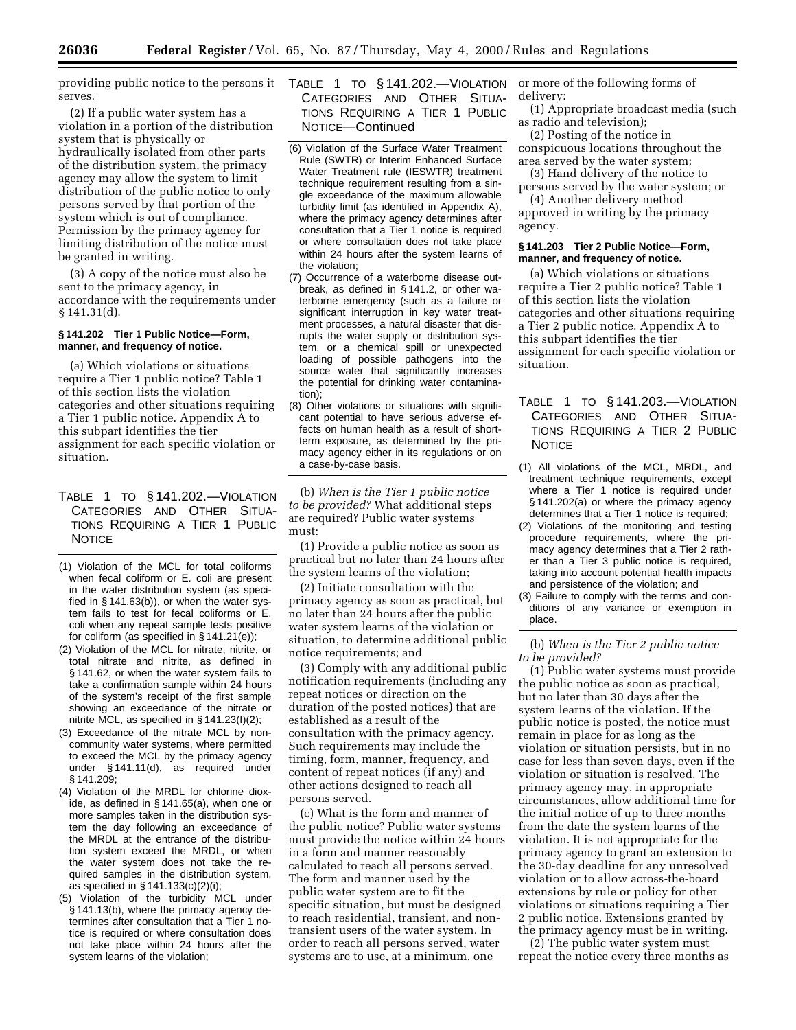serves.

(2) If a public water system has a violation in a portion of the distribution system that is physically or hydraulically isolated from other parts of the distribution system, the primacy agency may allow the system to limit distribution of the public notice to only persons served by that portion of the system which is out of compliance. Permission by the primacy agency for limiting distribution of the notice must be granted in writing.

(3) A copy of the notice must also be sent to the primacy agency, in accordance with the requirements under § 141.31(d).

## **§ 141.202 Tier 1 Public Notice—Form, manner, and frequency of notice.**

(a) Which violations or situations require a Tier 1 public notice? Table 1 of this section lists the violation categories and other situations requiring a Tier 1 public notice. Appendix A to this subpart identifies the tier assignment for each specific violation or situation.

- TABLE 1 TO § 141.202.—VIOLATION CATEGORIES AND OTHER SITUA-TIONS REQUIRING A TIER 1 PUBLIC **NOTICE**
- (1) Violation of the MCL for total coliforms when fecal coliform or E. coli are present in the water distribution system (as specified in § 141.63(b)), or when the water system fails to test for fecal coliforms or E. coli when any repeat sample tests positive for coliform (as specified in § 141.21(e));
- (2) Violation of the MCL for nitrate, nitrite, or total nitrate and nitrite, as defined in § 141.62, or when the water system fails to take a confirmation sample within 24 hours of the system's receipt of the first sample showing an exceedance of the nitrate or nitrite MCL, as specified in § 141.23(f)(2);
- (3) Exceedance of the nitrate MCL by noncommunity water systems, where permitted to exceed the MCL by the primacy agency under § 141.11(d), as required under § 141.209;
- (4) Violation of the MRDL for chlorine dioxide, as defined in § 141.65(a), when one or more samples taken in the distribution system the day following an exceedance of the MRDL at the entrance of the distribution system exceed the MRDL, or when the water system does not take the required samples in the distribution system, as specified in § 141.133(c)(2)(i);
- (5) Violation of the turbidity MCL under § 141.13(b), where the primacy agency determines after consultation that a Tier 1 notice is required or where consultation does not take place within 24 hours after the system learns of the violation;
- providing public notice to the persons it TABLE 1 TO § 141.202.—VIOLATION CATEGORIES AND OTHER SITUA-TIONS REQUIRING A TIER 1 PUBLIC NOTICE—Continued
	- (6) Violation of the Surface Water Treatment Rule (SWTR) or Interim Enhanced Surface Water Treatment rule (IESWTR) treatment technique requirement resulting from a single exceedance of the maximum allowable turbidity limit (as identified in Appendix A), where the primacy agency determines after consultation that a Tier 1 notice is required or where consultation does not take place within 24 hours after the system learns of the violation;
	- (7) Occurrence of a waterborne disease outbreak, as defined in § 141.2, or other waterborne emergency (such as a failure or significant interruption in key water treatment processes, a natural disaster that disrupts the water supply or distribution system, or a chemical spill or unexpected loading of possible pathogens into the source water that significantly increases the potential for drinking water contamination);
	- (8) Other violations or situations with significant potential to have serious adverse effects on human health as a result of shortterm exposure, as determined by the primacy agency either in its regulations or on a case-by-case basis.

(b) *When is the Tier 1 public notice to be provided?* What additional steps are required? Public water systems must:

(1) Provide a public notice as soon as practical but no later than 24 hours after the system learns of the violation;

(2) Initiate consultation with the primacy agency as soon as practical, but no later than 24 hours after the public water system learns of the violation or situation, to determine additional public notice requirements; and

(3) Comply with any additional public notification requirements (including any repeat notices or direction on the duration of the posted notices) that are established as a result of the consultation with the primacy agency. Such requirements may include the timing, form, manner, frequency, and content of repeat notices (if any) and other actions designed to reach all persons served.

(c) What is the form and manner of the public notice? Public water systems must provide the notice within 24 hours in a form and manner reasonably calculated to reach all persons served. The form and manner used by the public water system are to fit the specific situation, but must be designed to reach residential, transient, and nontransient users of the water system. In order to reach all persons served, water systems are to use, at a minimum, one

or more of the following forms of delivery:

(1) Appropriate broadcast media (such as radio and television);

(2) Posting of the notice in conspicuous locations throughout the area served by the water system;

(3) Hand delivery of the notice to persons served by the water system; or

(4) Another delivery method approved in writing by the primacy agency.

#### **§ 141.203 Tier 2 Public Notice—Form, manner, and frequency of notice.**

(a) Which violations or situations require a Tier 2 public notice? Table 1 of this section lists the violation categories and other situations requiring a Tier 2 public notice. Appendix A to this subpart identifies the tier assignment for each specific violation or situation.

- TABLE 1 TO § 141.203.—VIOLATION CATEGORIES AND OTHER SITUA-TIONS REQUIRING A TIER 2 PUBLIC **NOTICE**
- (1) All violations of the MCL, MRDL, and treatment technique requirements, except where a Tier 1 notice is required under § 141.202(a) or where the primacy agency determines that a Tier 1 notice is required;
- (2) Violations of the monitoring and testing procedure requirements, where the primacy agency determines that a Tier 2 rather than a Tier 3 public notice is required, taking into account potential health impacts and persistence of the violation; and
- (3) Failure to comply with the terms and conditions of any variance or exemption in place.

(b) *When is the Tier 2 public notice to be provided?*

(1) Public water systems must provide the public notice as soon as practical, but no later than 30 days after the system learns of the violation. If the public notice is posted, the notice must remain in place for as long as the violation or situation persists, but in no case for less than seven days, even if the violation or situation is resolved. The primacy agency may, in appropriate circumstances, allow additional time for the initial notice of up to three months from the date the system learns of the violation. It is not appropriate for the primacy agency to grant an extension to the 30-day deadline for any unresolved violation or to allow across-the-board extensions by rule or policy for other violations or situations requiring a Tier 2 public notice. Extensions granted by the primacy agency must be in writing.

(2) The public water system must repeat the notice every three months as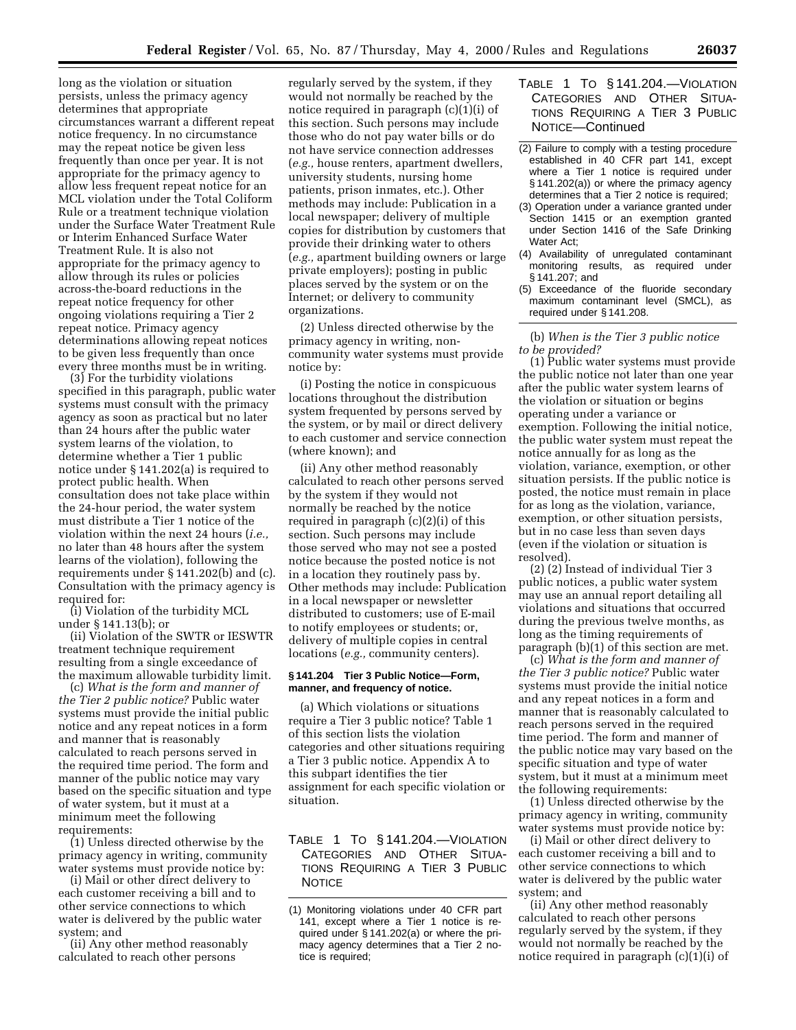long as the violation or situation persists, unless the primacy agency determines that appropriate circumstances warrant a different repeat notice frequency. In no circumstance may the repeat notice be given less frequently than once per year. It is not appropriate for the primacy agency to allow less frequent repeat notice for an MCL violation under the Total Coliform Rule or a treatment technique violation under the Surface Water Treatment Rule or Interim Enhanced Surface Water Treatment Rule. It is also not appropriate for the primacy agency to allow through its rules or policies across-the-board reductions in the repeat notice frequency for other ongoing violations requiring a Tier 2 repeat notice. Primacy agency determinations allowing repeat notices to be given less frequently than once every three months must be in writing.

(3) For the turbidity violations specified in this paragraph, public water systems must consult with the primacy agency as soon as practical but no later than 24 hours after the public water system learns of the violation, to determine whether a Tier 1 public notice under § 141.202(a) is required to protect public health. When consultation does not take place within the 24-hour period, the water system must distribute a Tier 1 notice of the violation within the next 24 hours (*i.e.,* no later than 48 hours after the system learns of the violation), following the requirements under § 141.202(b) and (c). Consultation with the primacy agency is required for:

(i) Violation of the turbidity MCL under § 141.13(b); or

(ii) Violation of the SWTR or IESWTR treatment technique requirement resulting from a single exceedance of the maximum allowable turbidity limit.

(c) *What is the form and manner of the Tier 2 public notice?* Public water systems must provide the initial public notice and any repeat notices in a form and manner that is reasonably calculated to reach persons served in the required time period. The form and manner of the public notice may vary based on the specific situation and type of water system, but it must at a minimum meet the following requirements:

(1) Unless directed otherwise by the primacy agency in writing, community water systems must provide notice by:

(i) Mail or other direct delivery to each customer receiving a bill and to other service connections to which water is delivered by the public water system; and

(ii) Any other method reasonably calculated to reach other persons

regularly served by the system, if they would not normally be reached by the notice required in paragraph (c)(1)(i) of this section. Such persons may include those who do not pay water bills or do not have service connection addresses (*e.g.,* house renters, apartment dwellers, university students, nursing home patients, prison inmates, etc.). Other methods may include: Publication in a local newspaper; delivery of multiple copies for distribution by customers that provide their drinking water to others (*e.g.,* apartment building owners or large private employers); posting in public places served by the system or on the Internet; or delivery to community organizations.

(2) Unless directed otherwise by the primacy agency in writing, noncommunity water systems must provide notice by:

(i) Posting the notice in conspicuous locations throughout the distribution system frequented by persons served by the system, or by mail or direct delivery to each customer and service connection (where known); and

(ii) Any other method reasonably calculated to reach other persons served by the system if they would not normally be reached by the notice required in paragraph (c)(2)(i) of this section. Such persons may include those served who may not see a posted notice because the posted notice is not in a location they routinely pass by. Other methods may include: Publication in a local newspaper or newsletter distributed to customers; use of E-mail to notify employees or students; or, delivery of multiple copies in central locations (*e.g.,* community centers).

#### **§ 141.204 Tier 3 Public Notice—Form, manner, and frequency of notice.**

(a) Which violations or situations require a Tier 3 public notice? Table 1 of this section lists the violation categories and other situations requiring a Tier 3 public notice. Appendix A to this subpart identifies the tier assignment for each specific violation or situation.

TABLE 1 TO § 141.204.—VIOLATION CATEGORIES AND OTHER SITUA-TIONS REQUIRING A TIER 3 PUBLIC **NOTICE** 

- TABLE 1 TO § 141.204.—VIOLATION CATEGORIES AND OTHER SITUA-TIONS REQUIRING A TIER 3 PUBLIC NOTICE—Continued
- (2) Failure to comply with a testing procedure established in 40 CFR part 141, except where a Tier 1 notice is required under § 141.202(a)) or where the primacy agency determines that a Tier 2 notice is required;
- (3) Operation under a variance granted under Section 1415 or an exemption granted under Section 1416 of the Safe Drinking Water Act;
- (4) Availability of unregulated contaminant monitoring results, as required under § 141.207; and
- (5) Exceedance of the fluoride secondary maximum contaminant level (SMCL), as required under § 141.208.

(b) *When is the Tier 3 public notice to be provided?*

(1) Public water systems must provide the public notice not later than one year after the public water system learns of the violation or situation or begins operating under a variance or exemption. Following the initial notice, the public water system must repeat the notice annually for as long as the violation, variance, exemption, or other situation persists. If the public notice is posted, the notice must remain in place for as long as the violation, variance, exemption, or other situation persists, but in no case less than seven days (even if the violation or situation is resolved).

(2) (2) Instead of individual Tier 3 public notices, a public water system may use an annual report detailing all violations and situations that occurred during the previous twelve months, as long as the timing requirements of paragraph (b)(1) of this section are met.

(c) *What is the form and manner of the Tier 3 public notice?* Public water systems must provide the initial notice and any repeat notices in a form and manner that is reasonably calculated to reach persons served in the required time period. The form and manner of the public notice may vary based on the specific situation and type of water system, but it must at a minimum meet the following requirements:

(1) Unless directed otherwise by the primacy agency in writing, community water systems must provide notice by:

(i) Mail or other direct delivery to each customer receiving a bill and to other service connections to which water is delivered by the public water system; and

(ii) Any other method reasonably calculated to reach other persons regularly served by the system, if they would not normally be reached by the notice required in paragraph (c)(1)(i) of

<sup>(1)</sup> Monitoring violations under 40 CFR part 141, except where a Tier 1 notice is required under § 141.202(a) or where the primacy agency determines that a Tier 2 notice is required;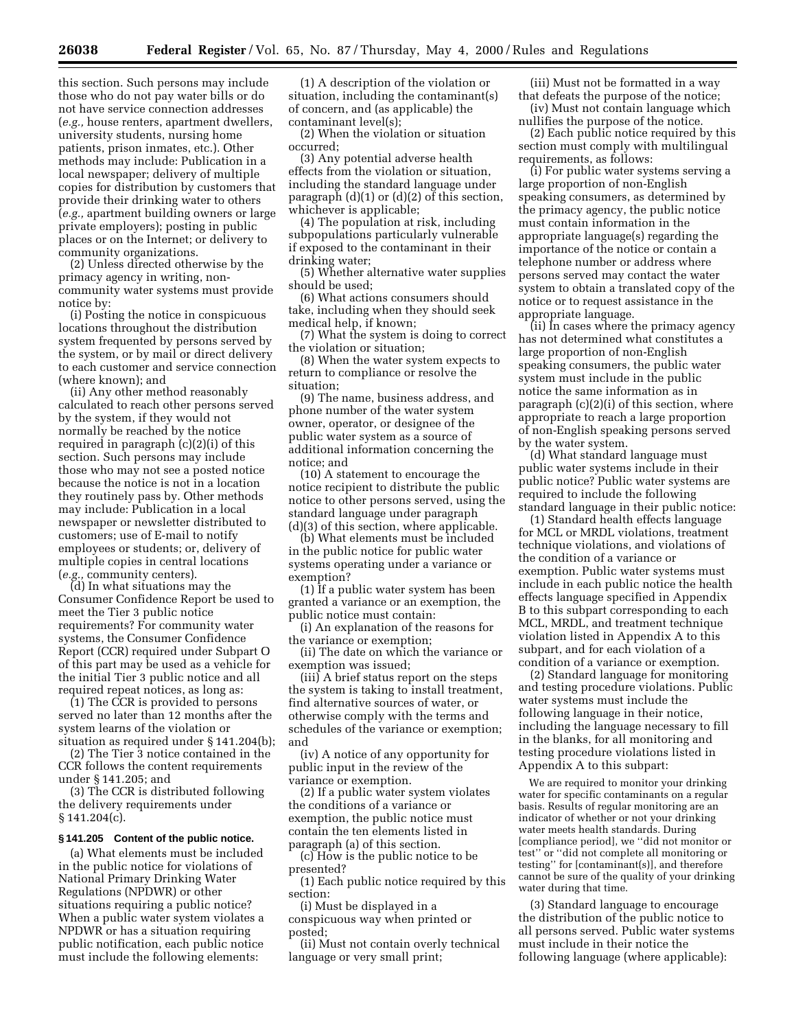this section. Such persons may include those who do not pay water bills or do not have service connection addresses (*e.g.,* house renters, apartment dwellers, university students, nursing home patients, prison inmates, etc.). Other methods may include: Publication in a local newspaper; delivery of multiple copies for distribution by customers that provide their drinking water to others (*e.g.,* apartment building owners or large private employers); posting in public places or on the Internet; or delivery to community organizations.

(2) Unless directed otherwise by the primacy agency in writing, noncommunity water systems must provide notice by:

(i) Posting the notice in conspicuous locations throughout the distribution system frequented by persons served by the system, or by mail or direct delivery to each customer and service connection (where known); and

(ii) Any other method reasonably calculated to reach other persons served by the system, if they would not normally be reached by the notice required in paragraph (c)(2)(i) of this section. Such persons may include those who may not see a posted notice because the notice is not in a location they routinely pass by. Other methods may include: Publication in a local newspaper or newsletter distributed to customers; use of E-mail to notify employees or students; or, delivery of multiple copies in central locations (*e.g.,* community centers).

(d) In what situations may the Consumer Confidence Report be used to meet the Tier 3 public notice requirements? For community water systems, the Consumer Confidence Report (CCR) required under Subpart O of this part may be used as a vehicle for the initial Tier 3 public notice and all required repeat notices, as long as:

(1) The CCR is provided to persons served no later than 12 months after the system learns of the violation or situation as required under § 141.204(b);

(2) The Tier 3 notice contained in the CCR follows the content requirements under § 141.205; and

(3) The CCR is distributed following the delivery requirements under § 141.204(c).

#### **§ 141.205 Content of the public notice.**

(a) What elements must be included in the public notice for violations of National Primary Drinking Water Regulations (NPDWR) or other situations requiring a public notice? When a public water system violates a NPDWR or has a situation requiring public notification, each public notice must include the following elements:

(1) A description of the violation or situation, including the contaminant(s) of concern, and (as applicable) the contaminant level(s);

(2) When the violation or situation occurred;

(3) Any potential adverse health effects from the violation or situation, including the standard language under paragraph (d)(1) or (d)(2) of this section, whichever is applicable;

(4) The population at risk, including subpopulations particularly vulnerable if exposed to the contaminant in their drinking water;

(5) Whether alternative water supplies should be used;

(6) What actions consumers should take, including when they should seek medical help, if known;

(7) What the system is doing to correct the violation or situation;

(8) When the water system expects to return to compliance or resolve the situation;

(9) The name, business address, and phone number of the water system owner, operator, or designee of the public water system as a source of additional information concerning the notice; and

(10) A statement to encourage the notice recipient to distribute the public notice to other persons served, using the standard language under paragraph (d)(3) of this section, where applicable.

(b) What elements must be included in the public notice for public water systems operating under a variance or exemption?

(1) If a public water system has been granted a variance or an exemption, the public notice must contain:

(i) An explanation of the reasons for the variance or exemption;

(ii) The date on which the variance or exemption was issued;

(iii) A brief status report on the steps the system is taking to install treatment, find alternative sources of water, or otherwise comply with the terms and schedules of the variance or exemption; and

(iv) A notice of any opportunity for public input in the review of the variance or exemption.

(2) If a public water system violates the conditions of a variance or exemption, the public notice must contain the ten elements listed in paragraph (a) of this section.

(c) How is the public notice to be presented?

(1) Each public notice required by this section:

(i) Must be displayed in a conspicuous way when printed or posted;

(ii) Must not contain overly technical language or very small print;

(iii) Must not be formatted in a way that defeats the purpose of the notice;

(iv) Must not contain language which nullifies the purpose of the notice.

(2) Each public notice required by this section must comply with multilingual requirements, as follows:

(i) For public water systems serving a large proportion of non-English speaking consumers, as determined by the primacy agency, the public notice must contain information in the appropriate language(s) regarding the importance of the notice or contain a telephone number or address where persons served may contact the water system to obtain a translated copy of the notice or to request assistance in the appropriate language.

(ii) In cases where the primacy agency has not determined what constitutes a large proportion of non-English speaking consumers, the public water system must include in the public notice the same information as in paragraph (c)(2)(i) of this section, where appropriate to reach a large proportion of non-English speaking persons served by the water system.

(d) What standard language must public water systems include in their public notice? Public water systems are required to include the following standard language in their public notice:

(1) Standard health effects language for MCL or MRDL violations, treatment technique violations, and violations of the condition of a variance or exemption. Public water systems must include in each public notice the health effects language specified in Appendix B to this subpart corresponding to each MCL, MRDL, and treatment technique violation listed in Appendix A to this subpart, and for each violation of a condition of a variance or exemption.

(2) Standard language for monitoring and testing procedure violations. Public water systems must include the following language in their notice, including the language necessary to fill in the blanks, for all monitoring and testing procedure violations listed in Appendix A to this subpart:

We are required to monitor your drinking water for specific contaminants on a regular basis. Results of regular monitoring are an indicator of whether or not your drinking water meets health standards. During [compliance period], we ''did not monitor or test'' or ''did not complete all monitoring or testing'' for [contaminant(s)], and therefore cannot be sure of the quality of your drinking water during that time.

(3) Standard language to encourage the distribution of the public notice to all persons served. Public water systems must include in their notice the following language (where applicable):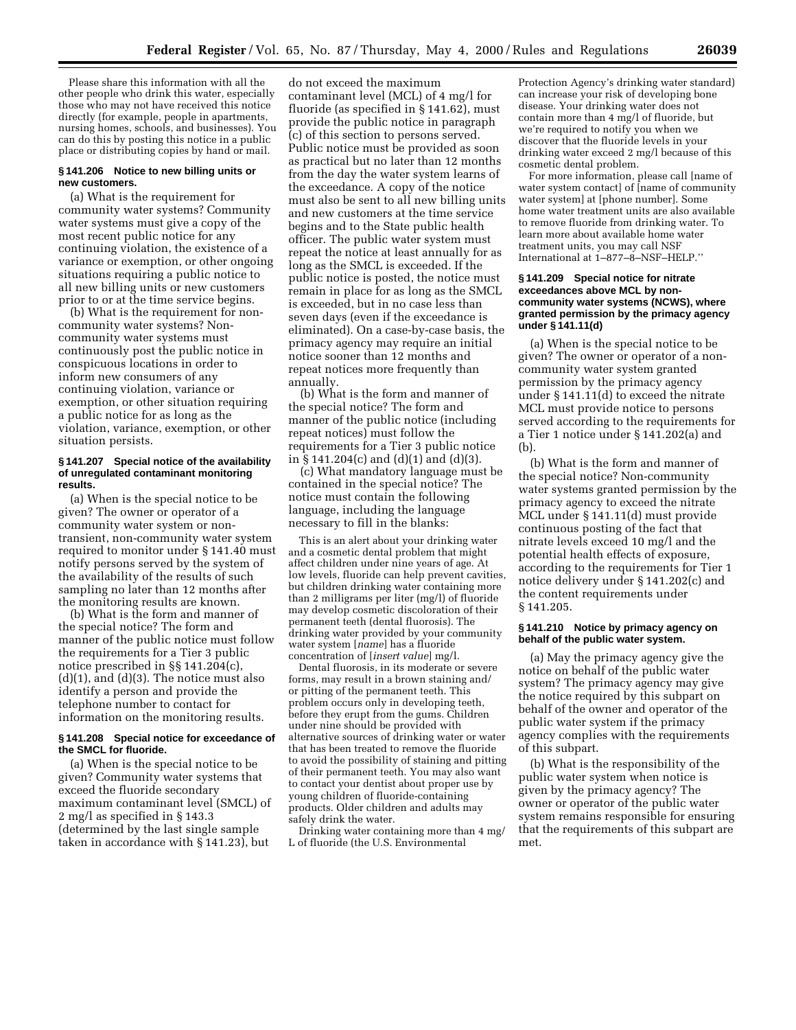Please share this information with all the other people who drink this water, especially those who may not have received this notice directly (for example, people in apartments, nursing homes, schools, and businesses). You can do this by posting this notice in a public place or distributing copies by hand or mail.

#### **§ 141.206 Notice to new billing units or new customers.**

(a) What is the requirement for community water systems? Community water systems must give a copy of the most recent public notice for any continuing violation, the existence of a variance or exemption, or other ongoing situations requiring a public notice to all new billing units or new customers prior to or at the time service begins.

(b) What is the requirement for noncommunity water systems? Noncommunity water systems must continuously post the public notice in conspicuous locations in order to inform new consumers of any continuing violation, variance or exemption, or other situation requiring a public notice for as long as the violation, variance, exemption, or other situation persists.

#### **§ 141.207 Special notice of the availability of unregulated contaminant monitoring results.**

(a) When is the special notice to be given? The owner or operator of a community water system or nontransient, non-community water system required to monitor under § 141.40 must notify persons served by the system of the availability of the results of such sampling no later than 12 months after the monitoring results are known.

(b) What is the form and manner of the special notice? The form and manner of the public notice must follow the requirements for a Tier 3 public notice prescribed in §§ 141.204(c),  $(d)(1)$ , and  $(d)(3)$ . The notice must also identify a person and provide the telephone number to contact for information on the monitoring results.

#### **§ 141.208 Special notice for exceedance of the SMCL for fluoride.**

(a) When is the special notice to be given? Community water systems that exceed the fluoride secondary maximum contaminant level (SMCL) of 2 mg/l as specified in § 143.3 (determined by the last single sample taken in accordance with § 141.23), but

do not exceed the maximum contaminant level (MCL) of 4 mg/l for fluoride (as specified in § 141.62), must provide the public notice in paragraph (c) of this section to persons served. Public notice must be provided as soon as practical but no later than 12 months from the day the water system learns of the exceedance. A copy of the notice must also be sent to all new billing units and new customers at the time service begins and to the State public health officer. The public water system must repeat the notice at least annually for as long as the SMCL is exceeded. If the public notice is posted, the notice must remain in place for as long as the SMCL is exceeded, but in no case less than seven days (even if the exceedance is eliminated). On a case-by-case basis, the primacy agency may require an initial notice sooner than 12 months and repeat notices more frequently than annually.

(b) What is the form and manner of the special notice? The form and manner of the public notice (including repeat notices) must follow the requirements for a Tier 3 public notice in § 141.204(c) and (d)(1) and (d)(3).

(c) What mandatory language must be contained in the special notice? The notice must contain the following language, including the language necessary to fill in the blanks:

This is an alert about your drinking water and a cosmetic dental problem that might affect children under nine years of age. At low levels, fluoride can help prevent cavities, but children drinking water containing more than 2 milligrams per liter (mg/l) of fluoride may develop cosmetic discoloration of their permanent teeth (dental fluorosis). The drinking water provided by your community water system [*name*] has a fluoride concentration of [*insert value*] mg/l.

Dental fluorosis, in its moderate or severe forms, may result in a brown staining and/ or pitting of the permanent teeth. This problem occurs only in developing teeth, before they erupt from the gums. Children under nine should be provided with alternative sources of drinking water or water that has been treated to remove the fluoride to avoid the possibility of staining and pitting of their permanent teeth. You may also want to contact your dentist about proper use by young children of fluoride-containing products. Older children and adults may safely drink the water.

Drinking water containing more than 4 mg/ L of fluoride (the U.S. Environmental

Protection Agency's drinking water standard) can increase your risk of developing bone disease. Your drinking water does not contain more than 4 mg/l of fluoride, but we're required to notify you when we discover that the fluoride levels in your drinking water exceed 2 mg/l because of this cosmetic dental problem.

For more information, please call [name of water system contact] of [name of community water system] at [phone number]. Some home water treatment units are also available to remove fluoride from drinking water. To learn more about available home water treatment units, you may call NSF International at 1–877–8–NSF–HELP.''

#### **§ 141.209 Special notice for nitrate exceedances above MCL by noncommunity water systems (NCWS), where granted permission by the primacy agency under § 141.11(d)**

(a) When is the special notice to be given? The owner or operator of a noncommunity water system granted permission by the primacy agency under § 141.11(d) to exceed the nitrate MCL must provide notice to persons served according to the requirements for a Tier 1 notice under § 141.202(a) and (b).

(b) What is the form and manner of the special notice? Non-community water systems granted permission by the primacy agency to exceed the nitrate MCL under § 141.11(d) must provide continuous posting of the fact that nitrate levels exceed 10 mg/l and the potential health effects of exposure, according to the requirements for Tier 1 notice delivery under § 141.202(c) and the content requirements under § 141.205.

#### **§ 141.210 Notice by primacy agency on behalf of the public water system.**

(a) May the primacy agency give the notice on behalf of the public water system? The primacy agency may give the notice required by this subpart on behalf of the owner and operator of the public water system if the primacy agency complies with the requirements of this subpart.

(b) What is the responsibility of the public water system when notice is given by the primacy agency? The owner or operator of the public water system remains responsible for ensuring that the requirements of this subpart are met.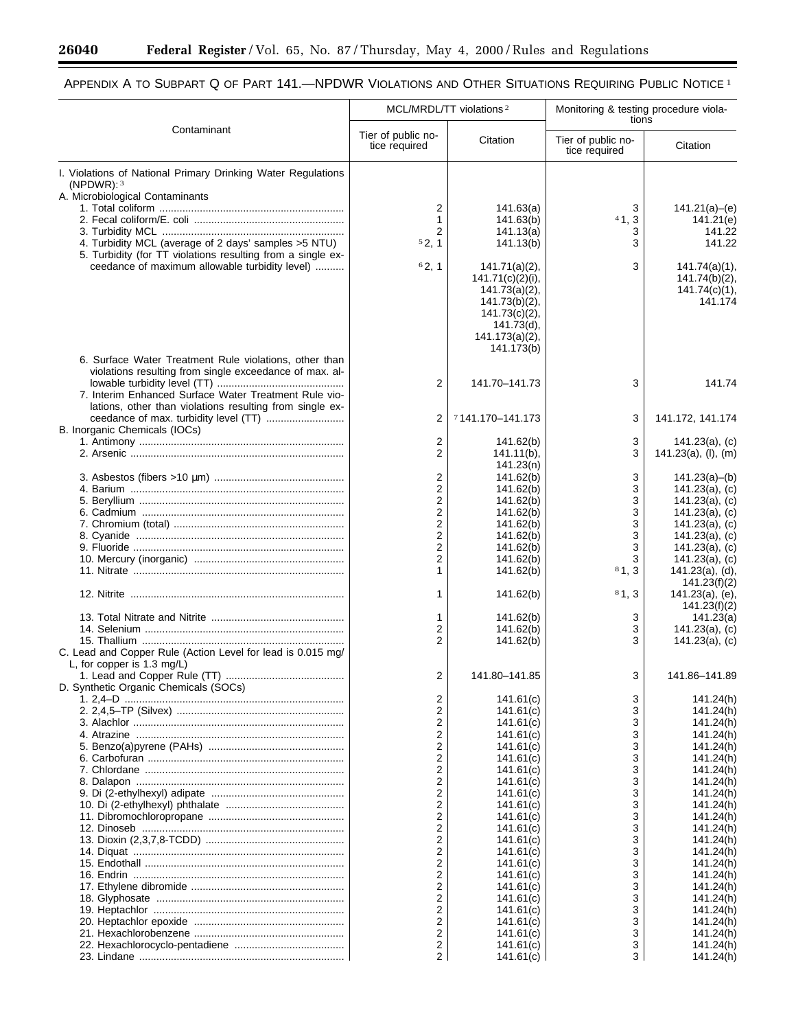$\equiv$ 

▀

# APPENDIX A TO SUBPART Q OF PART 141.—NPDWR VIOLATIONS AND OTHER SITUATIONS REQUIRING PUBLIC NOTICE 1

|                                                                                                   |                                           | MCL/MRDL/TT violations <sup>2</sup> | Monitoring & testing procedure viola-<br>tions |                                  |
|---------------------------------------------------------------------------------------------------|-------------------------------------------|-------------------------------------|------------------------------------------------|----------------------------------|
| Contaminant                                                                                       | Tier of public no-<br>tice required       | Citation                            | Tier of public no-<br>tice required            | Citation                         |
| I. Violations of National Primary Drinking Water Regulations                                      |                                           |                                     |                                                |                                  |
| (NPDWR): $3$                                                                                      |                                           |                                     |                                                |                                  |
| A. Microbiological Contaminants                                                                   | 2                                         | 141.63(a)                           | 3                                              | 141.21(a)–(e)                    |
|                                                                                                   | $\mathbf{1}$                              | 141.63(b)                           | 41, 3                                          | 141.21(e)                        |
|                                                                                                   | $\overline{2}$                            | 141.13(a)                           | 3                                              | 141.22                           |
| 4. Turbidity MCL (average of 2 days' samples > 5 NTU)                                             | 52, 1                                     | 141.13(b)                           | 3                                              | 141.22                           |
| 5. Turbidity (for TT violations resulting from a single ex-                                       |                                           |                                     |                                                |                                  |
| ceedance of maximum allowable turbidity level)                                                    | 62, 1                                     | 141.71(a)(2),                       | 3                                              | 141.74(a)(1),                    |
|                                                                                                   |                                           | $141.71(c)(2)(i)$ ,                 |                                                | $141.74(b)(2)$ ,                 |
|                                                                                                   |                                           | 141.73(a)(2),                       |                                                | 141.74(c)(1),<br>141.174         |
|                                                                                                   |                                           | 141.73(b)(2),<br>141.73(c)(2),      |                                                |                                  |
|                                                                                                   |                                           | 141.73(d),                          |                                                |                                  |
|                                                                                                   |                                           | 141.173(a)(2),                      |                                                |                                  |
|                                                                                                   |                                           | 141.173(b)                          |                                                |                                  |
| 6. Surface Water Treatment Rule violations, other than                                            |                                           |                                     |                                                |                                  |
| violations resulting from single exceedance of max. al-                                           |                                           |                                     |                                                |                                  |
|                                                                                                   | 2                                         | 141.70-141.73                       | 3                                              | 141.74                           |
| 7. Interim Enhanced Surface Water Treatment Rule vio-                                             |                                           |                                     |                                                |                                  |
| lations, other than violations resulting from single ex-<br>ceedance of max. turbidity level (TT) | 2                                         | 7141.170-141.173                    | 3                                              | 141.172, 141.174                 |
| B. Inorganic Chemicals (IOCs)                                                                     |                                           |                                     |                                                |                                  |
|                                                                                                   | 2                                         | 141.62(b)                           | 3                                              | $141.23(a)$ , (c)                |
|                                                                                                   | $\overline{2}$                            | $141.11(b)$ ,                       | 3                                              | 141.23(a), (I), (m)              |
|                                                                                                   |                                           | 141.23(n)                           |                                                |                                  |
|                                                                                                   | 2                                         | 141.62(b)                           | 3                                              | 141.23(a)–(b)                    |
|                                                                                                   | $\overline{2}$                            | 141.62(b)                           | 3                                              | 141.23(a), (c)                   |
|                                                                                                   | $\overline{2}$<br>$\overline{\mathbf{c}}$ | 141.62(b)<br>141.62(b)              | 3<br>3                                         | 141.23(a), (c)<br>141.23(a), (c) |
|                                                                                                   | $\overline{c}$                            | 141.62(b)                           | 3                                              | 141.23(a), (c)                   |
|                                                                                                   | $\overline{c}$                            | 141.62(b)                           | 3                                              | 141.23(a), (c)                   |
|                                                                                                   | $\overline{2}$                            | 141.62(b)                           | 3                                              | 141.23(a), (c)                   |
|                                                                                                   | $\overline{2}$                            | 141.62(b)                           |                                                | 141.23(a), (c)                   |
|                                                                                                   | $\mathbf{1}$                              | 141.62(b)                           | 81, 3                                          | 141.23(a), (d),                  |
|                                                                                                   |                                           |                                     |                                                | 141.23(f)(2)                     |
|                                                                                                   | 1                                         | 141.62(b)                           | 81, 3                                          | 141.23(a), (e),<br>141.23(f)(2)  |
|                                                                                                   | 1                                         | 141.62(b)                           | 3                                              | 141.23(a)                        |
|                                                                                                   | 2                                         | 141.62(b)                           | 3                                              | 141.23(a), (c)                   |
|                                                                                                   | $\overline{2}$                            | 141.62(b)                           | 3                                              | $141.23(a)$ , (c)                |
| C. Lead and Copper Rule (Action Level for lead is 0.015 mg/                                       |                                           |                                     |                                                |                                  |
| L, for copper is 1.3 mg/L)                                                                        |                                           |                                     |                                                |                                  |
|                                                                                                   | 2                                         | 141.80-141.85                       | 3                                              | 141.86-141.89                    |
| D. Synthetic Organic Chemicals (SOCs)                                                             | 2                                         | 141.61(c)                           | 3                                              | 141.24(h)                        |
|                                                                                                   | 2                                         | 141.61(c)                           | 3                                              | 141.24(h)                        |
|                                                                                                   | 2                                         | 141.61(c)                           | 3                                              | 141.24(h)                        |
|                                                                                                   | $\overline{2}$                            | 141.61(c)                           | 3                                              | 141.24(h)                        |
|                                                                                                   | $\mathbf 2$                               | 141.61(c)                           | 3                                              | 141.24(h)                        |
|                                                                                                   | $\overline{c}$                            | 141.61(c)                           | 3                                              | 141.24(h)                        |
|                                                                                                   | $\mathbf 2$<br>$\overline{c}$             | 141.61(c)                           | 3<br>3                                         | 141.24(h)<br>141.24(h)           |
|                                                                                                   | $\overline{c}$                            | 141.61(c)<br>141.61(c)              | 3                                              | 141.24(h)                        |
|                                                                                                   | $\overline{c}$                            | 141.61(c)                           | 3                                              | 141.24(h)                        |
|                                                                                                   | $\overline{c}$                            | 141.61(c)                           | 3                                              | 141.24(h)                        |
|                                                                                                   | $\overline{2}$                            | 141.61(c)                           | 3                                              | 141.24(h)                        |
|                                                                                                   | $\overline{c}$                            | 141.61(c)                           | 3                                              | 141.24(h)                        |
|                                                                                                   | $\overline{2}$                            | 141.61(c)                           | 3                                              | 141.24(h)                        |
|                                                                                                   | $\overline{c}$<br>$\overline{2}$          | 141.61(c)                           | 3                                              | 141.24(h)                        |
|                                                                                                   | $\overline{c}$                            | 141.61(c)<br>141.61(c)              | 3<br>3                                         | 141.24(h)<br>141.24(h)           |
|                                                                                                   | $\overline{2}$                            | 141.61(c)                           | 3                                              | 141.24(h)                        |
|                                                                                                   | $\overline{2}$                            | 141.61(c)                           | 3                                              | 141.24(h)                        |
|                                                                                                   | $\overline{2}$                            | 141.61(c)                           | 3                                              | 141.24(h)                        |
|                                                                                                   | 2                                         | 141.61(c)                           | 3                                              | 141.24(h)                        |
|                                                                                                   | 2                                         | 141.61(c)                           | 3                                              | 141.24(h)                        |
|                                                                                                   | $\overline{2}$                            | 141.61(c)                           | 3                                              | 141.24(h)                        |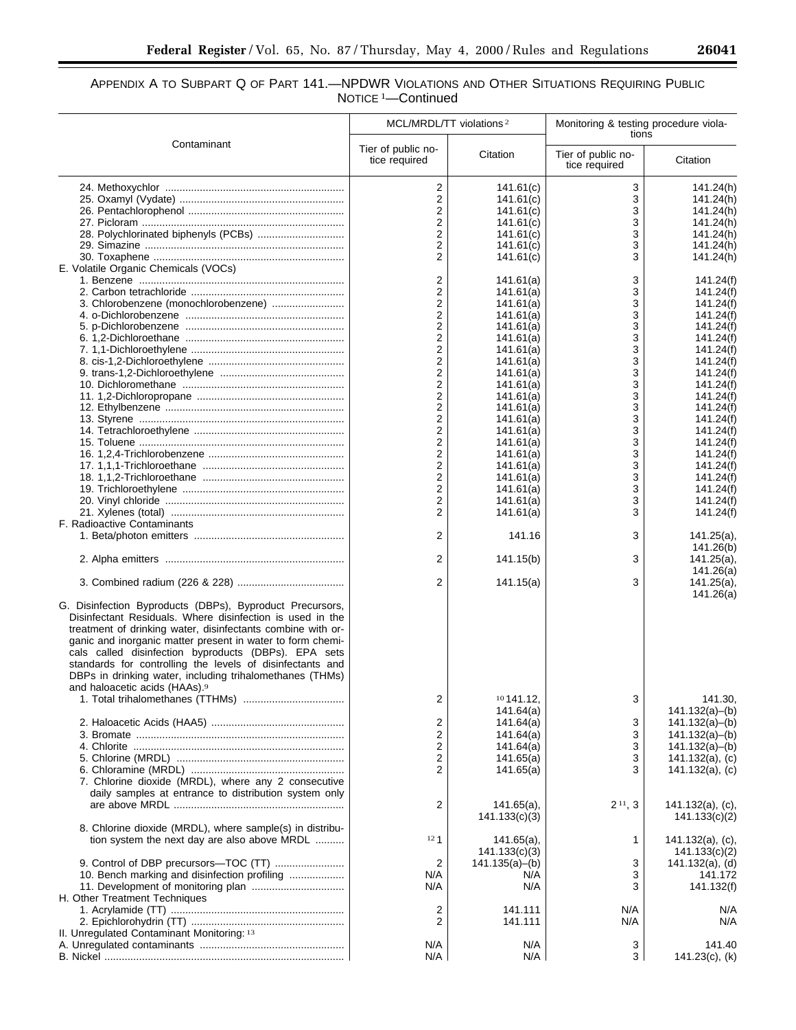۰

# APPENDIX A TO SUBPART Q OF PART 141.—NPDWR VIOLATIONS AND OTHER SITUATIONS REQUIRING PUBLIC NOTICE<sup>1</sup>-Continued

|                                                                                                                                                                                                                                                                                                                                                                                                                                     | MCL/MRDL/TT violations <sup>2</sup>       |                        | Monitoring & testing procedure viola-<br>tions |                                          |
|-------------------------------------------------------------------------------------------------------------------------------------------------------------------------------------------------------------------------------------------------------------------------------------------------------------------------------------------------------------------------------------------------------------------------------------|-------------------------------------------|------------------------|------------------------------------------------|------------------------------------------|
| Contaminant                                                                                                                                                                                                                                                                                                                                                                                                                         | Tier of public no-<br>tice required       | Citation               | Tier of public no-<br>tice required            | Citation                                 |
|                                                                                                                                                                                                                                                                                                                                                                                                                                     | 2                                         | 141.61(c)              | 3                                              | 141.24(h)                                |
|                                                                                                                                                                                                                                                                                                                                                                                                                                     | $\overline{\mathbf{c}}$                   | 141.61(c)              | 3                                              | 141.24(h)                                |
|                                                                                                                                                                                                                                                                                                                                                                                                                                     | $\overline{\mathbf{c}}$                   | 141.61(c)              | 3                                              | 141.24(h)                                |
|                                                                                                                                                                                                                                                                                                                                                                                                                                     | $\overline{c}$                            | 141.61(c)              | 3                                              | 141.24(h)                                |
| 28. Polychlorinated biphenyls (PCBs)                                                                                                                                                                                                                                                                                                                                                                                                | $\overline{2}$                            | 141.61(c)              | 3                                              | 141.24(h)                                |
|                                                                                                                                                                                                                                                                                                                                                                                                                                     | $\overline{2}$                            | 141.61(c)              | 3                                              | 141.24(h)                                |
|                                                                                                                                                                                                                                                                                                                                                                                                                                     | $\overline{2}$                            | 141.61(c)              | 3                                              | 141.24(h)                                |
| E. Volatile Organic Chemicals (VOCs)                                                                                                                                                                                                                                                                                                                                                                                                |                                           |                        |                                                |                                          |
|                                                                                                                                                                                                                                                                                                                                                                                                                                     | $\overline{2}$                            | 141.61(a)              | 3                                              | 141.24(f)                                |
|                                                                                                                                                                                                                                                                                                                                                                                                                                     | $\overline{c}$                            | 141.61(a)              | 3                                              | 141.24(f)                                |
|                                                                                                                                                                                                                                                                                                                                                                                                                                     | $\overline{2}$                            | 141.61(a)              | 3                                              | 141.24(f)                                |
|                                                                                                                                                                                                                                                                                                                                                                                                                                     | $\overline{2}$                            | 141.61(a)              | 3                                              | 141.24(f)                                |
|                                                                                                                                                                                                                                                                                                                                                                                                                                     | $\overline{c}$                            | 141.61(a)              | 3                                              | 141.24(f)                                |
|                                                                                                                                                                                                                                                                                                                                                                                                                                     | $\overline{2}$                            | 141.61(a)              | 3                                              | 141.24(f)                                |
|                                                                                                                                                                                                                                                                                                                                                                                                                                     | $\overline{c}$                            | 141.61(a)              | 3                                              | 141.24(f)                                |
|                                                                                                                                                                                                                                                                                                                                                                                                                                     | $\overline{\mathbf{c}}$                   | 141.61(a)              | 3                                              | 141.24(f)                                |
|                                                                                                                                                                                                                                                                                                                                                                                                                                     | $\overline{\mathbf{c}}$                   | 141.61(a)              | 3                                              | 141.24(f)                                |
|                                                                                                                                                                                                                                                                                                                                                                                                                                     | $\overline{\mathbf{c}}$                   |                        | 3                                              | 141.24(f)                                |
|                                                                                                                                                                                                                                                                                                                                                                                                                                     | $\overline{2}$                            | 141.61(a)<br>141.61(a) | 3                                              |                                          |
|                                                                                                                                                                                                                                                                                                                                                                                                                                     | $\overline{c}$                            |                        |                                                | 141.24(f)<br>141.24(f)                   |
|                                                                                                                                                                                                                                                                                                                                                                                                                                     | $\overline{2}$                            | 141.61(a)              | 3                                              | 141.24(f)                                |
|                                                                                                                                                                                                                                                                                                                                                                                                                                     |                                           | 141.61(a)              | 3                                              |                                          |
|                                                                                                                                                                                                                                                                                                                                                                                                                                     | $\overline{\mathbf{c}}$<br>$\overline{2}$ | 141.61(a)              | 3                                              | 141.24(f)                                |
|                                                                                                                                                                                                                                                                                                                                                                                                                                     |                                           | 141.61(a)              | 3                                              | 141.24(f)                                |
|                                                                                                                                                                                                                                                                                                                                                                                                                                     | $\overline{\mathbf{c}}$                   | 141.61(a)              | 3                                              | 141.24(f)                                |
|                                                                                                                                                                                                                                                                                                                                                                                                                                     | $\overline{2}$                            | 141.61(a)              | 3                                              | 141.24(f)                                |
|                                                                                                                                                                                                                                                                                                                                                                                                                                     | $\overline{\mathbf{c}}$                   | 141.61(a)              | 3                                              | 141.24(f)                                |
|                                                                                                                                                                                                                                                                                                                                                                                                                                     | $\overline{2}$                            | 141.61(a)              | 3                                              | 141.24(f)                                |
|                                                                                                                                                                                                                                                                                                                                                                                                                                     | 2                                         | 141.61(a)              | 3                                              | 141.24(f)                                |
|                                                                                                                                                                                                                                                                                                                                                                                                                                     | $\overline{2}$                            | 141.61(a)              | 3                                              | 141.24(f)                                |
| F. Radioactive Contaminants                                                                                                                                                                                                                                                                                                                                                                                                         |                                           |                        |                                                |                                          |
|                                                                                                                                                                                                                                                                                                                                                                                                                                     | 2                                         | 141.16                 | 3                                              | $141.25(a)$ ,                            |
|                                                                                                                                                                                                                                                                                                                                                                                                                                     |                                           |                        |                                                | 141.26(b)                                |
|                                                                                                                                                                                                                                                                                                                                                                                                                                     | 2                                         | 141.15(b)              | 3                                              | $141.25(a)$ ,                            |
|                                                                                                                                                                                                                                                                                                                                                                                                                                     |                                           |                        |                                                | 141.26(a)                                |
|                                                                                                                                                                                                                                                                                                                                                                                                                                     | 2                                         | 141.15(a)              | 3                                              | $141.25(a)$ ,                            |
| G. Disinfection Byproducts (DBPs), Byproduct Precursors,<br>Disinfectant Residuals. Where disinfection is used in the<br>treatment of drinking water, disinfectants combine with or-<br>ganic and inorganic matter present in water to form chemi-<br>cals called disinfection byproducts (DBPs). EPA sets<br>standards for controlling the levels of disinfectants and<br>DBPs in drinking water, including trihalomethanes (THMs) |                                           |                        |                                                | 141.26(a)                                |
| and haloacetic acids (HAAs). <sup>9</sup>                                                                                                                                                                                                                                                                                                                                                                                           |                                           |                        |                                                |                                          |
|                                                                                                                                                                                                                                                                                                                                                                                                                                     | 2                                         | $10$ 141.12,           | 3                                              | 141.30.<br>141.132(a)–(b)                |
|                                                                                                                                                                                                                                                                                                                                                                                                                                     |                                           | 141.64(a)<br>141.64(a) |                                                | 141.132(a)–(b)                           |
|                                                                                                                                                                                                                                                                                                                                                                                                                                     | 2<br>$\overline{\mathbf{c}}$              | 141.64(a)              | 3<br>3                                         | 141.132(a)–(b)                           |
|                                                                                                                                                                                                                                                                                                                                                                                                                                     | $\overline{\mathbf{c}}$                   | 141.64(a)              | 3                                              | 141.132(a)–(b)                           |
|                                                                                                                                                                                                                                                                                                                                                                                                                                     | $\overline{2}$                            | 141.65(a)              | 3                                              |                                          |
|                                                                                                                                                                                                                                                                                                                                                                                                                                     | 2                                         | 141.65(a)              | 3                                              | $141.132(a)$ , (c)<br>$141.132(a)$ , (c) |
| 7. Chlorine dioxide (MRDL), where any 2 consecutive                                                                                                                                                                                                                                                                                                                                                                                 |                                           |                        |                                                |                                          |
|                                                                                                                                                                                                                                                                                                                                                                                                                                     |                                           |                        |                                                |                                          |
| daily samples at entrance to distribution system only                                                                                                                                                                                                                                                                                                                                                                               |                                           |                        |                                                |                                          |
|                                                                                                                                                                                                                                                                                                                                                                                                                                     | 2                                         | $141.65(a)$ ,          | $2^{11}$ , 3                                   | 141.132(a), (c),                         |
|                                                                                                                                                                                                                                                                                                                                                                                                                                     |                                           | 141.133(c)(3)          |                                                | 141.133(c)(2)                            |
| 8. Chlorine dioxide (MRDL), where sample(s) in distribu-                                                                                                                                                                                                                                                                                                                                                                            |                                           |                        |                                                |                                          |
| tion system the next day are also above MRDL                                                                                                                                                                                                                                                                                                                                                                                        | 12 <sub>1</sub>                           | $141.65(a)$ ,          | 1                                              | $141.132(a)$ , (c),                      |
|                                                                                                                                                                                                                                                                                                                                                                                                                                     |                                           | 141.133(c)(3)          |                                                | 141.133(c)(2)                            |
|                                                                                                                                                                                                                                                                                                                                                                                                                                     | 2                                         | 141.135(a)–(b)         | 3                                              | 141.132(a), (d)                          |
|                                                                                                                                                                                                                                                                                                                                                                                                                                     | N/A                                       | N/A                    | 3                                              | 141.172                                  |
|                                                                                                                                                                                                                                                                                                                                                                                                                                     | N/A                                       | N/A                    | 3                                              | 141.132(f)                               |
| H. Other Treatment Techniques                                                                                                                                                                                                                                                                                                                                                                                                       |                                           |                        |                                                |                                          |
|                                                                                                                                                                                                                                                                                                                                                                                                                                     | 2                                         | 141.111                | N/A                                            | N/A                                      |
|                                                                                                                                                                                                                                                                                                                                                                                                                                     | 2                                         | 141.111                | N/A                                            | N/A                                      |
| II. Unregulated Contaminant Monitoring: 13                                                                                                                                                                                                                                                                                                                                                                                          |                                           |                        |                                                |                                          |
|                                                                                                                                                                                                                                                                                                                                                                                                                                     | N/A                                       | N/A                    | 3                                              | 141.40                                   |
|                                                                                                                                                                                                                                                                                                                                                                                                                                     | N/A                                       | N/A                    | 3                                              | 141.23(c), (k)                           |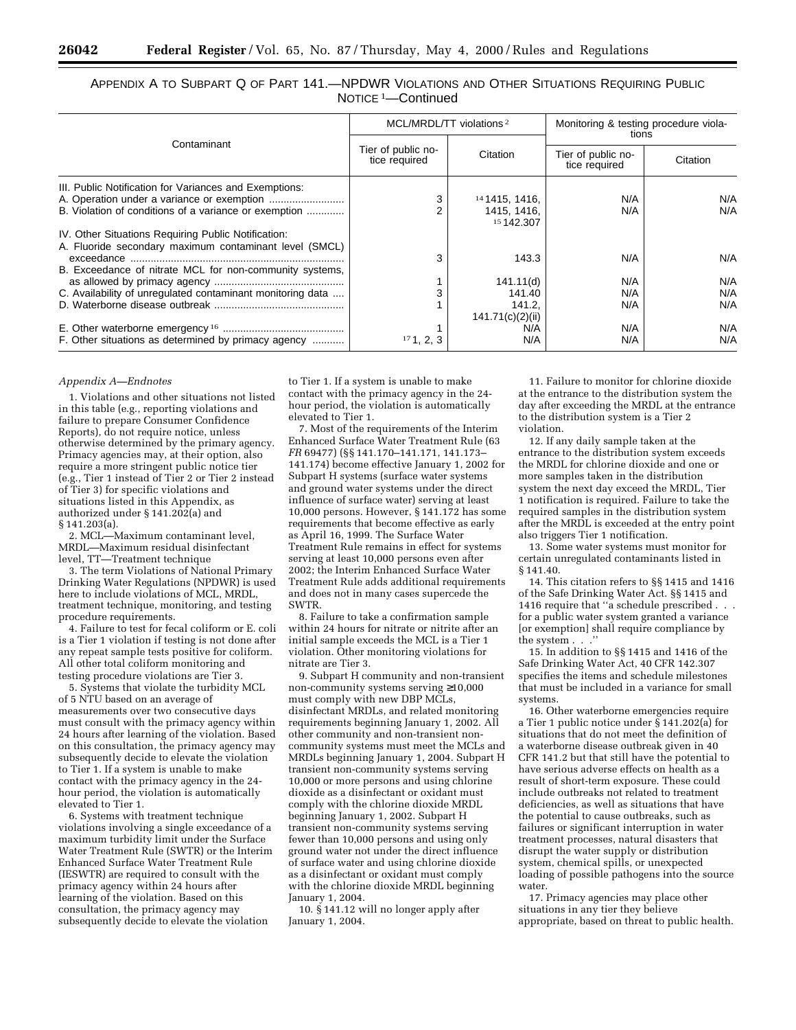# APPENDIX A TO SUBPART Q OF PART 141.—NPDWR VIOLATIONS AND OTHER SITUATIONS REQUIRING PUBLIC NOTICE 1—Continued

|                                                            |                                     | MCL/MRDL/TT violations <sup>2</sup> | Monitoring & testing procedure viola-<br>tions<br>Tier of public no-<br>Citation<br>tice required |     |
|------------------------------------------------------------|-------------------------------------|-------------------------------------|---------------------------------------------------------------------------------------------------|-----|
| Contaminant                                                | Tier of public no-<br>tice required | Citation                            |                                                                                                   |     |
| III. Public Notification for Variances and Exemptions:     |                                     |                                     |                                                                                                   |     |
|                                                            | 3                                   | 141415, 1416,                       | N/A                                                                                               | N/A |
| B. Violation of conditions of a variance or exemption      |                                     | 1415, 1416,<br>15 142,307           | N/A                                                                                               | N/A |
| IV. Other Situations Requiring Public Notification:        |                                     |                                     |                                                                                                   |     |
| A. Fluoride secondary maximum contaminant level (SMCL)     |                                     |                                     |                                                                                                   |     |
|                                                            | 3                                   | 143.3                               | N/A                                                                                               | N/A |
| B. Exceedance of nitrate MCL for non-community systems,    |                                     |                                     |                                                                                                   |     |
|                                                            |                                     | 141.11(d)                           | N/A                                                                                               | N/A |
| C. Availability of unregulated contaminant monitoring data | 3                                   | 141.40                              | N/A                                                                                               | N/A |
|                                                            |                                     | 141.2.                              | N/A                                                                                               | N/A |
|                                                            |                                     | 141.71(c)(2)(ii)                    |                                                                                                   |     |
|                                                            |                                     | N/A                                 | N/A                                                                                               | N/A |
| F. Other situations as determined by primacy agency        | 171, 2, 3                           | N/A                                 | N/A                                                                                               | N/A |

#### *Appendix A—Endnotes*

1. Violations and other situations not listed in this table (e.g., reporting violations and failure to prepare Consumer Confidence Reports), do not require notice, unless otherwise determined by the primary agency. Primacy agencies may, at their option, also require a more stringent public notice tier (e.g., Tier 1 instead of Tier 2 or Tier 2 instead of Tier 3) for specific violations and situations listed in this Appendix, as authorized under § 141.202(a) and § 141.203(a).

2. MCL—Maximum contaminant level, MRDL—Maximum residual disinfectant level, TT—Treatment technique

3. The term Violations of National Primary Drinking Water Regulations (NPDWR) is used here to include violations of MCL, MRDL, treatment technique, monitoring, and testing procedure requirements.

4. Failure to test for fecal coliform or E. coli is a Tier 1 violation if testing is not done after any repeat sample tests positive for coliform. All other total coliform monitoring and testing procedure violations are Tier 3.

5. Systems that violate the turbidity MCL of 5 NTU based on an average of measurements over two consecutive days must consult with the primacy agency within 24 hours after learning of the violation. Based on this consultation, the primacy agency may subsequently decide to elevate the violation to Tier 1. If a system is unable to make contact with the primacy agency in the 24 hour period, the violation is automatically elevated to Tier 1.

6. Systems with treatment technique violations involving a single exceedance of a maximum turbidity limit under the Surface Water Treatment Rule (SWTR) or the Interim Enhanced Surface Water Treatment Rule (IESWTR) are required to consult with the primacy agency within 24 hours after learning of the violation. Based on this consultation, the primacy agency may subsequently decide to elevate the violation

to Tier 1. If a system is unable to make contact with the primacy agency in the 24 hour period, the violation is automatically elevated to Tier 1.

7. Most of the requirements of the Interim Enhanced Surface Water Treatment Rule (63 *FR* 69477) (§§ 141.170–141.171, 141.173– 141.174) become effective January 1, 2002 for Subpart H systems (surface water systems and ground water systems under the direct influence of surface water) serving at least 10,000 persons. However, § 141.172 has some requirements that become effective as early as April 16, 1999. The Surface Water Treatment Rule remains in effect for systems serving at least 10,000 persons even after 2002; the Interim Enhanced Surface Water Treatment Rule adds additional requirements and does not in many cases supercede the SWTR.

8. Failure to take a confirmation sample within 24 hours for nitrate or nitrite after an initial sample exceeds the MCL is a Tier 1 violation. Other monitoring violations for nitrate are Tier 3.

9. Subpart H community and non-transient non-community systems serving ≥10,000 must comply with new DBP MCLs, disinfectant MRDLs, and related monitoring requirements beginning January 1, 2002. All other community and non-transient noncommunity systems must meet the MCLs and MRDLs beginning January 1, 2004. Subpart H transient non-community systems serving 10,000 or more persons and using chlorine dioxide as a disinfectant or oxidant must comply with the chlorine dioxide MRDL beginning January 1, 2002. Subpart H transient non-community systems serving fewer than 10,000 persons and using only ground water not under the direct influence of surface water and using chlorine dioxide as a disinfectant or oxidant must comply with the chlorine dioxide MRDL beginning January 1, 2004.

10. § 141.12 will no longer apply after January 1, 2004.

11. Failure to monitor for chlorine dioxide at the entrance to the distribution system the day after exceeding the MRDL at the entrance to the distribution system is a Tier 2 violation.

12. If any daily sample taken at the entrance to the distribution system exceeds the MRDL for chlorine dioxide and one or more samples taken in the distribution system the next day exceed the MRDL, Tier 1 notification is required. Failure to take the required samples in the distribution system after the MRDL is exceeded at the entry point also triggers Tier 1 notification.

13. Some water systems must monitor for certain unregulated contaminants listed in § 141.40.

14. This citation refers to §§ 1415 and 1416 of the Safe Drinking Water Act. §§ 1415 and 1416 require that ''a schedule prescribed . . . for a public water system granted a variance [or exemption] shall require compliance by the system . . .''

15. In addition to §§ 1415 and 1416 of the Safe Drinking Water Act, 40 CFR 142.307 specifies the items and schedule milestones that must be included in a variance for small systems.

16. Other waterborne emergencies require a Tier 1 public notice under § 141.202(a) for situations that do not meet the definition of a waterborne disease outbreak given in 40 CFR 141.2 but that still have the potential to have serious adverse effects on health as a result of short-term exposure. These could include outbreaks not related to treatment deficiencies, as well as situations that have the potential to cause outbreaks, such as failures or significant interruption in water treatment processes, natural disasters that disrupt the water supply or distribution system, chemical spills, or unexpected loading of possible pathogens into the source water.

17. Primacy agencies may place other situations in any tier they believe appropriate, based on threat to public health.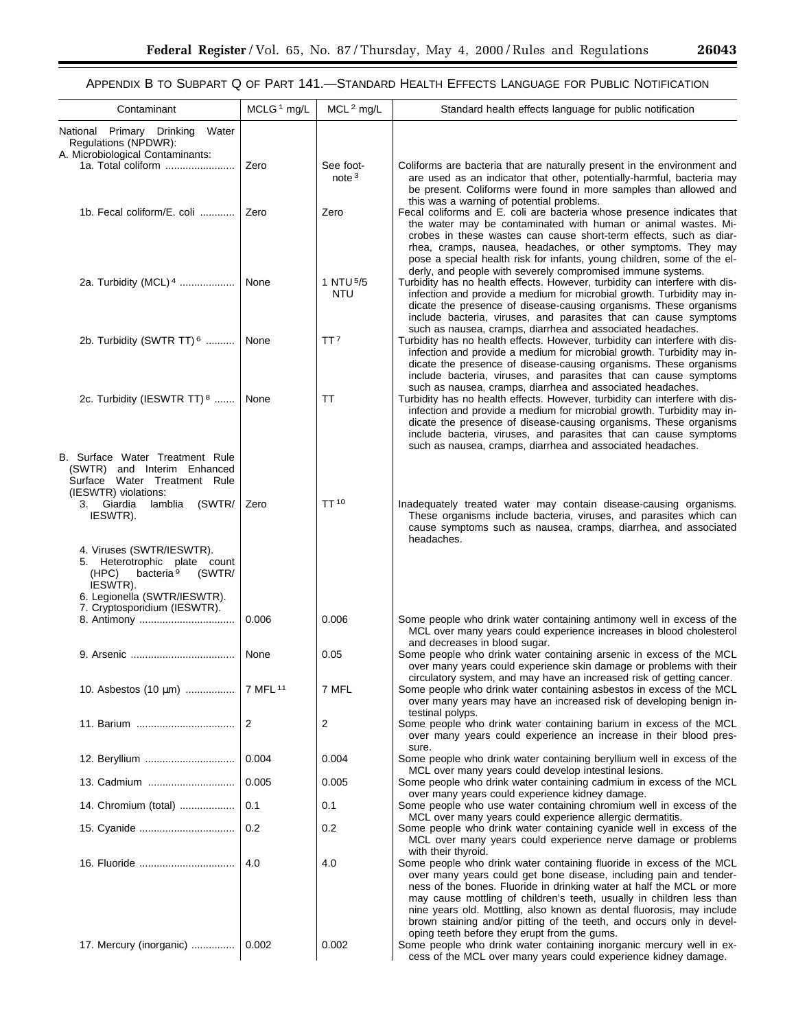-

# APPENDIX B TO SUBPART Q OF PART 141.—STANDARD HEALTH EFFECTS LANGUAGE FOR PUBLIC NOTIFICATION

| Contaminant                                                                                                                                       | MCLG <sup>1</sup> mg/L | MCL <sup>2</sup> mg/L          | Standard health effects language for public notification                                                                                                                                                                                                                                                                                                                                                                                                              |
|---------------------------------------------------------------------------------------------------------------------------------------------------|------------------------|--------------------------------|-----------------------------------------------------------------------------------------------------------------------------------------------------------------------------------------------------------------------------------------------------------------------------------------------------------------------------------------------------------------------------------------------------------------------------------------------------------------------|
| National Primary Drinking<br>Water<br>Regulations (NPDWR):<br>A. Microbiological Contaminants:                                                    |                        |                                |                                                                                                                                                                                                                                                                                                                                                                                                                                                                       |
| 1a. Total coliform                                                                                                                                | Zero                   | See foot-<br>note <sup>3</sup> | Coliforms are bacteria that are naturally present in the environment and<br>are used as an indicator that other, potentially-harmful, bacteria may<br>be present. Coliforms were found in more samples than allowed and<br>this was a warning of potential problems.                                                                                                                                                                                                  |
| 1b. Fecal coliform/E. coli                                                                                                                        | Zero                   | Zero                           | Fecal coliforms and E. coli are bacteria whose presence indicates that<br>the water may be contaminated with human or animal wastes. Mi-<br>crobes in these wastes can cause short-term effects, such as diar-<br>rhea, cramps, nausea, headaches, or other symptoms. They may<br>pose a special health risk for infants, young children, some of the el-<br>derly, and people with severely compromised immune systems.                                              |
| 2a. Turbidity (MCL) 4                                                                                                                             | None                   | 1 NTU 5/5<br><b>NTU</b>        | Turbidity has no health effects. However, turbidity can interfere with dis-<br>infection and provide a medium for microbial growth. Turbidity may in-<br>dicate the presence of disease-causing organisms. These organisms<br>include bacteria, viruses, and parasites that can cause symptoms<br>such as nausea, cramps, diarrhea and associated headaches.                                                                                                          |
| 2b. Turbidity (SWTR TT) $6$                                                                                                                       | None                   | TT <sup>7</sup>                | Turbidity has no health effects. However, turbidity can interfere with dis-<br>infection and provide a medium for microbial growth. Turbidity may in-<br>dicate the presence of disease-causing organisms. These organisms<br>include bacteria, viruses, and parasites that can cause symptoms<br>such as nausea, cramps, diarrhea and associated headaches.                                                                                                          |
| 2c. Turbidity (IESWTR TT) <sup>8</sup>                                                                                                            | None                   | ТT                             | Turbidity has no health effects. However, turbidity can interfere with dis-<br>infection and provide a medium for microbial growth. Turbidity may in-<br>dicate the presence of disease-causing organisms. These organisms<br>include bacteria, viruses, and parasites that can cause symptoms<br>such as nausea, cramps, diarrhea and associated headaches.                                                                                                          |
| B. Surface Water Treatment Rule<br>(SWTR) and Interim Enhanced<br>Surface Water Treatment Rule<br>(IESWTR) violations:                            |                        |                                |                                                                                                                                                                                                                                                                                                                                                                                                                                                                       |
| 3. Giardia<br>lamblia<br>(SWTR/<br>IESWTR).                                                                                                       | Zero                   | TT <sup>10</sup>               | Inadequately treated water may contain disease-causing organisms.<br>These organisms include bacteria, viruses, and parasites which can<br>cause symptoms such as nausea, cramps, diarrhea, and associated<br>headaches.                                                                                                                                                                                                                                              |
| 4. Viruses (SWTR/IESWTR).<br>5. Heterotrophic plate count<br>bacteria <sup>9</sup><br>(SWTR/<br>(HPC)<br>IESWTR).<br>6. Legionella (SWTR/IESWTR). |                        |                                |                                                                                                                                                                                                                                                                                                                                                                                                                                                                       |
| 7. Cryptosporidium (IESWTR).                                                                                                                      | 0.006                  | 0.006                          | Some people who drink water containing antimony well in excess of the                                                                                                                                                                                                                                                                                                                                                                                                 |
|                                                                                                                                                   | None                   | 0.05                           | MCL over many years could experience increases in blood cholesterol<br>and decreases in blood sugar.<br>Some people who drink water containing arsenic in excess of the MCL<br>over many years could experience skin damage or problems with their                                                                                                                                                                                                                    |
| 10. Asbestos (10 μm)                                                                                                                              | 7 MFL 11               | 7 MFL                          | circulatory system, and may have an increased risk of getting cancer.<br>Some people who drink water containing asbestos in excess of the MCL<br>over many years may have an increased risk of developing benign in-<br>testinal polyps.                                                                                                                                                                                                                              |
| 11. Barium                                                                                                                                        | 2                      | 2                              | Some people who drink water containing barium in excess of the MCL<br>over many years could experience an increase in their blood pres-                                                                                                                                                                                                                                                                                                                               |
| 12. Beryllium                                                                                                                                     | 0.004                  | 0.004                          | sure.<br>Some people who drink water containing beryllium well in excess of the                                                                                                                                                                                                                                                                                                                                                                                       |
|                                                                                                                                                   | 0.005                  | 0.005                          | MCL over many years could develop intestinal lesions.<br>Some people who drink water containing cadmium in excess of the MCL                                                                                                                                                                                                                                                                                                                                          |
| 14. Chromium (total)                                                                                                                              | 0.1                    | 0.1                            | over many years could experience kidney damage.<br>Some people who use water containing chromium well in excess of the<br>MCL over many years could experience allergic dermatitis.                                                                                                                                                                                                                                                                                   |
| 15. Cyanide                                                                                                                                       | 0.2                    | 0.2                            | Some people who drink water containing cyanide well in excess of the<br>MCL over many years could experience nerve damage or problems                                                                                                                                                                                                                                                                                                                                 |
|                                                                                                                                                   | 4.0                    | 4.0                            | with their thyroid.<br>Some people who drink water containing fluoride in excess of the MCL<br>over many years could get bone disease, including pain and tender-<br>ness of the bones. Fluoride in drinking water at half the MCL or more<br>may cause mottling of children's teeth, usually in children less than<br>nine years old. Mottling, also known as dental fluorosis, may include<br>brown staining and/or pitting of the teeth, and occurs only in devel- |
| 17. Mercury (inorganic)                                                                                                                           | 0.002                  | 0.002                          | oping teeth before they erupt from the gums.<br>Some people who drink water containing inorganic mercury well in ex-<br>cess of the MCL over many years could experience kidney damage.                                                                                                                                                                                                                                                                               |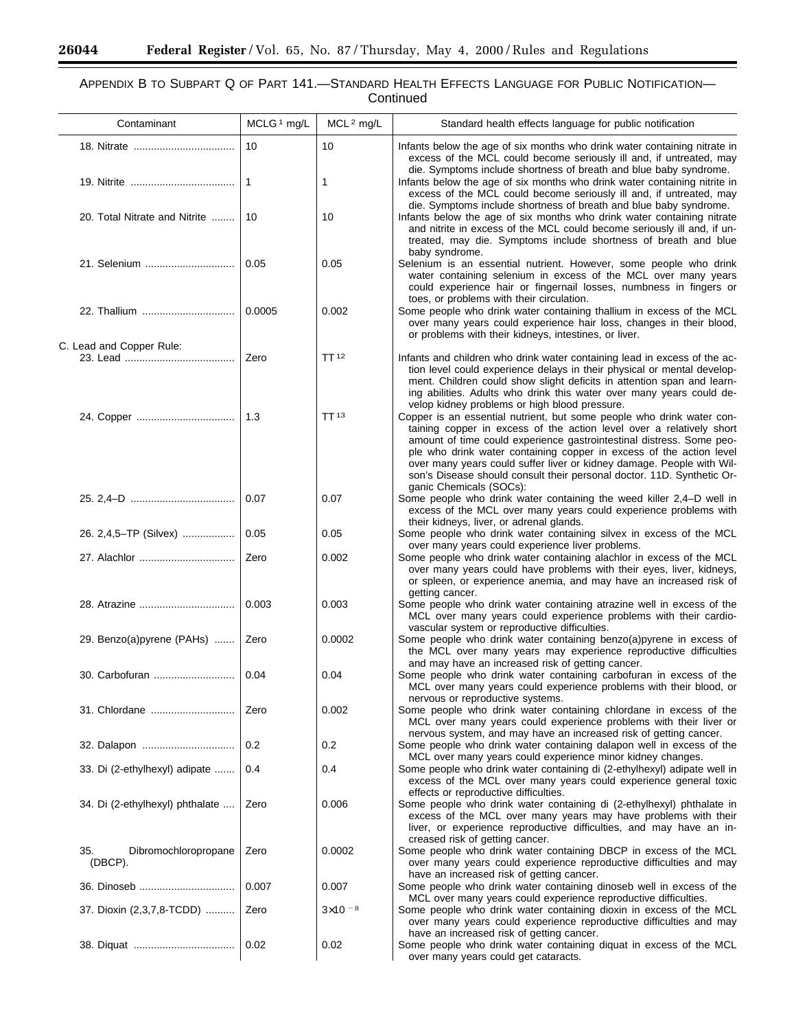$\equiv$ 

۰

# APPENDIX B TO SUBPART Q OF PART 141.—STANDARD HEALTH EFFECTS LANGUAGE FOR PUBLIC NOTIFICATION— **Continued**

| Contaminant                            | MCLG <sup>1</sup> mg/L | MCL <sup>2</sup> mg/L | Standard health effects language for public notification                                                                                                                                                                                                                                                                                                                                                                                        |
|----------------------------------------|------------------------|-----------------------|-------------------------------------------------------------------------------------------------------------------------------------------------------------------------------------------------------------------------------------------------------------------------------------------------------------------------------------------------------------------------------------------------------------------------------------------------|
|                                        | 10                     | 10                    | Infants below the age of six months who drink water containing nitrate in<br>excess of the MCL could become seriously ill and, if untreated, may<br>die. Symptoms include shortness of breath and blue baby syndrome.                                                                                                                                                                                                                           |
|                                        | $\mathbf{1}$           | 1                     | Infants below the age of six months who drink water containing nitrite in<br>excess of the MCL could become seriously ill and, if untreated, may<br>die. Symptoms include shortness of breath and blue baby syndrome.                                                                                                                                                                                                                           |
| 20. Total Nitrate and Nitrite          | 10                     | 10                    | Infants below the age of six months who drink water containing nitrate<br>and nitrite in excess of the MCL could become seriously ill and, if un-<br>treated, may die. Symptoms include shortness of breath and blue<br>baby syndrome.                                                                                                                                                                                                          |
| 21. Selenium                           | 0.05                   | 0.05                  | Selenium is an essential nutrient. However, some people who drink<br>water containing selenium in excess of the MCL over many years<br>could experience hair or fingernail losses, numbness in fingers or<br>toes, or problems with their circulation.                                                                                                                                                                                          |
| 22. Thallium                           | 0.0005                 | 0.002                 | Some people who drink water containing thallium in excess of the MCL<br>over many years could experience hair loss, changes in their blood,<br>or problems with their kidneys, intestines, or liver.                                                                                                                                                                                                                                            |
| C. Lead and Copper Rule:               | Zero                   | TT <sup>12</sup>      | Infants and children who drink water containing lead in excess of the ac-                                                                                                                                                                                                                                                                                                                                                                       |
|                                        |                        |                       | tion level could experience delays in their physical or mental develop-<br>ment. Children could show slight deficits in attention span and learn-<br>ing abilities. Adults who drink this water over many years could de-<br>velop kidney problems or high blood pressure.                                                                                                                                                                      |
|                                        | 1.3                    | TT <sub>13</sub>      | Copper is an essential nutrient, but some people who drink water con-<br>taining copper in excess of the action level over a relatively short<br>amount of time could experience gastrointestinal distress. Some peo-<br>ple who drink water containing copper in excess of the action level<br>over many years could suffer liver or kidney damage. People with Wil-<br>son's Disease should consult their personal doctor. 11D. Synthetic Or- |
|                                        | 0.07                   | 0.07                  | ganic Chemicals (SOCs):<br>Some people who drink water containing the weed killer 2,4-D well in<br>excess of the MCL over many years could experience problems with<br>their kidneys, liver, or adrenal glands.                                                                                                                                                                                                                                 |
| 26. 2,4,5–TP (Silvex)                  | 0.05                   | 0.05                  | Some people who drink water containing silvex in excess of the MCL<br>over many years could experience liver problems.                                                                                                                                                                                                                                                                                                                          |
| 27. Alachlor                           | Zero                   | 0.002                 | Some people who drink water containing alachlor in excess of the MCL<br>over many years could have problems with their eyes, liver, kidneys,<br>or spleen, or experience anemia, and may have an increased risk of<br>getting cancer.                                                                                                                                                                                                           |
| 28. Atrazine                           | 0.003                  | 0.003                 | Some people who drink water containing atrazine well in excess of the<br>MCL over many years could experience problems with their cardio-<br>vascular system or reproductive difficulties.                                                                                                                                                                                                                                                      |
| 29. Benzo(a)pyrene (PAHs)              | Zero                   | 0.0002                | Some people who drink water containing benzo(a)pyrene in excess of<br>the MCL over many years may experience reproductive difficulties<br>and may have an increased risk of getting cancer.                                                                                                                                                                                                                                                     |
|                                        | 0.04                   | 0.04                  | Some people who drink water containing carbofuran in excess of the<br>MCL over many years could experience problems with their blood, or<br>nervous or reproductive systems.                                                                                                                                                                                                                                                                    |
| 31. Chlordane                          | Zero                   | 0.002                 | Some people who drink water containing chlordane in excess of the<br>MCL over many years could experience problems with their liver or<br>nervous system, and may have an increased risk of getting cancer.                                                                                                                                                                                                                                     |
| 32. Dalapon                            | 0.2                    | 0.2                   | Some people who drink water containing dalapon well in excess of the<br>MCL over many years could experience minor kidney changes.                                                                                                                                                                                                                                                                                                              |
| 33. Di (2-ethylhexyl) adipate          | 0.4                    | 0.4                   | Some people who drink water containing di (2-ethylhexyl) adipate well in<br>excess of the MCL over many years could experience general toxic<br>effects or reproductive difficulties.                                                                                                                                                                                                                                                           |
| 34. Di (2-ethylhexyl) phthalate        | Zero                   | 0.006                 | Some people who drink water containing di (2-ethylhexyl) phthalate in<br>excess of the MCL over many years may have problems with their<br>liver, or experience reproductive difficulties, and may have an in-<br>creased risk of getting cancer.                                                                                                                                                                                               |
| Dibromochloropropane<br>35.<br>(DBCP). | Zero                   | 0.0002                | Some people who drink water containing DBCP in excess of the MCL<br>over many years could experience reproductive difficulties and may<br>have an increased risk of getting cancer.                                                                                                                                                                                                                                                             |
|                                        | 0.007                  | 0.007                 | Some people who drink water containing dinoseb well in excess of the<br>MCL over many years could experience reproductive difficulties.                                                                                                                                                                                                                                                                                                         |
| 37. Dioxin (2,3,7,8-TCDD)              | Zero                   | $3\times10^{-8}$      | Some people who drink water containing dioxin in excess of the MCL<br>over many years could experience reproductive difficulties and may<br>have an increased risk of getting cancer.                                                                                                                                                                                                                                                           |
|                                        | 0.02                   | 0.02                  | Some people who drink water containing diquat in excess of the MCL<br>over many years could get cataracts.                                                                                                                                                                                                                                                                                                                                      |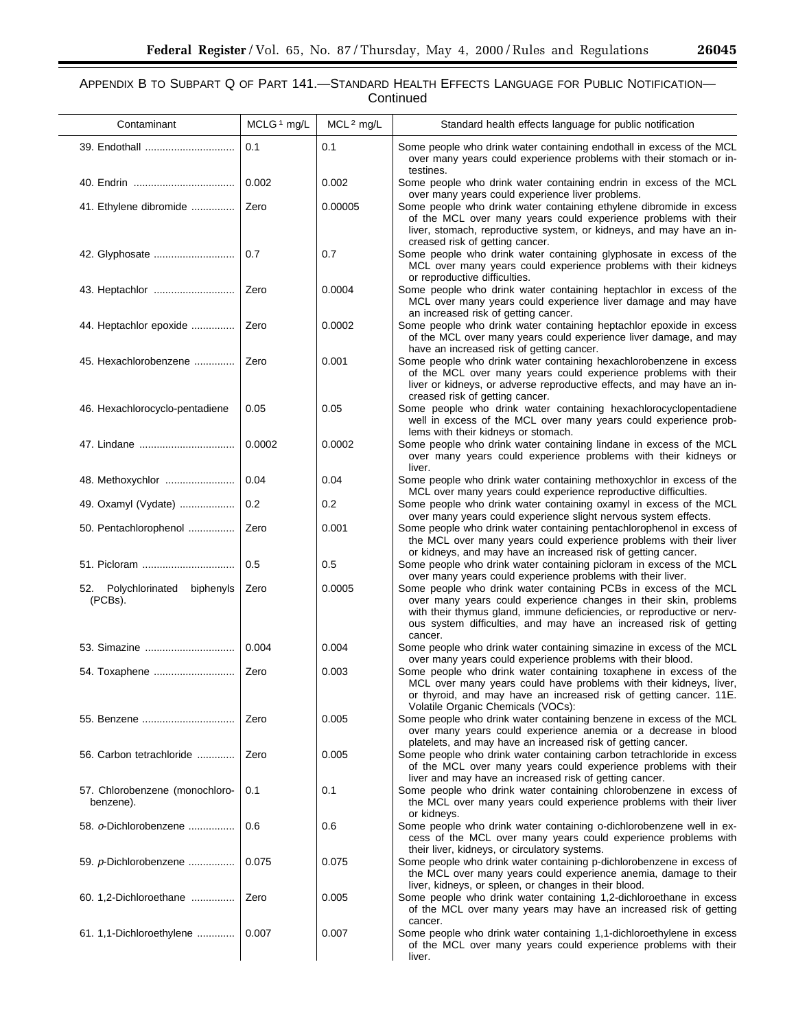# APPENDIX B TO SUBPART Q OF PART 141.—STANDARD HEALTH EFFECTS LANGUAGE FOR PUBLIC NOTIFICATION— Continued

| Contaminant                                 | MCLG <sup>1</sup> mg/L | $MCL2$ mg/L | Standard health effects language for public notification                                                                                                                                                                                                                                        |
|---------------------------------------------|------------------------|-------------|-------------------------------------------------------------------------------------------------------------------------------------------------------------------------------------------------------------------------------------------------------------------------------------------------|
|                                             | 0.1                    | 0.1         | Some people who drink water containing endothall in excess of the MCL<br>over many years could experience problems with their stomach or in-<br>testines.                                                                                                                                       |
|                                             | 0.002                  | 0.002       | Some people who drink water containing endrin in excess of the MCL<br>over many years could experience liver problems.                                                                                                                                                                          |
| 41. Ethylene dibromide                      | Zero                   | 0.00005     | Some people who drink water containing ethylene dibromide in excess<br>of the MCL over many years could experience problems with their<br>liver, stomach, reproductive system, or kidneys, and may have an in-<br>creased risk of getting cancer.                                               |
| 42. Glyphosate                              | 0.7                    | 0.7         | Some people who drink water containing glyphosate in excess of the<br>MCL over many years could experience problems with their kidneys<br>or reproductive difficulties.                                                                                                                         |
|                                             | Zero                   | 0.0004      | Some people who drink water containing heptachlor in excess of the<br>MCL over many years could experience liver damage and may have<br>an increased risk of getting cancer.                                                                                                                    |
| 44. Heptachlor epoxide                      | Zero                   | 0.0002      | Some people who drink water containing heptachlor epoxide in excess<br>of the MCL over many years could experience liver damage, and may<br>have an increased risk of getting cancer.                                                                                                           |
| 45. Hexachlorobenzene                       | Zero                   | 0.001       | Some people who drink water containing hexachlorobenzene in excess<br>of the MCL over many years could experience problems with their<br>liver or kidneys, or adverse reproductive effects, and may have an in-                                                                                 |
| 46. Hexachlorocyclo-pentadiene              | 0.05                   | 0.05        | creased risk of getting cancer.<br>Some people who drink water containing hexachlorocyclopentadiene<br>well in excess of the MCL over many years could experience prob-<br>lems with their kidneys or stomach.                                                                                  |
| 47. Lindane                                 | 0.0002                 | 0.0002      | Some people who drink water containing lindane in excess of the MCL<br>over many years could experience problems with their kidneys or<br>liver.                                                                                                                                                |
| 48. Methoxychlor                            | 0.04                   | 0.04        | Some people who drink water containing methoxychlor in excess of the<br>MCL over many years could experience reproductive difficulties.                                                                                                                                                         |
| 49. Oxamyl (Vydate)                         | 0.2                    | 0.2         | Some people who drink water containing oxamyl in excess of the MCL<br>over many years could experience slight nervous system effects.                                                                                                                                                           |
| 50. Pentachlorophenol                       | Zero                   | 0.001       | Some people who drink water containing pentachlorophenol in excess of<br>the MCL over many years could experience problems with their liver<br>or kidneys, and may have an increased risk of getting cancer.                                                                                    |
| 51. Picloram                                | 0.5                    | 0.5         | Some people who drink water containing picloram in excess of the MCL<br>over many years could experience problems with their liver.                                                                                                                                                             |
| 52. Polychlorinated biphenyls<br>(PCBs).    | Zero                   | 0.0005      | Some people who drink water containing PCBs in excess of the MCL<br>over many years could experience changes in their skin, problems<br>with their thymus gland, immune deficiencies, or reproductive or nerv-<br>ous system difficulties, and may have an increased risk of getting<br>cancer. |
| 53. Simazine                                | 0.004                  | 0.004       | Some people who drink water containing simazine in excess of the MCL<br>over many years could experience problems with their blood.                                                                                                                                                             |
|                                             | Zero                   | 0.003       | Some people who drink water containing toxaphene in excess of the<br>MCL over many years could have problems with their kidneys, liver,<br>or thyroid, and may have an increased risk of getting cancer. 11E.<br>Volatile Organic Chemicals (VOCs):                                             |
|                                             | Zero                   | 0.005       | Some people who drink water containing benzene in excess of the MCL<br>over many years could experience anemia or a decrease in blood<br>platelets, and may have an increased risk of getting cancer.                                                                                           |
| 56. Carbon tetrachloride                    | Zero                   | 0.005       | Some people who drink water containing carbon tetrachloride in excess<br>of the MCL over many years could experience problems with their<br>liver and may have an increased risk of getting cancer.                                                                                             |
| 57. Chlorobenzene (monochloro-<br>benzene). | 0.1                    | 0.1         | Some people who drink water containing chlorobenzene in excess of<br>the MCL over many years could experience problems with their liver<br>or kidneys.                                                                                                                                          |
| 58. o-Dichlorobenzene                       | 0.6                    | 0.6         | Some people who drink water containing o-dichlorobenzene well in ex-<br>cess of the MCL over many years could experience problems with<br>their liver, kidneys, or circulatory systems.                                                                                                         |
| 59. p-Dichlorobenzene                       | 0.075                  | 0.075       | Some people who drink water containing p-dichlorobenzene in excess of<br>the MCL over many years could experience anemia, damage to their<br>liver, kidneys, or spleen, or changes in their blood.                                                                                              |
| 60. 1,2-Dichloroethane                      | Zero                   | 0.005       | Some people who drink water containing 1,2-dichloroethane in excess<br>of the MCL over many years may have an increased risk of getting<br>cancer.                                                                                                                                              |
| 61. 1,1-Dichloroethylene                    | 0.007                  | 0.007       | Some people who drink water containing 1,1-dichloroethylene in excess<br>of the MCL over many years could experience problems with their<br>liver.                                                                                                                                              |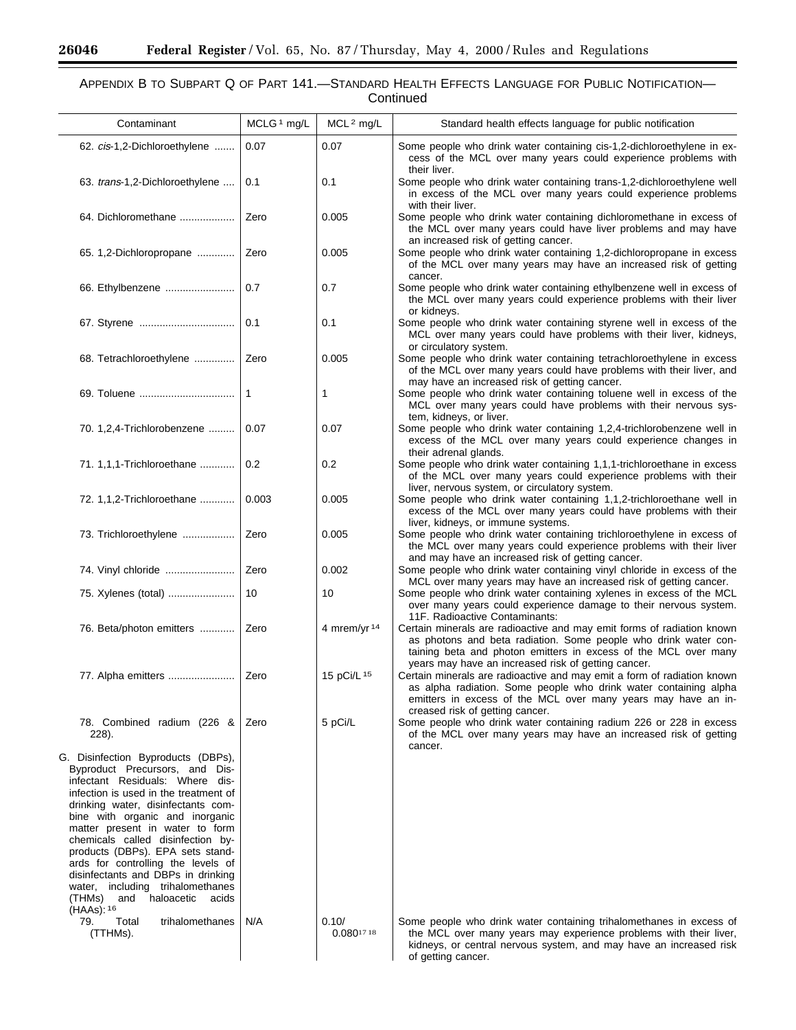$\equiv$ 

e<br>B

# APPENDIX B TO SUBPART Q OF PART 141.—STANDARD HEALTH EFFECTS LANGUAGE FOR PUBLIC NOTIFICATION— **Continued**

| Contaminant                                                                                                                                                                                                                                                                                                                                                                                                                                                                                                            | MCLG <sup>1</sup> mg/L | MCL <sup>2</sup> mg/L               | Standard health effects language for public notification                                                                                                                                                                                                                                               |
|------------------------------------------------------------------------------------------------------------------------------------------------------------------------------------------------------------------------------------------------------------------------------------------------------------------------------------------------------------------------------------------------------------------------------------------------------------------------------------------------------------------------|------------------------|-------------------------------------|--------------------------------------------------------------------------------------------------------------------------------------------------------------------------------------------------------------------------------------------------------------------------------------------------------|
| 62. cis-1,2-Dichloroethylene                                                                                                                                                                                                                                                                                                                                                                                                                                                                                           | 0.07                   | 0.07                                | Some people who drink water containing cis-1,2-dichloroethylene in ex-<br>cess of the MCL over many years could experience problems with<br>their liver.                                                                                                                                               |
| 63. trans-1,2-Dichloroethylene                                                                                                                                                                                                                                                                                                                                                                                                                                                                                         | 0.1                    | 0.1                                 | Some people who drink water containing trans-1,2-dichloroethylene well<br>in excess of the MCL over many years could experience problems<br>with their liver.                                                                                                                                          |
| 64. Dichloromethane                                                                                                                                                                                                                                                                                                                                                                                                                                                                                                    | Zero                   | 0.005                               | Some people who drink water containing dichloromethane in excess of<br>the MCL over many years could have liver problems and may have<br>an increased risk of getting cancer.                                                                                                                          |
| 65. 1,2-Dichloropropane                                                                                                                                                                                                                                                                                                                                                                                                                                                                                                | Zero                   | 0.005                               | Some people who drink water containing 1,2-dichloropropane in excess<br>of the MCL over many years may have an increased risk of getting<br>cancer.                                                                                                                                                    |
| 66. Ethylbenzene                                                                                                                                                                                                                                                                                                                                                                                                                                                                                                       | 0.7                    | 0.7                                 | Some people who drink water containing ethylbenzene well in excess of<br>the MCL over many years could experience problems with their liver<br>or kidneys.                                                                                                                                             |
|                                                                                                                                                                                                                                                                                                                                                                                                                                                                                                                        | 0.1                    | 0.1                                 | Some people who drink water containing styrene well in excess of the<br>MCL over many years could have problems with their liver, kidneys,<br>or circulatory system.                                                                                                                                   |
| 68. Tetrachloroethylene                                                                                                                                                                                                                                                                                                                                                                                                                                                                                                | Zero                   | 0.005                               | Some people who drink water containing tetrachloroethylene in excess<br>of the MCL over many years could have problems with their liver, and<br>may have an increased risk of getting cancer.                                                                                                          |
|                                                                                                                                                                                                                                                                                                                                                                                                                                                                                                                        | 1                      | 1                                   | Some people who drink water containing toluene well in excess of the<br>MCL over many years could have problems with their nervous sys-<br>tem, kidneys, or liver.                                                                                                                                     |
| 70. 1,2,4-Trichlorobenzene                                                                                                                                                                                                                                                                                                                                                                                                                                                                                             | 0.07                   | 0.07                                | Some people who drink water containing 1,2,4-trichlorobenzene well in<br>excess of the MCL over many years could experience changes in<br>their adrenal glands.                                                                                                                                        |
| 71. 1,1,1-Trichloroethane                                                                                                                                                                                                                                                                                                                                                                                                                                                                                              | 0.2                    | 0.2                                 | Some people who drink water containing 1,1,1-trichloroethane in excess<br>of the MCL over many years could experience problems with their<br>liver, nervous system, or circulatory system.                                                                                                             |
| 72. 1, 1, 2- Trichloroethane                                                                                                                                                                                                                                                                                                                                                                                                                                                                                           | 0.003                  | 0.005                               | Some people who drink water containing 1,1,2-trichloroethane well in<br>excess of the MCL over many years could have problems with their<br>liver, kidneys, or immune systems.                                                                                                                         |
| 73. Trichloroethylene                                                                                                                                                                                                                                                                                                                                                                                                                                                                                                  | Zero                   | 0.005                               | Some people who drink water containing trichloroethylene in excess of<br>the MCL over many years could experience problems with their liver<br>and may have an increased risk of getting cancer.                                                                                                       |
|                                                                                                                                                                                                                                                                                                                                                                                                                                                                                                                        | Zero                   | 0.002                               | Some people who drink water containing vinyl chloride in excess of the<br>MCL over many years may have an increased risk of getting cancer.                                                                                                                                                            |
| 75. Xylenes (total)                                                                                                                                                                                                                                                                                                                                                                                                                                                                                                    | 10                     | 10                                  | Some people who drink water containing xylenes in excess of the MCL<br>over many years could experience damage to their nervous system.<br>11F. Radioactive Contaminants:                                                                                                                              |
| 76. Beta/photon emitters                                                                                                                                                                                                                                                                                                                                                                                                                                                                                               | Zero                   | 4 mrem/yr 14                        | Certain minerals are radioactive and may emit forms of radiation known<br>as photons and beta radiation. Some people who drink water con-<br>taining beta and photon emitters in excess of the MCL over many                                                                                           |
| 77. Alpha emitters                                                                                                                                                                                                                                                                                                                                                                                                                                                                                                     | Zero                   | 15 pCi/L 15                         | years may have an increased risk of getting cancer.<br>Certain minerals are radioactive and may emit a form of radiation known<br>as alpha radiation. Some people who drink water containing alpha<br>emitters in excess of the MCL over many years may have an in-<br>creased risk of getting cancer. |
| 78. Combined radium (226 &<br>228).                                                                                                                                                                                                                                                                                                                                                                                                                                                                                    | Zero                   | 5 pCi/L                             | Some people who drink water containing radium 226 or 228 in excess<br>of the MCL over many years may have an increased risk of getting<br>cancer.                                                                                                                                                      |
| G. Disinfection Byproducts (DBPs),<br>Byproduct Precursors, and Dis-<br>infectant Residuals: Where dis-<br>infection is used in the treatment of<br>drinking water, disinfectants com-<br>bine with organic and inorganic<br>matter present in water to form<br>chemicals called disinfection by-<br>products (DBPs). EPA sets stand-<br>ards for controlling the levels of<br>disinfectants and DBPs in drinking<br>water, including trihalomethanes<br>and haloacetic<br>(THMs)<br>acids<br>$(HAAs)$ : <sup>16</sup> |                        |                                     |                                                                                                                                                                                                                                                                                                        |
| 79.<br>Total<br>trihalomethanes<br>(TTHMs).                                                                                                                                                                                                                                                                                                                                                                                                                                                                            | N/A                    | 0.10/<br>$0.080^{17}$ <sup>18</sup> | Some people who drink water containing trihalomethanes in excess of<br>the MCL over many years may experience problems with their liver,<br>kidneys, or central nervous system, and may have an increased risk<br>of getting cancer.                                                                   |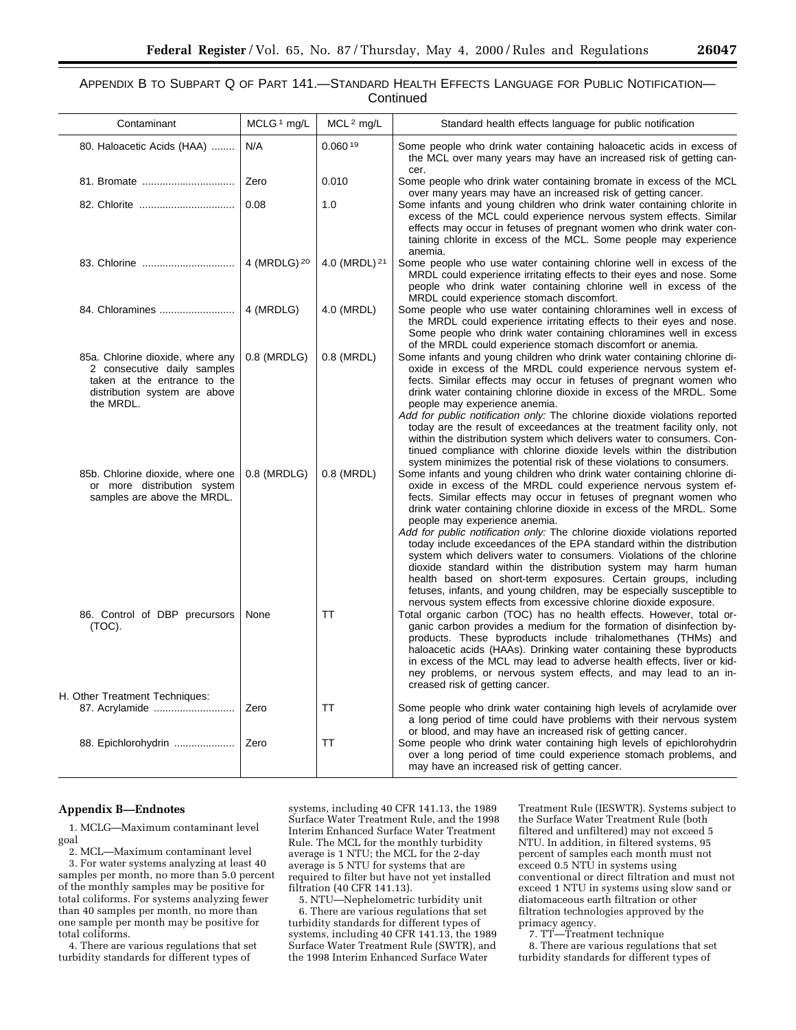# APPENDIX B TO SUBPART Q OF PART 141.—STANDARD HEALTH EFFECTS LANGUAGE FOR PUBLIC NOTIFICATION— **Continued**

| Contaminant                                                                                                                                   | MCLG <sup>1</sup> mg/L  | MCL <sup>2</sup> mg/L    | Standard health effects language for public notification                                                                                                                                                                                                                                                                                                                                                                                                                                                                                                                                                                                                                                                                                                                                                                                       |
|-----------------------------------------------------------------------------------------------------------------------------------------------|-------------------------|--------------------------|------------------------------------------------------------------------------------------------------------------------------------------------------------------------------------------------------------------------------------------------------------------------------------------------------------------------------------------------------------------------------------------------------------------------------------------------------------------------------------------------------------------------------------------------------------------------------------------------------------------------------------------------------------------------------------------------------------------------------------------------------------------------------------------------------------------------------------------------|
| 80. Haloacetic Acids (HAA)                                                                                                                    | N/A                     | 0.060 <sup>19</sup>      | Some people who drink water containing haloacetic acids in excess of<br>the MCL over many years may have an increased risk of getting can-<br>cer.                                                                                                                                                                                                                                                                                                                                                                                                                                                                                                                                                                                                                                                                                             |
| 81. Bromate                                                                                                                                   | Zero                    | 0.010                    | Some people who drink water containing bromate in excess of the MCL<br>over many years may have an increased risk of getting cancer.                                                                                                                                                                                                                                                                                                                                                                                                                                                                                                                                                                                                                                                                                                           |
|                                                                                                                                               | 0.08                    | 1.0                      | Some infants and young children who drink water containing chlorite in<br>excess of the MCL could experience nervous system effects. Similar<br>effects may occur in fetuses of pregnant women who drink water con-<br>taining chlorite in excess of the MCL. Some people may experience<br>anemia.                                                                                                                                                                                                                                                                                                                                                                                                                                                                                                                                            |
| 83. Chlorine                                                                                                                                  | 4 (MRDLG) <sup>20</sup> | 4.0 (MRDL) <sup>21</sup> | Some people who use water containing chlorine well in excess of the<br>MRDL could experience irritating effects to their eyes and nose. Some<br>people who drink water containing chlorine well in excess of the<br>MRDL could experience stomach discomfort.                                                                                                                                                                                                                                                                                                                                                                                                                                                                                                                                                                                  |
| 84. Chloramines                                                                                                                               | 4 (MRDLG)               | 4.0 (MRDL)               | Some people who use water containing chloramines well in excess of<br>the MRDL could experience irritating effects to their eyes and nose.<br>Some people who drink water containing chloramines well in excess<br>of the MRDL could experience stomach discomfort or anemia.                                                                                                                                                                                                                                                                                                                                                                                                                                                                                                                                                                  |
| 85a. Chlorine dioxide, where any<br>2 consecutive daily samples<br>taken at the entrance to the<br>distribution system are above<br>the MRDL. | 0.8 (MRDLG)             | 0.8 (MRDL)               | Some infants and young children who drink water containing chlorine di-<br>oxide in excess of the MRDL could experience nervous system ef-<br>fects. Similar effects may occur in fetuses of pregnant women who<br>drink water containing chlorine dioxide in excess of the MRDL. Some<br>people may experience anemia.<br>Add for public notification only: The chlorine dioxide violations reported<br>today are the result of exceedances at the treatment facility only, not<br>within the distribution system which delivers water to consumers. Con-<br>tinued compliance with chlorine dioxide levels within the distribution                                                                                                                                                                                                           |
| 85b. Chlorine dioxide, where one<br>or more distribution system<br>samples are above the MRDL.                                                | 0.8 (MRDLG)             | 0.8 (MRDL)               | system minimizes the potential risk of these violations to consumers.<br>Some infants and young children who drink water containing chlorine di-<br>oxide in excess of the MRDL could experience nervous system ef-<br>fects. Similar effects may occur in fetuses of pregnant women who<br>drink water containing chlorine dioxide in excess of the MRDL. Some<br>people may experience anemia.<br>Add for public notification only: The chlorine dioxide violations reported<br>today include exceedances of the EPA standard within the distribution<br>system which delivers water to consumers. Violations of the chlorine<br>dioxide standard within the distribution system may harm human<br>health based on short-term exposures. Certain groups, including<br>fetuses, infants, and young children, may be especially susceptible to |
| 86. Control of DBP precursors<br>(TOC).                                                                                                       | None                    | TT                       | nervous system effects from excessive chlorine dioxide exposure.<br>Total organic carbon (TOC) has no health effects. However, total or-<br>ganic carbon provides a medium for the formation of disinfection by-<br>products. These byproducts include trihalomethanes (THMs) and<br>haloacetic acids (HAAs). Drinking water containing these byproducts<br>in excess of the MCL may lead to adverse health effects, liver or kid-<br>ney problems, or nervous system effects, and may lead to an in-<br>creased risk of getting cancer.                                                                                                                                                                                                                                                                                                       |
| H. Other Treatment Techniques:<br>87. Acrylamide                                                                                              | Zero                    | TT                       | Some people who drink water containing high levels of acrylamide over<br>a long period of time could have problems with their nervous system<br>or blood, and may have an increased risk of getting cancer.                                                                                                                                                                                                                                                                                                                                                                                                                                                                                                                                                                                                                                    |
| 88. Epichlorohydrin                                                                                                                           | Zero                    | TT                       | Some people who drink water containing high levels of epichlorohydrin<br>over a long period of time could experience stomach problems, and<br>may have an increased risk of getting cancer.                                                                                                                                                                                                                                                                                                                                                                                                                                                                                                                                                                                                                                                    |

#### **Appendix B—Endnotes**

1. MCLG—Maximum contaminant level goal

2. MCL—Maximum contaminant level

3. For water systems analyzing at least 40 samples per month, no more than 5.0 percent of the monthly samples may be positive for total coliforms. For systems analyzing fewer than 40 samples per month, no more than one sample per month may be positive for total coliforms.

4. There are various regulations that set turbidity standards for different types of

systems, including 40 CFR 141.13, the 1989 Surface Water Treatment Rule, and the 1998 Interim Enhanced Surface Water Treatment Rule. The MCL for the monthly turbidity average is 1 NTU; the MCL for the 2-day average is 5 NTU for systems that are required to filter but have not yet installed filtration (40 CFR 141.13).

5. NTU—Nephelometric turbidity unit 6. There are various regulations that set turbidity standards for different types of systems, including 40 CFR 141.13, the 1989 Surface Water Treatment Rule (SWTR), and the 1998 Interim Enhanced Surface Water

Treatment Rule (IESWTR). Systems subject to the Surface Water Treatment Rule (both filtered and unfiltered) may not exceed 5 NTU. In addition, in filtered systems, 95 percent of samples each month must not exceed 0.5 NTU in systems using conventional or direct filtration and must not exceed 1 NTU in systems using slow sand or diatomaceous earth filtration or other filtration technologies approved by the primacy agency.

7. TT—Treatment technique 8. There are various regulations that set turbidity standards for different types of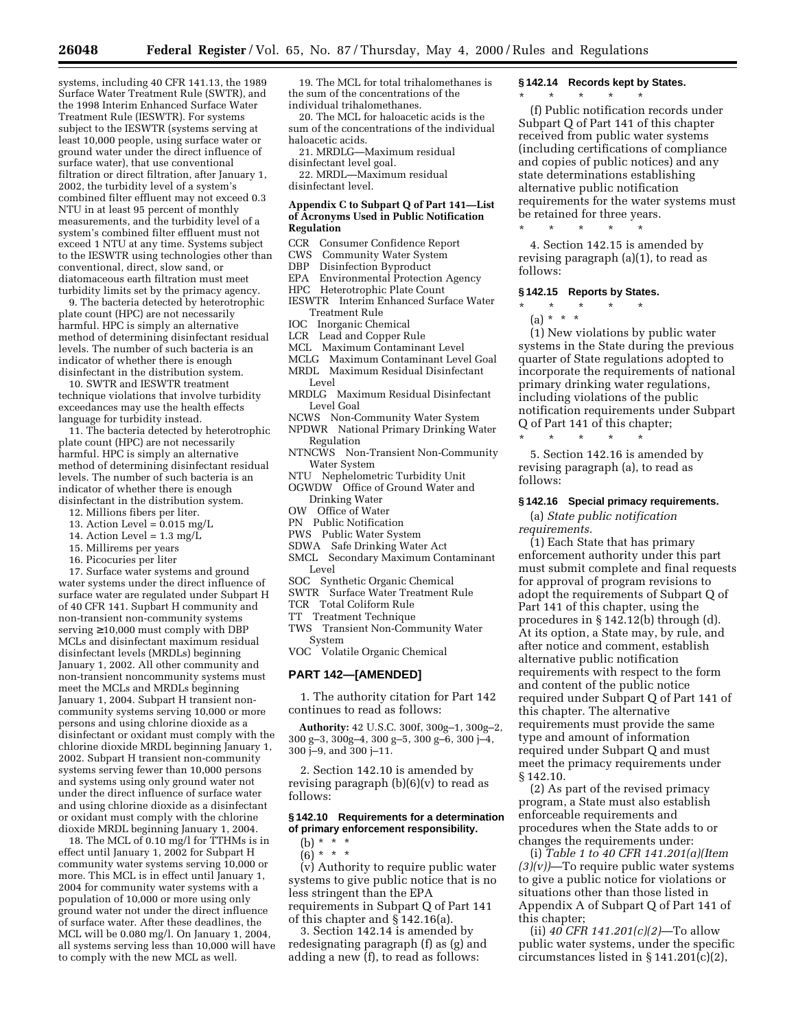systems, including 40 CFR 141.13, the 1989 Surface Water Treatment Rule (SWTR), and the 1998 Interim Enhanced Surface Water Treatment Rule (IESWTR). For systems subject to the IESWTR (systems serving at least 10,000 people, using surface water or ground water under the direct influence of surface water), that use conventional filtration or direct filtration, after January 1, 2002, the turbidity level of a system's combined filter effluent may not exceed 0.3 NTU in at least 95 percent of monthly measurements, and the turbidity level of a system's combined filter effluent must not exceed 1 NTU at any time. Systems subject to the IESWTR using technologies other than conventional, direct, slow sand, or diatomaceous earth filtration must meet turbidity limits set by the primacy agency.

9. The bacteria detected by heterotrophic plate count (HPC) are not necessarily harmful. HPC is simply an alternative method of determining disinfectant residual levels. The number of such bacteria is an indicator of whether there is enough disinfectant in the distribution system.

10. SWTR and IESWTR treatment technique violations that involve turbidity exceedances may use the health effects language for turbidity instead.

11. The bacteria detected by heterotrophic plate count (HPC) are not necessarily harmful. HPC is simply an alternative method of determining disinfectant residual levels. The number of such bacteria is an indicator of whether there is enough disinfectant in the distribution system.

- 12. Millions fibers per liter.
- 13. Action Level =  $0.015$  mg/L
- 14. Action Level =  $1.3 \text{ mg/L}$
- 15. Millirems per years
- 16. Picocuries per liter

17. Surface water systems and ground water systems under the direct influence of surface water are regulated under Subpart H of 40 CFR 141. Supbart H community and non-transient non-community systems serving ≥ 10,000 must comply with DBP MCLs and disinfectant maximum residual disinfectant levels (MRDLs) beginning January 1, 2002. All other community and non-transient noncommunity systems must meet the MCLs and MRDLs beginning January 1, 2004. Subpart H transient noncommunity systems serving 10,000 or more persons and using chlorine dioxide as a disinfectant or oxidant must comply with the chlorine dioxide MRDL beginning January 1, 2002. Subpart H transient non-community systems serving fewer than 10,000 persons and systems using only ground water not under the direct influence of surface water and using chlorine dioxide as a disinfectant or oxidant must comply with the chlorine dioxide MRDL beginning January 1, 2004.

18. The MCL of 0.10 mg/l for TTHMs is in effect until January 1, 2002 for Subpart H community water systems serving 10,000 or more. This MCL is in effect until January 1, 2004 for community water systems with a population of 10,000 or more using only ground water not under the direct influence of surface water. After these deadlines, the MCL will be 0.080 mg/l. On January 1, 2004, all systems serving less than 10,000 will have to comply with the new MCL as well.

19. The MCL for total trihalomethanes is the sum of the concentrations of the individual trihalomethanes.

20. The MCL for haloacetic acids is the sum of the concentrations of the individual haloacetic acids.

21. MRDLG—Maximum residual disinfectant level goal.

22. MRDL—Maximum residual disinfectant level.

#### **Appendix C to Subpart Q of Part 141—List of Acronyms Used in Public Notification Regulation**

- CCR Consumer Confidence Report<br>CWS Community Water System
- Community Water System
- DBP Disinfection Byproduct<br>EPA Environmental Protection
- Environmental Protection Agency
- HPC Heterotrophic Plate Count
- IESWTR Interim Enhanced Surface Water Treatment Rule
- IOC Inorganic Chemical
- LCR Lead and Copper Rule
- MCL Maximum Contaminant Level
- MCLG Maximum Contaminant Level Goal
- MRDL Maximum Residual Disinfectant Level
- MRDLG Maximum Residual Disinfectant Level Goal
- NCWS Non-Community Water System NPDWR National Primary Drinking Water
- Regulation
- NTNCWS Non-Transient Non-Community Water System
- NTU Nephelometric Turbidity Unit
- OGWDW Office of Ground Water and Drinking Water
- OW Office of Water
- PN Public Notification
- PWS Public Water System
- SDWA Safe Drinking Water Act
- SMCL Secondary Maximum Contaminant Level
	-
- SOC Synthetic Organic Chemical SWTR Surface Water Treatment Rule
- TCR Total Coliform Rule
- 
- TT Treatment Technique
- TWS Transient Non-Community Water System
- VOC Volatile Organic Chemical

# **PART 142—[AMENDED]**

1. The authority citation for Part 142 continues to read as follows:

**Authority:** 42 U.S.C. 300f, 300g–1, 300g–2, 300 g-3,  $300g-4$ ,  $300g-5$ ,  $300g-6$ ,  $300j-4$ , 300 j–9, and 300 j–11.

2. Section 142.10 is amended by revising paragraph  $(b)(6)(v)$  to read as follows:

#### **§ 142.10 Requirements for a determination of primary enforcement responsibility.**

(b) \* \* \*

 $(6) * * * *$ 

(v) Authority to require public water systems to give public notice that is no less stringent than the EPA requirements in Subpart Q of Part 141 of this chapter and § 142.16(a).

3. Section 142.14 is amended by redesignating paragraph (f) as (g) and adding a new (f), to read as follows:

#### **§ 142.14 Records kept by States.**

\* \* \* \* \*

(f) Public notification records under Subpart Q of Part 141 of this chapter received from public water systems (including certifications of compliance and copies of public notices) and any state determinations establishing alternative public notification requirements for the water systems must be retained for three years.

4. Section 142.15 is amended by revising paragraph (a)(1), to read as follows:

#### **§ 142.15 Reports by States.**

\* \* \* \* \*

- \* \* \* \* \*
	- (a) \* \* \*

(1) New violations by public water systems in the State during the previous quarter of State regulations adopted to incorporate the requirements of national primary drinking water regulations, including violations of the public notification requirements under Subpart Q of Part 141 of this chapter;

5. Section 142.16 is amended by revising paragraph (a), to read as follows:

# **§ 142.16 Special primacy requirements.**

(a) *State public notification requirements.*

\* \* \* \* \*

(1) Each State that has primary enforcement authority under this part must submit complete and final requests for approval of program revisions to adopt the requirements of Subpart Q of Part 141 of this chapter, using the procedures in § 142.12(b) through (d). At its option, a State may, by rule, and after notice and comment, establish alternative public notification requirements with respect to the form and content of the public notice required under Subpart Q of Part 141 of this chapter. The alternative requirements must provide the same type and amount of information required under Subpart Q and must meet the primacy requirements under § 142.10.

(2) As part of the revised primacy program, a State must also establish enforceable requirements and procedures when the State adds to or changes the requirements under:

(i) *Table 1 to 40 CFR 141.201(a)(Item (3)(v))*—To require public water systems to give a public notice for violations or situations other than those listed in Appendix A of Subpart Q of Part 141 of this chapter;

(ii) *40 CFR 141.201(c)(2)*—To allow public water systems, under the specific circumstances listed in § 141.201(c)(2),